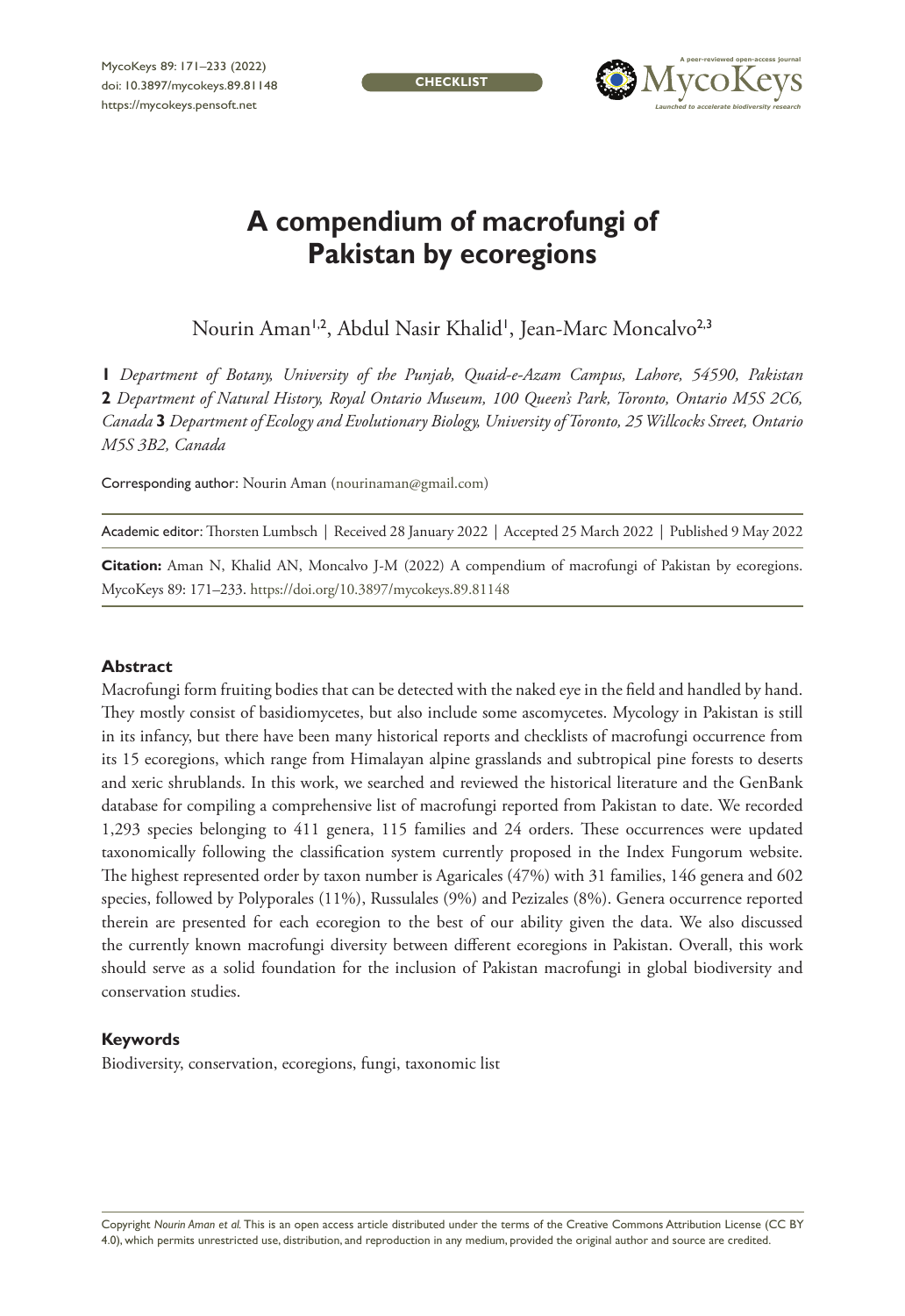**CHECKLIST**



# **A compendium of macrofungi of Pakistan by ecoregions**

Nourin Aman'<sup>,2</sup>, Abdul Nasir Khalid', Jean-Marc Moncalvo<sup>2,3</sup>

**1** *Department of Botany, University of the Punjab, Quaid-e-Azam Campus, Lahore, 54590, Pakistan*  **2** *Department of Natural History, Royal Ontario Museum, 100 Queen's Park, Toronto, Ontario M5S 2C6, Canada* **3** *Department of Ecology and Evolutionary Biology, University of Toronto, 25 Willcocks Street, Ontario M5S 3B2, Canada*

Corresponding author: Nourin Aman ([nourinaman@gmail.com](mailto:nourinaman@gmail.com))

Academic editor: Thorsten Lumbsch | Received 28 January 2022 | Accepted 25 March 2022 | Published 9 May 2022

**Citation:** Aman N, Khalid AN, Moncalvo J-M (2022) A compendium of macrofungi of Pakistan by ecoregions. MycoKeys 89: 171–233.<https://doi.org/10.3897/mycokeys.89.81148>

#### **Abstract**

Macrofungi form fruiting bodies that can be detected with the naked eye in the field and handled by hand. They mostly consist of basidiomycetes, but also include some ascomycetes. Mycology in Pakistan is still in its infancy, but there have been many historical reports and checklists of macrofungi occurrence from its 15 ecoregions, which range from Himalayan alpine grasslands and subtropical pine forests to deserts and xeric shrublands. In this work, we searched and reviewed the historical literature and the GenBank database for compiling a comprehensive list of macrofungi reported from Pakistan to date. We recorded 1,293 species belonging to 411 genera, 115 families and 24 orders. These occurrences were updated taxonomically following the classification system currently proposed in the Index Fungorum website. The highest represented order by taxon number is Agaricales (47%) with 31 families, 146 genera and 602 species, followed by Polyporales (11%), Russulales (9%) and Pezizales (8%). Genera occurrence reported therein are presented for each ecoregion to the best of our ability given the data. We also discussed the currently known macrofungi diversity between different ecoregions in Pakistan. Overall, this work should serve as a solid foundation for the inclusion of Pakistan macrofungi in global biodiversity and conservation studies.

#### **Keywords**

Biodiversity, conservation, ecoregions, fungi, taxonomic list

Copyright *Nourin Aman et al.* This is an open access article distributed under the terms of the [Creative Commons Attribution License \(CC BY](http://creativecommons.org/licenses/by/4.0/)  [4.0\)](http://creativecommons.org/licenses/by/4.0/), which permits unrestricted use, distribution, and reproduction in any medium, provided the original author and source are credited.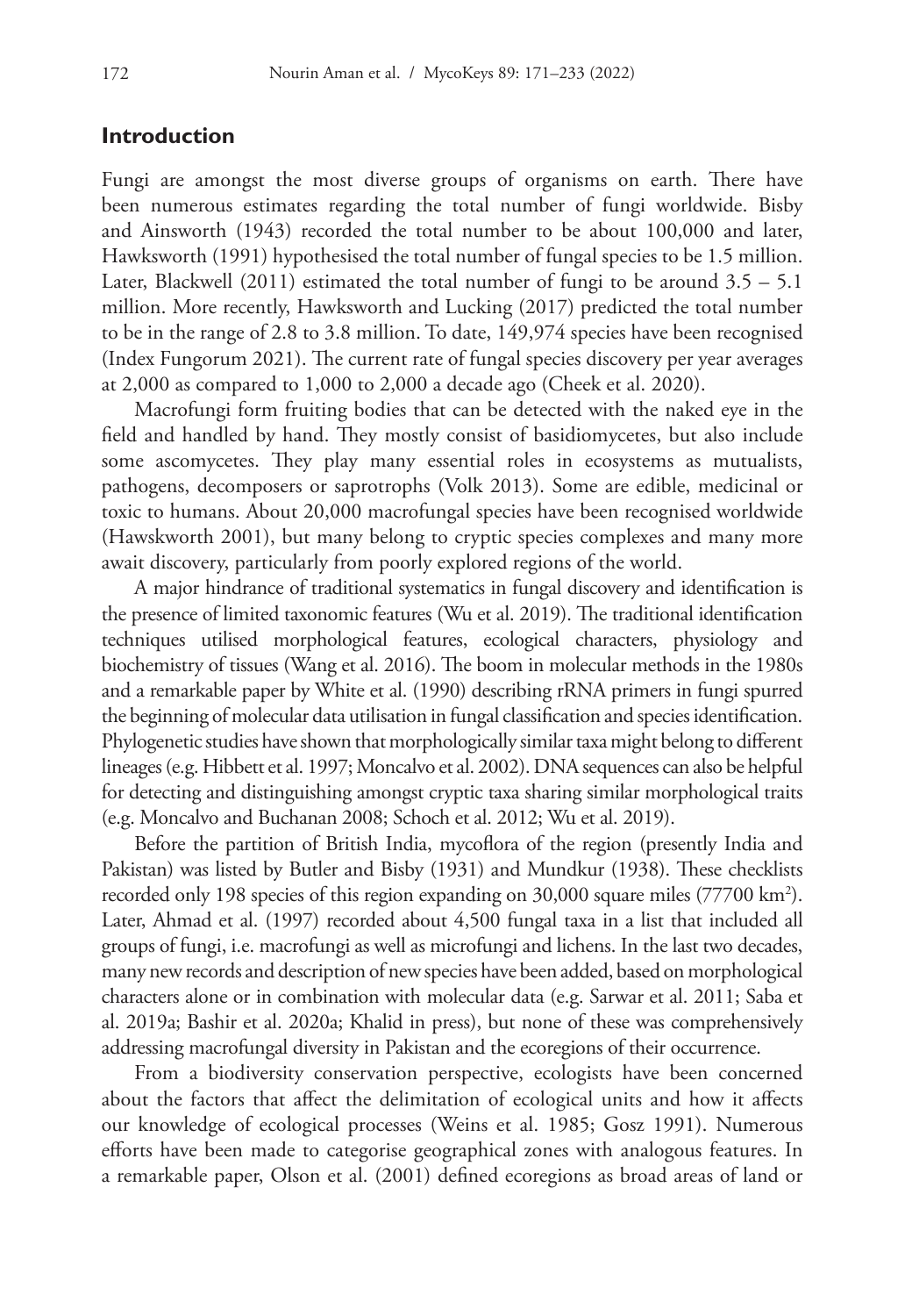### **Introduction**

Fungi are amongst the most diverse groups of organisms on earth. There have been numerous estimates regarding the total number of fungi worldwide. Bisby and Ainsworth (1943) recorded the total number to be about 100,000 and later, Hawksworth (1991) hypothesised the total number of fungal species to be 1.5 million. Later, Blackwell (2011) estimated the total number of fungi to be around 3.5 – 5.1 million. More recently, Hawksworth and Lucking (2017) predicted the total number to be in the range of 2.8 to 3.8 million. To date, 149,974 species have been recognised (Index Fungorum 2021). The current rate of fungal species discovery per year averages at 2,000 as compared to 1,000 to 2,000 a decade ago (Cheek et al. 2020).

Macrofungi form fruiting bodies that can be detected with the naked eye in the field and handled by hand. They mostly consist of basidiomycetes, but also include some ascomycetes. They play many essential roles in ecosystems as mutualists, pathogens, decomposers or saprotrophs (Volk 2013). Some are edible, medicinal or toxic to humans. About 20,000 macrofungal species have been recognised worldwide (Hawskworth 2001), but many belong to cryptic species complexes and many more await discovery, particularly from poorly explored regions of the world.

A major hindrance of traditional systematics in fungal discovery and identification is the presence of limited taxonomic features (Wu et al. 2019). The traditional identification techniques utilised morphological features, ecological characters, physiology and biochemistry of tissues (Wang et al. 2016). The boom in molecular methods in the 1980s and a remarkable paper by White et al. (1990) describing rRNA primers in fungi spurred the beginning of molecular data utilisation in fungal classification and species identification. Phylogenetic studies have shown that morphologically similar taxa might belong to different lineages (e.g. Hibbett et al. 1997; Moncalvo et al. 2002). DNA sequences can also be helpful for detecting and distinguishing amongst cryptic taxa sharing similar morphological traits (e.g. Moncalvo and Buchanan 2008; Schoch et al. 2012; Wu et al. 2019).

Before the partition of British India, mycoflora of the region (presently India and Pakistan) was listed by Butler and Bisby (1931) and Mundkur (1938). These checklists recorded only 198 species of this region expanding on 30,000 square miles (77700 km<sup>2</sup>). Later, Ahmad et al. (1997) recorded about 4,500 fungal taxa in a list that included all groups of fungi, i.e. macrofungi as well as microfungi and lichens. In the last two decades, many new records and description of new species have been added, based on morphological characters alone or in combination with molecular data (e.g. Sarwar et al. 2011; Saba et al. 2019a; Bashir et al. 2020a; Khalid in press), but none of these was comprehensively addressing macrofungal diversity in Pakistan and the ecoregions of their occurrence.

From a biodiversity conservation perspective, ecologists have been concerned about the factors that affect the delimitation of ecological units and how it affects our knowledge of ecological processes (Weins et al. 1985; Gosz 1991). Numerous efforts have been made to categorise geographical zones with analogous features. In a remarkable paper, Olson et al. (2001) defined ecoregions as broad areas of land or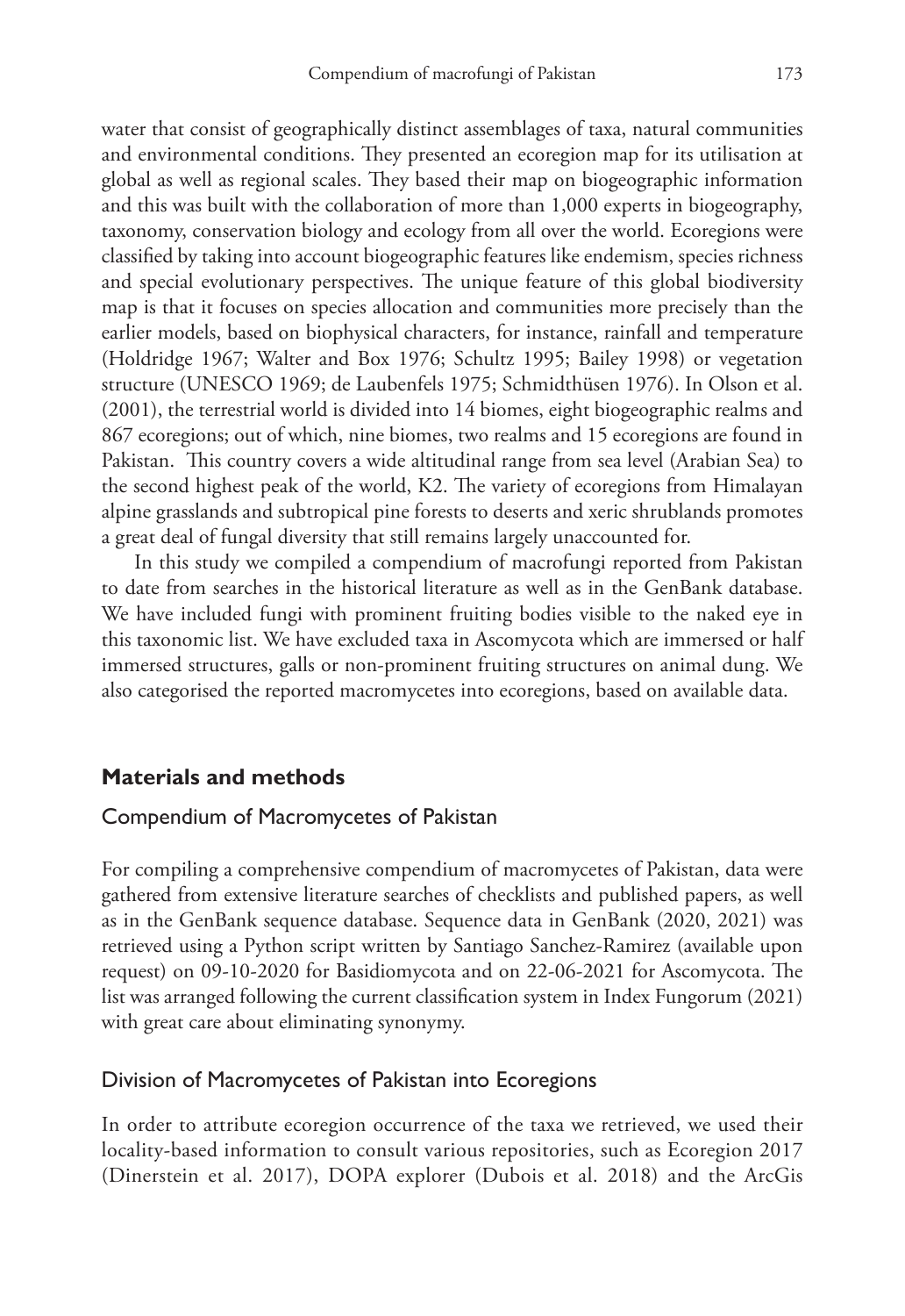water that consist of geographically distinct assemblages of taxa, natural communities and environmental conditions. They presented an ecoregion map for its utilisation at global as well as regional scales. They based their map on biogeographic information and this was built with the collaboration of more than 1,000 experts in biogeography, taxonomy, conservation biology and ecology from all over the world. Ecoregions were classified by taking into account biogeographic features like endemism, species richness and special evolutionary perspectives. The unique feature of this global biodiversity map is that it focuses on species allocation and communities more precisely than the earlier models, based on biophysical characters, for instance, rainfall and temperature (Holdridge 1967; Walter and Box 1976; Schultz 1995; Bailey 1998) or vegetation structure (UNESCO 1969; de Laubenfels 1975; Schmidthüsen 1976). In Olson et al. (2001), the terrestrial world is divided into 14 biomes, eight biogeographic realms and 867 ecoregions; out of which, nine biomes, two realms and 15 ecoregions are found in Pakistan. This country covers a wide altitudinal range from sea level (Arabian Sea) to the second highest peak of the world, K2. The variety of ecoregions from Himalayan alpine grasslands and subtropical pine forests to deserts and xeric shrublands promotes a great deal of fungal diversity that still remains largely unaccounted for.

In this study we compiled a compendium of macrofungi reported from Pakistan to date from searches in the historical literature as well as in the GenBank database. We have included fungi with prominent fruiting bodies visible to the naked eye in this taxonomic list. We have excluded taxa in Ascomycota which are immersed or half immersed structures, galls or non-prominent fruiting structures on animal dung. We also categorised the reported macromycetes into ecoregions, based on available data.

## **Materials and methods**

### Compendium of Macromycetes of Pakistan

For compiling a comprehensive compendium of macromycetes of Pakistan, data were gathered from extensive literature searches of checklists and published papers, as well as in the GenBank sequence database. Sequence data in GenBank (2020, 2021) was retrieved using a Python script written by Santiago Sanchez-Ramirez (available upon request) on 09-10-2020 for Basidiomycota and on 22-06-2021 for Ascomycota. The list was arranged following the current classification system in Index Fungorum (2021) with great care about eliminating synonymy.

#### Division of Macromycetes of Pakistan into Ecoregions

In order to attribute ecoregion occurrence of the taxa we retrieved, we used their locality-based information to consult various repositories, such as Ecoregion 2017 (Dinerstein et al. 2017), DOPA explorer (Dubois et al. 2018) and the ArcGis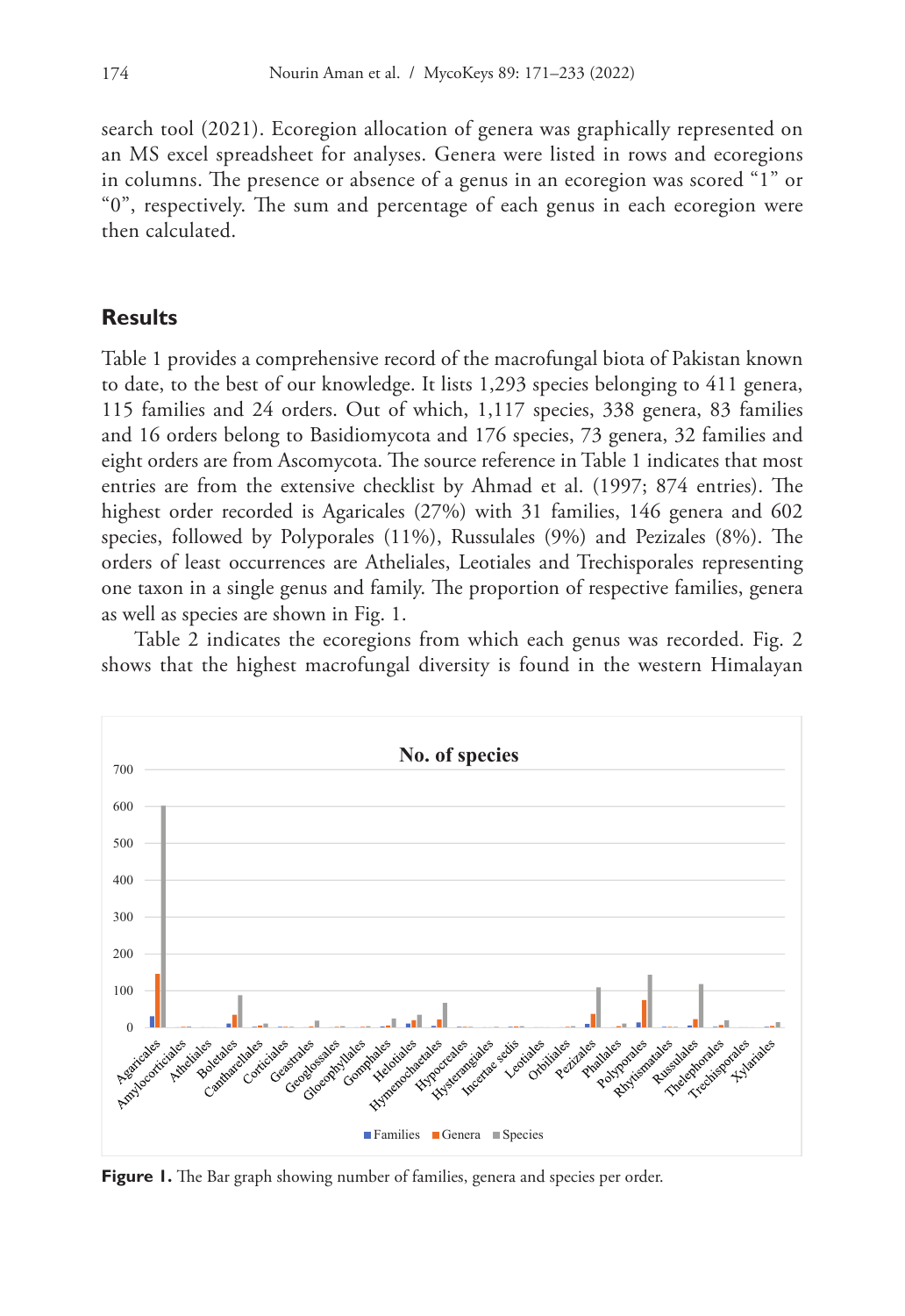search tool (2021). Ecoregion allocation of genera was graphically represented on an MS excel spreadsheet for analyses. Genera were listed in rows and ecoregions in columns. The presence or absence of a genus in an ecoregion was scored "1" or "0", respectively. The sum and percentage of each genus in each ecoregion were then calculated.

#### **Results**

Table 1 provides a comprehensive record of the macrofungal biota of Pakistan known to date, to the best of our knowledge. It lists 1,293 species belonging to 411 genera, 115 families and 24 orders. Out of which, 1,117 species, 338 genera, 83 families and 16 orders belong to Basidiomycota and 176 species, 73 genera, 32 families and eight orders are from Ascomycota. The source reference in Table 1 indicates that most entries are from the extensive checklist by Ahmad et al. (1997; 874 entries). The highest order recorded is Agaricales (27%) with 31 families, 146 genera and 602 species, followed by Polyporales (11%), Russulales (9%) and Pezizales (8%). The orders of least occurrences are Atheliales, Leotiales and Trechisporales representing one taxon in a single genus and family. The proportion of respective families, genera as well as species are shown in Fig. 1.

Table 2 indicates the ecoregions from which each genus was recorded. Fig. 2 shows that the highest macrofungal diversity is found in the western Himalayan



Figure 1. The Bar graph showing number of families, genera and species per order.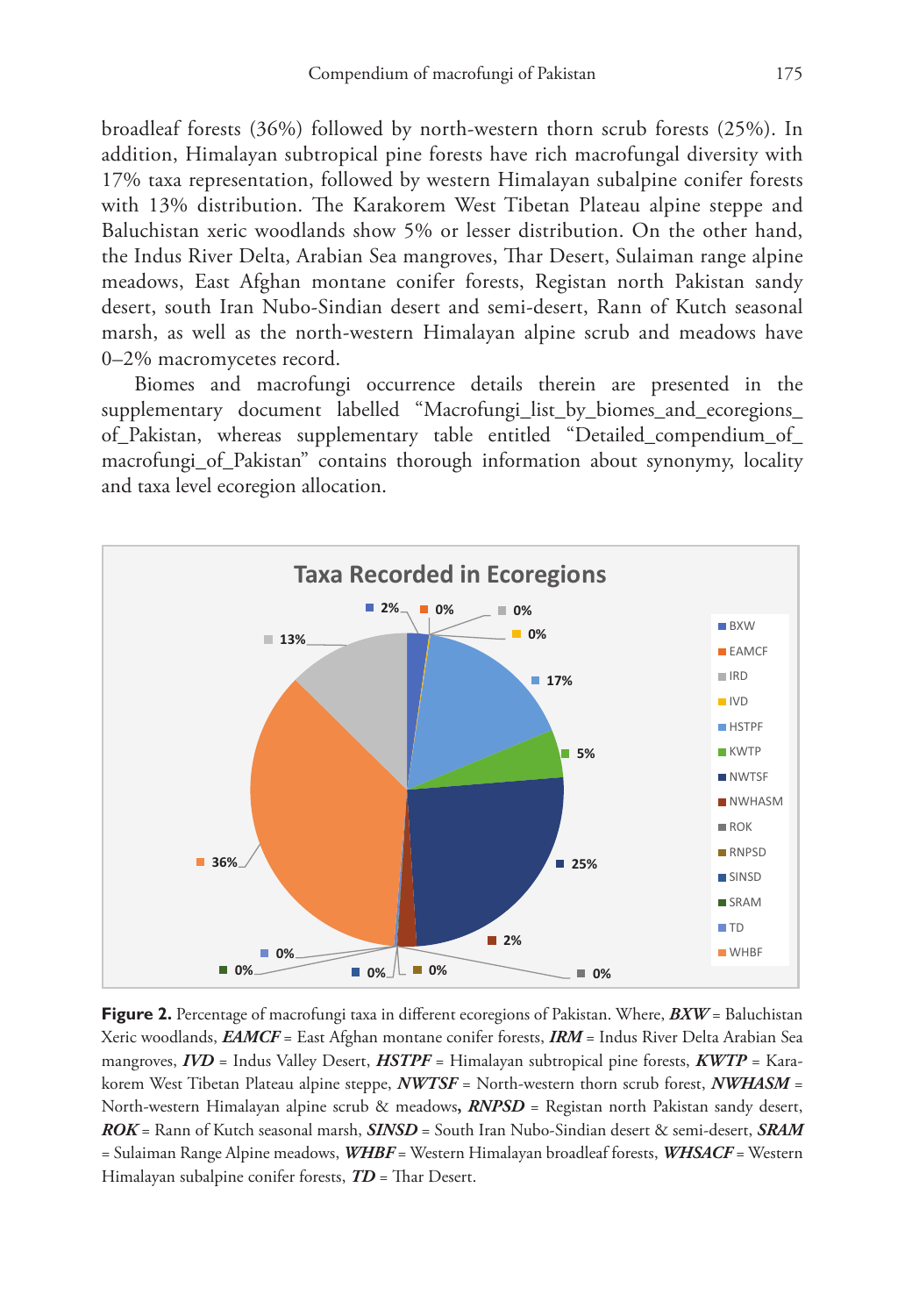broadleaf forests (36%) followed by north-western thorn scrub forests (25%). In addition, Himalayan subtropical pine forests have rich macrofungal diversity with 17% taxa representation, followed by western Himalayan subalpine conifer forests with 13% distribution. The Karakorem West Tibetan Plateau alpine steppe and Baluchistan xeric woodlands show 5% or lesser distribution. On the other hand, the Indus River Delta, Arabian Sea mangroves, Thar Desert, Sulaiman range alpine meadows, East Afghan montane conifer forests, Registan north Pakistan sandy desert, south Iran Nubo-Sindian desert and semi-desert, Rann of Kutch seasonal marsh, as well as the north-western Himalayan alpine scrub and meadows have 0–2% macromycetes record.

Biomes and macrofungi occurrence details therein are presented in the supplementary document labelled "Macrofungi\_list\_by\_biomes\_and\_ecoregions\_ of\_Pakistan, whereas supplementary table entitled "Detailed\_compendium\_of\_ macrofungi\_of\_Pakistan" contains thorough information about synonymy, locality and taxa level ecoregion allocation.



**Figure 2.** Percentage of macrofungi taxa in different ecoregions of Pakistan. Where,  $BXW =$  Baluchistan Xeric woodlands, *EAMCF* = East Afghan montane conifer forests, *IRM* = Indus River Delta Arabian Sea mangroves, *IVD* = Indus Valley Desert, *HSTPF* = Himalayan subtropical pine forests, *KWTP* = Karakorem West Tibetan Plateau alpine steppe, *NWTSF* = North-western thorn scrub forest, *NWHASM* = North-western Himalayan alpine scrub & meadows**,** *RNPSD* = Registan north Pakistan sandy desert, *ROK* = Rann of Kutch seasonal marsh, *SINSD* = South Iran Nubo-Sindian desert & semi-desert, *SRAM* = Sulaiman Range Alpine meadows, *WHBF* = Western Himalayan broadleaf forests, *WHSACF* = Western Himalayan subalpine conifer forests, **TD** = Thar Desert.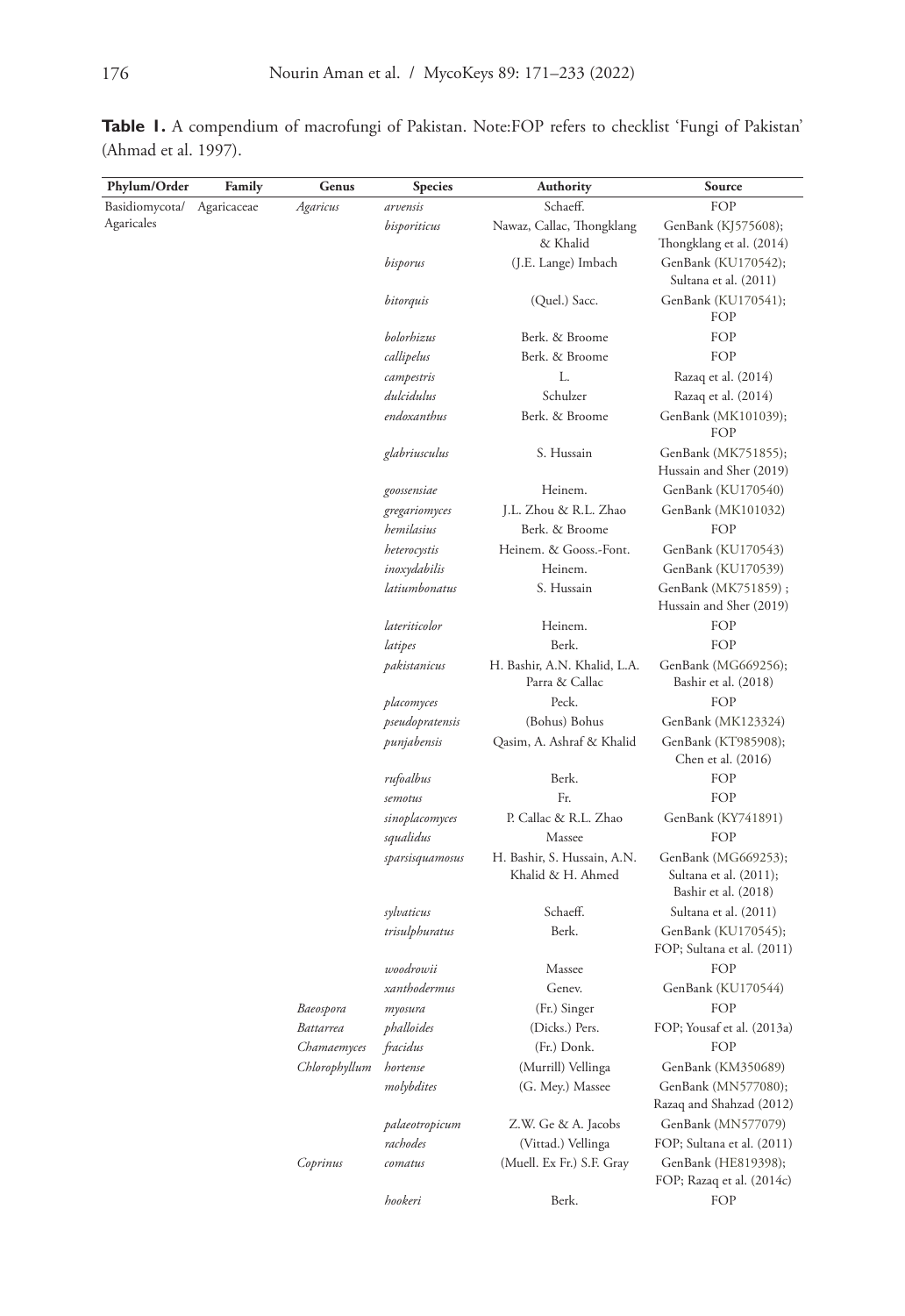| Phylum/Order   | Family      | Genus         | <b>Species</b>      | Authority                                        | Source                                                                         |
|----------------|-------------|---------------|---------------------|--------------------------------------------------|--------------------------------------------------------------------------------|
| Basidiomycota/ | Agaricaceae | Agaricus      | arvensis            | Schaeff.                                         | FOP                                                                            |
| Agaricales     |             |               | bisporiticus        | Nawaz, Callac, Thongklang<br>& Khalid            | GenBank (KJ575608);<br>Thongklang et al. (2014)                                |
|                |             |               | bisporus            | (J.E. Lange) Imbach                              | GenBank (KU170542);<br>Sultana et al. (2011)                                   |
|                |             |               | bitorquis           | (Quel.) Sacc.                                    | GenBank (KU170541);                                                            |
|                |             |               |                     |                                                  | FOP                                                                            |
|                |             |               | bolorhizus          | Berk. & Broome                                   | FOP                                                                            |
|                |             |               | callipelus          | Berk. & Broome                                   | FOP                                                                            |
|                |             |               | campestris          | L.                                               | Razaq et al. (2014)                                                            |
|                |             |               | dulcidulus          | Schulzer                                         | Razaq et al. (2014)                                                            |
|                |             |               | endoxanthus         | Berk. & Broome                                   | GenBank (MK101039);<br>FOP                                                     |
|                |             |               | glabriusculus       | S. Hussain                                       | GenBank (MK751855);<br>Hussain and Sher (2019)                                 |
|                |             |               | goossensiae         | Heinem.                                          | GenBank (KU170540)                                                             |
|                |             |               | gregariomyces       | J.L. Zhou & R.L. Zhao                            | GenBank (MK101032)                                                             |
|                |             |               | hemilasius          | Berk. & Broome                                   | FOP                                                                            |
|                |             |               | heterocystis        | Heinem. & Gooss.-Font.                           | GenBank (KU170543)                                                             |
|                |             |               | inoxydabilis        | Heinem.                                          | GenBank (KU170539)                                                             |
|                |             |               | latiumbonatus       | S. Hussain                                       | GenBank (MK751859);<br>Hussain and Sher (2019)                                 |
|                |             |               | lateriticolor       | Heinem.                                          | FOP                                                                            |
|                |             |               | latipes             | Berk.                                            | FOP                                                                            |
|                |             |               | pakistanicus        | H. Bashir, A.N. Khalid, L.A.<br>Parra & Callac   | GenBank (MG669256);<br>Bashir et al. (2018)                                    |
|                |             |               | placomyces          | Peck.                                            | FOP                                                                            |
|                |             |               | pseudopratensis     | (Bohus) Bohus                                    | GenBank (MK123324)                                                             |
|                |             |               | punjabensis         | Qasim, A. Ashraf & Khalid                        | GenBank (KT985908);<br>Chen et al. (2016)                                      |
|                |             |               | rufoalbus           | Berk.                                            | FOP                                                                            |
|                |             |               | semotus             | Fr.                                              | FOP                                                                            |
|                |             |               | sinoplacomyces      | P. Callac & R.L. Zhao                            | GenBank (KY741891)                                                             |
|                |             |               | squalidus           | Massee                                           | FOP                                                                            |
|                |             |               | sparsisquamosus     | H. Bashir, S. Hussain, A.N.<br>Khalid & H. Ahmed | GenBank (MG669253);<br>Sultana et al. (2011);<br>Bashir et al. (2018)          |
|                |             |               | sylvaticus          | Schaeff.                                         | Sultana et al. (2011)                                                          |
|                |             |               | trisulphuratus      | Berk.                                            | GenBank (KU170545);<br>FOP; Sultana et al. (2011)                              |
|                |             |               | woodrowii           | Massee                                           | FOP                                                                            |
|                |             |               | xanthodermus        | Genev.                                           | GenBank (KU170544)                                                             |
|                |             | Baeospora     | myosura             | (Fr.) Singer                                     | FOP                                                                            |
|                |             | Battarrea     | phalloides          | (Dicks.) Pers.                                   | FOP; Yousaf et al. (2013a)                                                     |
|                |             | Chamaemyces   | fracidus            | (Fr.) Donk.                                      | FOP                                                                            |
|                |             | Chlorophyllum | hortense            | (Murrill) Vellinga                               | GenBank (KM350689)                                                             |
|                |             |               | molybdites          | (G. Mey.) Massee                                 | GenBank (MN577080);                                                            |
|                |             |               |                     |                                                  | Razaq and Shahzad (2012)                                                       |
|                |             |               | palaeotropicum      | Z.W. Ge & A. Jacobs                              | GenBank (MN577079)                                                             |
|                |             | Coprinus      | rachodes<br>comatus | (Vittad.) Vellinga<br>(Muell. Ex Fr.) S.F. Gray  | FOP; Sultana et al. (2011)<br>GenBank (HE819398);<br>FOP; Razaq et al. (2014c) |
|                |             |               | hookeri             | Berk.                                            | FOP                                                                            |
|                |             |               |                     |                                                  |                                                                                |

**Table 1.** A compendium of macrofungi of Pakistan. Note:FOP refers to checklist 'Fungi of Pakistan' (Ahmad et al. 1997).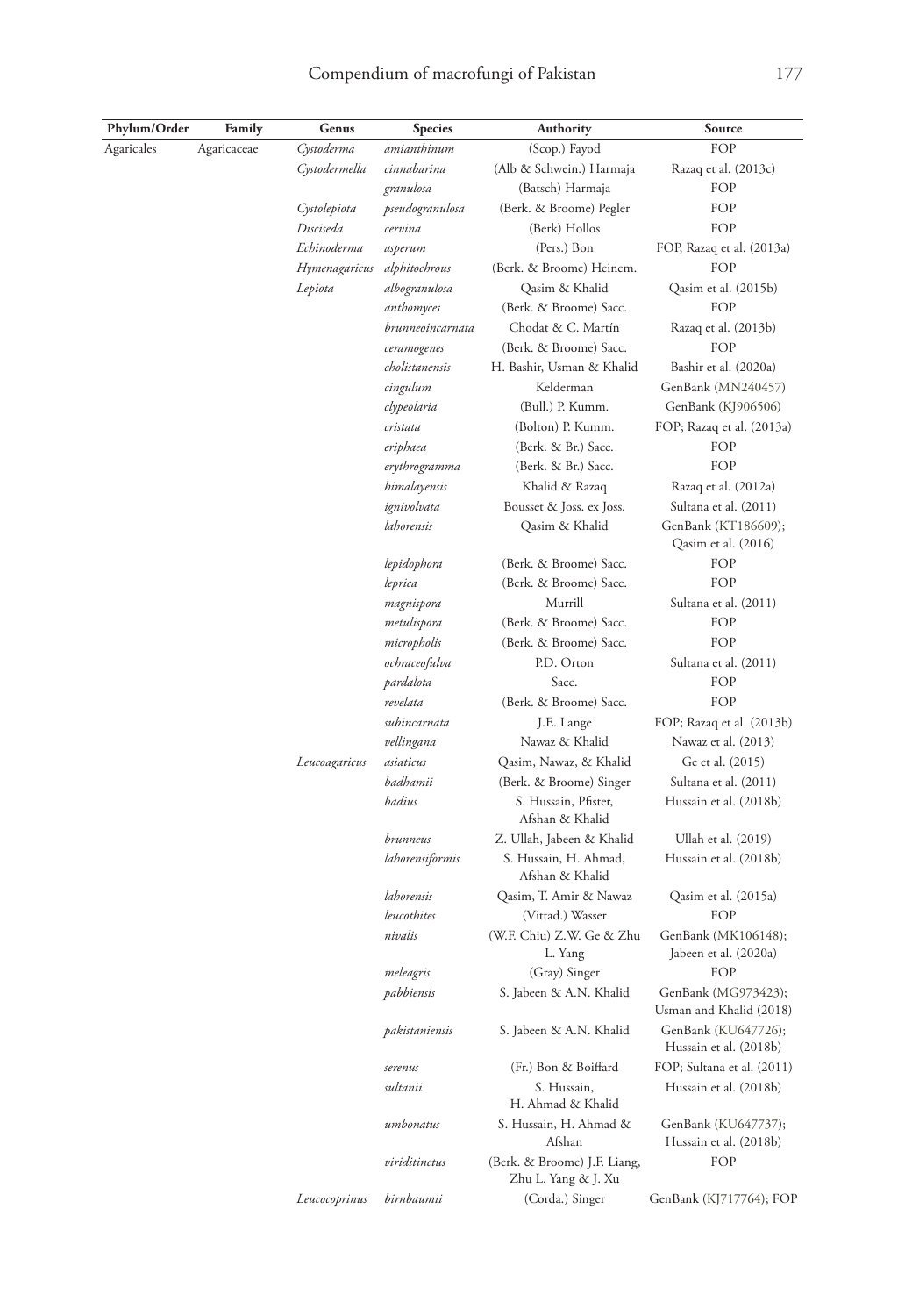| Phylum/Order | Family      | Genus         | Species          | <b>Authority</b>                                    | Source                                         |
|--------------|-------------|---------------|------------------|-----------------------------------------------------|------------------------------------------------|
| Agaricales   | Agaricaceae | Cystoderma    | amianthinum      | (Scop.) Fayod                                       | FOP                                            |
|              |             | Cystodermella | cinnabarina      | (Alb & Schwein.) Harmaja                            | Razaq et al. (2013c)                           |
|              |             |               | granulosa        | (Batsch) Harmaja                                    | FOP                                            |
|              |             | Cystolepiota  | pseudogranulosa  | (Berk. & Broome) Pegler                             | FOP                                            |
|              |             | Disciseda     | cervina          | (Berk) Hollos                                       | FOP                                            |
|              |             | Echinoderma   | asperum          | (Pers.) Bon                                         | FOP, Razaq et al. (2013a)                      |
|              |             | Hymenagaricus | alphitochrous    | (Berk. & Broome) Heinem.                            | FOP                                            |
|              |             | Lepiota       | albogranulosa    | Qasim & Khalid                                      | Qasim et al. (2015b)                           |
|              |             |               | anthomyces       | (Berk. & Broome) Sacc.                              | FOP                                            |
|              |             |               | brunneoincarnata | Chodat & C. Martín                                  | Razaq et al. (2013b)                           |
|              |             |               | ceramogenes      | (Berk. & Broome) Sacc.                              | FOP                                            |
|              |             |               | cholistanensis   | H. Bashir, Usman & Khalid                           | Bashir et al. (2020a)                          |
|              |             |               | cingulum         | Kelderman                                           | GenBank (MN240457)                             |
|              |             |               | clypeolaria      | (Bull.) P. Kumm.                                    | GenBank (KJ906506)                             |
|              |             |               | cristata         | (Bolton) P. Kumm.                                   | FOP; Razaq et al. (2013a)                      |
|              |             |               | eriphaea         | (Berk. & Br.) Sacc.                                 | FOP                                            |
|              |             |               | erythrogramma    | (Berk. & Br.) Sacc.                                 | FOP                                            |
|              |             |               | himalayensis     | Khalid & Razaq                                      | Razaq et al. (2012a)                           |
|              |             |               | ignivolvata      | Bousset & Joss. ex Joss.                            | Sultana et al. (2011)                          |
|              |             |               | lahorensis       | Qasim & Khalid                                      | GenBank (KT186609);                            |
|              |             |               |                  |                                                     | Qasim et al. (2016)                            |
|              |             |               | lepidophora      | (Berk. & Broome) Sacc.                              | FOP                                            |
|              |             |               | leprica          | (Berk. & Broome) Sacc.                              | FOP                                            |
|              |             |               | magnispora       | Murrill                                             | Sultana et al. (2011)                          |
|              |             |               | metulispora      | (Berk. & Broome) Sacc.                              | FOP                                            |
|              |             |               | micropholis      | (Berk. & Broome) Sacc.                              | FOP                                            |
|              |             |               | ochraceofulva    | P.D. Orton                                          | Sultana et al. (2011)                          |
|              |             |               | pardalota        | Sacc.                                               | FOP                                            |
|              |             |               | revelata         | (Berk. & Broome) Sacc.                              | FOP                                            |
|              |             |               | subincarnata     | J.E. Lange                                          | FOP; Razaq et al. (2013b)                      |
|              |             |               | vellingana       | Nawaz & Khalid                                      | Nawaz et al. (2013)                            |
|              |             | Leucoagaricus | asiaticus        | Qasim, Nawaz, & Khalid                              | Ge et al. (2015)                               |
|              |             |               | badhamii         | (Berk. & Broome) Singer                             | Sultana et al. (2011)                          |
|              |             |               | badius           | S. Hussain, Pfister,<br>Afshan & Khalid             | Hussain et al. (2018b)                         |
|              |             |               | brunneus         | Z. Ullah, Jabeen & Khalid                           | Ullah et al. (2019)                            |
|              |             |               | lahorensiformis  | S. Hussain, H. Ahmad,<br>Afshan & Khalid            | Hussain et al. (2018b)                         |
|              |             |               | lahorensis       | Qasim, T. Amir & Nawaz                              | Qasim et al. (2015a)                           |
|              |             |               | leucothites      | (Vittad.) Wasser                                    | FOP                                            |
|              |             |               | nivalis          | (W.F. Chiu) Z.W. Ge & Zhu<br>L. Yang                | GenBank (MK106148);<br>Jabeen et al. (2020a)   |
|              |             |               | meleagris        | (Gray) Singer                                       | FOP                                            |
|              |             |               | pabbiensis       | S. Jabeen & A.N. Khalid                             | GenBank (MG973423);<br>Usman and Khalid (2018) |
|              |             |               | pakistaniensis   | S. Jabeen & A.N. Khalid                             | GenBank (KU647726);<br>Hussain et al. (2018b)  |
|              |             |               | serenus          | (Fr.) Bon & Boiffard                                | FOP; Sultana et al. (2011)                     |
|              |             |               | sultanii         | S. Hussain,<br>H. Ahmad & Khalid                    | Hussain et al. (2018b)                         |
|              |             |               | umbonatus        | S. Hussain, H. Ahmad &<br>Afshan                    | GenBank (KU647737);<br>Hussain et al. (2018b)  |
|              |             |               | viriditinctus    | (Berk. & Broome) J.F. Liang,<br>Zhu L. Yang & J. Xu | FOP                                            |
|              |             | Leucocoprinus | birnbaumii       | (Corda.) Singer                                     | GenBank (KJ717764); FOP                        |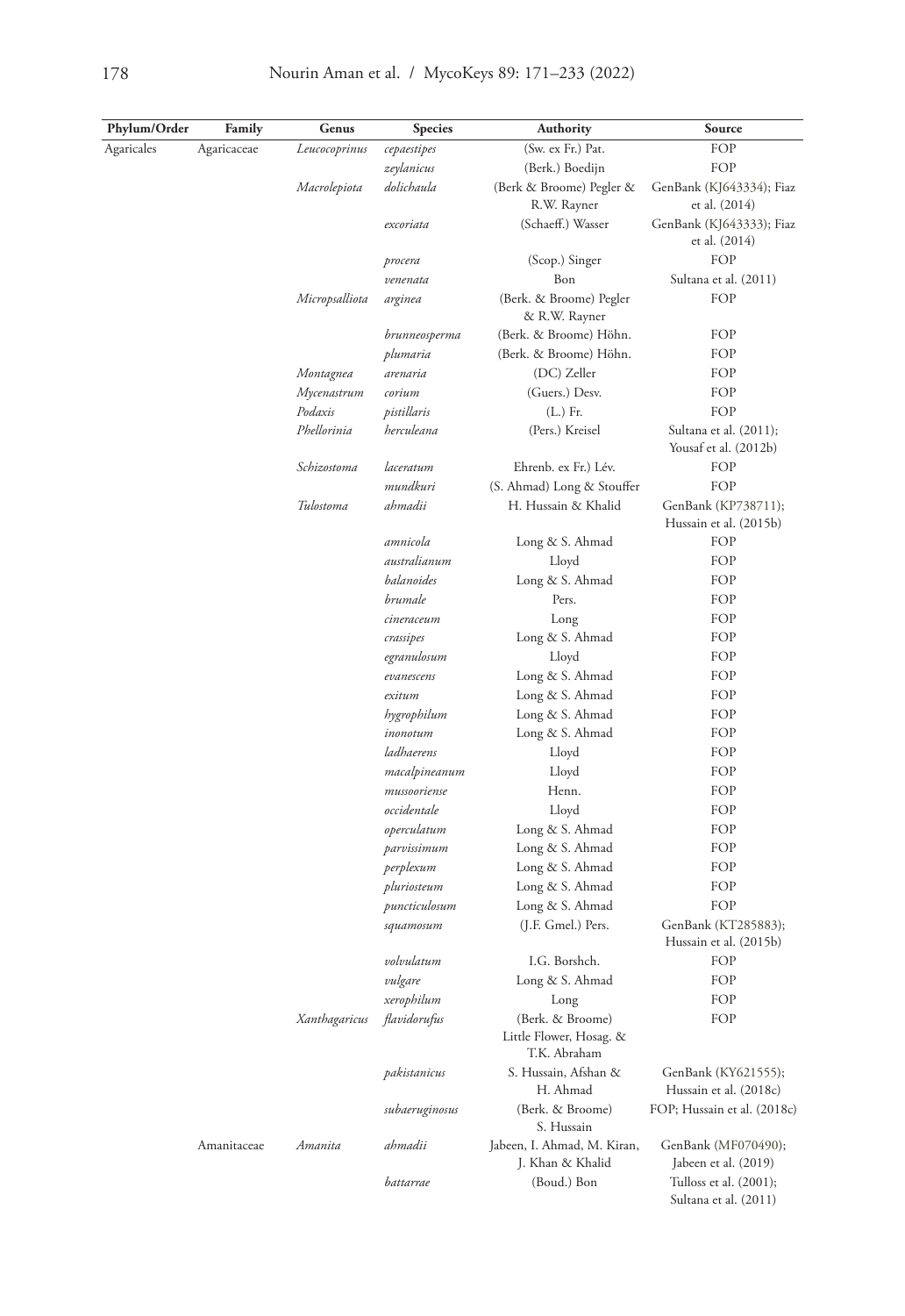| Phylum/Order | Family      | Genus          | Species        | Authority                                       | Source                                          |
|--------------|-------------|----------------|----------------|-------------------------------------------------|-------------------------------------------------|
| Agaricales   | Agaricaceae | Leucocoprinus  | cepaestipes    | (Sw. ex Fr.) Pat.                               | FOP                                             |
|              |             |                | zeylanicus     | (Berk.) Boedijn                                 | FOP                                             |
|              |             | Macrolepiota   | dolichaula     | (Berk & Broome) Pegler &                        | GenBank (KJ643334); Fiaz                        |
|              |             |                |                | R.W. Rayner                                     | et al. (2014)                                   |
|              |             |                | excoriata      | (Schaeff.) Wasser                               | GenBank (KJ643333); Fiaz                        |
|              |             |                |                |                                                 | et al. (2014)                                   |
|              |             |                | procera        | (Scop.) Singer                                  | FOP                                             |
|              |             |                | venenata       | Bon                                             | Sultana et al. (2011)                           |
|              |             | Micropsalliota | arginea        | (Berk. & Broome) Pegler<br>& R.W. Rayner        | FOP                                             |
|              |             |                | brunneosperma  | (Berk. & Broome) Höhn.                          | FOP                                             |
|              |             |                | plumaria       | (Berk. & Broome) Höhn.                          | FOP                                             |
|              |             | Montagnea      | arenaria       | (DC) Zeller                                     | FOP                                             |
|              |             | Mycenastrum    | corium         | (Guers.) Desv.                                  | FOP                                             |
|              |             | Podaxis        | pistillaris    | $(L.)$ Fr.                                      | FOP                                             |
|              |             | Phellorinia    | herculeana     | (Pers.) Kreisel                                 | Sultana et al. (2011);                          |
|              |             |                |                |                                                 | Yousaf et al. (2012b)                           |
|              |             | Schizostoma    | laceratum      | Ehrenb. ex Fr.) Lév.                            | FOP                                             |
|              |             |                | mundkuri       | (S. Ahmad) Long & Stouffer                      | FOP                                             |
|              |             | Tulostoma      | ahmadii        | H. Hussain & Khalid                             | GenBank (KP738711);                             |
|              |             |                |                |                                                 | Hussain et al. (2015b)                          |
|              |             |                | amnicola       | Long & S. Ahmad                                 | FOP                                             |
|              |             |                | australianum   | Lloyd                                           | FOP                                             |
|              |             |                | balanoides     | Long & S. Ahmad                                 | FOP                                             |
|              |             |                | brumale        | Pers.                                           | FOP                                             |
|              |             |                | cineraceum     | Long                                            | FOP                                             |
|              |             |                | crassipes      | Long & S. Ahmad                                 | FOP                                             |
|              |             |                | egranulosum    | Lloyd                                           | FOP                                             |
|              |             |                | evanescens     | Long & S. Ahmad                                 | FOP                                             |
|              |             |                | exitum         | Long & S. Ahmad                                 | FOP                                             |
|              |             |                | hygrophilum    | Long & S. Ahmad                                 | FOP                                             |
|              |             |                | inonotum       | Long & S. Ahmad                                 | FOP                                             |
|              |             |                | ladhaerens     | Lloyd                                           | FOP                                             |
|              |             |                | macalpineanum  | Lloyd                                           | FOP                                             |
|              |             |                | mussooriense   | Henn.                                           | FOP                                             |
|              |             |                | occidentale    | Lloyd                                           | FOP                                             |
|              |             |                | operculatum    | Long & S. Ahmad                                 | FOP                                             |
|              |             |                | parvissimum    | Long & S. Ahmad                                 | FOP                                             |
|              |             |                | perplexum      | Long & S. Ahmad                                 | FOP                                             |
|              |             |                | pluriosteum    | Long & S. Ahmad                                 | FOP                                             |
|              |             |                | puncticulosum  | Long & S. Ahmad                                 | FOP                                             |
|              |             |                | squamosum      | (J.F. Gmel.) Pers.                              | GenBank (KT285883);<br>Hussain et al. (2015b)   |
|              |             |                | volvulatum     | I.G. Borshch.                                   | FOP                                             |
|              |             |                | vulgare        | Long & S. Ahmad                                 | FOP                                             |
|              |             |                | xerophilum     | Long                                            | FOP                                             |
|              |             | Xanthagaricus  | flavidorufus   | (Berk. & Broome)                                | FOP                                             |
|              |             |                |                | Little Flower, Hosag. &<br>T.K. Abraham         |                                                 |
|              |             |                | pakistanicus   | S. Hussain, Afshan &<br>H. Ahmad                | GenBank (KY621555);<br>Hussain et al. (2018c)   |
|              |             |                | subaeruginosus | (Berk. & Broome)<br>S. Hussain                  | FOP; Hussain et al. (2018c)                     |
|              | Amanitaceae | Amanita        | ahmadii        | Jabeen, I. Ahmad, M. Kiran,<br>J. Khan & Khalid | GenBank (MF070490);<br>Jabeen et al. (2019)     |
|              |             |                | battarrae      | (Boud.) Bon                                     | Tulloss et al. (2001);<br>Sultana et al. (2011) |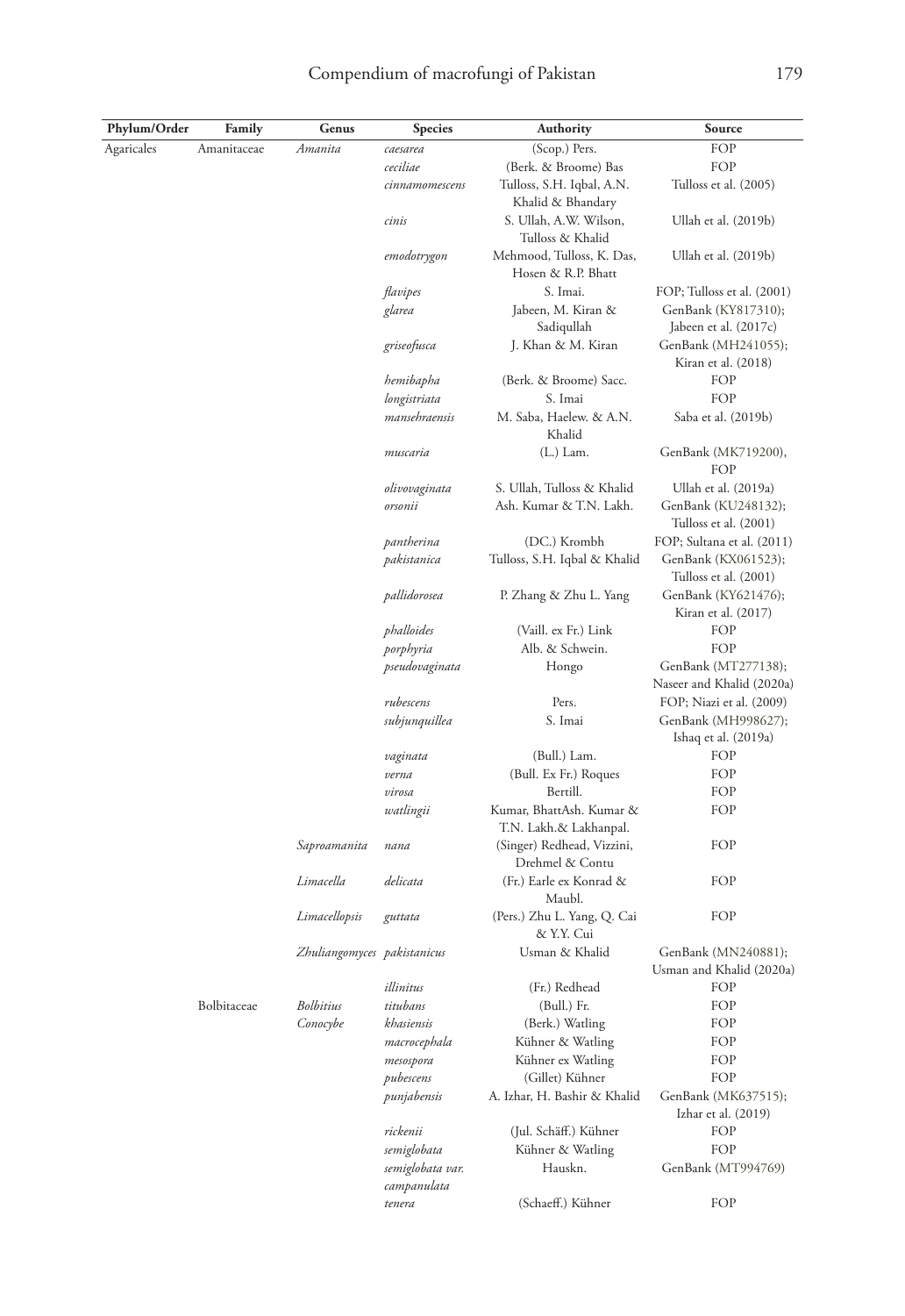| Phylum/Order | Family      | Genus                       | <b>Species</b>   | Authority                    | Source                     |
|--------------|-------------|-----------------------------|------------------|------------------------------|----------------------------|
| Agaricales   | Amanitaceae | Amanita                     | caesarea         | (Scop.) Pers.                | FOP                        |
|              |             |                             | ceciliae         | (Berk. & Broome) Bas         | FOP                        |
|              |             |                             | cinnamomescens   | Tulloss, S.H. Iqbal, A.N.    | Tulloss et al. (2005)      |
|              |             |                             |                  | Khalid & Bhandary            |                            |
|              |             |                             | cinis            | S. Ullah, A.W. Wilson,       | Ullah et al. (2019b)       |
|              |             |                             |                  | Tulloss & Khalid             |                            |
|              |             |                             | emodotrygon      | Mehmood, Tulloss, K. Das,    | Ullah et al. (2019b)       |
|              |             |                             |                  | Hosen & R.P. Bhatt           |                            |
|              |             |                             | flavipes         | S. Imai.                     | FOP; Tulloss et al. (2001) |
|              |             |                             | glarea           | Jabeen, M. Kiran &           | GenBank (KY817310);        |
|              |             |                             |                  | Sadiqullah                   | Jabeen et al. (2017c)      |
|              |             |                             | griseofusca      | J. Khan & M. Kiran           | GenBank (MH241055);        |
|              |             |                             |                  |                              | Kiran et al. (2018)        |
|              |             |                             | hemibapha        | (Berk. & Broome) Sacc.       | FOP                        |
|              |             |                             | longistriata     | S. Imai                      | FOP                        |
|              |             |                             | mansehraensis    | M. Saba, Haelew. & A.N.      | Saba et al. (2019b)        |
|              |             |                             |                  | Khalid                       |                            |
|              |             |                             | muscaria         | $(L.)$ Lam.                  | GenBank (MK719200),        |
|              |             |                             |                  |                              | FOP                        |
|              |             |                             | olivovaginata    | S. Ullah, Tulloss & Khalid   | Ullah et al. (2019a)       |
|              |             |                             | orsonii          | Ash. Kumar & T.N. Lakh.      | GenBank (KU248132);        |
|              |             |                             |                  |                              | Tulloss et al. (2001)      |
|              |             |                             | pantherina       | (DC.) Krombh                 | FOP; Sultana et al. (2011) |
|              |             |                             | pakistanica      | Tulloss, S.H. Iqbal & Khalid | GenBank (KX061523);        |
|              |             |                             |                  |                              | Tulloss et al. (2001)      |
|              |             |                             | pallidorosea     | P. Zhang & Zhu L. Yang       | GenBank (KY621476);        |
|              |             |                             |                  |                              | Kiran et al. (2017)        |
|              |             |                             | phalloides       | (Vaill. ex Fr.) Link         | FOP                        |
|              |             |                             |                  | Alb. & Schwein.              | FOP                        |
|              |             |                             | porphyria        |                              |                            |
|              |             |                             | pseudovaginata   | Hongo                        | GenBank (MT277138);        |
|              |             |                             | rubescens        | Pers.                        | Naseer and Khalid (2020a)  |
|              |             |                             |                  |                              | FOP; Niazi et al. (2009)   |
|              |             |                             | subjunquillea    | S. Imai                      | GenBank (MH998627);        |
|              |             |                             |                  |                              | Ishaq et al. (2019a)       |
|              |             |                             | vaginata         | (Bull.) Lam.                 | FOP                        |
|              |             |                             | verna            | (Bull. Ex Fr.) Roques        | FOP                        |
|              |             |                             | virosa           | Bertill.                     | FOP                        |
|              |             |                             | watlingii        | Kumar, BhattAsh. Kumar &     | FOP                        |
|              |             |                             |                  | T.N. Lakh.& Lakhanpal.       |                            |
|              |             | Saproamanita                | nana             | (Singer) Redhead, Vizzini,   | FOP                        |
|              |             |                             |                  | Drehmel & Contu              |                            |
|              |             | Limacella                   | delicata         | (Fr.) Earle ex Konrad &      | FOP                        |
|              |             |                             |                  | Maubl.                       |                            |
|              |             | Limacellopsis               | guttata          | (Pers.) Zhu L. Yang, Q. Cai  | FOP                        |
|              |             |                             |                  | & Y.Y. Cui                   |                            |
|              |             | Zhuliangomyces pakistanicus |                  | Usman & Khalid               | GenBank (MN240881);        |
|              |             |                             |                  |                              | Usman and Khalid (2020a)   |
|              |             |                             | illinitus        | (Fr.) Redhead                | FOP                        |
|              | Bolbitaceae | <b>Bolbitius</b>            | titubans         | (Bull.) Fr.                  | FOP                        |
|              |             | Conocybe                    | khasiensis       | (Berk.) Watling              | FOP                        |
|              |             |                             | macrocephala     | Kühner & Watling             | FOP                        |
|              |             |                             | mesospora        | Kühner ex Watling            | FOP                        |
|              |             |                             | pubescens        | (Gillet) Kühner              | FOP                        |
|              |             |                             | punjabensis      | A. Izhar, H. Bashir & Khalid | GenBank (MK637515);        |
|              |             |                             |                  |                              | Izhar et al. (2019)        |
|              |             |                             | rickenii         | (Jul. Schäff.) Kühner        | FOP                        |
|              |             |                             | semiglobata      | Kühner & Watling             | FOP                        |
|              |             |                             | semiglobata var. | Hauskn.                      | GenBank (MT994769)         |
|              |             |                             | campanulata      |                              |                            |
|              |             |                             | tenera           | (Schaeff.) Kühner            | FOP                        |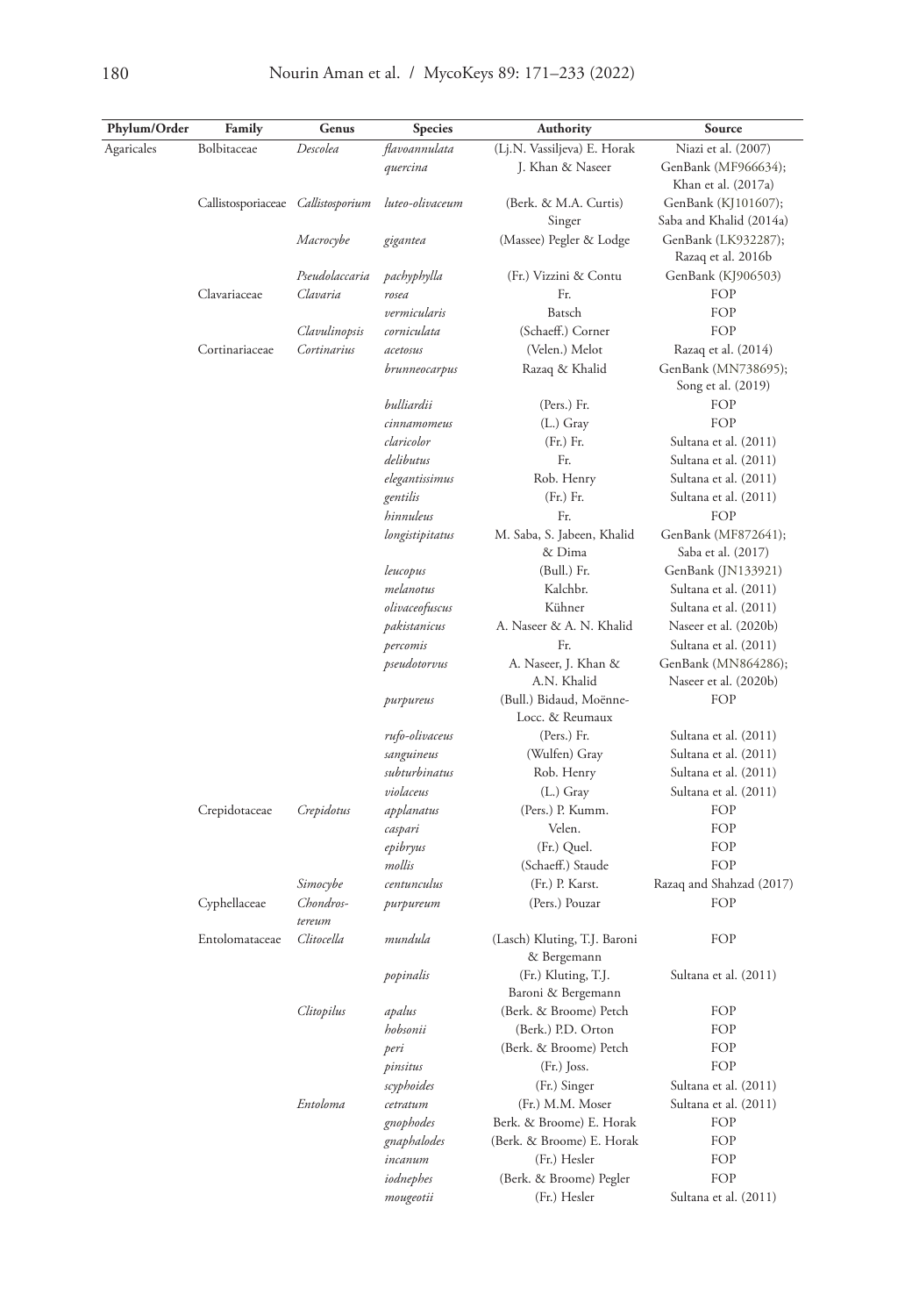| Phylum/Order | Family                             | Genus                 | <b>Species</b>        | Authority                                   | Source                                         |
|--------------|------------------------------------|-----------------------|-----------------------|---------------------------------------------|------------------------------------------------|
| Agaricales   | Bolbitaceae                        | Descolea              | flavoannulata         | (Lj.N. Vassiljeva) E. Horak                 | Niazi et al. (2007)                            |
|              |                                    |                       | quercina              | J. Khan & Naseer                            | GenBank (MF966634);                            |
|              |                                    |                       |                       |                                             | Khan et al. (2017a)                            |
|              | Callistosporiaceae Callistosporium |                       | luteo-olivaceum       | (Berk. & M.A. Curtis)                       | GenBank (KJ101607);                            |
|              |                                    |                       |                       | Singer                                      | Saba and Khalid (2014a)                        |
|              |                                    | Macrocybe             | gigantea              | (Massee) Pegler & Lodge                     | GenBank (LK932287);                            |
|              |                                    |                       |                       |                                             | Razaq et al. 2016b                             |
|              |                                    | Pseudolaccaria        | pachyphylla           | (Fr.) Vizzini & Contu                       | GenBank (KJ906503)                             |
|              | Clavariaceae                       | Clavaria              | rosea                 | Fr.                                         | FOP                                            |
|              |                                    |                       | vermicularis          | Batsch                                      | FOP                                            |
|              |                                    | Clavulinopsis         | corniculata           | (Schaeff.) Corner                           | FOP                                            |
|              | Cortinariaceae                     | Cortinarius           | acetosus              | (Velen.) Melot                              | Razaq et al. (2014)                            |
|              |                                    |                       | brunneocarpus         | Razaq & Khalid                              | GenBank (MN738695);                            |
|              |                                    |                       |                       |                                             | Song et al. (2019)                             |
|              |                                    |                       | bulliardii            | (Pers.) Fr.                                 | FOP                                            |
|              |                                    |                       | cinnamomeus           | $(L.)$ Gray                                 | FOP                                            |
|              |                                    |                       | claricolor            | $(Fr.)$ Fr.                                 | Sultana et al. (2011)                          |
|              |                                    |                       | delibutus             | Fr.                                         | Sultana et al. (2011)                          |
|              |                                    |                       | elegantissimus        | Rob. Henry                                  | Sultana et al. (2011)                          |
|              |                                    |                       | gentilis              | $(Fr.)$ Fr.                                 | Sultana et al. (2011)                          |
|              |                                    |                       | hinnuleus             | Fr.                                         | FOP                                            |
|              |                                    |                       |                       | M. Saba, S. Jabeen, Khalid                  |                                                |
|              |                                    |                       | longistipitatus       | & Dima                                      | GenBank (MF872641);<br>Saba et al. (2017)      |
|              |                                    |                       |                       | (Bull.) Fr.                                 |                                                |
|              |                                    |                       | leucopus<br>melanotus | Kalchbr.                                    | GenBank (JN133921)                             |
|              |                                    |                       |                       | Kühner                                      | Sultana et al. (2011)<br>Sultana et al. (2011) |
|              |                                    |                       | olivaceofuscus        | A. Naseer & A. N. Khalid                    |                                                |
|              |                                    |                       | pakistanicus          | Fr.                                         | Naseer et al. (2020b)                          |
|              |                                    |                       | percomis              |                                             | Sultana et al. (2011)<br>GenBank (MN864286);   |
|              |                                    |                       | pseudotorvus          | A. Naseer, J. Khan &<br>A.N. Khalid         | Naseer et al. (2020b)                          |
|              |                                    |                       |                       | (Bull.) Bidaud, Moënne-                     | FOP                                            |
|              |                                    |                       | purpureus             | Locc. & Reumaux                             |                                                |
|              |                                    |                       | rufo-olivaceus        | (Pers.) Fr.                                 | Sultana et al. (2011)                          |
|              |                                    |                       | sanguineus            | (Wulfen) Gray                               | Sultana et al. (2011)                          |
|              |                                    |                       | subturbinatus         | Rob. Henry                                  | Sultana et al. (2011)                          |
|              |                                    |                       | violaceus             | (L.) Gray                                   | Sultana et al. (2011)                          |
|              | Crepidotaceae                      | Crepidotus            | applanatus            | (Pers.) P. Kumm.                            | FOP                                            |
|              |                                    |                       | caspari               | Velen.                                      | FOP                                            |
|              |                                    |                       | epibryus              | (Fr.) Quel.                                 | FOP                                            |
|              |                                    |                       | mollis                | (Schaeff.) Staude                           | FOP                                            |
|              |                                    |                       | centunculus           |                                             |                                                |
|              |                                    | Simocybe<br>Chondros- | purpureum             | (Fr.) P. Karst.<br>(Pers.) Pouzar           | Razaq and Shahzad (2017)<br>FOP                |
|              | Cyphellaceae                       | tereum                |                       |                                             |                                                |
|              | Entolomataceae                     | Clitocella            | mundula               | (Lasch) Kluting, T.J. Baroni<br>& Bergemann | FOP                                            |
|              |                                    |                       | popinalis             | (Fr.) Kluting, T.J.<br>Baroni & Bergemann   | Sultana et al. (2011)                          |
|              |                                    | Clitopilus            | apalus                | (Berk. & Broome) Petch                      | FOP                                            |
|              |                                    |                       | hobsonii              | (Berk.) P.D. Orton                          | FOP                                            |
|              |                                    |                       | peri                  | (Berk. & Broome) Petch                      | FOP                                            |
|              |                                    |                       | pinsitus              | $(Fr.)$ Joss.                               | FOP                                            |
|              |                                    |                       | scyphoides            | (Fr.) Singer                                | Sultana et al. (2011)                          |
|              |                                    | Entoloma              | cetratum              | (Fr.) M.M. Moser                            | Sultana et al. (2011)                          |
|              |                                    |                       | gnophodes             | Berk. & Broome) E. Horak                    | FOP                                            |
|              |                                    |                       | gnaphalodes           | (Berk. & Broome) E. Horak                   | FOP                                            |
|              |                                    |                       | incanum               | (Fr.) Hesler                                | FOP                                            |
|              |                                    |                       | iodnephes             | (Berk. & Broome) Pegler                     | FOP                                            |
|              |                                    |                       | mougeotii             | (Fr.) Hesler                                | Sultana et al. (2011)                          |
|              |                                    |                       |                       |                                             |                                                |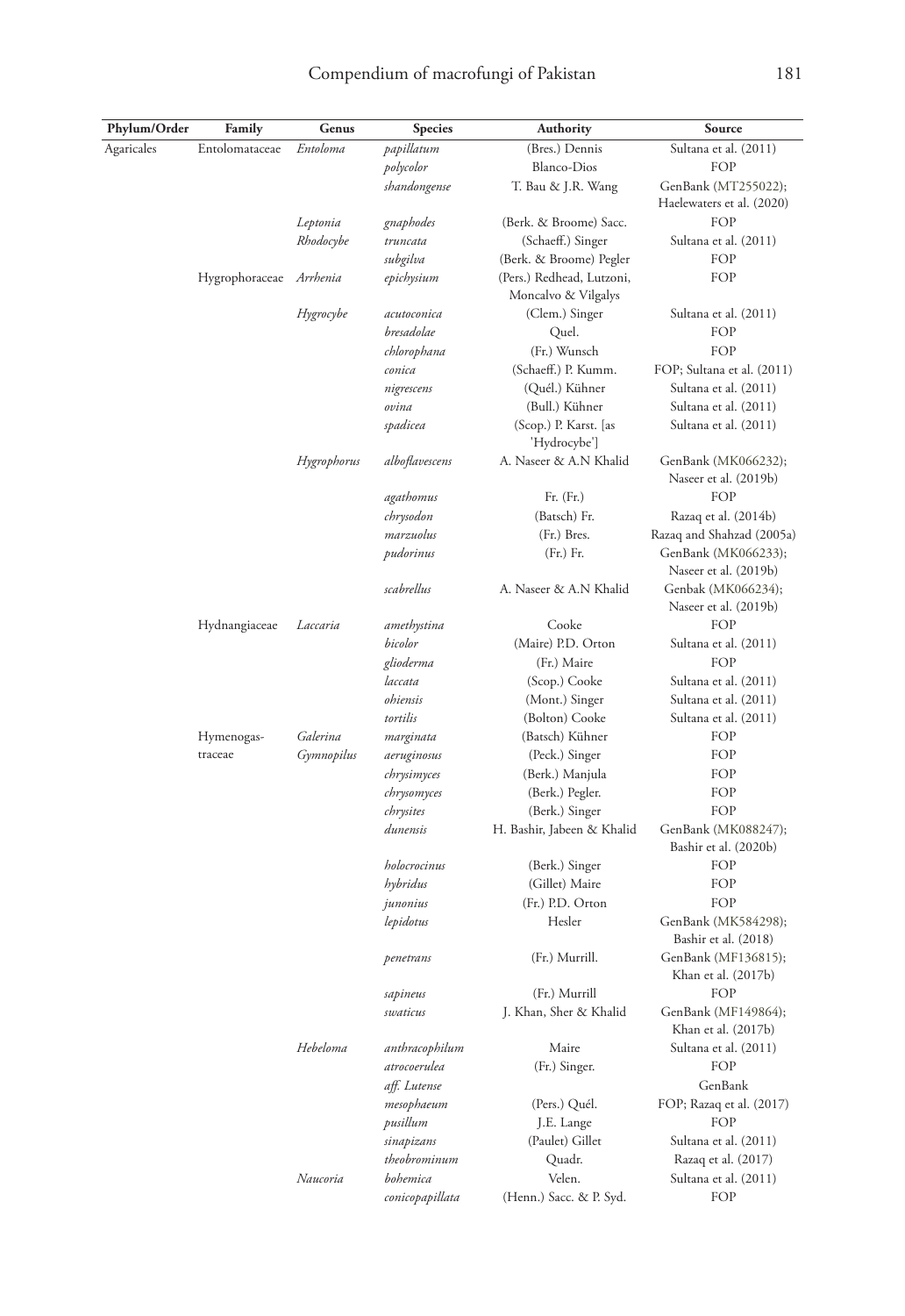| Phylum/Order | Family         | Genus       | <b>Species</b>  | Authority                             | Source                                       |
|--------------|----------------|-------------|-----------------|---------------------------------------|----------------------------------------------|
| Agaricales   | Entolomataceae | Entoloma    | papillatum      | (Bres.) Dennis                        | Sultana et al. (2011)                        |
|              |                |             | polycolor       | Blanco-Dios                           | FOP                                          |
|              |                |             | shandongense    | T. Bau & J.R. Wang                    | GenBank (MT255022);                          |
|              |                |             |                 |                                       | Haelewaters et al. (2020)                    |
|              |                | Leptonia    | gnaphodes       | (Berk. & Broome) Sacc.                | FOP                                          |
|              |                | Rhodocybe   | truncata        | (Schaeff.) Singer                     | Sultana et al. (2011)                        |
|              |                |             | subgilva        | (Berk. & Broome) Pegler               | FOP                                          |
|              | Hygrophoraceae | Arrhenia    | epichysium      | (Pers.) Redhead, Lutzoni,             | FOP                                          |
|              |                |             |                 | Moncalvo & Vilgalys                   |                                              |
|              |                | Hygrocybe   | acutoconica     | (Clem.) Singer                        | Sultana et al. (2011)                        |
|              |                |             | bresadolae      | Quel.                                 | FOP                                          |
|              |                |             | chlorophana     | (Fr.) Wunsch                          | FOP                                          |
|              |                |             | conica          | (Schaeff.) P. Kumm.                   | FOP; Sultana et al. (2011)                   |
|              |                |             | nigrescens      | (Quél.) Kühner                        | Sultana et al. (2011)                        |
|              |                |             | ovina           | (Bull.) Kühner                        | Sultana et al. (2011)                        |
|              |                |             | spadicea        | (Scop.) P. Karst. [as<br>'Hydrocybe'] | Sultana et al. (2011)                        |
|              |                | Hygrophorus | alboflavescens  | A. Naseer & A.N Khalid                | GenBank (MK066232);                          |
|              |                |             |                 |                                       | Naseer et al. (2019b)                        |
|              |                |             | agathomus       | $Fr.$ (Fr.)                           | FOP                                          |
|              |                |             | chrysodon       | (Batsch) Fr.                          | Razaq et al. (2014b)                         |
|              |                |             | marzuolus       | (Fr.) Bres.                           | Razaq and Shahzad (2005a)                    |
|              |                |             | pudorinus       | $(Fr.)$ Fr.                           | GenBank (MK066233);<br>Naseer et al. (2019b) |
|              |                |             | scabrellus      | A. Naseer & A.N Khalid                | Genbak (MK066234);<br>Naseer et al. (2019b)  |
|              | Hydnangiaceae  | Laccaria    | amethystina     | Cooke                                 | FOP                                          |
|              |                |             | bicolor         | (Maire) P.D. Orton                    | Sultana et al. (2011)                        |
|              |                |             | glioderma       | (Fr.) Maire                           | FOP                                          |
|              |                |             | laccata         | (Scop.) Cooke                         | Sultana et al. (2011)                        |
|              |                |             | ohiensis        | (Mont.) Singer                        | Sultana et al. (2011)                        |
|              |                |             | tortilis        | (Bolton) Cooke                        | Sultana et al. (2011)                        |
|              | Hymenogas-     | Galerina    | marginata       | (Batsch) Kühner                       | FOP                                          |
|              | traceae        | Gymnopilus  | aeruginosus     | (Peck.) Singer                        | FOP                                          |
|              |                |             | chrysimyces     | (Berk.) Manjula                       | FOP                                          |
|              |                |             | chrysomyces     | (Berk.) Pegler.                       | FOP                                          |
|              |                |             | chrysites       | (Berk.) Singer                        | FOP                                          |
|              |                |             | dunensis        | H. Bashir, Jabeen & Khalid            | GenBank (MK088247);                          |
|              |                |             |                 |                                       | Bashir et al. (2020b)                        |
|              |                |             | holocrocinus    | (Berk.) Singer                        | FOP                                          |
|              |                |             | hybridus        | (Gillet) Maire                        | FOP                                          |
|              |                |             | junonius        | (Fr.) P.D. Orton                      | FOP                                          |
|              |                |             | lepidotus       | Hesler                                | GenBank (MK584298);<br>Bashir et al. (2018)  |
|              |                |             | penetrans       | (Fr.) Murrill.                        | GenBank (MF136815);<br>Khan et al. (2017b)   |
|              |                |             | sapineus        | (Fr.) Murrill                         | FOP                                          |
|              |                |             | swaticus        | J. Khan, Sher & Khalid                | GenBank (MF149864);<br>Khan et al. (2017b)   |
|              |                | Hebeloma    | anthracophilum  | Maire                                 | Sultana et al. (2011)                        |
|              |                |             | atrocoerulea    | (Fr.) Singer.                         | FOP                                          |
|              |                |             | aff. Lutense    |                                       | GenBank                                      |
|              |                |             | mesophaeum      | (Pers.) Quél.                         | FOP; Razaq et al. (2017)                     |
|              |                |             | pusillum        | J.E. Lange                            | FOP                                          |
|              |                |             | sinapizans      | (Paulet) Gillet                       | Sultana et al. (2011)                        |
|              |                |             | theobrominum    | Quadr.                                | Razaq et al. (2017)                          |
|              |                | Naucoria    | bohemica        | Velen.                                | Sultana et al. (2011)                        |
|              |                |             | conicopapillata | (Henn.) Sacc. & P. Syd.               | FOP                                          |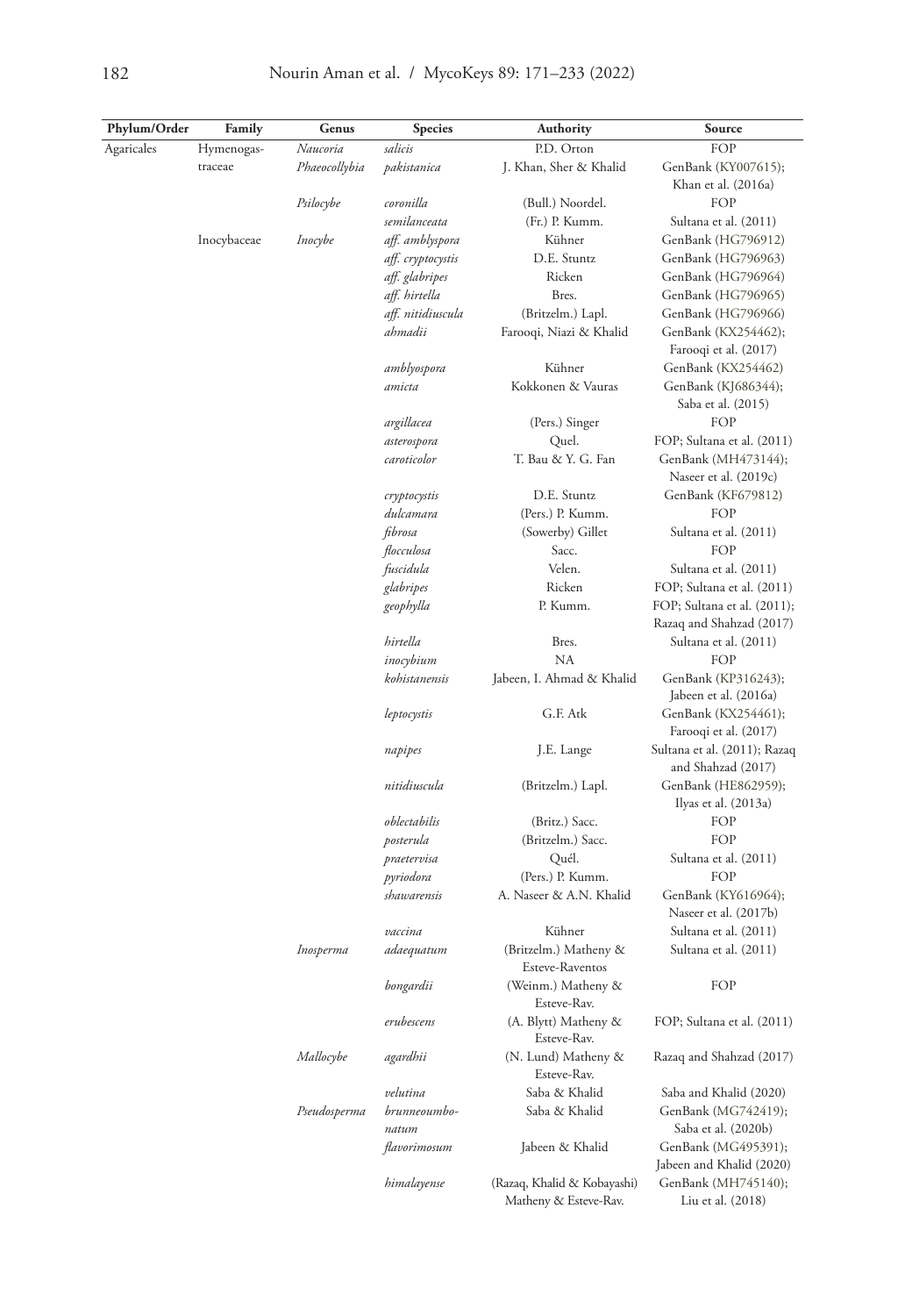| Phylum/Order | Family      | Genus         | <b>Species</b>    | <b>Authority</b>                         | Source                                                  |
|--------------|-------------|---------------|-------------------|------------------------------------------|---------------------------------------------------------|
| Agaricales   | Hymenogas-  | Naucoria      | salicis           | P.D. Orton                               | FOP                                                     |
|              | traceae     | Phaeocollybia | pakistanica       | J. Khan, Sher & Khalid                   | GenBank (KY007615);                                     |
|              |             |               |                   |                                          | Khan et al. (2016a)                                     |
|              |             | Psilocybe     | coronilla         | (Bull.) Noordel.                         | FOP                                                     |
|              |             |               | semilanceata      | (Fr.) P. Kumm.                           | Sultana et al. (2011)                                   |
|              | Inocybaceae | Inocybe       | aff. amblyspora   | Kühner                                   | GenBank (HG796912)                                      |
|              |             |               | aff. cryptocystis | D.E. Stuntz                              | GenBank (HG796963)                                      |
|              |             |               |                   | Ricken                                   |                                                         |
|              |             |               | aff. glabripes    | Bres.                                    | GenBank (HG796964)                                      |
|              |             |               | aff. hirtella     |                                          | GenBank (HG796965)                                      |
|              |             |               | aff. nitidiuscula | (Britzelm.) Lapl.                        | GenBank (HG796966)                                      |
|              |             |               | ahmadii           | Farooqi, Niazi & Khalid                  | GenBank (KX254462);<br>Farooqi et al. (2017)            |
|              |             |               | amblyospora       | Kühner                                   | GenBank (KX254462)                                      |
|              |             |               | amicta            | Kokkonen & Vauras                        | GenBank (KJ686344);                                     |
|              |             |               |                   |                                          | Saba et al. (2015)                                      |
|              |             |               | argillacea        | (Pers.) Singer                           | FOP                                                     |
|              |             |               | asterospora       | Quel.                                    | FOP; Sultana et al. (2011)                              |
|              |             |               | caroticolor       | T. Bau & Y. G. Fan                       | GenBank (MH473144);<br>Naseer et al. (2019c)            |
|              |             |               | cryptocystis      | D.E. Stuntz                              | GenBank (KF679812)                                      |
|              |             |               | dulcamara         | (Pers.) P. Kumm.                         | FOP                                                     |
|              |             |               | fibrosa           |                                          | Sultana et al. (2011)                                   |
|              |             |               |                   | (Sowerby) Gillet<br>Sacc.                | FOP                                                     |
|              |             |               | flocculosa        | Velen.                                   |                                                         |
|              |             |               | fuscidula         |                                          | Sultana et al. (2011)                                   |
|              |             |               | glabripes         | Ricken                                   | FOP; Sultana et al. (2011)                              |
|              |             |               | geophylla         | P. Kumm.                                 | FOP; Sultana et al. (2011);<br>Razaq and Shahzad (2017) |
|              |             |               | hirtella          | Bres.                                    | Sultana et al. (2011)                                   |
|              |             |               | inocybium         | NA                                       | FOP                                                     |
|              |             |               | kohistanensis     | Jabeen, I. Ahmad & Khalid                | GenBank (KP316243);<br>Jabeen et al. (2016a)            |
|              |             |               | leptocystis       | G.F. Atk                                 | GenBank (KX254461);<br>Farooqi et al. (2017)            |
|              |             |               | napipes           | J.E. Lange                               | Sultana et al. (2011); Razaq<br>and Shahzad (2017)      |
|              |             |               | nitidiuscula      | (Britzelm.) Lapl.                        | GenBank (HE862959);<br>Ilyas et al. (2013a)             |
|              |             |               | oblectabilis      | (Britz.) Sacc.                           | FOP                                                     |
|              |             |               | posterula         | (Britzelm.) Sacc.                        | FOP                                                     |
|              |             |               | praetervisa       | Quél.                                    | Sultana et al. (2011)                                   |
|              |             |               | pyriodora         | (Pers.) P. Kumm.                         | FOP                                                     |
|              |             |               | shawarensis       | A. Naseer & A.N. Khalid                  | GenBank (KY616964);                                     |
|              |             |               |                   |                                          | Naseer et al. (2017b)                                   |
|              |             |               | vaccina           | Kühner                                   | Sultana et al. (2011)                                   |
|              |             | Inosperma     | adaequatum        | (Britzelm.) Matheny &<br>Esteve-Raventos | Sultana et al. (2011)                                   |
|              |             |               | bongardii         | (Weinm.) Matheny &<br>Esteve-Rav.        | FOP                                                     |
|              |             |               | erubescens        | (A. Blytt) Matheny &<br>Esteve-Rav.      | FOP; Sultana et al. (2011)                              |
|              |             | Mallocybe     | agardhii          | (N. Lund) Matheny &<br>Esteve-Rav.       | Razaq and Shahzad (2017)                                |
|              |             |               | velutina          | Saba & Khalid                            | Saba and Khalid (2020)                                  |
|              |             | Pseudosperma  | brunneoumbo-      | Saba & Khalid                            | GenBank (MG742419);                                     |
|              |             |               | natum             |                                          | Saba et al. (2020b)                                     |
|              |             |               | flavorimosum      | Jabeen & Khalid                          | GenBank (MG495391);                                     |
|              |             |               |                   | (Razaq, Khalid & Kobayashi)              | Jabeen and Khalid (2020)                                |
|              |             |               | himalayense       | Matheny & Esteve-Rav.                    | GenBank (MH745140);<br>Liu et al. (2018)                |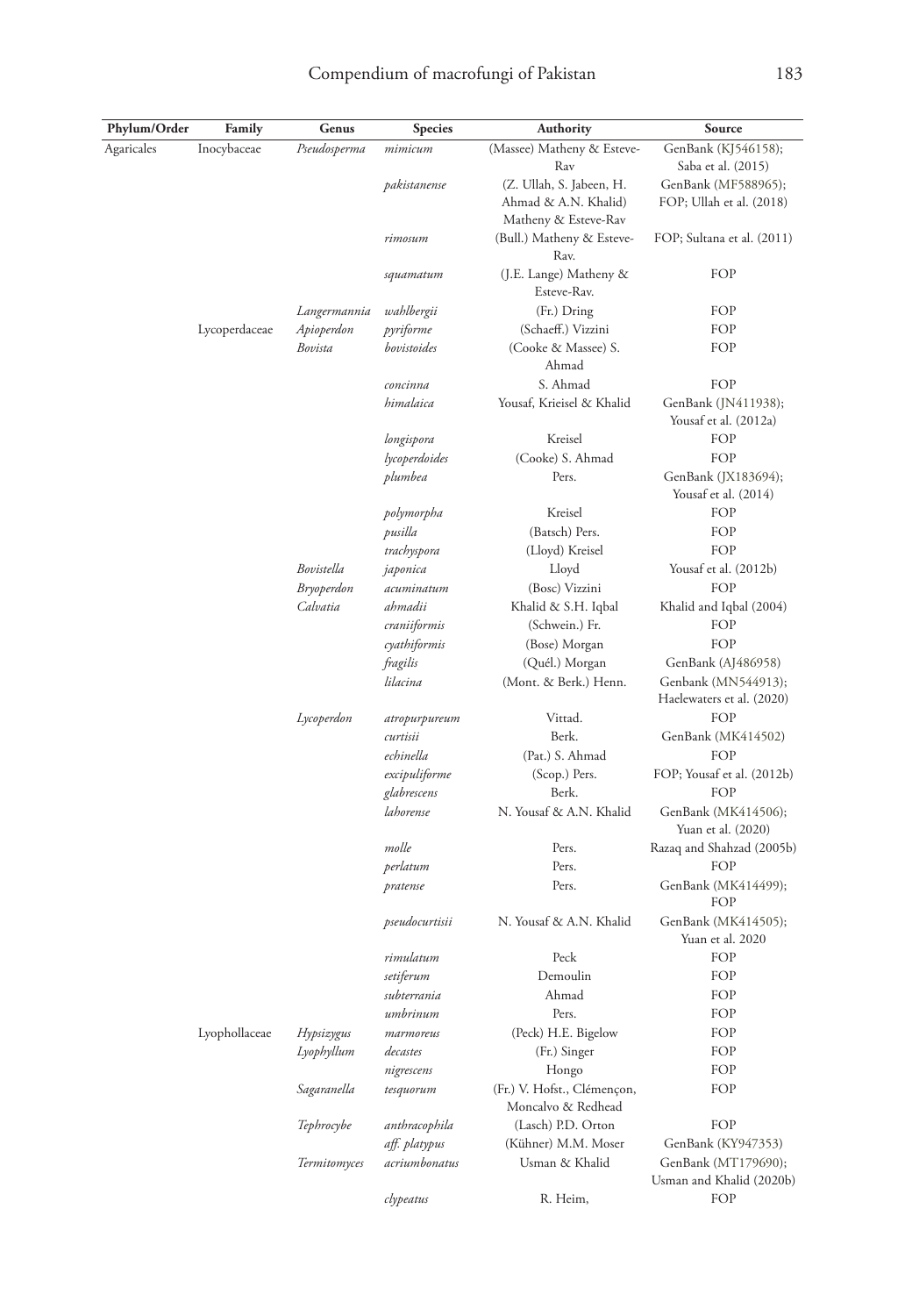| Phylum/Order | Family        | Genus        | <b>Species</b> | <b>Authority</b>                                  | Source                                          |
|--------------|---------------|--------------|----------------|---------------------------------------------------|-------------------------------------------------|
| Agaricales   | Inocybaceae   | Pseudosperma | mimicum        | (Massee) Matheny & Esteve-<br>Rav                 | GenBank (KJ546158);<br>Saba et al. (2015)       |
|              |               |              | pakistanense   | (Z. Ullah, S. Jabeen, H.                          | GenBank (MF588965);                             |
|              |               |              |                | Ahmad & A.N. Khalid)                              | FOP; Ullah et al. (2018)                        |
|              |               |              |                | Matheny & Esteve-Rav                              |                                                 |
|              |               |              | rimosum        | (Bull.) Matheny & Esteve-<br>Rav.                 | FOP; Sultana et al. (2011)                      |
|              |               |              | squamatum      | (J.E. Lange) Matheny &<br>Esteve-Rav.             | FOP                                             |
|              |               | Langermannia | wahlbergii     | (Fr.) Dring                                       | FOP                                             |
|              | Lycoperdaceae | Apioperdon   | pyriforme      | (Schaeff.) Vizzini                                | FOP                                             |
|              |               | Bovista      | bovistoides    | (Cooke & Massee) S.<br>Ahmad                      | FOP                                             |
|              |               |              | concinna       | S. Ahmad                                          | FOP                                             |
|              |               |              | himalaica      | Yousaf, Krieisel & Khalid                         | GenBank (JN411938);<br>Yousaf et al. (2012a)    |
|              |               |              | longispora     | Kreisel                                           | FOP                                             |
|              |               |              | lycoperdoides  | (Cooke) S. Ahmad                                  | FOP                                             |
|              |               |              | plumbea        | Pers.                                             | GenBank (JX183694);<br>Yousaf et al. (2014)     |
|              |               |              | polymorpha     | Kreisel                                           | FOP                                             |
|              |               |              | pusilla        | (Batsch) Pers.                                    | FOP                                             |
|              |               |              | trachyspora    | (Lloyd) Kreisel                                   | FOP                                             |
|              |               | Bovistella   | japonica       | Lloyd                                             | Yousaf et al. (2012b)                           |
|              |               | Bryoperdon   | acuminatum     | (Bosc) Vizzini                                    | FOP                                             |
|              |               | Calvatia     | ahmadii        | Khalid & S.H. Iqbal                               | Khalid and Iqbal (2004)                         |
|              |               |              | craniiformis   | (Schwein.) Fr.                                    | FOP                                             |
|              |               |              | cyathiformis   | (Bose) Morgan                                     | FOP                                             |
|              |               |              | fragilis       | (Quél.) Morgan                                    | GenBank (AJ486958)                              |
|              |               |              | lilacina       | (Mont. & Berk.) Henn.                             | Genbank (MN544913);                             |
|              |               |              |                |                                                   | Haelewaters et al. (2020)                       |
|              |               | Lycoperdon   | atropurpureum  | Vittad.                                           | FOP                                             |
|              |               |              | curtisii       | Berk.                                             | GenBank (MK414502)                              |
|              |               |              | echinella      | (Pat.) S. Ahmad                                   | FOP                                             |
|              |               |              | excipuliforme  | (Scop.) Pers.                                     | FOP; Yousaf et al. (2012b)                      |
|              |               |              | glabrescens    | Berk.                                             | FOP                                             |
|              |               |              | lahorense      | N. Yousaf & A.N. Khalid                           | GenBank (MK414506);<br>Yuan et al. (2020)       |
|              |               |              | molle          | Pers.                                             | Razaq and Shahzad (2005b)                       |
|              |               |              | perlatum       | Pers.                                             | FOP                                             |
|              |               |              | pratense       | Pers.                                             | GenBank (MK414499);<br>FOP                      |
|              |               |              | pseudocurtisii | N. Yousaf & A.N. Khalid                           | GenBank (MK414505);<br>Yuan et al. 2020         |
|              |               |              | rimulatum      | Peck                                              | FOP                                             |
|              |               |              | setiferum      | Demoulin                                          | FOP                                             |
|              |               |              | subterrania    | Ahmad                                             | FOP                                             |
|              |               |              | umbrinum       | Pers.                                             | FOP                                             |
|              | Lyophollaceae | Hypsizygus   | marmoreus      | (Peck) H.E. Bigelow                               | FOP                                             |
|              |               | Lyophyllum   | decastes       | (Fr.) Singer                                      | FOP                                             |
|              |               |              | nigrescens     | Hongo                                             | FOP                                             |
|              |               | Sagaranella  | tesquorum      | (Fr.) V. Hofst., Clémençon,<br>Moncalvo & Redhead | FOP                                             |
|              |               | Tephrocybe   | anthracophila  | (Lasch) P.D. Orton                                | FOP                                             |
|              |               |              | aff. platypus  | (Kühner) M.M. Moser                               | GenBank (KY947353)                              |
|              |               | Termitomyces | acriumbonatus  | Usman & Khalid                                    | GenBank (MT179690);<br>Usman and Khalid (2020b) |
|              |               |              | clypeatus      | R. Heim,                                          | FOP                                             |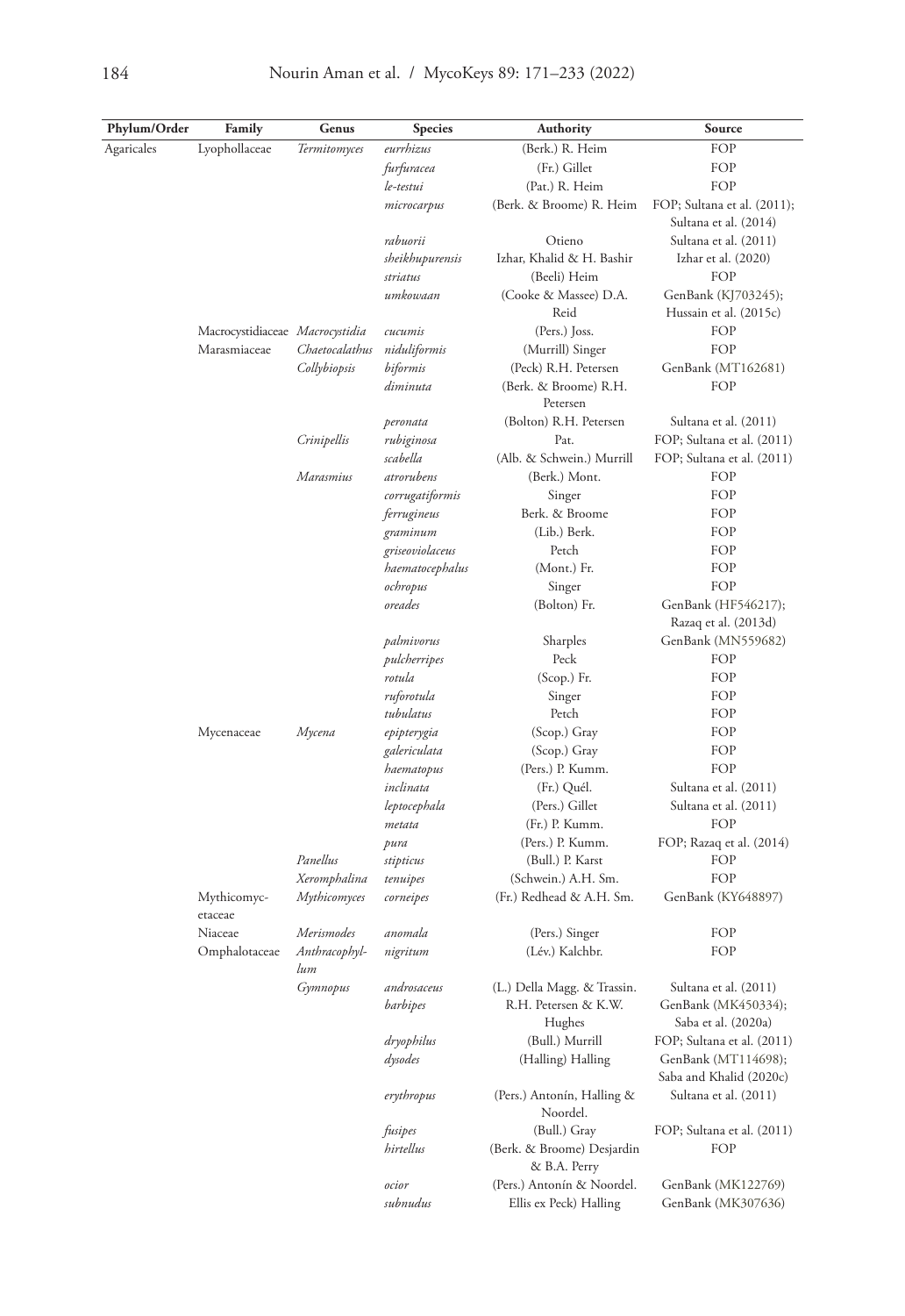| Phylum/Order | Family                          | Genus                | Species         | <b>Authority</b>                           | Source                          |
|--------------|---------------------------------|----------------------|-----------------|--------------------------------------------|---------------------------------|
| Agaricales   | Lyophollaceae                   | Termitomyces         | eurrhizus       | (Berk.) R. Heim                            | FOP                             |
|              |                                 |                      | furfuracea      | (Fr.) Gillet                               | FOP                             |
|              |                                 |                      | le-testui       | (Pat.) R. Heim                             | FOP                             |
|              |                                 |                      | microcarpus     | (Berk. & Broome) R. Heim                   | FOP; Sultana et al. (2011);     |
|              |                                 |                      |                 |                                            | Sultana et al. (2014)           |
|              |                                 |                      | rabuorii        | Otieno                                     | Sultana et al. (2011)           |
|              |                                 |                      | sheikhupurensis | Izhar, Khalid & H. Bashir                  | Izhar et al. (2020)             |
|              |                                 |                      | striatus        | (Beeli) Heim                               | FOP                             |
|              |                                 |                      | umkowaan        | (Cooke & Massee) D.A.                      | GenBank (KJ703245);             |
|              |                                 |                      |                 | Reid                                       | Hussain et al. (2015c)          |
|              | Macrocystidiaceae Macrocystidia |                      | cucumis         | (Pers.) Joss.                              | FOP                             |
|              | Marasmiaceae                    | Chaetocalathus       | niduliformis    | (Murrill) Singer                           | FOP                             |
|              |                                 | Collybiopsis         | biformis        | (Peck) R.H. Petersen                       | GenBank (MT162681)              |
|              |                                 |                      |                 | (Berk. & Broome) R.H.                      | FOP                             |
|              |                                 |                      | diminuta        | Petersen                                   |                                 |
|              |                                 |                      | peronata        | (Bolton) R.H. Petersen                     | Sultana et al. (2011)           |
|              |                                 | Crinipellis          | rubiginosa      | Pat.                                       | FOP; Sultana et al. (2011)      |
|              |                                 |                      | scabella        | (Alb. & Schwein.) Murrill                  | FOP; Sultana et al. (2011)      |
|              |                                 | Marasmius            | atrorubens      | (Berk.) Mont.                              | FOP                             |
|              |                                 |                      | corrugatiformis | Singer                                     | FOP                             |
|              |                                 |                      | ferrugineus     | Berk. & Broome                             | FOP                             |
|              |                                 |                      | graminum        | (Lib.) Berk.                               | FOP                             |
|              |                                 |                      | griseoviolaceus | Petch                                      | FOP                             |
|              |                                 |                      | haematocephalus | (Mont.) Fr.                                | FOP                             |
|              |                                 |                      | ochropus        | Singer                                     | FOP                             |
|              |                                 |                      | oreades         | (Bolton) Fr.                               | GenBank (HF546217);             |
|              |                                 |                      |                 |                                            | Razaq et al. (2013d)            |
|              |                                 |                      | palmivorus      | Sharples                                   | GenBank (MN559682)              |
|              |                                 |                      | pulcherripes    | Peck                                       | FOP                             |
|              |                                 |                      | rotula          | (Scop.) Fr.                                | FOP                             |
|              |                                 |                      | ruforotula      | Singer                                     | FOP                             |
|              |                                 |                      | tubulatus       | Petch                                      | FOP                             |
|              | Mycenaceae                      | Мусепа               | epipterygia     | (Scop.) Gray                               | FOP                             |
|              |                                 |                      | galericulata    | (Scop.) Gray                               | FOP                             |
|              |                                 |                      | haematopus      | (Pers.) P. Kumm.                           | FOP                             |
|              |                                 |                      | inclinata       | (Fr.) Quél.                                | Sultana et al. (2011)           |
|              |                                 |                      | leptocephala    | (Pers.) Gillet                             | Sultana et al. (2011)           |
|              |                                 |                      | metata          | (Fr.) P. Kumm.                             | FOP                             |
|              |                                 |                      |                 | (Pers.) P. Kumm.                           |                                 |
|              |                                 | Panellus             | pura            |                                            | FOP; Razaq et al. (2014)<br>FOP |
|              |                                 |                      | stipticus       | (Bull.) P. Karst                           | FOP                             |
|              |                                 | Xeromphalina         | tenuipes        | (Schwein.) A.H. Sm.                        |                                 |
|              | Mythicomyc-<br>etaceae          | Mythicomyces         | corneipes       | (Fr.) Redhead & A.H. Sm.                   | GenBank (KY648897)              |
|              | Niaceae                         | Merismodes           | anomala         | (Pers.) Singer                             | FOP                             |
|              | Omphalotaceae                   | Anthracophyl-<br>lum | nigritum        | (Lév.) Kalchbr.                            | FOP                             |
|              |                                 | Gymnopus             | androsaceus     | (L.) Della Magg. & Trassin.                | Sultana et al. (2011)           |
|              |                                 |                      | barbipes        | R.H. Petersen & K.W.                       | GenBank (MK450334);             |
|              |                                 |                      |                 | Hughes                                     | Saba et al. (2020a)             |
|              |                                 |                      | dryophilus      | (Bull.) Murrill                            | FOP; Sultana et al. (2011)      |
|              |                                 |                      | dysodes         | (Halling) Halling                          | GenBank (MT114698);             |
|              |                                 |                      |                 |                                            | Saba and Khalid (2020c)         |
|              |                                 |                      | erythropus      | (Pers.) Antonín, Halling &<br>Noordel.     | Sultana et al. (2011)           |
|              |                                 |                      | fusipes         | (Bull.) Gray                               | FOP; Sultana et al. (2011)      |
|              |                                 |                      | hirtellus       | (Berk. & Broome) Desjardin<br>& B.A. Perry | FOP                             |
|              |                                 |                      | ocior           | (Pers.) Antonín & Noordel.                 | GenBank (MK122769)              |
|              |                                 |                      | subnudus        | Ellis ex Peck) Halling                     | GenBank (MK307636)              |
|              |                                 |                      |                 |                                            |                                 |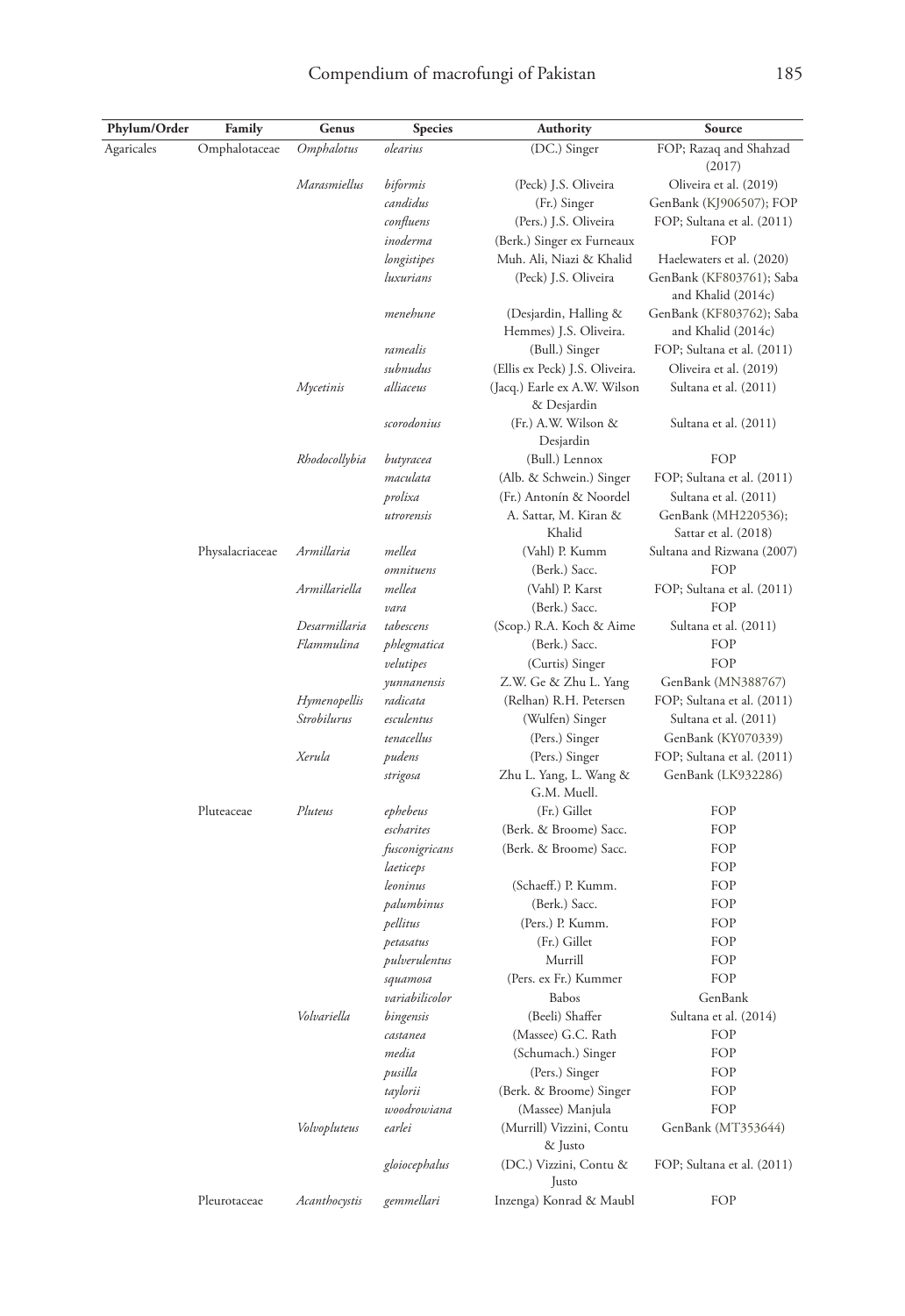| Phylum/Order | Family          | Genus         | <b>Species</b> | Authority                                       | Source                                         |
|--------------|-----------------|---------------|----------------|-------------------------------------------------|------------------------------------------------|
| Agaricales   | Omphalotaceae   | Omphalotus    | olearius       | (DC.) Singer                                    | FOP; Razaq and Shahzad<br>(2017)               |
|              |                 | Marasmiellus  | biformis       | (Peck) J.S. Oliveira                            | Oliveira et al. (2019)                         |
|              |                 |               | candidus       | (Fr.) Singer                                    | GenBank (KJ906507); FOP                        |
|              |                 |               | confluens      | (Pers.) J.S. Oliveira                           | FOP; Sultana et al. (2011)                     |
|              |                 |               | inoderma       | (Berk.) Singer ex Furneaux                      | FOP                                            |
|              |                 |               | longistipes    | Muh. Ali, Niazi & Khalid                        | Haelewaters et al. (2020)                      |
|              |                 |               | luxurians      | (Peck) J.S. Oliveira                            | GenBank (KF803761); Saba<br>and Khalid (2014c) |
|              |                 |               | menehune       | (Desjardin, Halling &<br>Hemmes) J.S. Oliveira. | GenBank (KF803762); Saba<br>and Khalid (2014c) |
|              |                 |               | ramealis       | (Bull.) Singer                                  | FOP; Sultana et al. (2011)                     |
|              |                 |               | subnudus       | (Ellis ex Peck) J.S. Oliveira.                  | Oliveira et al. (2019)                         |
|              |                 | Mycetinis     | alliaceus      | (Jacq.) Earle ex A.W. Wilson<br>& Desjardin     | Sultana et al. (2011)                          |
|              |                 |               | scorodonius    | (Fr.) A.W. Wilson &<br>Desjardin                | Sultana et al. (2011)                          |
|              |                 | Rhodocollybia | butyracea      | (Bull.) Lennox                                  | FOP                                            |
|              |                 |               | maculata       | (Alb. & Schwein.) Singer                        | FOP; Sultana et al. (2011)                     |
|              |                 |               | prolixa        | (Fr.) Antonín & Noordel                         | Sultana et al. (2011)                          |
|              |                 |               | utrorensis     | A. Sattar, M. Kiran &<br>Khalid                 | GenBank (MH220536);<br>Sattar et al. (2018)    |
|              | Physalacriaceae | Armillaria    | mellea         | (Vahl) P. Kumm                                  | Sultana and Rizwana (2007)                     |
|              |                 |               | omnituens      | (Berk.) Sacc.                                   | FOP                                            |
|              |                 | Armillariella | mellea         | (Vahl) P. Karst                                 | FOP; Sultana et al. (2011)                     |
|              |                 |               | vara           | (Berk.) Sacc.                                   | FOP                                            |
|              |                 | Desarmillaria | tabescens      | (Scop.) R.A. Koch & Aime                        | Sultana et al. (2011)                          |
|              |                 | Flammulina    | phlegmatica    | (Berk.) Sacc.                                   | FOP                                            |
|              |                 |               | velutipes      | (Curtis) Singer                                 | FOP                                            |
|              |                 |               | yunnanensis    | Z.W. Ge & Zhu L. Yang                           | GenBank (MN388767)                             |
|              |                 | Hymenopellis  | radicata       | (Relhan) R.H. Petersen                          | FOP; Sultana et al. (2011)                     |
|              |                 | Strobilurus   | esculentus     | (Wulfen) Singer                                 | Sultana et al. (2011)                          |
|              |                 |               | tenacellus     | (Pers.) Singer                                  | GenBank (KY070339)                             |
|              |                 | Xerula        | pudens         | (Pers.) Singer                                  | FOP; Sultana et al. (2011)                     |
|              |                 |               | strigosa       | Zhu L. Yang, L. Wang &<br>G.M. Muell.           | GenBank (LK932286)                             |
|              | Pluteaceae      | Pluteus       | ephebeus       | (Fr.) Gillet                                    | FOP                                            |
|              |                 |               | escharites     | (Berk. & Broome) Sacc.                          | FOP                                            |
|              |                 |               | fusconigricans | (Berk. & Broome) Sacc.                          | FOP                                            |
|              |                 |               | laeticeps      |                                                 | FOP                                            |
|              |                 |               | leoninus       | (Schaeff.) P. Kumm.                             | FOP                                            |
|              |                 |               | palumbinus     | (Berk.) Sacc.                                   | FOP                                            |
|              |                 |               | pellitus       | (Pers.) P. Kumm.                                | FOP                                            |
|              |                 |               | petasatus      | (Fr.) Gillet                                    | FOP                                            |
|              |                 |               | pulverulentus  | Murrill                                         | FOP                                            |
|              |                 |               | squamosa       | (Pers. ex Fr.) Kummer                           | FOP                                            |
|              |                 |               | variabilicolor | <b>Babos</b>                                    | GenBank                                        |
|              |                 | Volvariella   | bingensis      | (Beeli) Shaffer                                 | Sultana et al. (2014)                          |
|              |                 |               | castanea       | (Massee) G.C. Rath                              | FOP                                            |
|              |                 |               | media          | (Schumach.) Singer                              | FOP                                            |
|              |                 |               | pusilla        | (Pers.) Singer                                  | FOP                                            |
|              |                 |               | taylorii       | (Berk. & Broome) Singer                         | FOP                                            |
|              |                 |               | woodrowiana    | (Massee) Manjula                                | FOP                                            |
|              |                 | Volvopluteus  | earlei         | (Murrill) Vizzini, Contu<br>& Justo             | GenBank (MT353644)                             |
|              |                 |               | gloiocephalus  | (DC.) Vizzini, Contu &<br>Justo                 | FOP; Sultana et al. (2011)                     |
|              | Pleurotaceae    | Acanthocystis | gemmellari     | Inzenga) Konrad & Maubl                         | FOP                                            |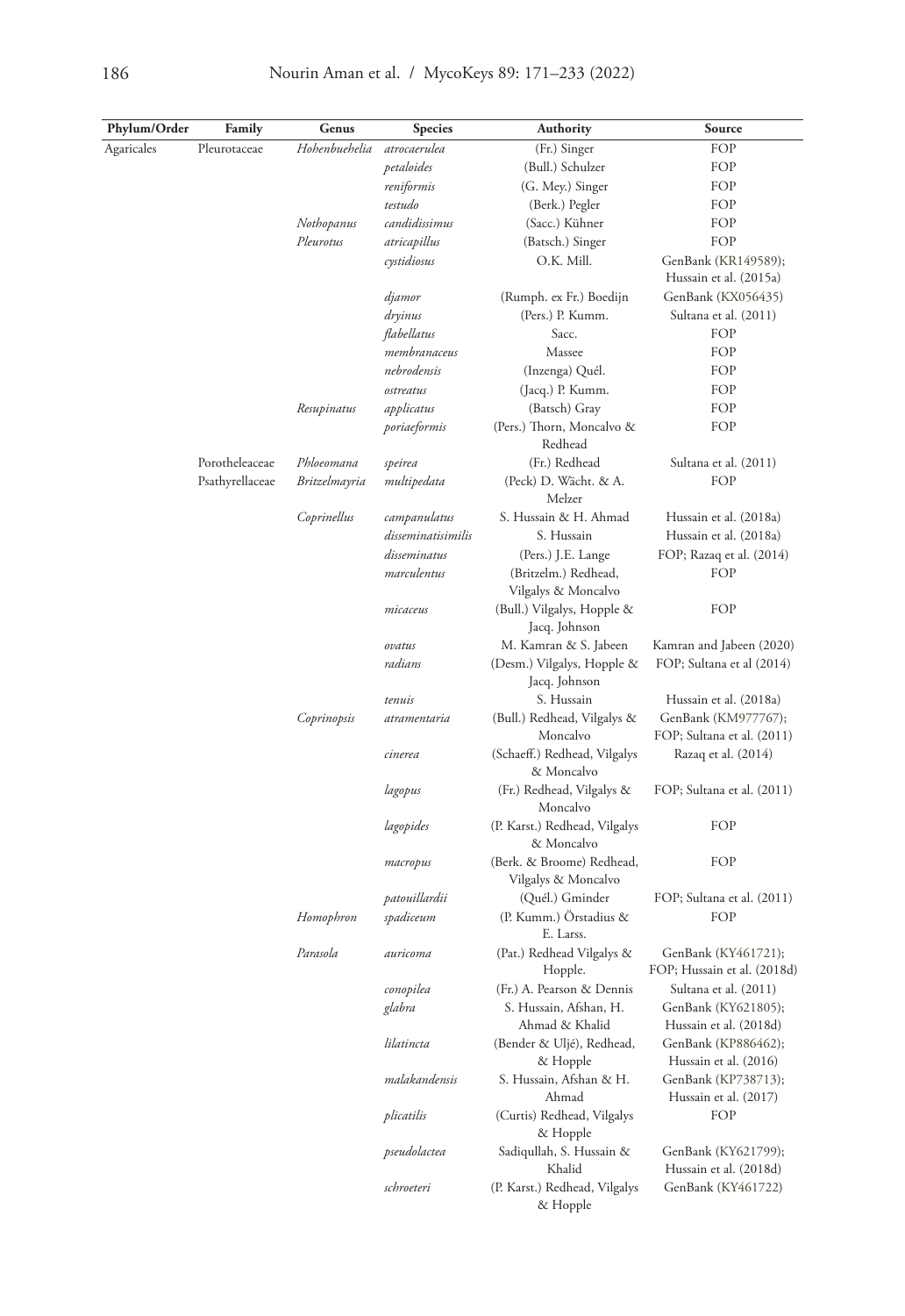| Phylum/Order | Family          | Genus         | Species            | <b>Authority</b>                                 | Source                                             |
|--------------|-----------------|---------------|--------------------|--------------------------------------------------|----------------------------------------------------|
| Agaricales   | Pleurotaceae    | Hohenbuehelia | atrocaerulea       | (Fr.) Singer                                     | FOP                                                |
|              |                 |               | petaloides         | (Bull.) Schulzer                                 | FOP                                                |
|              |                 |               | reniformis         | (G. Mey.) Singer                                 | FOP                                                |
|              |                 |               | testudo            | (Berk.) Pegler                                   | FOP                                                |
|              |                 | Nothopanus    | candidissimus      | (Sacc.) Kühner                                   | FOP                                                |
|              |                 | Pleurotus     | atricapillus       | (Batsch.) Singer                                 | FOP                                                |
|              |                 |               | cystidiosus        | O.K. Mill.                                       | GenBank (KR149589);                                |
|              |                 |               |                    |                                                  | Hussain et al. (2015a)                             |
|              |                 |               | djamor             | (Rumph. ex Fr.) Boedijn                          | GenBank (KX056435)                                 |
|              |                 |               | dryinus            | (Pers.) P. Kumm.                                 | Sultana et al. (2011)                              |
|              |                 |               | flabellatus        | Sacc.                                            | FOP                                                |
|              |                 |               | membranaceus       | Massee                                           | FOP                                                |
|              |                 |               | nebrodensis        | (Inzenga) Quél.                                  | FOP                                                |
|              |                 |               | ostreatus          | (Jacq.) P. Kumm.                                 | FOP                                                |
|              |                 | Resupinatus   | applicatus         | (Batsch) Gray                                    | FOP                                                |
|              |                 |               | poriaeformis       | (Pers.) Thorn, Moncalvo &                        | FOP                                                |
|              |                 |               |                    | Redhead                                          |                                                    |
|              | Porotheleaceae  | Phloeomana    | speirea            | (Fr.) Redhead                                    | Sultana et al. (2011)                              |
|              | Psathyrellaceae | Britzelmayria | multipedata        | (Peck) D. Wächt. & A.<br>Melzer                  | FOP                                                |
|              |                 | Coprinellus   | campanulatus       | S. Hussain & H. Ahmad                            | Hussain et al. (2018a)                             |
|              |                 |               | disseminatisimilis | S. Hussain                                       | Hussain et al. (2018a)                             |
|              |                 |               | disseminatus       | (Pers.) J.E. Lange                               | FOP; Razaq et al. (2014)                           |
|              |                 |               | marculentus        | (Britzelm.) Redhead,<br>Vilgalys & Moncalvo      | FOP                                                |
|              |                 |               | micaceus           | (Bull.) Vilgalys, Hopple &<br>Jacq. Johnson      | FOP                                                |
|              |                 |               | ovatus             | M. Kamran & S. Jabeen                            | Kamran and Jabeen (2020)                           |
|              |                 |               | radians            | (Desm.) Vilgalys, Hopple &<br>Jacq. Johnson      | FOP; Sultana et al (2014)                          |
|              |                 |               | tenuis             | S. Hussain                                       | Hussain et al. (2018a)                             |
|              |                 | Coprinopsis   | atramentaria       | (Bull.) Redhead, Vilgalys &<br>Moncalvo          | GenBank (KM977767);<br>FOP; Sultana et al. (2011)  |
|              |                 |               | cinerea            | (Schaeff.) Redhead, Vilgalys<br>& Moncalvo       | Razaq et al. (2014)                                |
|              |                 |               | lagopus            | (Fr.) Redhead, Vilgalys &<br>Moncalvo            | FOP; Sultana et al. (2011)                         |
|              |                 |               | lagopides          | (P. Karst.) Redhead, Vilgalys<br>& Moncalvo      | FOP                                                |
|              |                 |               | macropus           | (Berk. & Broome) Redhead,<br>Vilgalys & Moncalvo | FOP                                                |
|              |                 |               | patouillardii      | (Quél.) Gminder                                  | FOP; Sultana et al. (2011)                         |
|              |                 | Homophron     | spadiceum          | (P. Kumm.) Orstadius &<br>E. Larss.              | FOP                                                |
|              |                 | Parasola      | auricoma           | (Pat.) Redhead Vilgalys &<br>Hopple.             | GenBank (KY461721);<br>FOP; Hussain et al. (2018d) |
|              |                 |               | $\emph{conopilea}$ | (Fr.) A. Pearson & Dennis                        | Sultana et al. (2011)                              |
|              |                 |               | glabra             | S. Hussain, Afshan, H.                           | GenBank (KY621805);                                |
|              |                 |               |                    | Ahmad & Khalid                                   | Hussain et al. (2018d)                             |
|              |                 |               | lilatincta         | (Bender & Uljé), Redhead,<br>& Hopple            | GenBank (KP886462);<br>Hussain et al. (2016)       |
|              |                 |               | malakandensis      | S. Hussain, Afshan & H.<br>Ahmad                 | GenBank (KP738713);<br>Hussain et al. (2017)       |
|              |                 |               | plicatilis         | (Curtis) Redhead, Vilgalys<br>& Hopple           | FOP                                                |
|              |                 |               | pseudolactea       | Sadiqullah, S. Hussain &<br>Khalid               | GenBank (KY621799);<br>Hussain et al. (2018d)      |
|              |                 |               | schroeteri         | (P. Karst.) Redhead, Vilgalys<br>& Hopple        | GenBank (KY461722)                                 |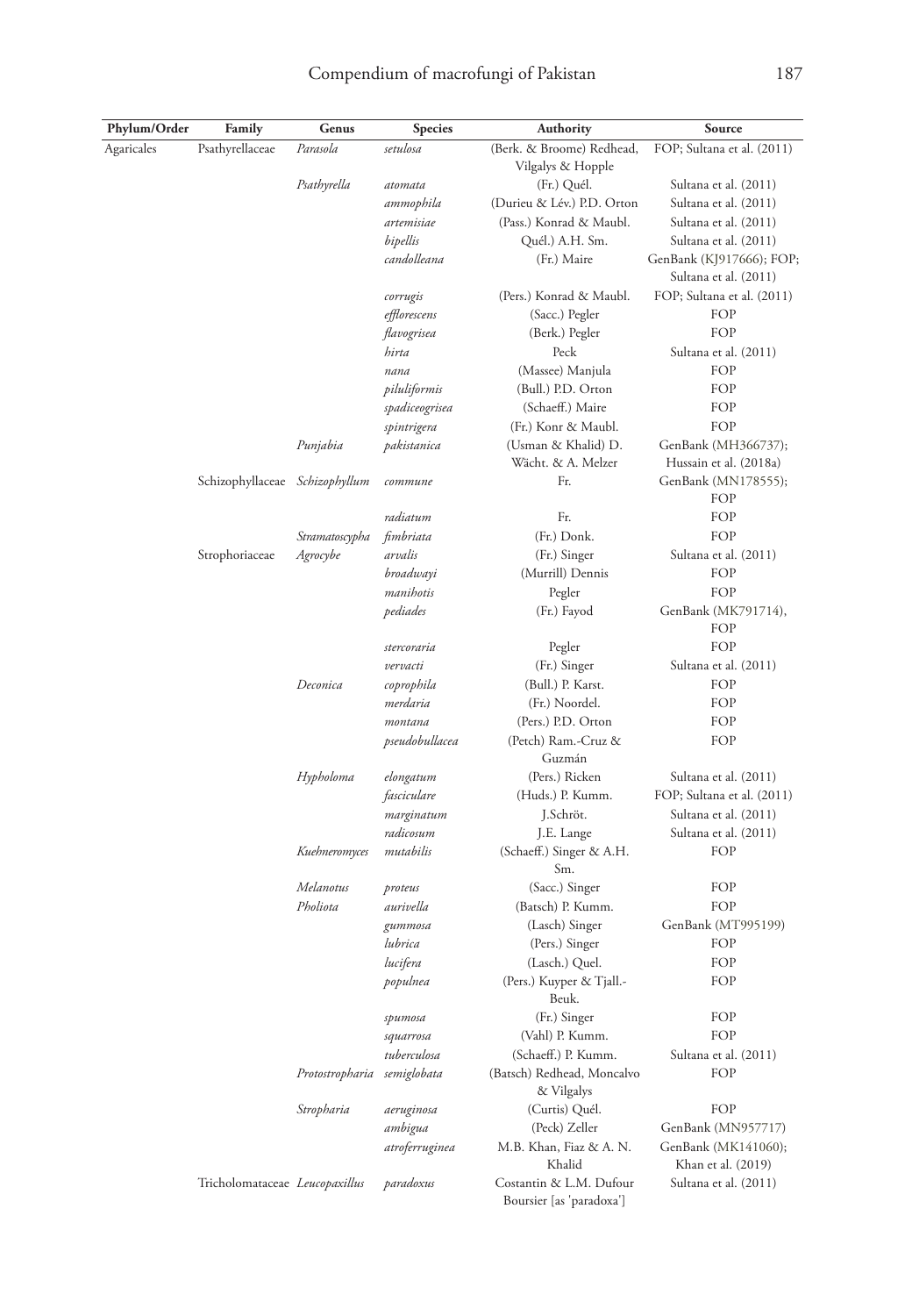| Phylum/Order | Family                         | Genus           | Species        | Authority                                           | Source                                        |
|--------------|--------------------------------|-----------------|----------------|-----------------------------------------------------|-----------------------------------------------|
| Agaricales   | Psathyrellaceae                | Parasola        | setulosa       | (Berk. & Broome) Redhead,<br>Vilgalys & Hopple      | FOP; Sultana et al. (2011)                    |
|              |                                | Psathyrella     | atomata        | (Fr.) Quél.                                         | Sultana et al. (2011)                         |
|              |                                |                 | ammophila      | (Durieu & Lév.) P.D. Orton                          | Sultana et al. (2011)                         |
|              |                                |                 | artemisiae     | (Pass.) Konrad & Maubl.                             | Sultana et al. (2011)                         |
|              |                                |                 | bipellis       | Quél.) A.H. Sm.                                     | Sultana et al. (2011)                         |
|              |                                |                 | candolleana    | (Fr.) Maire                                         | GenBank (KJ917666); FOP;                      |
|              |                                |                 |                |                                                     | Sultana et al. (2011)                         |
|              |                                |                 | corrugis       | (Pers.) Konrad & Maubl.                             | FOP; Sultana et al. (2011)                    |
|              |                                |                 | efflorescens   | (Sacc.) Pegler                                      | FOP                                           |
|              |                                |                 | flavogrisea    | (Berk.) Pegler                                      | FOP                                           |
|              |                                |                 | hirta          | Peck                                                | Sultana et al. (2011)                         |
|              |                                |                 | nana           | (Massee) Manjula                                    | FOP                                           |
|              |                                |                 | piluliformis   | (Bull.) P.D. Orton                                  | FOP                                           |
|              |                                |                 | spadiceogrisea | (Schaeff.) Maire                                    | FOP                                           |
|              |                                |                 | spintrigera    | (Fr.) Konr & Maubl.                                 | FOP                                           |
|              |                                |                 |                |                                                     |                                               |
|              |                                | Punjabia        | pakistanica    | (Usman & Khalid) D.<br>Wächt. & A. Melzer           | GenBank (MH366737);<br>Hussain et al. (2018a) |
|              | Schizophyllaceae Schizophyllum |                 | commune        | Fr.                                                 | GenBank (MN178555);                           |
|              |                                |                 |                |                                                     | FOP                                           |
|              |                                |                 | radiatum       | Fr.                                                 | FOP                                           |
|              |                                | Stramatoscypha  | fimbriata      | (Fr.) Donk.                                         | FOP                                           |
|              | Strophoriaceae                 | Agrocybe        | arvalis        | (Fr.) Singer                                        | Sultana et al. (2011)                         |
|              |                                |                 | broadwayi      | (Murrill) Dennis                                    | FOP                                           |
|              |                                |                 | manihotis      | Pegler                                              | FOP                                           |
|              |                                |                 | pediades       | (Fr.) Fayod                                         | GenBank (MK791714),                           |
|              |                                |                 |                |                                                     | FOP                                           |
|              |                                |                 | stercoraria    | Pegler                                              | FOP                                           |
|              |                                |                 | vervacti       | (Fr.) Singer                                        | Sultana et al. (2011)                         |
|              |                                | Deconica        | coprophila     | (Bull.) P. Karst.                                   | FOP                                           |
|              |                                |                 | merdaria       | (Fr.) Noordel.                                      | FOP                                           |
|              |                                |                 | montana        | (Pers.) P.D. Orton                                  | FOP                                           |
|              |                                |                 | pseudobullacea | (Petch) Ram.-Cruz &                                 | FOP                                           |
|              |                                |                 |                | Guzmán                                              |                                               |
|              |                                | Hypholoma       | elongatum      | (Pers.) Ricken                                      | Sultana et al. (2011)                         |
|              |                                |                 | fasciculare    | (Huds.) P. Kumm.                                    | FOP; Sultana et al. (2011)                    |
|              |                                |                 | marginatum     | J.Schröt.                                           | Sultana et al. (2011)                         |
|              |                                |                 | radicosum      | J.E. Lange                                          | Sultana et al. (2011)                         |
|              |                                | Kuehneromyces   | mutabilis      | (Schaeff.) Singer & A.H.<br>Sm.                     | FOP                                           |
|              |                                | Melanotus       | proteus        | (Sacc.) Singer                                      | FOP                                           |
|              |                                | Pholiota        | aurivella      | (Batsch) P. Kumm.                                   | FOP                                           |
|              |                                |                 | gummosa        | (Lasch) Singer                                      | GenBank (MT995199)                            |
|              |                                |                 | lubrica        | (Pers.) Singer                                      | FOP                                           |
|              |                                |                 | lucifera       | (Lasch.) Quel.                                      | FOP                                           |
|              |                                |                 | populnea       | (Pers.) Kuyper & Tjall.-<br>Beuk.                   | FOP                                           |
|              |                                |                 | spumosa        | (Fr.) Singer                                        | FOP                                           |
|              |                                |                 | squarrosa      | (Vahl) P. Kumm.                                     | FOP                                           |
|              |                                |                 | tuberculosa    | (Schaeff.) P. Kumm.                                 | Sultana et al. (2011)                         |
|              |                                | Protostropharia | semiglobata    | (Batsch) Redhead, Moncalvo<br>& Vilgalys            | FOP                                           |
|              |                                | Stropharia      | aeruginosa     | (Curtis) Quél.                                      | FOP                                           |
|              |                                |                 | ambigua        | (Peck) Zeller                                       | GenBank (MN957717)                            |
|              |                                |                 | atroferruginea | M.B. Khan, Fiaz & A. N.<br>Khalid                   | GenBank (MK141060);<br>Khan et al. (2019)     |
|              | Tricholomataceae Leucopaxillus |                 | paradoxus      | Costantin & L.M. Dufour<br>Boursier [as 'paradoxa'] | Sultana et al. (2011)                         |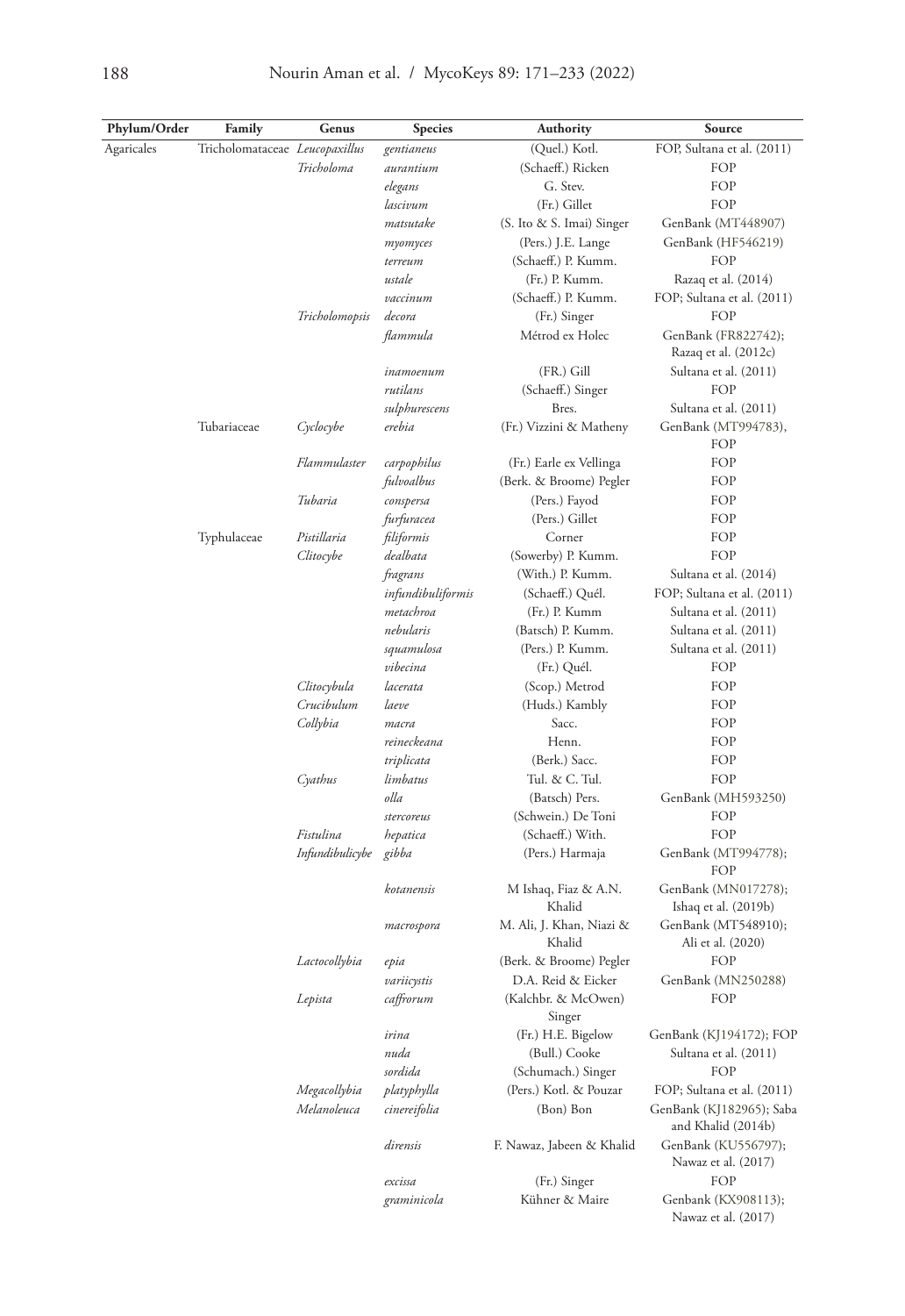| Phylum/Order | Family                         | Genus                       | <b>Species</b>              | <b>Authority</b>                      | Source                                                 |
|--------------|--------------------------------|-----------------------------|-----------------------------|---------------------------------------|--------------------------------------------------------|
| Agaricales   | Tricholomataceae Leucopaxillus |                             | gentianeus                  | (Quel.) Kotl.                         | FOP, Sultana et al. (2011)                             |
|              |                                | Tricholoma                  | aurantium                   | (Schaeff.) Ricken                     | FOP                                                    |
|              |                                |                             | elegans                     | G. Stev.                              | FOP                                                    |
|              |                                |                             | lascivum                    | (Fr.) Gillet                          | FOP                                                    |
|              |                                |                             | matsutake                   | (S. Ito & S. Imai) Singer             | GenBank (MT448907)                                     |
|              |                                |                             | myomyces                    | (Pers.) J.E. Lange                    | GenBank (HF546219)                                     |
|              |                                |                             | terreum                     | (Schaeff.) P. Kumm.                   | FOP                                                    |
|              |                                |                             | ustale                      |                                       |                                                        |
|              |                                |                             | vaccinum                    | (Fr.) P. Kumm.<br>(Schaeff.) P. Kumm. | Razaq et al. (2014)<br>FOP; Sultana et al. (2011)      |
|              |                                | Tricholomopsis              |                             |                                       |                                                        |
|              |                                |                             | decora                      | (Fr.) Singer                          | FOP                                                    |
|              |                                |                             | flammula                    | Métrod ex Holec                       | GenBank (FR822742);<br>Razaq et al. (2012c)            |
|              |                                |                             | inamoenum                   | (FR.) Gill                            | Sultana et al. (2011)                                  |
|              |                                |                             | rutilans                    | (Schaeff.) Singer                     | FOP                                                    |
|              |                                |                             | sulphurescens               | Bres.                                 | Sultana et al. (2011)                                  |
|              | Tubariaceae                    | Cyclocybe                   | erebia                      | (Fr.) Vizzini & Matheny               | GenBank (MT994783),<br>FOP                             |
|              |                                | Flammulaster                | carpophilus                 | (Fr.) Earle ex Vellinga               | FOP                                                    |
|              |                                |                             | fulvoalbus                  | (Berk. & Broome) Pegler               | FOP                                                    |
|              |                                | Tubaria                     | conspersa                   | (Pers.) Fayod                         | FOP                                                    |
|              |                                |                             | furfuracea                  | (Pers.) Gillet                        | FOP                                                    |
|              | Typhulaceae                    | Pistillaria                 | filiformis                  | Corner                                | FOP                                                    |
|              |                                | Clitocybe                   | dealbata                    | (Sowerby) P. Kumm.                    | FOP                                                    |
|              |                                |                             | fragrans                    | (With.) P. Kumm.                      | Sultana et al. (2014)                                  |
|              |                                |                             | infundibuliformis           | (Schaeff.) Quél.                      | FOP; Sultana et al. (2011)                             |
|              |                                |                             | metachroa                   | (Fr.) P. Kumm                         | Sultana et al. (2011)                                  |
|              |                                |                             | nebularis                   | (Batsch) P. Kumm.                     | Sultana et al. (2011)                                  |
|              |                                |                             | squamulosa                  | (Pers.) P. Kumm.                      | Sultana et al. (2011)                                  |
|              |                                |                             | vibecina                    | (Fr.) Quél.                           | FOP                                                    |
|              |                                | Clitocybula                 | lacerata                    |                                       | FOP                                                    |
|              |                                |                             |                             | (Scop.) Metrod                        |                                                        |
|              |                                | Crucibulum                  | laeve                       | (Huds.) Kambly                        | FOP                                                    |
|              |                                | Collybia                    | macra                       | Sacc.                                 | FOP                                                    |
|              |                                |                             | reineckeana                 | Henn.                                 | FOP                                                    |
|              |                                |                             | triplicata                  | (Berk.) Sacc.                         | FOP                                                    |
|              |                                | Cyathus                     | limbatus                    | Tul. & C. Tul.                        | FOP                                                    |
|              |                                |                             | olla                        | (Batsch) Pers.                        | GenBank (MH593250)                                     |
|              |                                |                             | stercoreus                  | (Schwein.) De Toni                    | FOP                                                    |
|              |                                | Fistulina                   | hepatica                    | (Schaeff.) With.                      | FOP                                                    |
|              |                                | Infundibulicybe             | gibba                       | (Pers.) Harmaja                       | GenBank (MT994778);<br>FOP                             |
|              |                                |                             | kotanensis                  | M Ishaq, Fiaz & A.N.<br>Khalid        | GenBank (MN017278);<br>Ishaq et al. (2019b)            |
|              |                                |                             | macrospora                  | M. Ali, J. Khan, Niazi &<br>Khalid    | GenBank (MT548910);<br>Ali et al. (2020)               |
|              |                                | Lactocollybia               | epia                        | (Berk. & Broome) Pegler               | FOP                                                    |
|              |                                |                             | variicystis                 | D.A. Reid & Eicker                    | GenBank (MN250288)                                     |
|              |                                | Lepista                     | caffrorum                   | (Kalchbr. & McOwen)<br>Singer         | FOP                                                    |
|              |                                |                             | irina                       | (Fr.) H.E. Bigelow                    | GenBank (KJ194172); FOP                                |
|              |                                |                             | nuda                        |                                       |                                                        |
|              |                                |                             | sordida                     | (Bull.) Cooke                         | Sultana et al. (2011)<br>FOP                           |
|              |                                |                             |                             | (Schumach.) Singer                    |                                                        |
|              |                                | Megacollybia<br>Melanoleuca | platyphylla<br>cinereifolia | (Pers.) Kotl. & Pouzar<br>(Bon) Bon   | FOP; Sultana et al. (2011)<br>GenBank (KJ182965); Saba |
|              |                                |                             | dirensis                    | F. Nawaz, Jabeen & Khalid             | and Khalid (2014b)<br>GenBank (KU556797);              |
|              |                                |                             | excissa                     | (Fr.) Singer                          | Nawaz et al. (2017)<br>FOP                             |
|              |                                |                             | graminicola                 | Kühner & Maire                        | Genbank (KX908113);<br>Nawaz et al. (2017)             |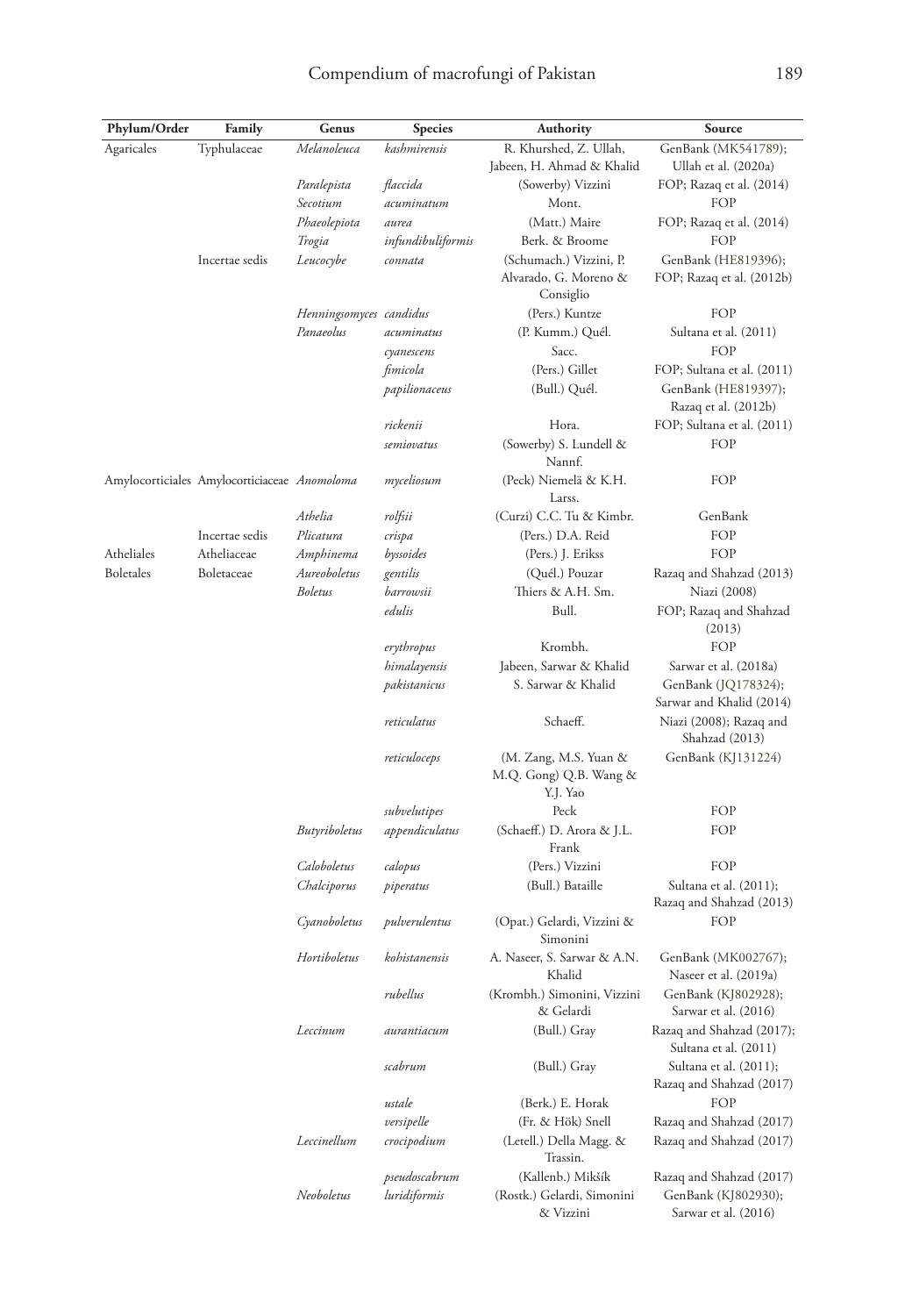| Phylum/Order     | Family                                       | Genus                   | <b>Species</b>    | <b>Authority</b>                                            | Source                                             |
|------------------|----------------------------------------------|-------------------------|-------------------|-------------------------------------------------------------|----------------------------------------------------|
| Agaricales       | Typhulaceae                                  | Melanoleuca             | kashmirensis      | R. Khurshed, Z. Ullah,<br>Jabeen, H. Ahmad & Khalid         | GenBank (MK541789);<br>Ullah et al. (2020a)        |
|                  |                                              | Paralepista             | flaccida          | (Sowerby) Vizzini                                           | FOP; Razaq et al. (2014)                           |
|                  |                                              | Secotium                | acuminatum        | Mont.                                                       | FOP                                                |
|                  |                                              | Phaeolepiota            | aurea             | (Matt.) Maire                                               | FOP; Razaq et al. (2014)                           |
|                  |                                              | Trogia                  | infundibuliformis | Berk. & Broome                                              | FOP                                                |
|                  | Incertae sedis                               | Leucocybe               | connata           | (Schumach.) Vizzini, P.                                     | GenBank (HE819396);                                |
|                  |                                              |                         |                   | Alvarado, G. Moreno &                                       | FOP; Razaq et al. (2012b)                          |
|                  |                                              |                         |                   | Consiglio                                                   |                                                    |
|                  |                                              | Henningsomyces candidus |                   | (Pers.) Kuntze                                              | FOP                                                |
|                  |                                              | Panaeolus               | acuminatus        | (P. Kumm.) Quél.                                            | Sultana et al. (2011)                              |
|                  |                                              |                         | cyanescens        | Sacc.                                                       | FOP                                                |
|                  |                                              |                         | fimicola          | (Pers.) Gillet                                              | FOP; Sultana et al. (2011)                         |
|                  |                                              |                         | papilionaceus     | (Bull.) Quél.                                               | GenBank (HE819397);<br>Razaq et al. (2012b)        |
|                  |                                              |                         | rickenii          | Hora.                                                       | FOP; Sultana et al. (2011)                         |
|                  |                                              |                         | semiovatus        | (Sowerby) S. Lundell &                                      | FOP                                                |
|                  |                                              |                         |                   | Nannf.                                                      |                                                    |
|                  | Amylocorticiales Amylocorticiaceae Anomoloma |                         | myceliosum        | (Peck) Niemelä & K.H.<br>Larss.                             | FOP                                                |
|                  |                                              | Athelia                 | rolfsii           | (Curzi) C.C. Tu & Kimbr.                                    | GenBank                                            |
|                  | Incertae sedis                               | Plicatura               | crispa            | (Pers.) D.A. Reid                                           | FOP                                                |
| Atheliales       | Atheliaceae                                  | Amphinema               | byssoides         | (Pers.) J. Erikss                                           | FOP                                                |
| <b>Boletales</b> | Boletaceae                                   | Aureoboletus            | gentilis          | (Quél.) Pouzar                                              | Razaq and Shahzad (2013)                           |
|                  |                                              | <b>Boletus</b>          | barrowsii         | Thiers & A.H. Sm.                                           | Niazi (2008)                                       |
|                  |                                              |                         | edulis            | Bull.                                                       | FOP; Razaq and Shahzad<br>(2013)                   |
|                  |                                              |                         | erythropus        | Krombh.                                                     | FOP                                                |
|                  |                                              |                         | himalayensis      | Jabeen, Sarwar & Khalid                                     | Sarwar et al. (2018a)                              |
|                  |                                              |                         | pakistanicus      | S. Sarwar & Khalid                                          | GenBank (JQ178324);<br>Sarwar and Khalid (2014)    |
|                  |                                              |                         | reticulatus       | Schaeff.                                                    | Niazi (2008); Razaq and<br>Shahzad (2013)          |
|                  |                                              |                         | reticuloceps      | (M. Zang, M.S. Yuan &<br>M.Q. Gong) Q.B. Wang &<br>Y.J. Yao | GenBank (KJ131224)                                 |
|                  |                                              |                         | subvelutipes      | Peck                                                        | FOP                                                |
|                  |                                              | Butyriboletus           | appendiculatus    | (Schaeff.) D. Arora & J.L.<br>Frank                         | FOP                                                |
|                  |                                              | Caloboletus             | calopus           | (Pers.) Vizzini                                             | FOP                                                |
|                  |                                              | Chalciporus             | piperatus         | (Bull.) Bataille                                            | Sultana et al. (2011);<br>Razaq and Shahzad (2013) |
|                  |                                              | Cyanoboletus            | pulverulentus     | (Opat.) Gelardi, Vizzini &<br>Simonini                      | FOP                                                |
|                  |                                              | Hortiboletus            | kohistanensis     | A. Naseer, S. Sarwar & A.N.<br>Khalid                       | GenBank (MK002767);<br>Naseer et al. (2019a)       |
|                  |                                              |                         | rubellus          | (Krombh.) Simonini, Vizzini<br>& Gelardi                    | GenBank (KJ802928);<br>Sarwar et al. (2016)        |
|                  |                                              | Leccinum                | aurantiacum       | (Bull.) Gray                                                | Razaq and Shahzad (2017);<br>Sultana et al. (2011) |
|                  |                                              |                         | scabrum           | (Bull.) Gray                                                | Sultana et al. (2011);<br>Razaq and Shahzad (2017) |
|                  |                                              |                         | ustale            | (Berk.) E. Horak                                            | FOP                                                |
|                  |                                              |                         | versipelle        | (Fr. & Hök) Snell                                           | Razaq and Shahzad (2017)                           |
|                  |                                              | Leccinellum             | crocipodium       | (Letell.) Della Magg. &<br>Trassin.                         | Razaq and Shahzad (2017)                           |
|                  |                                              |                         | pseudoscabrum     | (Kallenb.) Mikšík                                           | Razaq and Shahzad (2017)                           |
|                  |                                              | Neoboletus              | luridiformis      | (Rostk.) Gelardi, Simonini                                  | GenBank (KJ802930);                                |
|                  |                                              |                         |                   | & Vizzini                                                   | Sarwar et al. (2016)                               |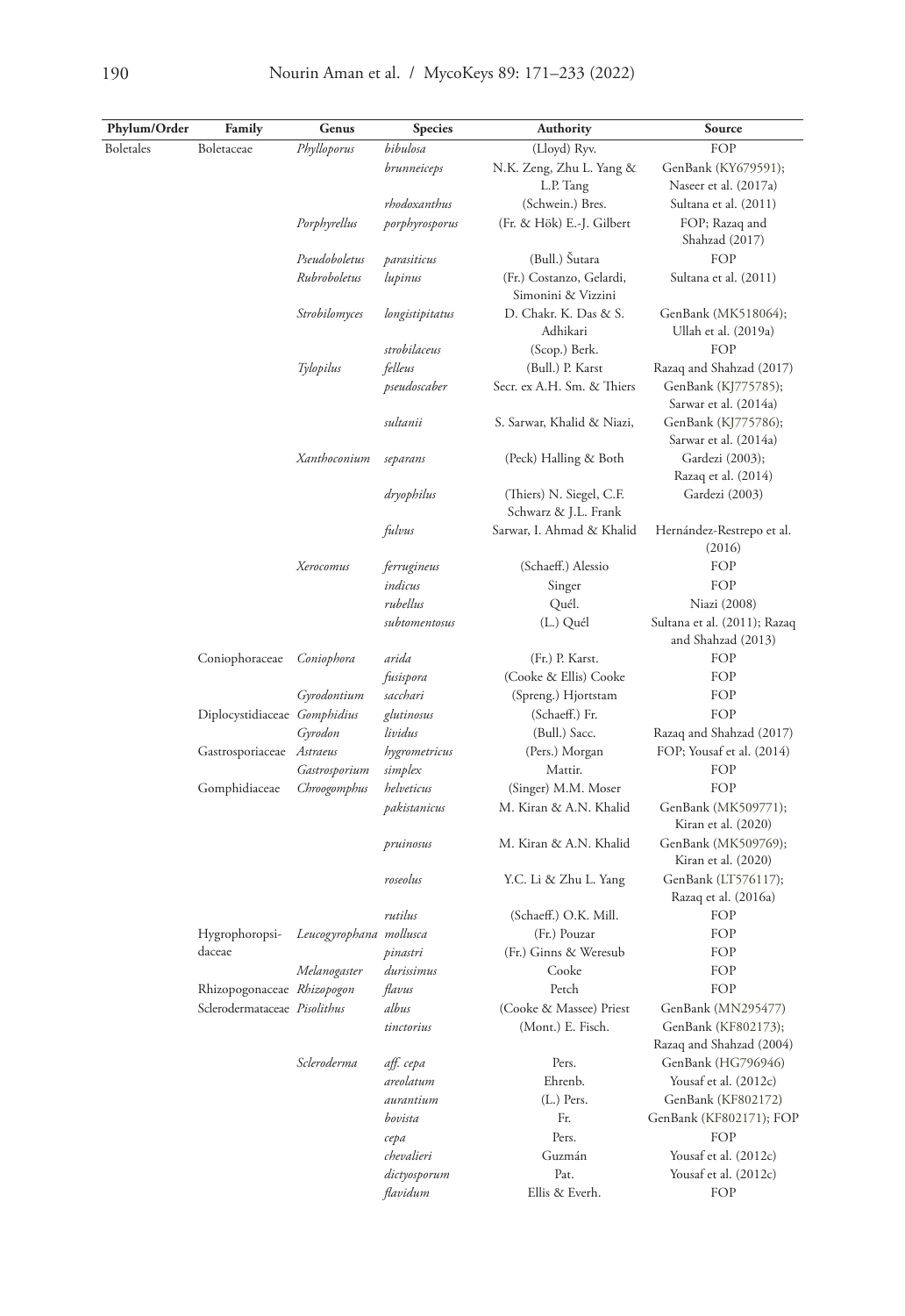| Phylum/Order     | Family                       | Genus                   | Species         | Authority                  | Source                       |
|------------------|------------------------------|-------------------------|-----------------|----------------------------|------------------------------|
| <b>Boletales</b> | Boletaceae                   | Phylloporus             | bibulosa        | (Lloyd) Ryv.               | FOP                          |
|                  |                              |                         | brunneiceps     | N.K. Zeng, Zhu L. Yang &   | GenBank (KY679591);          |
|                  |                              |                         |                 | L.P. Tang                  | Naseer et al. (2017a)        |
|                  |                              |                         | rhodoxanthus    | (Schwein.) Bres.           | Sultana et al. (2011)        |
|                  |                              | Porphyrellus            | porphyrosporus  | (Fr. & Hök) E.-J. Gilbert  | FOP; Razaq and               |
|                  |                              |                         |                 |                            | Shahzad (2017)               |
|                  |                              | Pseudoboletus           |                 | (Bull.) Sutara             | FOP                          |
|                  |                              |                         | parasiticus     |                            |                              |
|                  |                              | Rubroboletus            | lupinus         | (Fr.) Costanzo, Gelardi,   | Sultana et al. (2011)        |
|                  |                              |                         |                 | Simonini & Vizzini         |                              |
|                  |                              | Strobilomyces           | longistipitatus | D. Chakr. K. Das & S.      | GenBank (MK518064);          |
|                  |                              |                         |                 | Adhikari                   | Ullah et al. (2019a)         |
|                  |                              |                         | strobilaceus    | (Scop.) Berk.              | FOP                          |
|                  |                              | Tylopilus               | felleus         | (Bull.) P. Karst           | Razaq and Shahzad (2017)     |
|                  |                              |                         | pseudoscaber    | Secr. ex A.H. Sm. & Thiers | GenBank (KJ775785);          |
|                  |                              |                         |                 |                            | Sarwar et al. (2014a)        |
|                  |                              |                         | sultanii        | S. Sarwar, Khalid & Niazi, | GenBank (KJ775786);          |
|                  |                              |                         |                 |                            | Sarwar et al. (2014a)        |
|                  |                              | Xanthoconium            | separans        | (Peck) Halling & Both      | Gardezi (2003);              |
|                  |                              |                         |                 |                            | Razaq et al. (2014)          |
|                  |                              |                         | dryophilus      | (Thiers) N. Siegel, C.F.   | Gardezi (2003)               |
|                  |                              |                         |                 | Schwarz & J.L. Frank       |                              |
|                  |                              |                         | fulvus          | Sarwar, I. Ahmad & Khalid  | Hernández-Restrepo et al.    |
|                  |                              |                         |                 |                            | (2016)                       |
|                  |                              | Xerocomus               | ferrugineus     | (Schaeff.) Alessio         | FOP                          |
|                  |                              |                         | indicus         | Singer                     | FOP                          |
|                  |                              |                         | rubellus        | Quél.                      | Niazi (2008)                 |
|                  |                              |                         | subtomentosus   | (L.) Quél                  | Sultana et al. (2011); Razaq |
|                  |                              |                         |                 |                            | and Shahzad (2013)           |
|                  | Coniophoraceae               | Coniophora              | arida           | (Fr.) P. Karst.            | FOP                          |
|                  |                              |                         | fusispora       | (Cooke & Ellis) Cooke      | FOP                          |
|                  |                              | Gyrodontium             | sacchari        | (Spreng.) Hjortstam        | FOP                          |
|                  | Diplocystidiaceae Gomphidius |                         | glutinosus      | (Schaeff.) Fr.             | FOP                          |
|                  |                              | Gyrodon                 | lividus         | (Bull.) Sacc.              | Razaq and Shahzad (2017)     |
|                  | Gastrosporiaceae Astraeus    |                         | hygrometricus   | (Pers.) Morgan             | FOP; Yousaf et al. (2014)    |
|                  |                              | Gastrosporium           | simplex         | Mattir.                    | FOP                          |
|                  | Gomphidiaceae                | Chroogomphus            | helveticus      | (Singer) M.M. Moser        | FOP                          |
|                  |                              |                         | pakistanicus    | M. Kiran & A.N. Khalid     | GenBank (MK509771);          |
|                  |                              |                         |                 |                            | Kiran et al. (2020)          |
|                  |                              |                         | pruinosus       | M. Kiran & A.N. Khalid     | GenBank (MK509769);          |
|                  |                              |                         |                 |                            | Kiran et al. (2020)          |
|                  |                              |                         | roseolus        |                            |                              |
|                  |                              |                         |                 | Y.C. Li & Zhu L. Yang      | GenBank (LT576117);          |
|                  |                              |                         | rutilus         | (Schaeff.) O.K. Mill.      | Razaq et al. (2016a)<br>FOP  |
|                  |                              |                         |                 | (Fr.) Pouzar               |                              |
|                  | Hygrophoropsi-<br>daceae     | Leucogyrophana mollusca |                 |                            | FOP                          |
|                  |                              |                         | pinastri        | (Fr.) Ginns & Weresub      | FOP                          |
|                  |                              | Melanogaster            | durissimus      | Cooke                      | FOP                          |
|                  | Rhizopogonaceae Rhizopogon   |                         | flavus          | Petch                      | FOP                          |
|                  | Sclerodermataceae Pisolithus |                         | albus           | (Cooke & Massee) Priest    | GenBank (MN295477)           |
|                  |                              |                         | tinctorius      | (Mont.) E. Fisch.          | GenBank (KF802173);          |
|                  |                              |                         |                 |                            | Razaq and Shahzad (2004)     |
|                  |                              | Scleroderma             | aff. cepa       | Pers.                      | GenBank (HG796946)           |
|                  |                              |                         | areolatum       | Ehrenb.                    | Yousaf et al. (2012c)        |
|                  |                              |                         | aurantium       | (L.) Pers.                 | GenBank (KF802172)           |
|                  |                              |                         | bovista         | Fr.                        | GenBank (KF802171); FOP      |
|                  |                              |                         | cepa            | Pers.                      | FOP                          |
|                  |                              |                         | chevalieri      | Guzmán                     | Yousaf et al. (2012c)        |
|                  |                              |                         | dictyosporum    | Pat.                       | Yousaf et al. (2012c)        |
|                  |                              |                         | flavidum        | Ellis & Everh.             | FOP                          |
|                  |                              |                         |                 |                            |                              |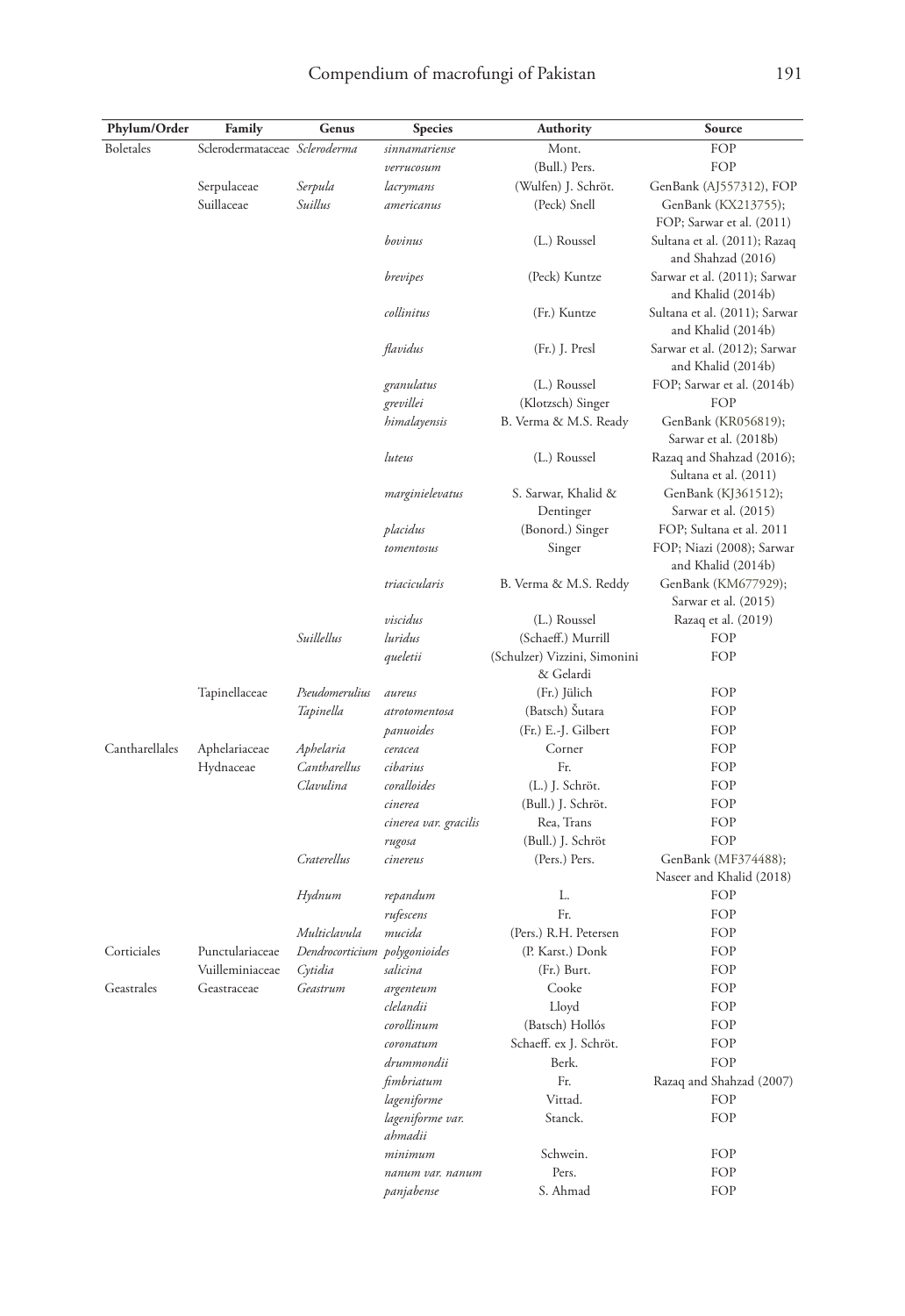| Phylum/Order     | Family                        | Genus                         | Species                     | Authority                                 | Source                                                                   |
|------------------|-------------------------------|-------------------------------|-----------------------------|-------------------------------------------|--------------------------------------------------------------------------|
| <b>Boletales</b> | Sclerodermataceae Scleroderma |                               | sinnamariense               | Mont.                                     | FOP                                                                      |
|                  |                               |                               | verrucosum                  | (Bull.) Pers.                             | FOP                                                                      |
|                  | Serpulaceae                   | Serpula                       | lacrymans                   | (Wulfen) J. Schröt.                       | GenBank (AJ557312), FOP                                                  |
|                  | Suillaceae                    | Suillus                       | americanus                  | (Peck) Snell                              | GenBank (KX213755);                                                      |
|                  |                               |                               |                             |                                           | FOP; Sarwar et al. (2011)                                                |
|                  |                               |                               | bovinus                     | (L.) Roussel                              | Sultana et al. (2011); Razaq                                             |
|                  |                               |                               | brevipes                    | (Peck) Kuntze                             | and Shahzad (2016)<br>Sarwar et al. (2011); Sarwar<br>and Khalid (2014b) |
|                  |                               |                               | collinitus                  | (Fr.) Kuntze                              | Sultana et al. (2011); Sarwar<br>and Khalid (2014b)                      |
|                  |                               |                               | flavidus                    | (Fr.) J. Presl                            | Sarwar et al. (2012); Sarwar<br>and Khalid (2014b)                       |
|                  |                               |                               | granulatus                  | (L.) Roussel                              | FOP; Sarwar et al. (2014b)                                               |
|                  |                               |                               | grevillei                   | (Klotzsch) Singer                         | FOP                                                                      |
|                  |                               |                               | himalayensis                | B. Verma & M.S. Ready                     | GenBank (KR056819);<br>Sarwar et al. (2018b)                             |
|                  |                               |                               | luteus                      | (L.) Roussel                              | Razaq and Shahzad (2016);<br>Sultana et al. (2011)                       |
|                  |                               |                               | marginielevatus             | S. Sarwar, Khalid &<br>Dentinger          | GenBank (KJ361512);<br>Sarwar et al. (2015)                              |
|                  |                               |                               | placidus                    | (Bonord.) Singer                          | FOP; Sultana et al. 2011                                                 |
|                  |                               |                               | tomentosus                  | Singer                                    | FOP; Niazi (2008); Sarwar<br>and Khalid (2014b)                          |
|                  |                               |                               | triacicularis               | B. Verma & M.S. Reddy                     | GenBank (KM677929);<br>Sarwar et al. (2015)                              |
|                  |                               |                               | viscidus                    | (L.) Roussel                              | Razaq et al. (2019)                                                      |
|                  |                               | Suillellus                    | luridus                     | (Schaeff.) Murrill                        | FOP                                                                      |
|                  |                               |                               | queletii                    | (Schulzer) Vizzini, Simonini<br>& Gelardi | FOP                                                                      |
|                  | Tapinellaceae                 | Pseudomerulius                | aureus                      | (Fr.) Jülich                              | FOP                                                                      |
|                  |                               | Tapinella                     | atrotomentosa               | (Batsch) Sutara                           | FOP                                                                      |
|                  |                               |                               | panuoides                   | (Fr.) E.-J. Gilbert                       | FOP                                                                      |
| Cantharellales   | Aphelariaceae                 | Aphelaria                     | ceracea                     | Corner                                    | FOP                                                                      |
|                  | Hydnaceae                     | Cantharellus                  | cibarius                    | Fr.                                       | FOP                                                                      |
|                  |                               | Clavulina                     | coralloides                 | (L.) J. Schröt.                           | FOP                                                                      |
|                  |                               |                               | cinerea                     | (Bull.) J. Schröt.                        | FOP                                                                      |
|                  |                               |                               | cinerea var. gracilis       | Rea, Trans                                | FOP                                                                      |
|                  |                               |                               | rugosa                      | (Bull.) J. Schröt                         | FOP                                                                      |
|                  |                               | Craterellus                   | cinereus                    | (Pers.) Pers.                             | GenBank (MF374488);<br>Naseer and Khalid (2018)                          |
|                  |                               | Hydnum                        | repandum                    | L.                                        | FOP                                                                      |
|                  |                               |                               | rufescens                   | Fr.                                       | FOP                                                                      |
|                  |                               | Multiclavula                  | mucida                      | (Pers.) R.H. Petersen                     | FOP                                                                      |
| Corticiales      | Punctulariaceae               | Dendrocorticium polygonioides |                             | (P. Karst.) Donk                          | FOP                                                                      |
|                  | Vuilleminiaceae               | Cytidia                       | salicina                    | (Fr.) Burt.                               | FOP                                                                      |
| Geastrales       | Geastraceae                   |                               | argenteum                   | Cooke                                     | FOP                                                                      |
|                  |                               |                               | clelandii                   | Lloyd                                     | FOP                                                                      |
|                  |                               |                               | corollinum                  | (Batsch) Hollós                           | FOP                                                                      |
|                  |                               |                               | coronatum                   | Schaeff. ex J. Schröt.                    | FOP                                                                      |
|                  |                               |                               | drummondii                  | Berk.                                     | FOP                                                                      |
|                  |                               |                               | fimbriatum                  | Fr.                                       | Razaq and Shahzad (2007)                                                 |
|                  |                               |                               | lageniforme                 | Vittad.                                   | FOP                                                                      |
|                  |                               |                               | lageniforme var.<br>ahmadii | Stanck.                                   | FOP                                                                      |
|                  |                               |                               | minimum                     | Schwein.                                  | FOP                                                                      |
|                  |                               |                               | nanum var. nanum            | Pers.                                     | FOP                                                                      |
|                  |                               |                               | panjabense                  | S. Ahmad                                  | FOP                                                                      |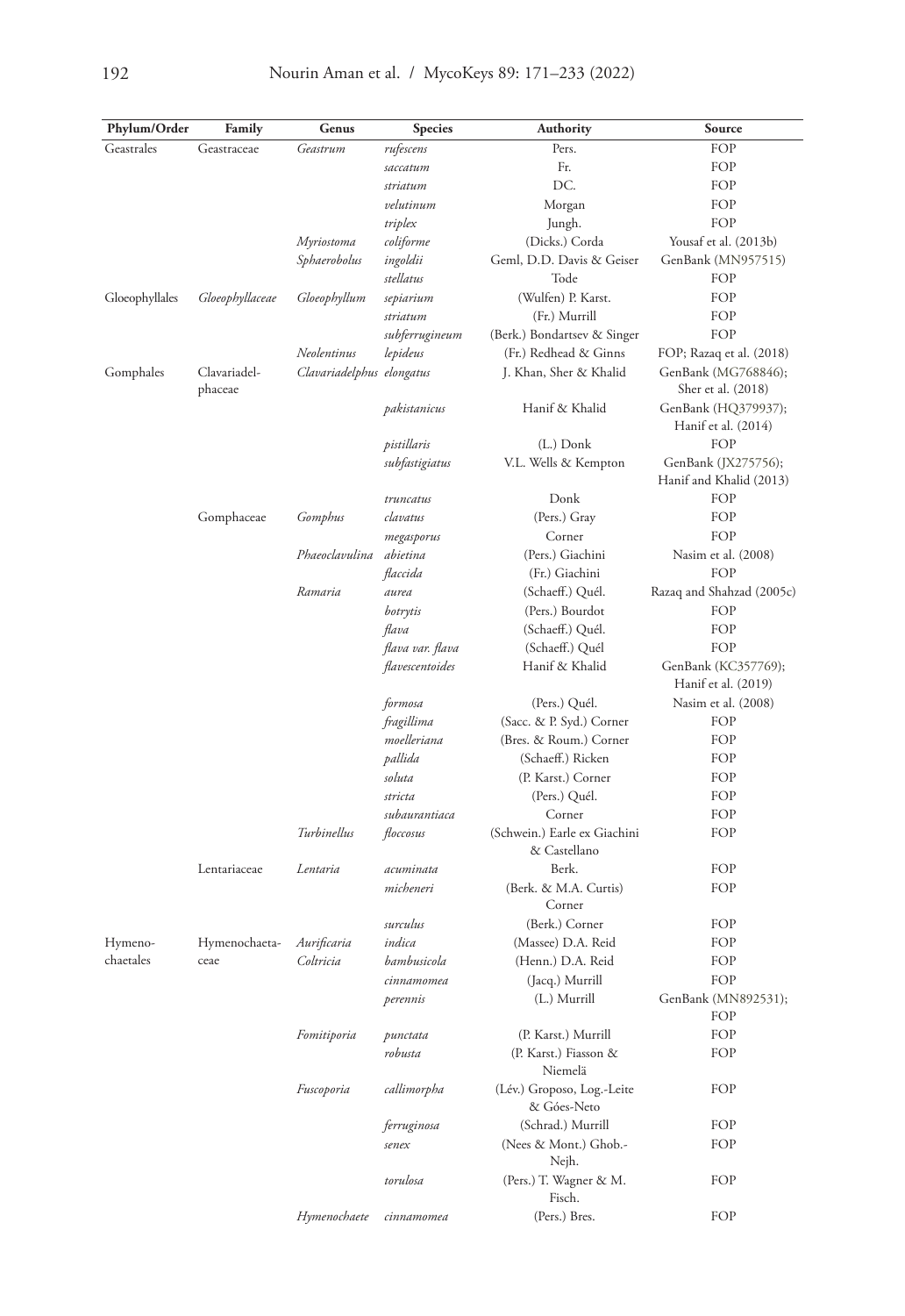| Phylum/Order   | Family                  | Genus                     | <b>Species</b>   | Authority                                    | Source                                     |
|----------------|-------------------------|---------------------------|------------------|----------------------------------------------|--------------------------------------------|
| Geastrales     | Geastraceae             | Geastrum                  | rufescens        | Pers.                                        | FOP                                        |
|                |                         |                           | saccatum         | Fr.                                          | FOP                                        |
|                |                         |                           | striatum         | DC.                                          | FOP                                        |
|                |                         |                           | velutinum        | Morgan                                       | FOP                                        |
|                |                         |                           | triplex          | Jungh.                                       | FOP                                        |
|                |                         | Myriostoma                | coliforme        | (Dicks.) Corda                               | Yousaf et al. (2013b)                      |
|                |                         | Sphaerobolus              | ingoldii         | Geml, D.D. Davis & Geiser                    | GenBank (MN957515)                         |
|                |                         |                           | stellatus        | Tode                                         | FOP                                        |
| Gloeophyllales | Gloeophyllaceae         | Gloeophyllum              | sepiarium        | (Wulfen) P. Karst.                           | FOP                                        |
|                |                         |                           | striatum         | (Fr.) Murrill                                | FOP                                        |
|                |                         |                           | subferrugineum   | (Berk.) Bondartsev & Singer                  | FOP                                        |
|                |                         | Neolentinus               | lepideus         | (Fr.) Redhead & Ginns                        | FOP; Razaq et al. (2018)                   |
| Gomphales      | Clavariadel-<br>phaceae | Clavariadelphus elongatus |                  | J. Khan, Sher & Khalid                       | GenBank (MG768846);<br>Sher et al. (2018)  |
|                |                         |                           | pakistanicus     | Hanif & Khalid                               | GenBank (HQ379937);<br>Hanif et al. (2014) |
|                |                         |                           | pistillaris      | $(L.)$ Donk                                  | FOP                                        |
|                |                         |                           | subfastigiatus   | V.L. Wells & Kempton                         | GenBank (JX275756);                        |
|                |                         |                           |                  |                                              | Hanif and Khalid (2013)                    |
|                |                         |                           | truncatus        | Donk                                         | FOP                                        |
|                | Gomphaceae              | Gomphus                   | clavatus         | (Pers.) Gray                                 | FOP                                        |
|                |                         |                           | megasporus       | Corner                                       | FOP                                        |
|                |                         | Phaeoclavulina            | abietina         | (Pers.) Giachini                             | Nasim et al. (2008)                        |
|                |                         |                           | flaccida         | (Fr.) Giachini                               | FOP                                        |
|                |                         | Ramaria                   | aurea            | (Schaeff.) Quél.                             | Razaq and Shahzad (2005c)                  |
|                |                         |                           | botrytis         | (Pers.) Bourdot                              | FOP                                        |
|                |                         |                           | flava            | (Schaeff.) Quél.                             | FOP                                        |
|                |                         |                           | flava var. flava | (Schaeff.) Quél                              | FOP                                        |
|                |                         |                           | flavescentoides  | Hanif & Khalid                               | GenBank (KC357769);                        |
|                |                         |                           |                  |                                              | Hanif et al. (2019)                        |
|                |                         |                           | formosa          | (Pers.) Quél.                                | Nasim et al. (2008)                        |
|                |                         |                           | fragillima       | (Sacc. & P. Syd.) Corner                     | FOP                                        |
|                |                         |                           | moelleriana      | (Bres. & Roum.) Corner                       | FOP                                        |
|                |                         |                           | pallida          | (Schaeff.) Ricken                            | FOP                                        |
|                |                         |                           | soluta           | (P. Karst.) Corner                           | FOP                                        |
|                |                         |                           | stricta          | (Pers.) Quél.                                | FOP                                        |
|                |                         |                           | subaurantiaca    | Corner                                       | FOP                                        |
|                |                         | Turbinellus               | floccosus        | (Schwein.) Earle ex Giachini<br>& Castellano | FOP                                        |
|                | Lentariaceae            | Lentaria                  | acuminata        | Berk.                                        | FOP                                        |
|                |                         |                           | micheneri        | (Berk. & M.A. Curtis)<br>Corner              | FOP                                        |
|                |                         |                           | surculus         | (Berk.) Corner                               | FOP                                        |
| Hymeno-        | Hymenochaeta-           | Aurificaria               | indica           | (Massee) D.A. Reid                           | FOP                                        |
| chaetales      | ceae                    | Coltricia                 | bambusicola      | (Henn.) D.A. Reid                            | FOP                                        |
|                |                         |                           | cinnamomea       | (Jacq.) Murrill                              | FOP                                        |
|                |                         |                           | perennis         | (L.) Murrill                                 | GenBank (MN892531);<br>FOP                 |
|                |                         | Fomitiporia               | punctata         | (P. Karst.) Murrill                          | FOP                                        |
|                |                         |                           | robusta          | (P. Karst.) Fiasson &<br>Niemelä             | FOP                                        |
|                |                         | Fuscoporia                | callimorpha      | (Lév.) Groposo, Log.-Leite<br>& Góes-Neto    | FOP                                        |
|                |                         |                           | ferruginosa      | (Schrad.) Murrill                            | FOP                                        |
|                |                         |                           | senex            | (Nees & Mont.) Ghob.-<br>Nejh.               | FOP                                        |
|                |                         |                           | torulosa         | (Pers.) T. Wagner & M.<br>Fisch.             | FOP                                        |
|                |                         | Hymenochaete              | cinnamomea       | (Pers.) Bres.                                | FOP                                        |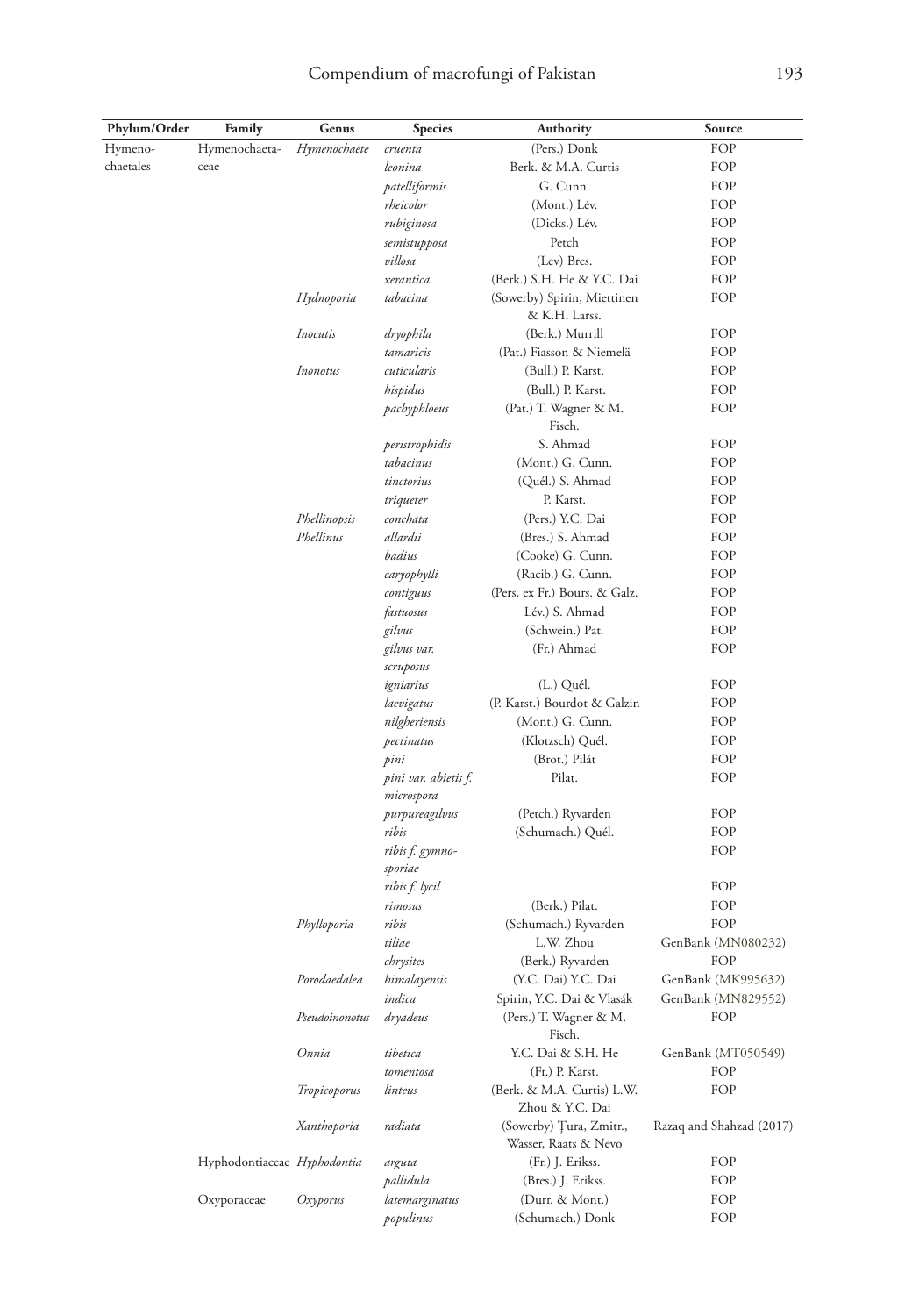| Phylum/Order | Family                      | Genus          | Species                            | <b>Authority</b>                                | Source                   |
|--------------|-----------------------------|----------------|------------------------------------|-------------------------------------------------|--------------------------|
| Hymeno-      | Hymenochaeta-               | Hymenochaete   | cruenta                            | (Pers.) Donk                                    | FOP                      |
| chaetales    | ceae                        |                | leonina                            | Berk. & M.A. Curtis                             | FOP                      |
|              |                             |                | patelliformis                      | G. Cunn.                                        | FOP                      |
|              |                             |                | rheicolor                          | (Mont.) Lév.                                    | FOP                      |
|              |                             |                | rubiginosa                         | (Dicks.) Lév.                                   | FOP                      |
|              |                             |                | semistupposa                       | Petch                                           | FOP                      |
|              |                             |                | villosa                            | (Lev) Bres.                                     | FOP                      |
|              |                             |                | xerantica                          | (Berk.) S.H. He & Y.C. Dai                      | FOP                      |
|              |                             | Hydnoporia     | tabacina                           | (Sowerby) Spirin, Miettinen                     | FOP                      |
|              |                             |                |                                    | & K.H. Larss.                                   |                          |
|              |                             | Inocutis       | dryophila                          | (Berk.) Murrill                                 | FOP                      |
|              |                             |                | tamaricis                          | (Pat.) Fiasson & Niemelä                        | FOP                      |
|              |                             | Inonotus       | cuticularis                        | (Bull.) P. Karst.                               | FOP                      |
|              |                             |                | hispidus                           | (Bull.) P. Karst.                               | FOP                      |
|              |                             |                | pachyphloeus                       | (Pat.) T. Wagner & M.<br>Fisch.                 | FOP                      |
|              |                             |                | peristrophidis                     | S. Ahmad                                        | FOP                      |
|              |                             |                | tabacinus                          | (Mont.) G. Cunn.                                | FOP                      |
|              |                             |                | tinctorius                         | (Quél.) S. Ahmad                                | FOP                      |
|              |                             |                | triqueter                          | P. Karst.                                       | FOP                      |
|              |                             | Phellinopsis   | conchata                           | (Pers.) Y.C. Dai                                | FOP                      |
|              |                             | Phellinus      | allardii                           | (Bres.) S. Ahmad                                | FOP                      |
|              |                             |                | badius                             | (Cooke) G. Cunn.                                | FOP                      |
|              |                             |                | caryophylli                        | (Racib.) G. Cunn.                               | FOP                      |
|              |                             |                | contiguus                          | (Pers. ex Fr.) Bours. & Galz.                   | FOP                      |
|              |                             |                | fastuosus                          | Lév.) S. Ahmad                                  | FOP                      |
|              |                             |                | gilvus                             | (Schwein.) Pat.                                 | FOP                      |
|              |                             |                | gilvus var.                        | (Fr.) Ahmad                                     | FOP                      |
|              |                             |                | scruposus                          |                                                 |                          |
|              |                             |                | igniarius                          | (L.) Quél.                                      | FOP                      |
|              |                             |                | laevigatus                         | (P. Karst.) Bourdot & Galzin                    | FOP                      |
|              |                             |                | nilgheriensis                      | (Mont.) G. Cunn.                                | FOP                      |
|              |                             |                | pectinatus                         | (Klotzsch) Quél.                                | FOP                      |
|              |                             |                | pini                               | (Brot.) Pilát                                   | FOP                      |
|              |                             |                | pini var. abietis f.<br>microspora | Pilat.                                          | FOP                      |
|              |                             |                | purpureagilvus                     | (Petch.) Ryvarden                               | FOP                      |
|              |                             |                | ribis                              | (Schumach.) Quél.                               | FOP                      |
|              |                             |                | ribis f. gymno-                    |                                                 | FOP                      |
|              |                             |                | sporiae                            |                                                 |                          |
|              |                             |                | ribis f. lycil                     |                                                 | FOP                      |
|              |                             |                | rimosus                            | (Berk.) Pilat.                                  | FOP                      |
|              |                             | Phylloporia    | ribis                              | (Schumach.) Ryvarden                            | FOP                      |
|              |                             |                | tiliae                             | L.W. Zhou                                       | GenBank (MN080232)       |
|              |                             |                | chrysites                          | (Berk.) Ryvarden                                | FOP                      |
|              |                             | Porodaedalea   | himalayensis                       | (Y.C. Dai) Y.C. Dai                             | GenBank (MK995632)       |
|              |                             |                | indica                             | Spirin, Y.C. Dai & Vlasák                       | GenBank (MN829552)       |
|              |                             | Pseudoinonotus | dryadeus                           | (Pers.) T. Wagner & M.<br>Fisch.                | FOP                      |
|              |                             | Onnia          | tibetica                           | Y.C. Dai & S.H. He                              | GenBank (MT050549)       |
|              |                             |                | tomentosa                          | (Fr.) P. Karst.                                 | FOP                      |
|              |                             | Tropicoporus   | linteus                            | (Berk. & M.A. Curtis) L.W.<br>Zhou & Y.C. Dai   | FOP                      |
|              |                             | Xanthoporia    | radiata                            | (Sowerby) Țura, Zmitr.,<br>Wasser, Raats & Nevo | Razaq and Shahzad (2017) |
|              | Hyphodontiaceae Hyphodontia |                | arguta                             | (Fr.) J. Erikss.                                | FOP                      |
|              |                             |                | pallidula                          | (Bres.) J. Erikss.                              | FOP                      |
|              | Oxyporaceae                 | Oxyporus       | latemarginatus                     | (Durr. & Mont.)                                 | FOP                      |
|              |                             |                | populinus                          | (Schumach.) Donk                                | FOP                      |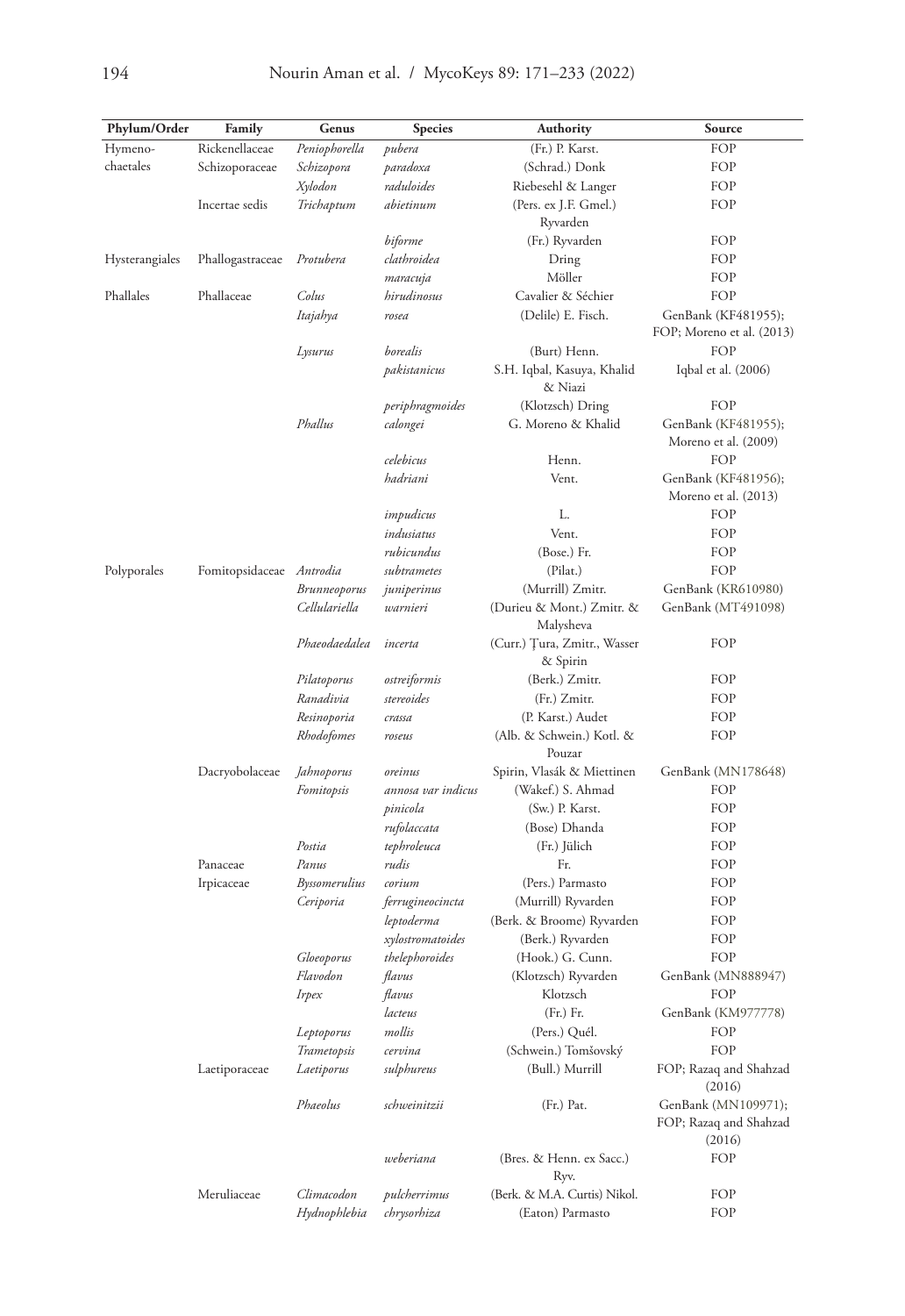| Phylum/Order   | Family                   | Genus                      | Species                     | <b>Authority</b>                                 | Source                                                  |
|----------------|--------------------------|----------------------------|-----------------------------|--------------------------------------------------|---------------------------------------------------------|
| Hymeno-        | Rickenellaceae           | Peniophorella              | pubera                      | (Fr.) P. Karst.                                  | FOP                                                     |
| chaetales      | Schizoporaceae           | Schizopora                 | paradoxa                    | (Schrad.) Donk                                   | FOP                                                     |
|                |                          | Xylodon                    | raduloides                  | Riebesehl & Langer                               | FOP                                                     |
|                | Incertae sedis           | Trichaptum                 | abietinum                   | (Pers. ex J.F. Gmel.)                            | FOP                                                     |
|                |                          |                            |                             | Ryvarden                                         |                                                         |
|                |                          |                            | biforme                     | (Fr.) Ryvarden                                   | FOP                                                     |
| Hysterangiales | Phallogastraceae         | Protubera                  | clathroidea                 | Dring                                            | FOP                                                     |
|                |                          |                            | maracuja                    | Möller                                           | FOP                                                     |
| Phallales      | Phallaceae               | Colus                      | hirudinosus                 | Cavalier & Séchier                               | FOP                                                     |
|                |                          |                            |                             | (Delile) E. Fisch.                               |                                                         |
|                |                          | Itajahya                   | rosea                       |                                                  | GenBank (KF481955);                                     |
|                |                          | Lysurus                    | borealis                    | (Burt) Henn.                                     | FOP; Moreno et al. (2013)<br>FOP                        |
|                |                          |                            | pakistanicus                |                                                  |                                                         |
|                |                          |                            |                             | S.H. Iqbal, Kasuya, Khalid<br>& Niazi            | Iqbal et al. (2006)                                     |
|                |                          |                            | periphragmoides             | (Klotzsch) Dring                                 | FOP                                                     |
|                |                          | Phallus                    | calongei                    | G. Moreno & Khalid                               | GenBank (KF481955);                                     |
|                |                          |                            |                             |                                                  | Moreno et al. (2009)                                    |
|                |                          |                            | celebicus                   | Henn.                                            | FOP                                                     |
|                |                          |                            | hadriani                    | Vent.                                            | GenBank (KF481956);                                     |
|                |                          |                            |                             |                                                  | Moreno et al. (2013)                                    |
|                |                          |                            | impudicus                   | L.                                               | FOP                                                     |
|                |                          |                            | indusiatus                  | Vent.                                            | FOP                                                     |
|                |                          |                            | rubicundus                  | (Bose.) Fr.                                      | FOP                                                     |
| Polyporales    | Fomitopsidaceae Antrodia |                            | subtrametes                 | (Pilat.)                                         | FOP                                                     |
|                |                          | Brunneoporus               | juniperinus                 | (Murrill) Zmitr.                                 | GenBank (KR610980)                                      |
|                |                          | Cellulariella              | warnieri                    | (Durieu & Mont.) Zmitr. &                        | GenBank (MT491098)                                      |
|                |                          |                            |                             | Malysheva                                        |                                                         |
|                |                          | Phaeodaedalea              | incerta                     | (Curr.) Tura, Zmitr., Wasser<br>& Spirin         | FOP                                                     |
|                |                          | Pilatoporus                | ostreiformis                | (Berk.) Zmitr.                                   | FOP                                                     |
|                |                          | Ranadivia                  | stereoides                  | (Fr.) Zmitr.                                     | FOP                                                     |
|                |                          | Resinoporia                | crassa                      | (P. Karst.) Audet                                | FOP                                                     |
|                |                          |                            | roseus                      | (Alb. & Schwein.) Kotl. &                        | FOP                                                     |
|                |                          | Rhodofomes                 |                             | Pouzar                                           |                                                         |
|                | Dacryobolaceae           | Jahnoporus                 | oreinus                     | Spirin, Vlasák & Miettinen                       | GenBank (MN178648)                                      |
|                |                          | Fomitopsis                 | annosa var indicus          | (Wakef.) S. Ahmad                                | FOP                                                     |
|                |                          |                            | pinicola                    | (Sw.) P. Karst.                                  | FOP                                                     |
|                |                          |                            | rufolaccata                 | (Bose) Dhanda                                    | FOP                                                     |
|                |                          | Postia                     | tephroleuca                 | (Fr.) Jülich                                     | FOP                                                     |
|                | Panaceae                 | Panus                      | rudis                       | Fr.                                              | FOP                                                     |
|                | Irpicaceae               | Byssomerulius              | corium                      | (Pers.) Parmasto                                 | FOP                                                     |
|                |                          | Ceriporia                  | ferrugineocincta            | (Murrill) Ryvarden                               | FOP                                                     |
|                |                          |                            | leptoderma                  | (Berk. & Broome) Ryvarden                        | FOP                                                     |
|                |                          |                            | xylostromatoides            | (Berk.) Ryvarden                                 | FOP                                                     |
|                |                          | Gloeoporus                 | thelephoroides              | (Hook.) G. Cunn.                                 | FOP                                                     |
|                |                          | Flavodon                   | flavus                      | (Klotzsch) Ryvarden                              | GenBank (MN888947)                                      |
|                |                          | Irpex                      | flavus                      | Klotzsch                                         | FOP                                                     |
|                |                          |                            | lacteus                     | (Fr.) Fr.                                        | GenBank (KM977778)                                      |
|                |                          | Leptoporus                 | mollis                      | (Pers.) Quél.                                    | FOP                                                     |
|                |                          | Trametopsis                | cervina                     | (Schwein.) Tomšovský                             | FOP                                                     |
|                | Laetiporaceae            | Laetiporus                 | sulphureus                  | (Bull.) Murrill                                  | FOP; Razaq and Shahzad                                  |
|                |                          | Phaeolus                   | schweinitzii                | $(Fr.)$ Pat.                                     | (2016)<br>GenBank (MN109971);<br>FOP; Razaq and Shahzad |
|                |                          |                            | weberiana                   | (Bres. & Henn. ex Sacc.)                         | (2016)<br>FOP                                           |
|                |                          |                            |                             | Ryv.                                             |                                                         |
|                | Meruliaceae              | Climacodon<br>Hydnophlebia | pulcherrimus<br>chrysorhiza | (Berk. & M.A. Curtis) Nikol.<br>(Eaton) Parmasto | FOP<br>FOP                                              |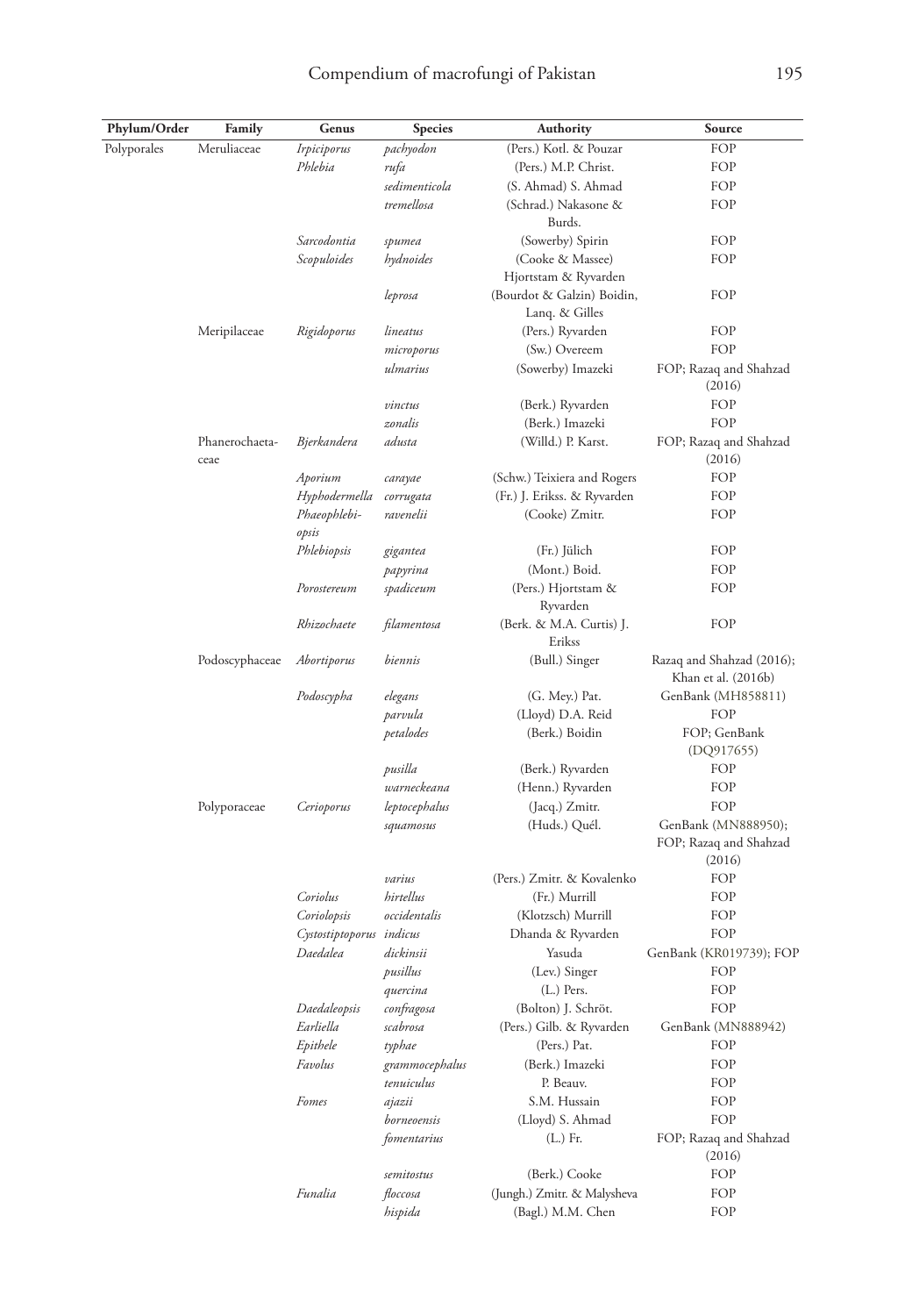| Phylum/Order | Family         | Genus            | Species        | Authority                          | Source                           |
|--------------|----------------|------------------|----------------|------------------------------------|----------------------------------|
| Polyporales  | Meruliaceae    | Irpiciporus      | pachyodon      | (Pers.) Kotl. & Pouzar             | FOP                              |
|              |                | Phlebia          | rufa           | (Pers.) M.P. Christ.               | FOP                              |
|              |                |                  | sedimenticola  | (S. Ahmad) S. Ahmad                | FOP                              |
|              |                |                  | tremellosa     | (Schrad.) Nakasone &               | FOP                              |
|              |                |                  |                | Burds.                             |                                  |
|              |                | Sarcodontia      | spumea         | (Sowerby) Spirin                   | FOP                              |
|              |                | Scopuloides      | hydnoides      | (Cooke & Massee)                   | FOP                              |
|              |                |                  |                | Hjortstam & Ryvarden               |                                  |
|              |                |                  | leprosa        | (Bourdot & Galzin) Boidin,         | FOP                              |
|              |                |                  |                | Lanq. & Gilles                     |                                  |
|              | Meripilaceae   | Rigidoporus      | lineatus       | (Pers.) Ryvarden                   | FOP                              |
|              |                |                  | microporus     | (Sw.) Overeem                      | FOP                              |
|              |                |                  | ulmarius       | (Sowerby) Imazeki                  | FOP; Razaq and Shahzad           |
|              |                |                  |                |                                    | (2016)                           |
|              |                |                  | vinctus        | (Berk.) Ryvarden                   | FOP                              |
|              |                |                  | zonalis        | (Berk.) Imazeki                    | FOP                              |
|              | Phanerochaeta- | Bjerkandera      | adusta         | (Willd.) P. Karst.                 | FOP; Razaq and Shahzad           |
|              | ceae           |                  |                |                                    | (2016)                           |
|              |                | Aporium          | carayae        | (Schw.) Teixiera and Rogers        | FOP                              |
|              |                | Hyphodermella    | corrugata      | (Fr.) J. Erikss. & Ryvarden        | FOP                              |
|              |                | Phaeophlebi-     | ravenelii      | (Cooke) Zmitr.                     | FOP                              |
|              |                | opsis            |                |                                    |                                  |
|              |                | Phlebiopsis      | gigantea       | (Fr.) Jülich                       | FOP                              |
|              |                |                  | papyrina       | (Mont.) Boid.                      | FOP                              |
|              |                | Porostereum      | spadiceum      | (Pers.) Hjortstam &                | FOP                              |
|              |                |                  |                | Ryvarden                           |                                  |
|              |                | Rhizochaete      | filamentosa    | (Berk. & M.A. Curtis) J.<br>Erikss | FOP                              |
|              | Podoscyphaceae | Abortiporus      | biennis        | (Bull.) Singer                     | Razaq and Shahzad (2016);        |
|              |                |                  |                |                                    | Khan et al. (2016b)              |
|              |                | Podoscypha       | elegans        | (G. Mey.) Pat.                     | GenBank (MH858811)               |
|              |                |                  | parvula        | (Lloyd) D.A. Reid                  | FOP                              |
|              |                |                  | petalodes      | (Berk.) Boidin                     | FOP; GenBank                     |
|              |                |                  |                |                                    | (DQ917655)                       |
|              |                |                  | pusilla        | (Berk.) Ryvarden                   | FOP                              |
|              |                |                  | warneckeana    | (Henn.) Ryvarden                   | FOP                              |
|              | Polyporaceae   | Cerioporus       | leptocephalus  | (Jacq.) Zmitr.                     | FOP                              |
|              |                |                  | squamosus      | (Huds.) Quél.                      | GenBank (MN888950);              |
|              |                |                  |                |                                    | FOP; Razaq and Shahzad<br>(2016) |
|              |                |                  | varius         | (Pers.) Zmitr. & Kovalenko         | FOP                              |
|              |                | Coriolus         | hirtellus      | (Fr.) Murrill                      | FOP                              |
|              |                | Coriolopsis      | occidentalis   | (Klotzsch) Murrill                 | FOP                              |
|              |                | Cystostiptoporus | indicus        | Dhanda & Ryvarden                  | FOP                              |
|              |                | Daedalea         | dickinsii      | Yasuda                             | GenBank (KR019739); FOP          |
|              |                |                  | pusillus       | (Lev.) Singer                      | FOP                              |
|              |                |                  | quercina       | $(L.)$ Pers.                       | FOP                              |
|              |                | Daedaleopsis     | confragosa     | (Bolton) J. Schröt.                | FOP                              |
|              |                | Earliella        | scabrosa       | (Pers.) Gilb. & Ryvarden           | GenBank (MN888942)               |
|              |                | Epithele         | typhae         | (Pers.) Pat.                       | FOP                              |
|              |                | Favolus          | grammocephalus | (Berk.) Imazeki                    | FOP                              |
|              |                |                  | tenuiculus     | P. Beauv.                          | FOP                              |
|              |                | Fomes            | ajazii         | S.M. Hussain                       | FOP                              |
|              |                |                  | borneoensis    | (Lloyd) S. Ahmad                   | FOP                              |
|              |                |                  | fomentarius    | $(L.)$ Fr.                         | FOP; Razaq and Shahzad           |
|              |                |                  |                |                                    | (2016)                           |
|              |                |                  | semitostus     | (Berk.) Cooke                      | FOP                              |
|              |                | Funalia          | floccosa       | (Jungh.) Zmitr. & Malysheva        | FOP                              |
|              |                |                  | hispida        | (Bagl.) M.M. Chen                  | FOP                              |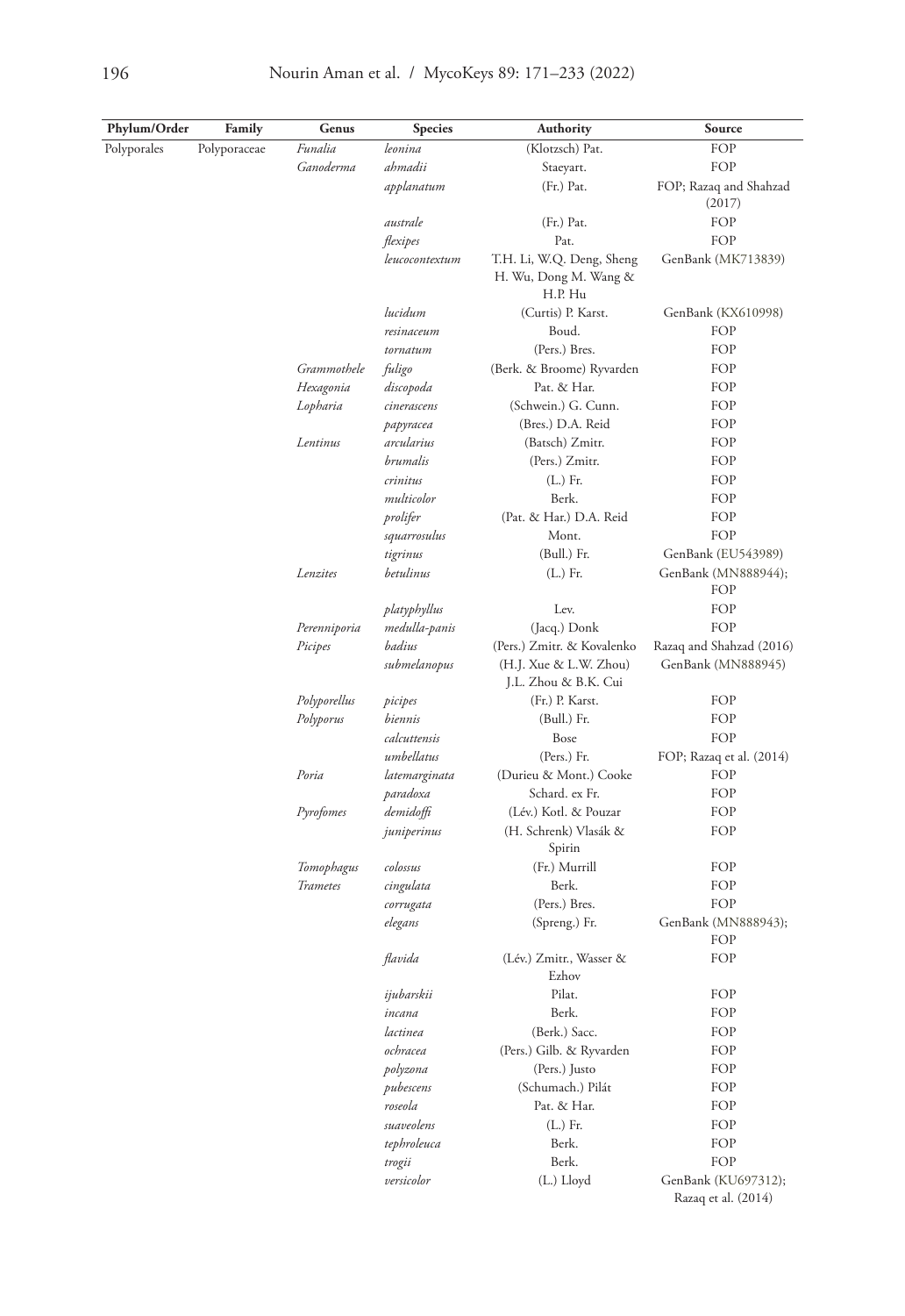| Phylum/Order | Family       | Genus        | <b>Species</b>     | <b>Authority</b>                           | Source                                    |
|--------------|--------------|--------------|--------------------|--------------------------------------------|-------------------------------------------|
| Polyporales  | Polyporaceae | Funalia      | leonina            | (Klotzsch) Pat.                            | FOP                                       |
|              |              | Ganoderma    | ahmadii            | Staeyart.                                  | FOP                                       |
|              |              |              | applanatum         | $(Fr.)$ Pat.                               | FOP; Razaq and Shahzad                    |
|              |              |              |                    |                                            | (2017)                                    |
|              |              |              | australe           | $(Fr.)$ Pat.                               | FOP                                       |
|              |              |              | flexipes           | Pat.                                       | FOP                                       |
|              |              |              | leucocontextum     | T.H. Li, W.Q. Deng, Sheng                  | GenBank (MK713839)                        |
|              |              |              |                    | H. Wu, Dong M. Wang &                      |                                           |
|              |              |              |                    | H.P. Hu                                    |                                           |
|              |              |              | lucidum            | (Curtis) P. Karst.                         | GenBank (KX610998)                        |
|              |              |              | resinaceum         | Boud.                                      | FOP                                       |
|              |              |              | tornatum           | (Pers.) Bres.                              | FOP                                       |
|              |              | Grammothele  | fuligo             | (Berk. & Broome) Ryvarden                  | FOP                                       |
|              |              | Hexagonia    | discopoda          | Pat. & Har.                                | FOP                                       |
|              |              | Lopharia     | cinerascens        | (Schwein.) G. Cunn.                        | FOP                                       |
|              |              |              | papyracea          | (Bres.) D.A. Reid                          | FOP                                       |
|              |              | Lentinus     | arcularius         | (Batsch) Zmitr.                            | FOP                                       |
|              |              |              | brumalis           | (Pers.) Zmitr.                             | FOP                                       |
|              |              |              | crinitus           | $(L.)$ Fr.                                 | FOP                                       |
|              |              |              | multicolor         | Berk.                                      | FOP                                       |
|              |              |              | prolifer           | (Pat. & Har.) D.A. Reid                    | FOP                                       |
|              |              |              |                    | Mont.                                      | FOP                                       |
|              |              |              | squarrosulus       |                                            |                                           |
|              |              | Lenzites     | tigrinus           | (Bull.) Fr.                                | GenBank (EU543989)<br>GenBank (MN888944); |
|              |              |              | betulinus          | (L.) Fr.                                   | FOP                                       |
|              |              |              |                    | Lev.                                       |                                           |
|              |              |              | platyphyllus       |                                            | FOP<br>FOP                                |
|              |              | Perenniporia | medulla-panis      | (Jacq.) Donk<br>(Pers.) Zmitr. & Kovalenko |                                           |
|              |              | Picipes      | badius             | (H.J. Xue & L.W. Zhou)                     | Razaq and Shahzad (2016)                  |
|              |              |              | submelanopus       | J.L. Zhou & B.K. Cui                       | GenBank (MN888945)                        |
|              |              | Polyporellus |                    | (Fr.) P. Karst.                            | FOP                                       |
|              |              | Polyporus    | picipes<br>biennis | (Bull.) Fr.                                | FOP                                       |
|              |              |              | calcuttensis       | Bose                                       | FOP                                       |
|              |              |              | umbellatus         | (Pers.) Fr.                                | FOP; Razaq et al. (2014)                  |
|              |              | Poria        | latemarginata      | (Durieu & Mont.) Cooke                     | FOP                                       |
|              |              |              | paradoxa           | Schard. ex Fr.                             | FOP                                       |
|              |              | Pyrofomes    | demidoffi          | (Lév.) Kotl. & Pouzar                      | FOP                                       |
|              |              |              | juniperinus        | (H. Schrenk) Vlasák &                      | FOP                                       |
|              |              |              |                    | Spirin                                     |                                           |
|              |              | Tomophagus   | colossus           | (Fr.) Murrill                              | FOP                                       |
|              |              | Trametes     | cingulata          | Berk.                                      | FOP                                       |
|              |              |              | corrugata          | (Pers.) Bres.                              | FOP                                       |
|              |              |              | elegans            | (Spreng.) Fr.                              | GenBank (MN888943);                       |
|              |              |              |                    |                                            | FOP                                       |
|              |              |              | flavida            | (Lév.) Zmitr., Wasser &                    | FOP                                       |
|              |              |              |                    | Ezhov                                      |                                           |
|              |              |              | ijubarskii         | Pilat.                                     | FOP                                       |
|              |              |              | incana             | Berk.                                      | FOP                                       |
|              |              |              | lactinea           | (Berk.) Sacc.                              | FOP                                       |
|              |              |              | ochracea           | (Pers.) Gilb. & Ryvarden                   | FOP                                       |
|              |              |              | polyzona           | (Pers.) Justo                              | FOP                                       |
|              |              |              | pubescens          | (Schumach.) Pilát                          | FOP                                       |
|              |              |              | roseola            | Pat. & Har.                                | FOP                                       |
|              |              |              | suaveolens         | (L.) Fr.                                   | FOP                                       |
|              |              |              | tephroleuca        | Berk.                                      | FOP                                       |
|              |              |              | trogii             | Berk.                                      | FOP                                       |
|              |              |              | versicolor         | (L.) Lloyd                                 | GenBank (KU697312);                       |
|              |              |              |                    |                                            | Razaq et al. (2014)                       |
|              |              |              |                    |                                            |                                           |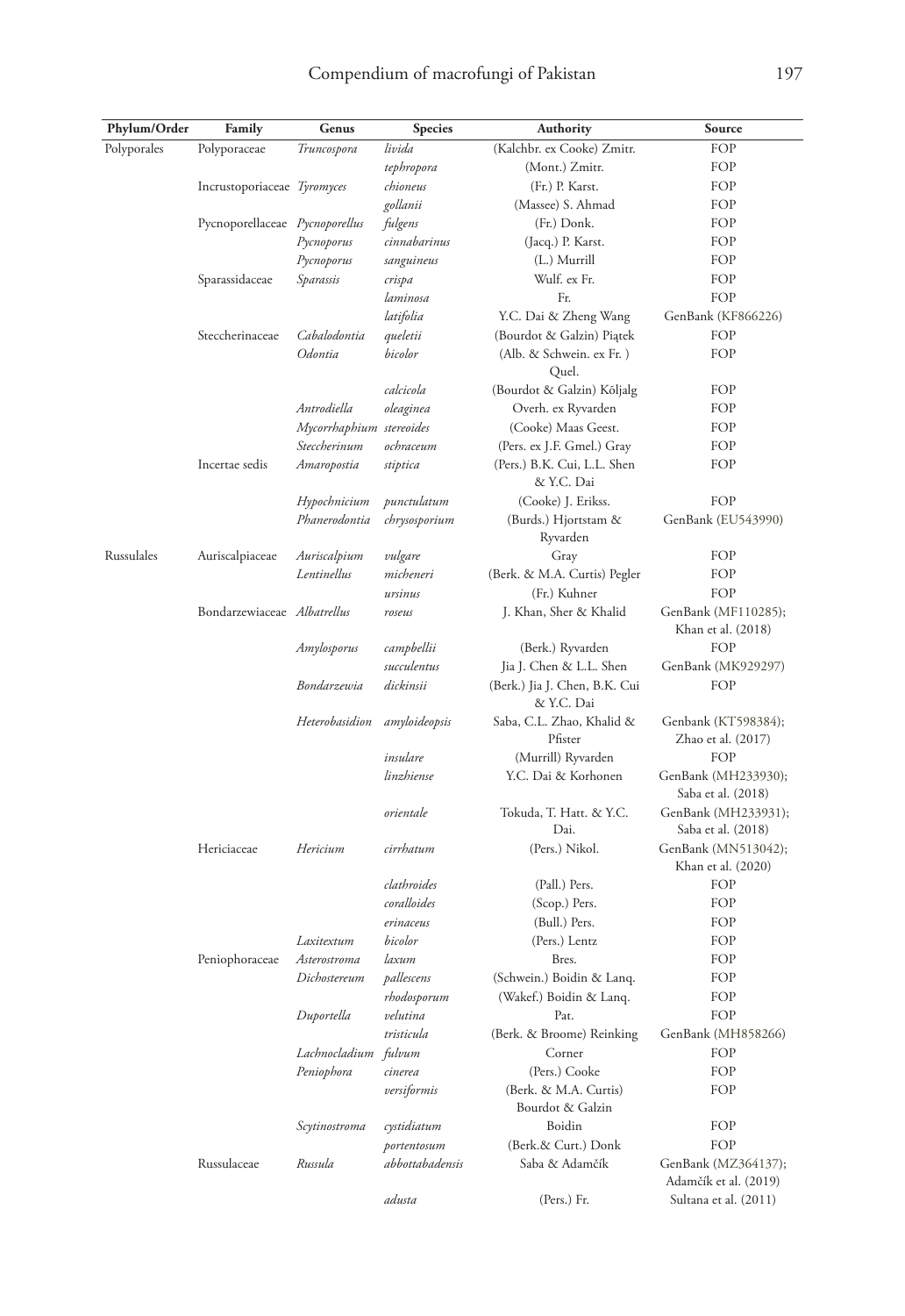| Phylum/Order | Family                         | Genus                    | <b>Species</b>  | <b>Authority</b>                            | Source                                       |
|--------------|--------------------------------|--------------------------|-----------------|---------------------------------------------|----------------------------------------------|
| Polyporales  | Polyporaceae                   | Truncospora              | livida          | (Kalchbr. ex Cooke) Zmitr.                  | FOP                                          |
|              |                                |                          | tephropora      | (Mont.) Zmitr.                              | FOP                                          |
|              | Incrustoporiaceae Tyromyces    |                          | chioneus        | (Fr.) P. Karst.                             | FOP                                          |
|              |                                |                          | gollanii        | (Massee) S. Ahmad                           | FOP                                          |
|              | Pycnoporellaceae Pycnoporellus |                          | fulgens         | (Fr.) Donk.                                 | FOP                                          |
|              |                                | Pycnoporus               | cinnabarinus    | (Jacq.) P. Karst.                           | FOP                                          |
|              |                                | Pycnoporus               | sanguineus      | (L.) Murrill                                | FOP                                          |
|              | Sparassidaceae                 | Sparassis                | crispa          | Wulf. ex Fr.                                | FOP                                          |
|              |                                |                          | laminosa        | Fr.                                         | FOP                                          |
|              |                                |                          | latifolia       | Y.C. Dai & Zheng Wang                       | GenBank (KF866226)                           |
|              | Steccherinaceae                | Cabalodontia             | queletii        | (Bourdot & Galzin) Piątek                   | FOP                                          |
|              |                                | Odontia                  | bicolor         | (Alb. & Schwein. ex Fr.)                    | FOP                                          |
|              |                                |                          |                 | Quel.                                       |                                              |
|              |                                |                          | calcicola       | (Bourdot & Galzin) Kõljalg                  | FOP                                          |
|              |                                | Antrodiella              | oleaginea       | Overh. ex Ryvarden                          | FOP                                          |
|              |                                | Mycorrhaphium stereoides |                 | (Cooke) Maas Geest.                         | FOP                                          |
|              |                                | Steccherinum             | ochraceum       | (Pers. ex J.F. Gmel.) Gray                  | FOP                                          |
|              | Incertae sedis                 | Amaropostia              | stiptica        | (Pers.) B.K. Cui, L.L. Shen<br>& Y.C. Dai   | FOP                                          |
|              |                                | Hypochnicium             | punctulatum     | (Cooke) J. Erikss.                          | FOP                                          |
|              |                                | Phanerodontia            | chrysosporium   | (Burds.) Hjortstam &                        | GenBank (EU543990)                           |
|              |                                |                          |                 | Ryvarden                                    |                                              |
| Russulales   | Auriscalpiaceae                | Auriscalpium             | vulgare         | Gray                                        | FOP                                          |
|              |                                | Lentinellus              | micheneri       | (Berk. & M.A. Curtis) Pegler                | FOP                                          |
|              |                                |                          | ursinus         | (Fr.) Kuhner                                | FOP                                          |
|              | Bondarzewiaceae Albatrellus    |                          | roseus          | J. Khan, Sher & Khalid                      | GenBank (MF110285);<br>Khan et al. (2018)    |
|              |                                | Amylosporus              | campbellii      | (Berk.) Ryvarden                            | FOP                                          |
|              |                                |                          | succulentus     | Jia J. Chen & L.L. Shen                     | GenBank (MK929297)                           |
|              |                                | Bondarzewia              | dickinsii       | (Berk.) Jia J. Chen, B.K. Cui<br>& Y.C. Dai | FOP                                          |
|              |                                | Heterobasidion           | amyloideopsis   | Saba, C.L. Zhao, Khalid &<br>Pfister        | Genbank (KT598384);<br>Zhao et al. (2017)    |
|              |                                |                          | insulare        | (Murrill) Ryvarden                          | FOP                                          |
|              |                                |                          | linzhiense      | Y.C. Dai & Korhonen                         |                                              |
|              |                                |                          |                 |                                             | GenBank (MH233930);<br>Saba et al. (2018)    |
|              |                                |                          | orientale       | Tokuda, T. Hatt. & Y.C.<br>Dai.             | GenBank (MH233931);<br>Saba et al. (2018)    |
|              | Hericiaceae                    | Hericium                 | cirrhatum       | (Pers.) Nikol.                              | GenBank (MN513042);                          |
|              |                                |                          |                 |                                             | Khan et al. (2020)                           |
|              |                                |                          | clathroides     | (Pall.) Pers.                               | FOP                                          |
|              |                                |                          | coralloides     | (Scop.) Pers.                               | FOP                                          |
|              |                                |                          | erinaceus       |                                             | FOP                                          |
|              |                                |                          | bicolor         | (Bull.) Pers.                               |                                              |
|              |                                | Laxitextum               |                 | (Pers.) Lentz<br>Bres.                      | FOP                                          |
|              | Peniophoraceae                 | Asterostroma             | laxum           |                                             | FOP                                          |
|              |                                | Dichostereum             | pallescens      | (Schwein.) Boidin & Lanq.                   | FOP                                          |
|              |                                |                          | rhodosporum     | (Wakef.) Boidin & Lanq.                     | FOP                                          |
|              |                                | Duportella               | velutina        | Pat.                                        | FOP                                          |
|              |                                |                          | tristicula      | (Berk. & Broome) Reinking                   | GenBank (MH858266)                           |
|              |                                | Lachnocladium            | fulvum          | Corner                                      | FOP                                          |
|              |                                | Peniophora               | cinerea         | (Pers.) Cooke                               | FOP                                          |
|              |                                |                          | versiformis     | (Berk. & M.A. Curtis)<br>Bourdot & Galzin   | FOP                                          |
|              |                                | Scytinostroma            | cystidiatum     | Boidin                                      | FOP                                          |
|              |                                |                          | portentosum     | (Berk.& Curt.) Donk                         | FOP                                          |
|              | Russulaceae                    | Russula                  | abbottabadensis | Saba & Adamčík                              | GenBank (MZ364137);<br>Adamčík et al. (2019) |
|              |                                |                          | adusta          | (Pers.) Fr.                                 | Sultana et al. (2011)                        |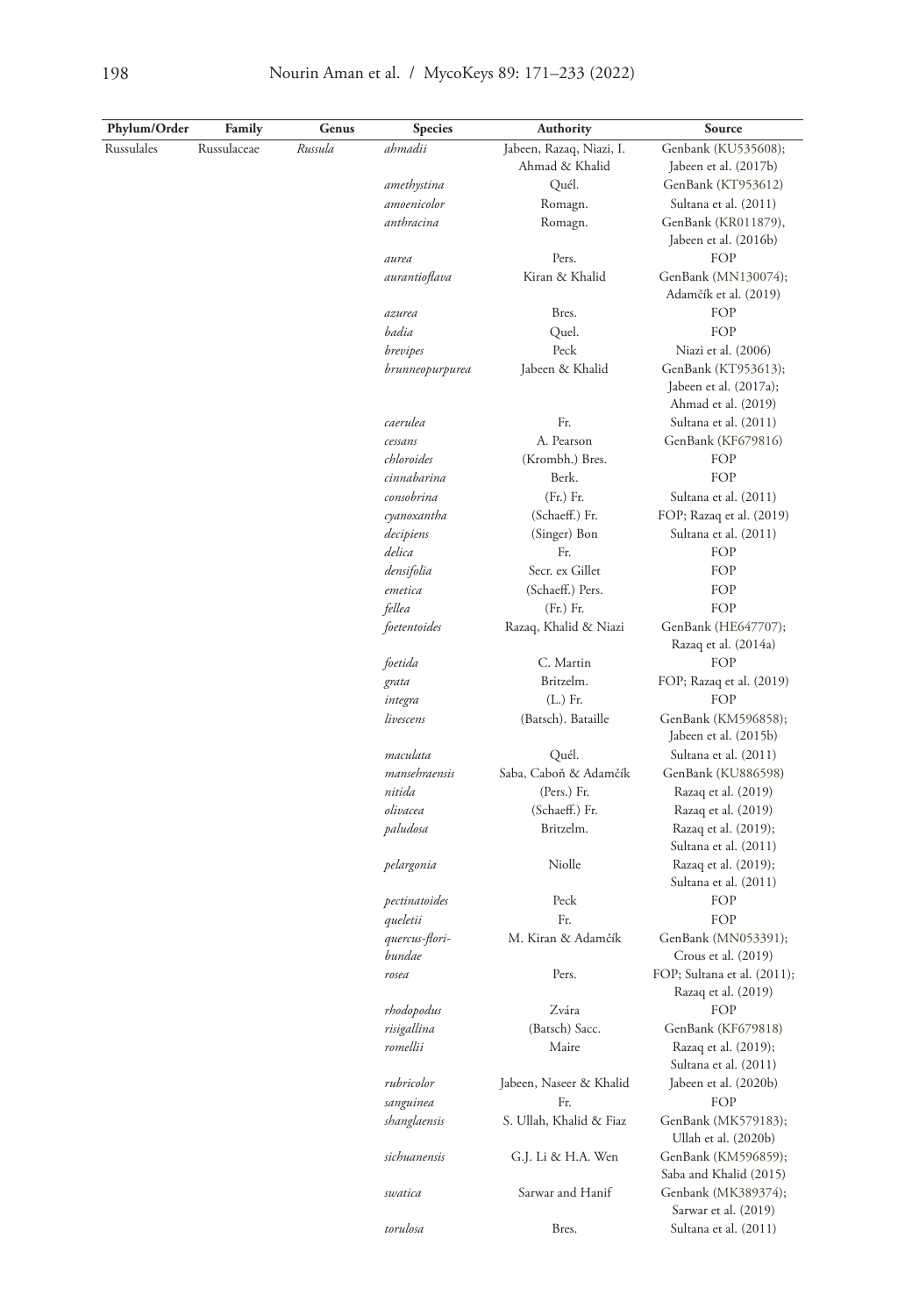| Russulales<br>Russulaceae<br>Genbank (KU535608);<br>Russula<br>ahmadii<br>Jabeen, Razaq, Niazi, I.<br>Ahmad & Khalid<br>Jabeen et al. (2017b)<br>amethystina<br>Quél.<br>GenBank (KT953612)<br>amoenicolor<br>Sultana et al. (2011)<br>Romagn.<br>anthracina<br>GenBank (KR011879),<br>Romagn.<br>Jabeen et al. (2016b)<br>Pers.<br>FOP<br>aurea<br>aurantioflava<br>Kiran & Khalid<br>GenBank (MN130074);<br>Adamčík et al. (2019)<br>FOP<br>Bres.<br>azurea<br>badia<br>FOP<br>Quel.<br>Peck<br>brevipes<br>Niazi et al. (2006)<br>brunneopurpurea<br>Jabeen & Khalid<br>GenBank (KT953613);<br>Jabeen et al. (2017a);<br>Ahmad et al. (2019)<br>Fr.<br>caerulea<br>Sultana et al. (2011)<br>A. Pearson<br>GenBank (KF679816)<br>cessans<br>chloroides<br>(Krombh.) Bres.<br>FOP<br>cinnabarina<br>Berk.<br>FOP<br>consobrina<br>(Fr.) Fr.<br>Sultana et al. (2011)<br>cyanoxantha<br>(Schaeff.) Fr.<br>FOP; Razaq et al. (2019)<br>decipiens<br>Sultana et al. (2011)<br>(Singer) Bon<br>delica<br>Fr.<br>FOP<br>Secr. ex Gillet<br>densifolia<br>FOP<br>(Schaeff.) Pers.<br>emetica<br>FOP<br>FOP<br>fellea<br>$(Fr.)$ Fr.<br>foetentoides<br>Razaq, Khalid & Niazi<br>GenBank (HE647707);<br>Razaq et al. (2014a)<br>C. Martin<br>foetida<br>FOP<br>Britzelm.<br>FOP; Razaq et al. (2019)<br>grata<br>integra<br>$(L.)$ Fr.<br>FOP<br>livescens<br>(Batsch). Bataille<br>GenBank (KM596858);<br>Jabeen et al. (2015b)<br>maculata<br>Quél.<br>Sultana et al. (2011)<br>mansehraensis<br>Saba, Caboň & Adamčík<br>GenBank (KU886598)<br>nitida<br>(Pers.) Fr.<br>Razaq et al. (2019)<br>(Schaeff.) Fr.<br>olivacea<br>Razaq et al. (2019)<br>paludosa<br>Britzelm.<br>Razaq et al. (2019);<br>Sultana et al. (2011)<br>pelargonia<br>Niolle<br>Razaq et al. (2019);<br>Sultana et al. (2011)<br>pectinatoides<br>Peck<br>FOP<br>Fr.<br>FOP<br>queletii<br>M. Kiran & Adamčík<br>quercus-flori-<br>GenBank (MN053391);<br>bundae<br>Crous et al. (2019)<br>Pers.<br>FOP; Sultana et al. (2011);<br>rosea |  |
|-------------------------------------------------------------------------------------------------------------------------------------------------------------------------------------------------------------------------------------------------------------------------------------------------------------------------------------------------------------------------------------------------------------------------------------------------------------------------------------------------------------------------------------------------------------------------------------------------------------------------------------------------------------------------------------------------------------------------------------------------------------------------------------------------------------------------------------------------------------------------------------------------------------------------------------------------------------------------------------------------------------------------------------------------------------------------------------------------------------------------------------------------------------------------------------------------------------------------------------------------------------------------------------------------------------------------------------------------------------------------------------------------------------------------------------------------------------------------------------------------------------------------------------------------------------------------------------------------------------------------------------------------------------------------------------------------------------------------------------------------------------------------------------------------------------------------------------------------------------------------------------------------------------------------------------------------------------------------------------------------------------|--|
|                                                                                                                                                                                                                                                                                                                                                                                                                                                                                                                                                                                                                                                                                                                                                                                                                                                                                                                                                                                                                                                                                                                                                                                                                                                                                                                                                                                                                                                                                                                                                                                                                                                                                                                                                                                                                                                                                                                                                                                                             |  |
|                                                                                                                                                                                                                                                                                                                                                                                                                                                                                                                                                                                                                                                                                                                                                                                                                                                                                                                                                                                                                                                                                                                                                                                                                                                                                                                                                                                                                                                                                                                                                                                                                                                                                                                                                                                                                                                                                                                                                                                                             |  |
|                                                                                                                                                                                                                                                                                                                                                                                                                                                                                                                                                                                                                                                                                                                                                                                                                                                                                                                                                                                                                                                                                                                                                                                                                                                                                                                                                                                                                                                                                                                                                                                                                                                                                                                                                                                                                                                                                                                                                                                                             |  |
|                                                                                                                                                                                                                                                                                                                                                                                                                                                                                                                                                                                                                                                                                                                                                                                                                                                                                                                                                                                                                                                                                                                                                                                                                                                                                                                                                                                                                                                                                                                                                                                                                                                                                                                                                                                                                                                                                                                                                                                                             |  |
|                                                                                                                                                                                                                                                                                                                                                                                                                                                                                                                                                                                                                                                                                                                                                                                                                                                                                                                                                                                                                                                                                                                                                                                                                                                                                                                                                                                                                                                                                                                                                                                                                                                                                                                                                                                                                                                                                                                                                                                                             |  |
|                                                                                                                                                                                                                                                                                                                                                                                                                                                                                                                                                                                                                                                                                                                                                                                                                                                                                                                                                                                                                                                                                                                                                                                                                                                                                                                                                                                                                                                                                                                                                                                                                                                                                                                                                                                                                                                                                                                                                                                                             |  |
|                                                                                                                                                                                                                                                                                                                                                                                                                                                                                                                                                                                                                                                                                                                                                                                                                                                                                                                                                                                                                                                                                                                                                                                                                                                                                                                                                                                                                                                                                                                                                                                                                                                                                                                                                                                                                                                                                                                                                                                                             |  |
|                                                                                                                                                                                                                                                                                                                                                                                                                                                                                                                                                                                                                                                                                                                                                                                                                                                                                                                                                                                                                                                                                                                                                                                                                                                                                                                                                                                                                                                                                                                                                                                                                                                                                                                                                                                                                                                                                                                                                                                                             |  |
|                                                                                                                                                                                                                                                                                                                                                                                                                                                                                                                                                                                                                                                                                                                                                                                                                                                                                                                                                                                                                                                                                                                                                                                                                                                                                                                                                                                                                                                                                                                                                                                                                                                                                                                                                                                                                                                                                                                                                                                                             |  |
|                                                                                                                                                                                                                                                                                                                                                                                                                                                                                                                                                                                                                                                                                                                                                                                                                                                                                                                                                                                                                                                                                                                                                                                                                                                                                                                                                                                                                                                                                                                                                                                                                                                                                                                                                                                                                                                                                                                                                                                                             |  |
|                                                                                                                                                                                                                                                                                                                                                                                                                                                                                                                                                                                                                                                                                                                                                                                                                                                                                                                                                                                                                                                                                                                                                                                                                                                                                                                                                                                                                                                                                                                                                                                                                                                                                                                                                                                                                                                                                                                                                                                                             |  |
|                                                                                                                                                                                                                                                                                                                                                                                                                                                                                                                                                                                                                                                                                                                                                                                                                                                                                                                                                                                                                                                                                                                                                                                                                                                                                                                                                                                                                                                                                                                                                                                                                                                                                                                                                                                                                                                                                                                                                                                                             |  |
|                                                                                                                                                                                                                                                                                                                                                                                                                                                                                                                                                                                                                                                                                                                                                                                                                                                                                                                                                                                                                                                                                                                                                                                                                                                                                                                                                                                                                                                                                                                                                                                                                                                                                                                                                                                                                                                                                                                                                                                                             |  |
|                                                                                                                                                                                                                                                                                                                                                                                                                                                                                                                                                                                                                                                                                                                                                                                                                                                                                                                                                                                                                                                                                                                                                                                                                                                                                                                                                                                                                                                                                                                                                                                                                                                                                                                                                                                                                                                                                                                                                                                                             |  |
|                                                                                                                                                                                                                                                                                                                                                                                                                                                                                                                                                                                                                                                                                                                                                                                                                                                                                                                                                                                                                                                                                                                                                                                                                                                                                                                                                                                                                                                                                                                                                                                                                                                                                                                                                                                                                                                                                                                                                                                                             |  |
|                                                                                                                                                                                                                                                                                                                                                                                                                                                                                                                                                                                                                                                                                                                                                                                                                                                                                                                                                                                                                                                                                                                                                                                                                                                                                                                                                                                                                                                                                                                                                                                                                                                                                                                                                                                                                                                                                                                                                                                                             |  |
|                                                                                                                                                                                                                                                                                                                                                                                                                                                                                                                                                                                                                                                                                                                                                                                                                                                                                                                                                                                                                                                                                                                                                                                                                                                                                                                                                                                                                                                                                                                                                                                                                                                                                                                                                                                                                                                                                                                                                                                                             |  |
|                                                                                                                                                                                                                                                                                                                                                                                                                                                                                                                                                                                                                                                                                                                                                                                                                                                                                                                                                                                                                                                                                                                                                                                                                                                                                                                                                                                                                                                                                                                                                                                                                                                                                                                                                                                                                                                                                                                                                                                                             |  |
|                                                                                                                                                                                                                                                                                                                                                                                                                                                                                                                                                                                                                                                                                                                                                                                                                                                                                                                                                                                                                                                                                                                                                                                                                                                                                                                                                                                                                                                                                                                                                                                                                                                                                                                                                                                                                                                                                                                                                                                                             |  |
|                                                                                                                                                                                                                                                                                                                                                                                                                                                                                                                                                                                                                                                                                                                                                                                                                                                                                                                                                                                                                                                                                                                                                                                                                                                                                                                                                                                                                                                                                                                                                                                                                                                                                                                                                                                                                                                                                                                                                                                                             |  |
|                                                                                                                                                                                                                                                                                                                                                                                                                                                                                                                                                                                                                                                                                                                                                                                                                                                                                                                                                                                                                                                                                                                                                                                                                                                                                                                                                                                                                                                                                                                                                                                                                                                                                                                                                                                                                                                                                                                                                                                                             |  |
|                                                                                                                                                                                                                                                                                                                                                                                                                                                                                                                                                                                                                                                                                                                                                                                                                                                                                                                                                                                                                                                                                                                                                                                                                                                                                                                                                                                                                                                                                                                                                                                                                                                                                                                                                                                                                                                                                                                                                                                                             |  |
|                                                                                                                                                                                                                                                                                                                                                                                                                                                                                                                                                                                                                                                                                                                                                                                                                                                                                                                                                                                                                                                                                                                                                                                                                                                                                                                                                                                                                                                                                                                                                                                                                                                                                                                                                                                                                                                                                                                                                                                                             |  |
|                                                                                                                                                                                                                                                                                                                                                                                                                                                                                                                                                                                                                                                                                                                                                                                                                                                                                                                                                                                                                                                                                                                                                                                                                                                                                                                                                                                                                                                                                                                                                                                                                                                                                                                                                                                                                                                                                                                                                                                                             |  |
|                                                                                                                                                                                                                                                                                                                                                                                                                                                                                                                                                                                                                                                                                                                                                                                                                                                                                                                                                                                                                                                                                                                                                                                                                                                                                                                                                                                                                                                                                                                                                                                                                                                                                                                                                                                                                                                                                                                                                                                                             |  |
|                                                                                                                                                                                                                                                                                                                                                                                                                                                                                                                                                                                                                                                                                                                                                                                                                                                                                                                                                                                                                                                                                                                                                                                                                                                                                                                                                                                                                                                                                                                                                                                                                                                                                                                                                                                                                                                                                                                                                                                                             |  |
|                                                                                                                                                                                                                                                                                                                                                                                                                                                                                                                                                                                                                                                                                                                                                                                                                                                                                                                                                                                                                                                                                                                                                                                                                                                                                                                                                                                                                                                                                                                                                                                                                                                                                                                                                                                                                                                                                                                                                                                                             |  |
|                                                                                                                                                                                                                                                                                                                                                                                                                                                                                                                                                                                                                                                                                                                                                                                                                                                                                                                                                                                                                                                                                                                                                                                                                                                                                                                                                                                                                                                                                                                                                                                                                                                                                                                                                                                                                                                                                                                                                                                                             |  |
|                                                                                                                                                                                                                                                                                                                                                                                                                                                                                                                                                                                                                                                                                                                                                                                                                                                                                                                                                                                                                                                                                                                                                                                                                                                                                                                                                                                                                                                                                                                                                                                                                                                                                                                                                                                                                                                                                                                                                                                                             |  |
|                                                                                                                                                                                                                                                                                                                                                                                                                                                                                                                                                                                                                                                                                                                                                                                                                                                                                                                                                                                                                                                                                                                                                                                                                                                                                                                                                                                                                                                                                                                                                                                                                                                                                                                                                                                                                                                                                                                                                                                                             |  |
|                                                                                                                                                                                                                                                                                                                                                                                                                                                                                                                                                                                                                                                                                                                                                                                                                                                                                                                                                                                                                                                                                                                                                                                                                                                                                                                                                                                                                                                                                                                                                                                                                                                                                                                                                                                                                                                                                                                                                                                                             |  |
|                                                                                                                                                                                                                                                                                                                                                                                                                                                                                                                                                                                                                                                                                                                                                                                                                                                                                                                                                                                                                                                                                                                                                                                                                                                                                                                                                                                                                                                                                                                                                                                                                                                                                                                                                                                                                                                                                                                                                                                                             |  |
|                                                                                                                                                                                                                                                                                                                                                                                                                                                                                                                                                                                                                                                                                                                                                                                                                                                                                                                                                                                                                                                                                                                                                                                                                                                                                                                                                                                                                                                                                                                                                                                                                                                                                                                                                                                                                                                                                                                                                                                                             |  |
|                                                                                                                                                                                                                                                                                                                                                                                                                                                                                                                                                                                                                                                                                                                                                                                                                                                                                                                                                                                                                                                                                                                                                                                                                                                                                                                                                                                                                                                                                                                                                                                                                                                                                                                                                                                                                                                                                                                                                                                                             |  |
|                                                                                                                                                                                                                                                                                                                                                                                                                                                                                                                                                                                                                                                                                                                                                                                                                                                                                                                                                                                                                                                                                                                                                                                                                                                                                                                                                                                                                                                                                                                                                                                                                                                                                                                                                                                                                                                                                                                                                                                                             |  |
|                                                                                                                                                                                                                                                                                                                                                                                                                                                                                                                                                                                                                                                                                                                                                                                                                                                                                                                                                                                                                                                                                                                                                                                                                                                                                                                                                                                                                                                                                                                                                                                                                                                                                                                                                                                                                                                                                                                                                                                                             |  |
|                                                                                                                                                                                                                                                                                                                                                                                                                                                                                                                                                                                                                                                                                                                                                                                                                                                                                                                                                                                                                                                                                                                                                                                                                                                                                                                                                                                                                                                                                                                                                                                                                                                                                                                                                                                                                                                                                                                                                                                                             |  |
|                                                                                                                                                                                                                                                                                                                                                                                                                                                                                                                                                                                                                                                                                                                                                                                                                                                                                                                                                                                                                                                                                                                                                                                                                                                                                                                                                                                                                                                                                                                                                                                                                                                                                                                                                                                                                                                                                                                                                                                                             |  |
|                                                                                                                                                                                                                                                                                                                                                                                                                                                                                                                                                                                                                                                                                                                                                                                                                                                                                                                                                                                                                                                                                                                                                                                                                                                                                                                                                                                                                                                                                                                                                                                                                                                                                                                                                                                                                                                                                                                                                                                                             |  |
|                                                                                                                                                                                                                                                                                                                                                                                                                                                                                                                                                                                                                                                                                                                                                                                                                                                                                                                                                                                                                                                                                                                                                                                                                                                                                                                                                                                                                                                                                                                                                                                                                                                                                                                                                                                                                                                                                                                                                                                                             |  |
|                                                                                                                                                                                                                                                                                                                                                                                                                                                                                                                                                                                                                                                                                                                                                                                                                                                                                                                                                                                                                                                                                                                                                                                                                                                                                                                                                                                                                                                                                                                                                                                                                                                                                                                                                                                                                                                                                                                                                                                                             |  |
|                                                                                                                                                                                                                                                                                                                                                                                                                                                                                                                                                                                                                                                                                                                                                                                                                                                                                                                                                                                                                                                                                                                                                                                                                                                                                                                                                                                                                                                                                                                                                                                                                                                                                                                                                                                                                                                                                                                                                                                                             |  |
|                                                                                                                                                                                                                                                                                                                                                                                                                                                                                                                                                                                                                                                                                                                                                                                                                                                                                                                                                                                                                                                                                                                                                                                                                                                                                                                                                                                                                                                                                                                                                                                                                                                                                                                                                                                                                                                                                                                                                                                                             |  |
| Razaq et al. (2019)                                                                                                                                                                                                                                                                                                                                                                                                                                                                                                                                                                                                                                                                                                                                                                                                                                                                                                                                                                                                                                                                                                                                                                                                                                                                                                                                                                                                                                                                                                                                                                                                                                                                                                                                                                                                                                                                                                                                                                                         |  |
| rhodopodus<br>Zvára<br>FOP                                                                                                                                                                                                                                                                                                                                                                                                                                                                                                                                                                                                                                                                                                                                                                                                                                                                                                                                                                                                                                                                                                                                                                                                                                                                                                                                                                                                                                                                                                                                                                                                                                                                                                                                                                                                                                                                                                                                                                                  |  |
| risigallina<br>(Batsch) Sacc.<br>GenBank (KF679818)                                                                                                                                                                                                                                                                                                                                                                                                                                                                                                                                                                                                                                                                                                                                                                                                                                                                                                                                                                                                                                                                                                                                                                                                                                                                                                                                                                                                                                                                                                                                                                                                                                                                                                                                                                                                                                                                                                                                                         |  |
| romellii<br>Maire<br>Razaq et al. (2019);                                                                                                                                                                                                                                                                                                                                                                                                                                                                                                                                                                                                                                                                                                                                                                                                                                                                                                                                                                                                                                                                                                                                                                                                                                                                                                                                                                                                                                                                                                                                                                                                                                                                                                                                                                                                                                                                                                                                                                   |  |
| Sultana et al. (2011)                                                                                                                                                                                                                                                                                                                                                                                                                                                                                                                                                                                                                                                                                                                                                                                                                                                                                                                                                                                                                                                                                                                                                                                                                                                                                                                                                                                                                                                                                                                                                                                                                                                                                                                                                                                                                                                                                                                                                                                       |  |
| rubricolor<br>Jabeen, Naseer & Khalid<br>Jabeen et al. (2020b)                                                                                                                                                                                                                                                                                                                                                                                                                                                                                                                                                                                                                                                                                                                                                                                                                                                                                                                                                                                                                                                                                                                                                                                                                                                                                                                                                                                                                                                                                                                                                                                                                                                                                                                                                                                                                                                                                                                                              |  |
| sanguinea<br>Fr.<br>FOP                                                                                                                                                                                                                                                                                                                                                                                                                                                                                                                                                                                                                                                                                                                                                                                                                                                                                                                                                                                                                                                                                                                                                                                                                                                                                                                                                                                                                                                                                                                                                                                                                                                                                                                                                                                                                                                                                                                                                                                     |  |
| shanglaensis<br>S. Ullah, Khalid & Fiaz<br>GenBank (MK579183);<br>Ullah et al. (2020b)                                                                                                                                                                                                                                                                                                                                                                                                                                                                                                                                                                                                                                                                                                                                                                                                                                                                                                                                                                                                                                                                                                                                                                                                                                                                                                                                                                                                                                                                                                                                                                                                                                                                                                                                                                                                                                                                                                                      |  |
| sichuanensis<br>G.J. Li & H.A. Wen<br>GenBank (KM596859);<br>Saba and Khalid (2015)                                                                                                                                                                                                                                                                                                                                                                                                                                                                                                                                                                                                                                                                                                                                                                                                                                                                                                                                                                                                                                                                                                                                                                                                                                                                                                                                                                                                                                                                                                                                                                                                                                                                                                                                                                                                                                                                                                                         |  |
| Sarwar and Hanif<br>Genbank (MK389374);<br>swatica<br>Sarwar et al. (2019)                                                                                                                                                                                                                                                                                                                                                                                                                                                                                                                                                                                                                                                                                                                                                                                                                                                                                                                                                                                                                                                                                                                                                                                                                                                                                                                                                                                                                                                                                                                                                                                                                                                                                                                                                                                                                                                                                                                                  |  |
| torulosa<br>Sultana et al. (2011)<br>Bres.                                                                                                                                                                                                                                                                                                                                                                                                                                                                                                                                                                                                                                                                                                                                                                                                                                                                                                                                                                                                                                                                                                                                                                                                                                                                                                                                                                                                                                                                                                                                                                                                                                                                                                                                                                                                                                                                                                                                                                  |  |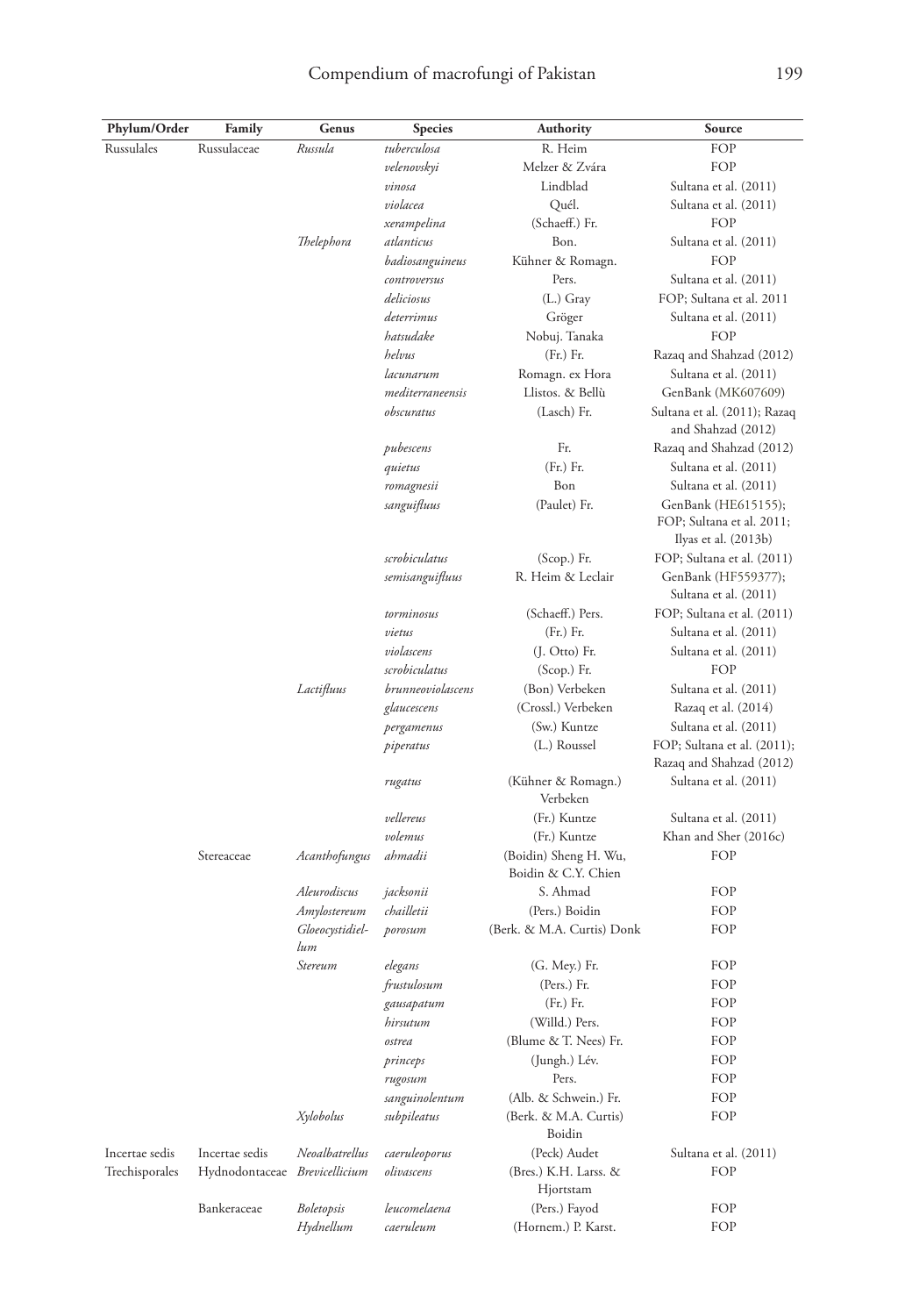| Phylum/Order   | Family                        | Genus                  | Species           | <b>Authority</b>                             | Source                                                                   |
|----------------|-------------------------------|------------------------|-------------------|----------------------------------------------|--------------------------------------------------------------------------|
| Russulales     | Russulaceae                   | Russula                | tuberculosa       | R. Heim                                      | FOP                                                                      |
|                |                               |                        | velenovskyi       | Melzer & Zvára                               | FOP                                                                      |
|                |                               |                        | vinosa            | Lindblad                                     | Sultana et al. (2011)                                                    |
|                |                               |                        | violacea          | Quél.                                        | Sultana et al. (2011)                                                    |
|                |                               |                        | xerampelina       | (Schaeff.) Fr.                               | FOP                                                                      |
|                |                               | Thelephora             | atlanticus        | Bon.                                         | Sultana et al. (2011)                                                    |
|                |                               |                        | badiosanguineus   | Kühner & Romagn.                             | FOP                                                                      |
|                |                               |                        | controversus      | Pers.                                        | Sultana et al. (2011)                                                    |
|                |                               |                        | deliciosus        | (L.) Gray                                    | FOP; Sultana et al. 2011                                                 |
|                |                               |                        | deterrimus        | Gröger                                       | Sultana et al. (2011)                                                    |
|                |                               |                        | hatsudake         |                                              | FOP                                                                      |
|                |                               |                        |                   | Nobuj. Tanaka                                |                                                                          |
|                |                               |                        | helvus            | $(Fr.)$ Fr.                                  | Razaq and Shahzad (2012)                                                 |
|                |                               |                        | lacunarum         | Romagn. ex Hora                              | Sultana et al. (2011)                                                    |
|                |                               |                        | mediterraneensis  | Llistos. & Bellù                             | GenBank (MK607609)                                                       |
|                |                               |                        | obscuratus        | (Lasch) Fr.                                  | Sultana et al. (2011); Razaq<br>and Shahzad (2012)                       |
|                |                               |                        | pubescens         | Fr.                                          | Razaq and Shahzad (2012)                                                 |
|                |                               |                        | quietus           | $(Fr.)$ Fr.                                  | Sultana et al. (2011)                                                    |
|                |                               |                        | romagnesii        | Bon                                          | Sultana et al. (2011)                                                    |
|                |                               |                        | sanguifluus       | (Paulet) Fr.                                 | GenBank (HE615155);<br>FOP; Sultana et al. 2011;<br>Ilyas et al. (2013b) |
|                |                               |                        | scrobiculatus     | (Scop.) Fr.                                  | FOP; Sultana et al. (2011)                                               |
|                |                               |                        | semisanguifluus   | R. Heim & Leclair                            | GenBank (HF559377);                                                      |
|                |                               |                        |                   |                                              | Sultana et al. (2011)                                                    |
|                |                               |                        | torminosus        | (Schaeff.) Pers.                             | FOP; Sultana et al. (2011)                                               |
|                |                               |                        | vietus            | $(Fr.)$ Fr.                                  | Sultana et al. (2011)                                                    |
|                |                               |                        | violascens        | (J. Otto) Fr.                                | Sultana et al. (2011)                                                    |
|                |                               |                        | scrobiculatus     |                                              | FOP                                                                      |
|                |                               |                        |                   | (Scop.) Fr.                                  |                                                                          |
|                |                               | Lactifluus             | brunneoviolascens | (Bon) Verbeken                               | Sultana et al. (2011)                                                    |
|                |                               |                        | glaucescens       | (Crossl.) Verbeken                           | Razaq et al. (2014)                                                      |
|                |                               |                        | pergamenus        | (Sw.) Kuntze                                 | Sultana et al. (2011)                                                    |
|                |                               |                        | piperatus         | (L.) Roussel                                 | FOP; Sultana et al. (2011);<br>Razaq and Shahzad (2012)                  |
|                |                               |                        | rugatus           | (Kühner & Romagn.)<br>Verbeken               | Sultana et al. (2011)                                                    |
|                |                               |                        | vellereus         | (Fr.) Kuntze                                 | Sultana et al. (2011)                                                    |
|                |                               |                        | volemus           | (Fr.) Kuntze                                 | Khan and Sher (2016c)                                                    |
|                | Stereaceae                    | Acanthofungus          | ahmadii           | (Boidin) Sheng H. Wu,<br>Boidin & C.Y. Chien | FOP                                                                      |
|                |                               | Aleurodiscus           | jacksonii         | S. Ahmad                                     | FOP                                                                      |
|                |                               | Amylostereum           | chailletii        | (Pers.) Boidin                               | FOP                                                                      |
|                |                               | Gloeocystidiel-<br>lum | porosum           | (Berk. & M.A. Curtis) Donk                   | FOP                                                                      |
|                |                               | Stereum                | elegans           | (G. Mey.) Fr.                                | FOP                                                                      |
|                |                               |                        | frustulosum       | (Pers.) Fr.                                  | FOP                                                                      |
|                |                               |                        | gausapatum        | $(Fr.)$ Fr.                                  | FOP                                                                      |
|                |                               |                        | hirsutum          | (Willd.) Pers.                               | FOP                                                                      |
|                |                               |                        | ostrea            | (Blume & T. Nees) Fr.                        | FOP                                                                      |
|                |                               |                        | princeps          | (Jungh.) Lév.                                | FOP                                                                      |
|                |                               |                        | rugosum           | Pers.                                        | FOP                                                                      |
|                |                               |                        | sanguinolentum    | (Alb. & Schwein.) Fr.                        | FOP                                                                      |
|                |                               | Xylobolus              | subpileatus       | (Berk. & M.A. Curtis)<br>Boidin              | FOP                                                                      |
| Incertae sedis | Incertae sedis                | Neoalbatrellus         |                   | (Peck) Audet                                 |                                                                          |
|                | Hydnodontaceae Brevicellicium |                        | caeruleoporus     |                                              | Sultana et al. (2011)<br>FOP                                             |
| Trechisporales |                               |                        | olivascens        | (Bres.) K.H. Larss. &<br>Hjortstam           |                                                                          |
|                | Bankeraceae                   | Boletopsis             | leucomelaena      | (Pers.) Fayod                                | FOP                                                                      |
|                |                               | Hydnellum              | caeruleum         | (Hornem.) P. Karst.                          | FOP                                                                      |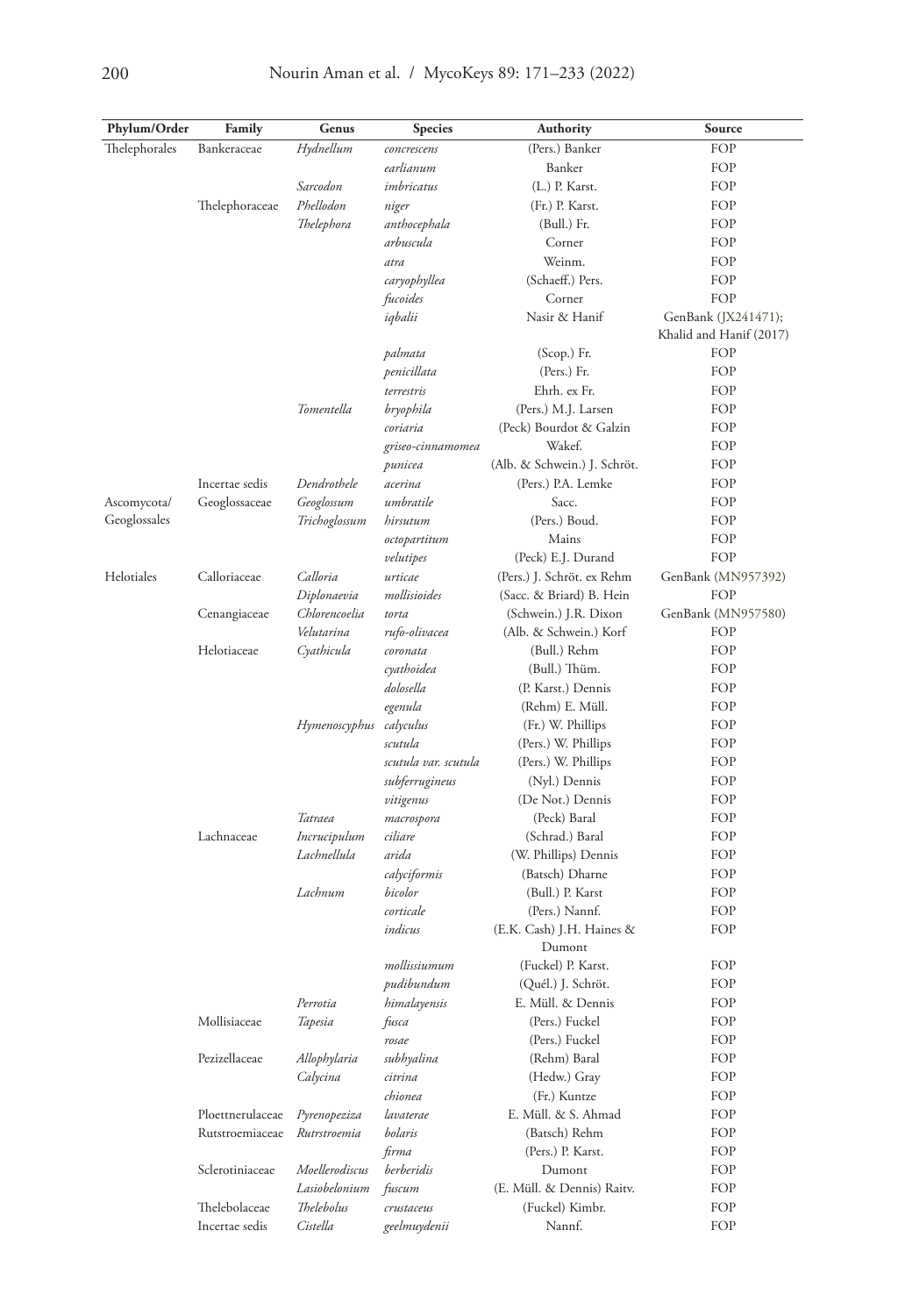| Phylum/Order  | Family           | Genus                   | Species              | <b>Authority</b>             | Source                         |
|---------------|------------------|-------------------------|----------------------|------------------------------|--------------------------------|
| Thelephorales | Bankeraceae      | Hydnellum               | concrescens          | (Pers.) Banker               | FOP                            |
|               |                  |                         | earlianum            | Banker                       | FOP                            |
|               |                  | Sarcodon                | imbricatus           | (L.) P. Karst.               | FOP                            |
|               | Thelephoraceae   | Phellodon               | niger                | (Fr.) P. Karst.              | FOP                            |
|               |                  | Thelephora              | anthocephala         | (Bull.) Fr.                  | FOP                            |
|               |                  |                         | arbuscula            | Corner                       | FOP                            |
|               |                  |                         | atra                 | Weinm.                       | FOP                            |
|               |                  |                         | caryophyllea         | (Schaeff.) Pers.             | FOP                            |
|               |                  |                         |                      | Corner                       | FOP                            |
|               |                  |                         | fucoides             | Nasir & Hanif                |                                |
|               |                  |                         | iqbalii              |                              | GenBank (JX241471);            |
|               |                  |                         | palmata              | (Scop.) Fr.                  | Khalid and Hanif (2017)<br>FOP |
|               |                  |                         |                      |                              |                                |
|               |                  |                         | penicillata          | (Pers.) Fr.                  | FOP                            |
|               |                  |                         | terrestris           | Ehrh. ex Fr.                 | FOP                            |
|               |                  | Tomentella              | bryophila            | (Pers.) M.J. Larsen          | FOP                            |
|               |                  |                         | coriaria             | (Peck) Bourdot & Galzin      | FOP                            |
|               |                  |                         | griseo-cinnamomea    | Wakef.                       | FOP                            |
|               |                  |                         | punicea              | (Alb. & Schwein.) J. Schröt. | FOP                            |
|               | Incertae sedis   | Dendrothele             | acerina              | (Pers.) P.A. Lemke           | FOP                            |
| Ascomycota/   | Geoglossaceae    | Geoglossum              | umbratile            | Sacc.                        | FOP                            |
| Geoglossales  |                  | Trichoglossum           | hirsutum             | (Pers.) Boud.                | FOP                            |
|               |                  |                         | octopartitum         | Mains                        | FOP                            |
|               |                  |                         | velutipes            | (Peck) E.J. Durand           | FOP                            |
| Helotiales    | Calloriaceae     | Calloria                | urticae              | (Pers.) J. Schröt. ex Rehm   | GenBank (MN957392)             |
|               |                  | Diplonaevia             | mollisioides         | (Sacc. & Briard) B. Hein     | FOP                            |
|               | Cenangiaceae     | Chlorencoelia           | torta                | (Schwein.) J.R. Dixon        | GenBank (MN957580)             |
|               |                  | Velutarina              | rufo-olivacea        | (Alb. & Schwein.) Korf       | FOP                            |
|               | Helotiaceae      | Cyathicula              | coronata             | (Bull.) Rehm                 | FOP                            |
|               |                  |                         | cyathoidea           | (Bull.) Thüm.                | FOP                            |
|               |                  |                         | dolosella            | (P. Karst.) Dennis           | FOP                            |
|               |                  |                         | egenula              | (Rehm) E. Müll.              | FOP                            |
|               |                  | Hymenoscyphus calyculus |                      | (Fr.) W. Phillips            | FOP                            |
|               |                  |                         | scutula              | (Pers.) W. Phillips          | FOP                            |
|               |                  |                         | scutula var. scutula | (Pers.) W. Phillips          | FOP                            |
|               |                  |                         | subferrugineus       | (Nyl.) Dennis                | FOP                            |
|               |                  |                         | vitigenus            | (De Not.) Dennis             | FOP                            |
|               |                  | Tatraea                 | macrospora           | (Peck) Baral                 | FOP                            |
|               | Lachnaceae       | Incrucipulum            | ciliare              | (Schrad.) Baral              | FOP                            |
|               |                  | Lachnellula             | arida                | (W. Phillips) Dennis         | FOP                            |
|               |                  |                         | calyciformis         | (Batsch) Dharne              | FOP                            |
|               |                  | Lachnum                 | bicolor              | (Bull.) P. Karst             | FOP                            |
|               |                  |                         | corticale            | (Pers.) Nannf.               | FOP                            |
|               |                  |                         | indicus              | (E.K. Cash) J.H. Haines &    | FOP                            |
|               |                  |                         |                      | Dumont                       |                                |
|               |                  |                         | mollissiumum         | (Fuckel) P. Karst.           | FOP                            |
|               |                  |                         | pudibundum           | (Quél.) J. Schröt.           | FOP                            |
|               |                  | Perrotia                | himalayensis         | E. Müll. & Dennis            | FOP                            |
|               | Mollisiaceae     | Tapesia                 | fusca                | (Pers.) Fuckel               | FOP                            |
|               |                  |                         | rosae                | (Pers.) Fuckel               | FOP                            |
|               | Pezizellaceae    |                         |                      |                              |                                |
|               |                  | Allophylaria            | subhyalina           | (Rehm) Baral                 | FOP                            |
|               |                  | Calycina                | citrina              | (Hedw.) Gray                 | FOP                            |
|               |                  |                         | chionea              | (Fr.) Kuntze                 | FOP                            |
|               | Ploettnerulaceae | Pyrenopeziza            | lavaterae            | E. Müll. & S. Ahmad          | FOP                            |
|               | Rutstroemiaceae  | Rutrstroemia            | bolaris              | (Batsch) Rehm                | FOP                            |
|               |                  |                         | firma                | (Pers.) P. Karst.            | FOP                            |
|               | Sclerotiniaceae  | Moellerodiscus          | berberidis           | Dumont                       | FOP                            |
|               |                  | Lasiobelonium           | fuscum               | (E. Müll. & Dennis) Raitv.   | FOP                            |
|               | Thelebolaceae    | <b>Thelebolus</b>       | crustaceus           | (Fuckel) Kimbr.              | FOP                            |
|               | Incertae sedis   | Cistella                | geelmuydenii         | Nannf.                       | FOP                            |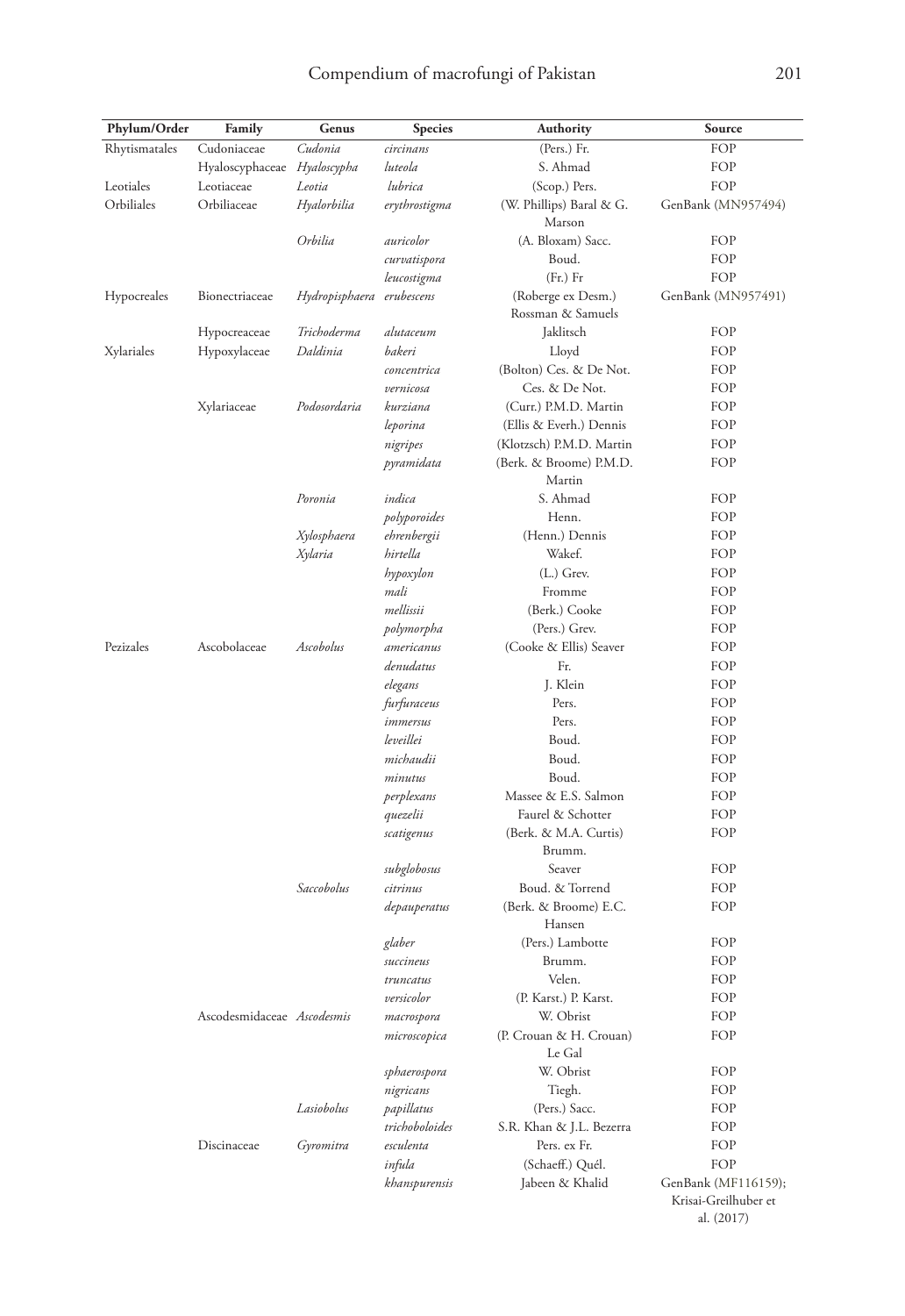| Phylum/Order  | Family                      | Genus          | <b>Species</b> | Authority                               | Source                                      |
|---------------|-----------------------------|----------------|----------------|-----------------------------------------|---------------------------------------------|
| Rhytismatales | Cudoniaceae                 | Cudonia        | circinans      | (Pers.) Fr.                             | FOP                                         |
|               | Hyaloscyphaceae Hyaloscypha |                | luteola        | S. Ahmad                                | FOP                                         |
| Leotiales     | Leotiaceae                  | Leotia         | lubrica        | (Scop.) Pers.                           | FOP                                         |
| Orbiliales    | Orbiliaceae                 | Hyalorbilia    | erythrostigma  | (W. Phillips) Baral & G.<br>Marson      | GenBank (MN957494)                          |
|               |                             | Orbilia        | auricolor      | (A. Bloxam) Sacc.                       | FOP                                         |
|               |                             |                | curvatispora   | Boud.                                   | FOP                                         |
|               |                             |                |                | (Fr.) Fr                                | FOP                                         |
|               |                             |                | leucostigma    |                                         |                                             |
| Hypocreales   | Bionectriaceae              | Hydropisphaera | erubescens     | (Roberge ex Desm.)<br>Rossman & Samuels | GenBank (MN957491)                          |
|               | Hypocreaceae                | Trichoderma    | alutaceum      | Jaklitsch                               | FOP                                         |
| Xylariales    | Hypoxylaceae                | Daldinia       | bakeri         | Lloyd                                   | FOP                                         |
|               |                             |                | concentrica    | (Bolton) Ces. & De Not.                 | FOP                                         |
|               |                             |                | vernicosa      | Ces. & De Not.                          | FOP                                         |
|               | Xylariaceae                 | Podosordaria   | kurziana       | (Curr.) P.M.D. Martin                   | FOP                                         |
|               |                             |                | leporina       | (Ellis & Everh.) Dennis                 | FOP                                         |
|               |                             |                | nigripes       | (Klotzsch) P.M.D. Martin                | FOP                                         |
|               |                             |                | pyramidata     | (Berk. & Broome) P.M.D.                 | FOP                                         |
|               |                             |                |                | Martin                                  |                                             |
|               |                             | Poronia        | indica         | S. Ahmad                                | FOP                                         |
|               |                             |                | polyporoides   | Henn.                                   | FOP                                         |
|               |                             | Xylosphaera    | ehrenbergii    | (Henn.) Dennis                          | FOP                                         |
|               |                             | Xylaria        | hirtella       | Wakef.                                  | FOP                                         |
|               |                             |                | hypoxylon      | $(L.)$ Grev.                            | FOP                                         |
|               |                             |                | mali           | Fromme                                  | FOP                                         |
|               |                             |                | mellissii      |                                         |                                             |
|               |                             |                |                | (Berk.) Cooke                           | FOP                                         |
|               |                             |                | polymorpha     | (Pers.) Grev.                           | FOP                                         |
| Pezizales     | Ascobolaceae                | Ascobolus      | americanus     | (Cooke & Ellis) Seaver                  | FOP                                         |
|               |                             |                | denudatus      | Fr.                                     | FOP                                         |
|               |                             |                | elegans        | J. Klein                                | FOP                                         |
|               |                             |                | furfuraceus    | Pers.                                   | FOP                                         |
|               |                             |                | immersus       | Pers.                                   | FOP                                         |
|               |                             |                | leveillei      | Boud.                                   | FOP                                         |
|               |                             |                | michaudii      | Boud.                                   | FOP                                         |
|               |                             |                | minutus        | Boud.                                   | FOP                                         |
|               |                             |                | perplexans     | Massee & E.S. Salmon                    | FOP                                         |
|               |                             |                | quezelii       | Faurel & Schotter                       | FOP                                         |
|               |                             |                | scatigenus     | (Berk. & M.A. Curtis)                   | FOP                                         |
|               |                             |                |                | Brumm.                                  |                                             |
|               |                             |                | subglobosus    | Seaver                                  | FOP                                         |
|               |                             | Saccobolus     | citrinus       | Boud. & Torrend                         | FOP                                         |
|               |                             |                | depauperatus   | (Berk. & Broome) E.C.<br>Hansen         | FOP                                         |
|               |                             |                | glaber         | (Pers.) Lambotte                        | FOP                                         |
|               |                             |                | succineus      | Brumm.                                  | FOP                                         |
|               |                             |                | truncatus      | Velen.                                  | FOP                                         |
|               |                             |                | versicolor     | (P. Karst.) P. Karst.                   | FOP                                         |
|               | Ascodesmidaceae Ascodesmis  |                | macrospora     | W. Obrist                               | FOP                                         |
|               |                             |                |                | (P. Crouan & H. Crouan)                 | FOP                                         |
|               |                             |                | microscopica   | Le Gal                                  |                                             |
|               |                             |                | sphaerospora   | W. Obrist                               | FOP                                         |
|               |                             |                | nigricans      | Tiegh.                                  | FOP                                         |
|               |                             | Lasiobolus     | papillatus     | (Pers.) Sacc.                           | FOP                                         |
|               |                             |                | trichoboloides | S.R. Khan & J.L. Bezerra                | FOP                                         |
|               | Discinaceae                 | Gyromitra      | esculenta      | Pers. ex Fr.                            | FOP                                         |
|               |                             |                | infula         | (Schaeff.) Quél.                        | FOP                                         |
|               |                             |                | khanspurensis  | Jabeen & Khalid                         | GenBank (MF116159);<br>Krisai-Greilhuber et |
|               |                             |                |                |                                         | al. (2017)                                  |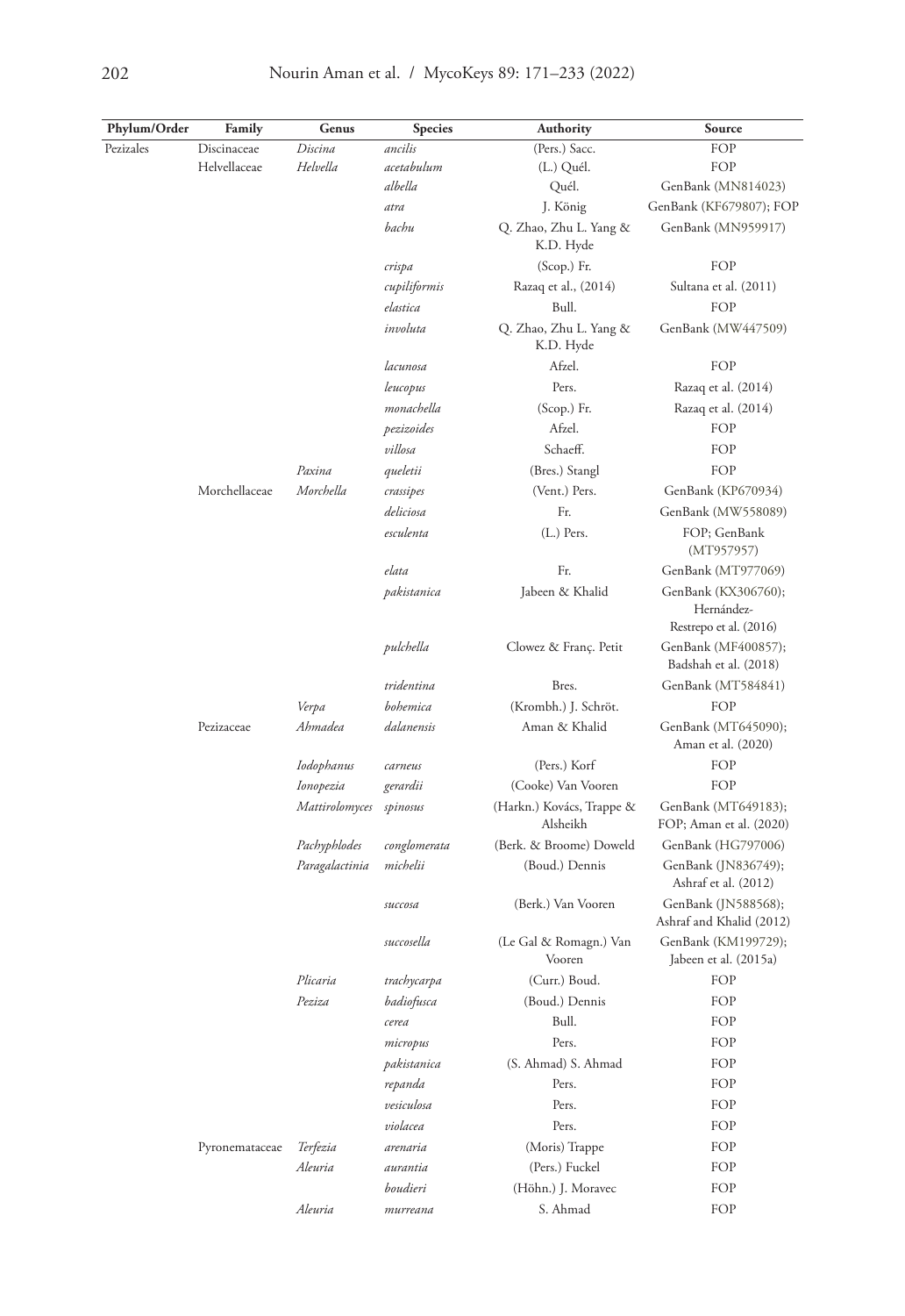| Phylum/Order | Family         | Genus          | <b>Species</b> | Authority                             | Source                                                      |
|--------------|----------------|----------------|----------------|---------------------------------------|-------------------------------------------------------------|
| Pezizales    | Discinaceae    | Discina        | ancilis        | (Pers.) Sacc.                         | FOP                                                         |
|              | Helvellaceae   | Helvella       | acetabulum     | (L.) Quél.                            | FOP                                                         |
|              |                |                | albella        | Quél.                                 | GenBank (MN814023)                                          |
|              |                |                | atra           | J. König                              | GenBank (KF679807); FOP                                     |
|              |                |                | bachu          | Q. Zhao, Zhu L. Yang &<br>K.D. Hyde   | GenBank (MN959917)                                          |
|              |                |                | crispa         | (Scop.) Fr.                           | FOP                                                         |
|              |                |                | cupiliformis   | Razaq et al., (2014)                  | Sultana et al. (2011)                                       |
|              |                |                | elastica       | Bull.                                 | FOP                                                         |
|              |                |                | involuta       | Q. Zhao, Zhu L. Yang &<br>K.D. Hyde   | GenBank (MW447509)                                          |
|              |                |                | lacunosa       | Afzel.                                | FOP                                                         |
|              |                |                | leucopus       | Pers.                                 | Razaq et al. (2014)                                         |
|              |                |                | monachella     | (Scop.) Fr.                           | Razaq et al. (2014)                                         |
|              |                |                | pezizoides     | Afzel.                                | FOP                                                         |
|              |                |                | villosa        | Schaeff.                              | FOP                                                         |
|              |                | Paxina         | queletii       | (Bres.) Stangl                        | FOP                                                         |
|              | Morchellaceae  | Morchella      | crassipes      | (Vent.) Pers.                         | GenBank (KP670934)                                          |
|              |                |                | deliciosa      | Fr.                                   | GenBank (MW558089)                                          |
|              |                |                | esculenta      | $(L.)$ Pers.                          | FOP; GenBank<br>(MT957957)                                  |
|              |                |                | elata          | Fr.                                   | GenBank (MT977069)                                          |
|              |                |                | pakistanica    | Jabeen & Khalid                       | GenBank (KX306760);<br>Hernández-<br>Restrepo et al. (2016) |
|              |                |                | pulchella      | Clowez & Franç. Petit                 | GenBank (MF400857);<br>Badshah et al. (2018)                |
|              |                |                | tridentina     | Bres.                                 | GenBank (MT584841)                                          |
|              |                | Verpa          | bohemica       | (Krombh.) J. Schröt.                  | FOP                                                         |
|              | Pezizaceae     | Ahmadea        | dalanensis     | Aman & Khalid                         | GenBank (MT645090);<br>Aman et al. (2020)                   |
|              |                | Iodophanus     | carneus        | (Pers.) Korf                          | FOP                                                         |
|              |                | Ionopezia      | gerardii       | (Cooke) Van Vooren                    | FOP                                                         |
|              |                | Mattirolomyces | spinosus       | (Harkn.) Kovács, Trappe &<br>Alsheikh | GenBank (MT649183);<br>FOP; Aman et al. (2020)              |
|              |                | Pachyphlodes   | conglomerata   | (Berk. & Broome) Doweld               | GenBank (HG797006)                                          |
|              |                | Paragalactinia | michelii       | (Boud.) Dennis                        | GenBank (JN836749);<br>Ashraf et al. (2012)                 |
|              |                |                | succosa        | (Berk.) Van Vooren                    | GenBank (JN588568);<br>Ashraf and Khalid (2012)             |
|              |                |                | succosella     | (Le Gal & Romagn.) Van<br>Vooren      | GenBank (KM199729);<br>Jabeen et al. (2015a)                |
|              |                | Plicaria       | trachycarpa    | (Curr.) Boud.                         | FOP                                                         |
|              |                | Peziza         | badiofusca     | (Boud.) Dennis                        | FOP                                                         |
|              |                |                | cerea          | Bull.                                 | FOP                                                         |
|              |                |                | micropus       | Pers.                                 | FOP                                                         |
|              |                |                | pakistanica    | (S. Ahmad) S. Ahmad                   | FOP                                                         |
|              |                |                | repanda        | Pers.                                 | FOP                                                         |
|              |                |                | vesiculosa     | Pers.                                 | FOP                                                         |
|              |                |                | violacea       | Pers.                                 | FOP                                                         |
|              | Pyronemataceae | Terfezia       | arenaria       | (Moris) Trappe                        | FOP                                                         |
|              |                | Aleuria        | aurantia       | (Pers.) Fuckel                        | FOP                                                         |
|              |                |                | boudieri       | (Höhn.) J. Moravec                    | FOP                                                         |
|              |                | Aleuria        | murreana       | S. Ahmad                              | FOP                                                         |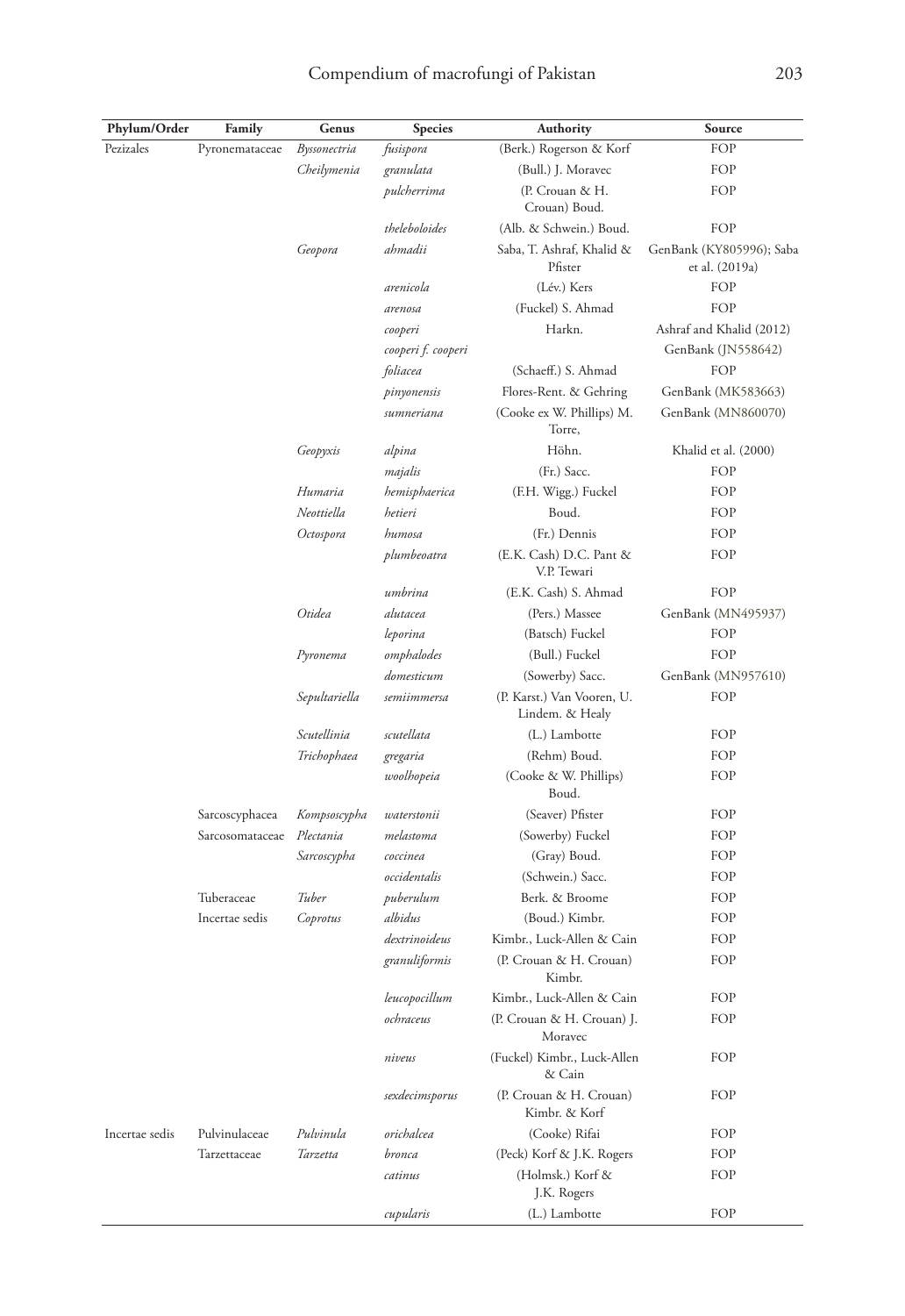| Phylum/Order   | Family          | Genus         | <b>Species</b>     | Authority                                     | Source                                     |
|----------------|-----------------|---------------|--------------------|-----------------------------------------------|--------------------------------------------|
| Pezizales      | Pyronemataceae  | Byssonectria  | fusispora          | (Berk.) Rogerson & Korf                       | FOP                                        |
|                |                 | Cheilymenia   | granulata          | (Bull.) J. Moravec                            | FOP                                        |
|                |                 |               | pulcherrima        | (P. Crouan & H.<br>Crouan) Boud.              | FOP                                        |
|                |                 |               | theleboloides      | (Alb. & Schwein.) Boud.                       | FOP                                        |
|                |                 | Geopora       | ahmadii            | Saba, T. Ashraf, Khalid &<br>Pfister          | GenBank (KY805996); Saba<br>et al. (2019a) |
|                |                 |               | arenicola          | (Lév.) Kers                                   | FOP                                        |
|                |                 |               | arenosa            | (Fuckel) S. Ahmad                             | FOP                                        |
|                |                 |               | cooperi            | Harkn.                                        | Ashraf and Khalid (2012)                   |
|                |                 |               | cooperi f. cooperi |                                               | GenBank (JN558642)                         |
|                |                 |               | foliacea           | (Schaeff.) S. Ahmad                           | FOP                                        |
|                |                 |               | pinyonensis        | Flores-Rent. & Gehring                        | GenBank (MK583663)                         |
|                |                 |               | sumneriana         | (Cooke ex W. Phillips) M.<br>Torre,           | GenBank (MN860070)                         |
|                |                 | Geopyxis      | alpina             | Höhn.                                         | Khalid et al. (2000)                       |
|                |                 |               | majalis            | (Fr.) Sacc.                                   | FOP                                        |
|                |                 | Humaria       | hemisphaerica      | (F.H. Wigg.) Fuckel                           | FOP                                        |
|                |                 | Neottiella    | hetieri            | Boud.                                         | FOP                                        |
|                |                 | Octospora     | humosa             | (Fr.) Dennis                                  | FOP                                        |
|                |                 |               | plumbeoatra        | (E.K. Cash) D.C. Pant &<br>V.P. Tewari        | FOP                                        |
|                |                 |               | umbrina            | (E.K. Cash) S. Ahmad                          | FOP                                        |
|                |                 | Otidea        | alutacea           | (Pers.) Massee                                | GenBank (MN495937)                         |
|                |                 |               | leporina           | (Batsch) Fuckel                               | FOP                                        |
|                |                 | Pyronema      | omphalodes         | (Bull.) Fuckel                                | FOP                                        |
|                |                 |               | domesticum         | (Sowerby) Sacc.                               | GenBank (MN957610)                         |
|                |                 | Sepultariella | semiimmersa        | (P. Karst.) Van Vooren, U.<br>Lindem. & Healy | FOP                                        |
|                |                 | Scutellinia   | scutellata         | (L.) Lambotte                                 | FOP                                        |
|                |                 | Trichophaea   | gregaria           | (Rehm) Boud.                                  | FOP                                        |
|                |                 |               | woolhopeia         | (Cooke & W. Phillips)<br>Boud.                | FOP                                        |
|                | Sarcoscyphacea  | Kompsoscypha  | waterstonii        | (Seaver) Pfister                              | FOP                                        |
|                | Sarcosomataceae | Plectania     | melastoma          | (Sowerby) Fuckel                              | FOP                                        |
|                |                 | Sarcoscypha   | coccinea           | (Gray) Boud.                                  | FOP                                        |
|                |                 |               | occidentalis       | (Schwein.) Sacc.                              | FOP                                        |
|                | Tuberaceae      | Tuber         | puberulum          | Berk. & Broome                                | FOP                                        |
|                | Incertae sedis  | Coprotus      | albidus            | (Boud.) Kimbr.                                | FOP                                        |
|                |                 |               | dextrinoideus      | Kimbr., Luck-Allen & Cain                     | FOP                                        |
|                |                 |               | granuliformis      | (P. Crouan & H. Crouan)<br>Kimbr.             | FOP                                        |
|                |                 |               | leucopocillum      | Kimbr., Luck-Allen & Cain                     | FOP                                        |
|                |                 |               | ochraceus          | (P. Crouan & H. Crouan) J.<br>Moravec         | FOP                                        |
|                |                 |               | niveus             | (Fuckel) Kimbr., Luck-Allen<br>& Cain         | FOP                                        |
|                |                 |               | sexdecimsporus     | (P. Crouan & H. Crouan)<br>Kimbr. & Korf      | FOP                                        |
| Incertae sedis | Pulvinulaceae   | Pulvinula     | orichalcea         | (Cooke) Rifai                                 | FOP                                        |
|                | Tarzettaceae    | Tarzetta      | bronca             | (Peck) Korf & J.K. Rogers                     | FOP                                        |
|                |                 |               | catinus            | (Holmsk.) Korf &<br>J.K. Rogers               | FOP                                        |
|                |                 |               | cupularis          | (L.) Lambotte                                 | FOP                                        |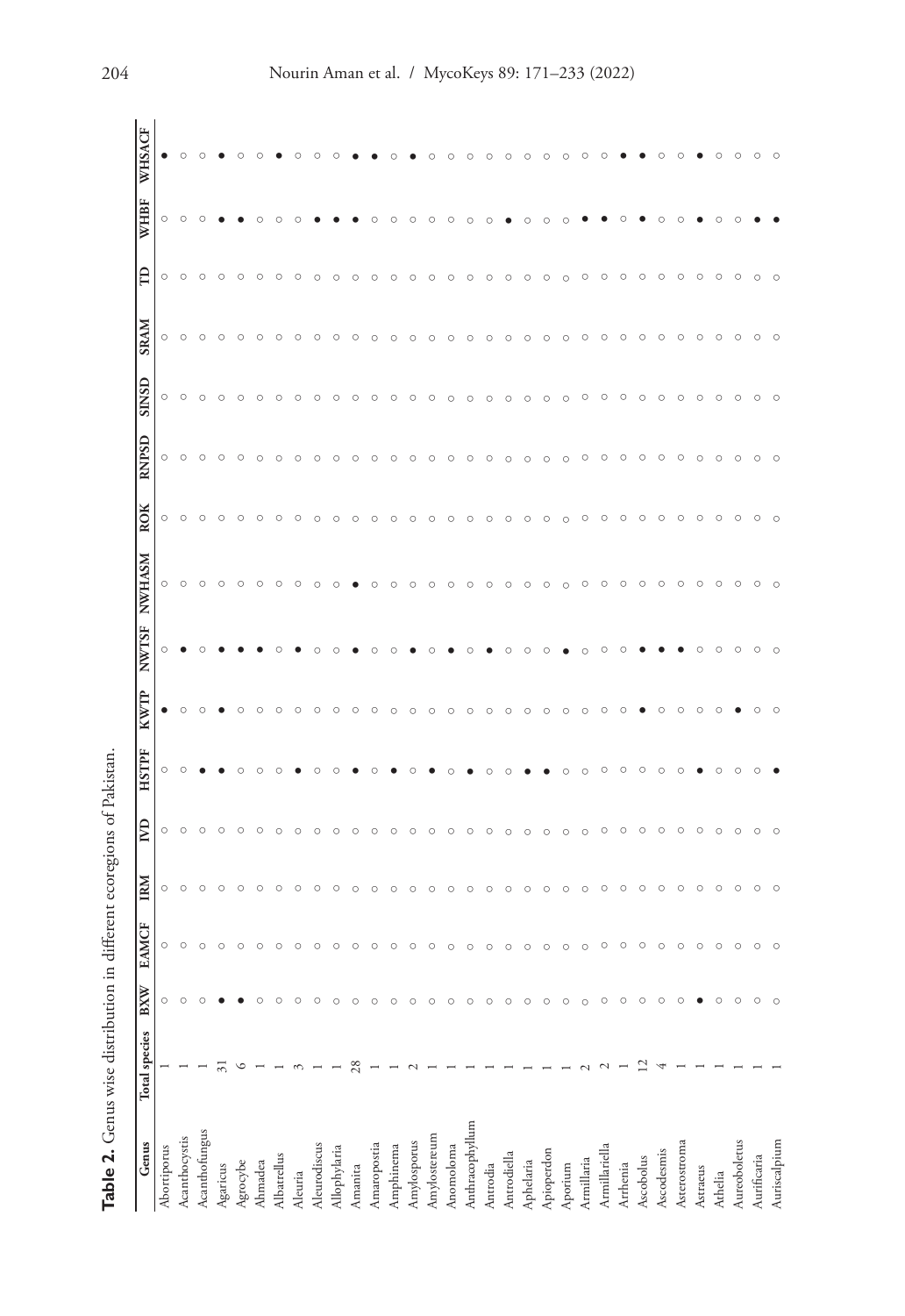| Genus           | Total species   | $\triangleright$<br>BX | <b>EAMCF</b> | IRM     | $\mathbb{R}$ | <b>HSTPF</b> | <b>KWTP</b> | <b>NWTSF</b> | <b>NWHASM</b> | <b>ROK</b> | <b>RNPSD</b> | SINSD   | <b>SRAM</b> | E        | WHBF    | WHSACF  |
|-----------------|-----------------|------------------------|--------------|---------|--------------|--------------|-------------|--------------|---------------|------------|--------------|---------|-------------|----------|---------|---------|
| Abortiporus     |                 |                        | $\circ$      | O       | O            | O            |             |              | $\circ$       | O          | $\circ$      | $\circ$ | O           | Ó        | $\circ$ |         |
| Acanthocystis   |                 |                        | $\circ$      | $\circ$ | $\circ$      | $\circ$      | $\circ$     |              | $\circ$       | $\circ$    | $\circ$      | $\circ$ | $\circ$     | $\circ$  | $\circ$ | $\circ$ |
| Acanthofungus   |                 |                        | $\circ$      | О       | $\circ$      |              | $\circ$     | O            | $\circ$       | $\circ$    | O            | $\circ$ | $\circ$     | O        | $\circ$ | O       |
| Agaricus        | $\overline{31}$ |                        |              | C       |              |              |             |              | $\circ$       | C          |              | $\circ$ | C           |          |         |         |
| Agrocybe        | $\circ$         |                        |              | O       |              | C            | C           |              | Ċ             | $\circ$    |              | $\circ$ | О           |          |         |         |
| Ahmadea         |                 |                        |              | O       |              | C            | C           |              | C             | $\circ$    |              | $\circ$ | O           | Ċ        | C       |         |
| Albatrellus     |                 |                        |              | $\circ$ |              |              |             |              | C             | $\circ$    |              | Ċ       | O           | C        | O       |         |
| Aleuria         |                 |                        |              | Ö       |              |              |             |              | O             | O          |              | O       |             |          | О       |         |
| Aleurodiscus    |                 |                        |              | C       |              | C            | C           |              | C             | $\circ$    |              | Ó       |             |          |         |         |
| Allophylaria    |                 |                        |              | O       |              |              |             |              |               | $\circ$    |              | O       |             | C        |         |         |
| Amanita         | $^{28}$         |                        |              | C       |              |              |             |              |               | C          |              | C       | C           | Ċ        |         |         |
| Amaropostia     |                 |                        |              | C       |              |              | C           |              | C             | $\circ$    |              | O       | Ċ           | Ċ        | O       |         |
| Amphinema       |                 | $\circ$                |              | C       | C            |              | Ω           |              | C             | O          |              | O       | Ó           | C        | O       |         |
| Amylosporus     |                 | $\circ$                |              | Ċ       | С            | C            | Ω           |              | C             | O          |              | O       | Ó           | Ċ        | Ω       |         |
| Amylostereum    |                 | $\circ$                | C            | Ċ       | C            |              | $\circ$     |              | О             | $\circ$    |              | О       | $\circ$     | $\circ$  | $\circ$ |         |
| Anomoloma       |                 | C                      | C            | C       | C            |              | C           |              | C             | C          |              | C       | $\circ$     | C        | C       | C       |
| Anthracophyllum |                 | C                      | C            | C       | C            |              | Ċ           |              | C             | $\circ$    |              | Ċ       | Ċ           | Ċ        | $\circ$ | C       |
| Antrodia        |                 | Ο                      | O            | O       | O            | Ċ            | Ċ           |              | O             | O          |              | Ċ       | Ö           | C        | Ω       | Ω       |
| Antrodiella     |                 | $\circ$                | O            | $\circ$ | С            | C            | Ċ           |              | O             | O          |              | Ċ       | O           | C        |         | C       |
| Aphelaria       |                 | $\circ$                | O            | Ó       | Ο            |              | Ċ           |              | Ó             | O          | ◠            | Ó       | Ó           | Ó        | O       | O       |
| Apioperdon      |                 | $\circ$                | O            | Ö       | O            |              | Ċ           |              | Ö             | O          |              | Ċ       | O           | Ö        | O       | O       |
| Aporium         |                 | $\circ$                | $\circ$      | $\circ$ | $\circ$      | Ω            | Ó           |              | $\circ$       | $\circ$    | ◠            | Ó       | $\circ$     | $\Omega$ | Ω       | ∩       |
| Armillaria      | $\mathbf{\sim}$ | $\circ$                |              | $\circ$ | Ω            | Ω            | Ò           |              | О             | O          | n            | O       | $\circ$     | Ó        |         | о       |
| Armillariella   | $\sim$          | $\circ$                | С            | C       |              | C            | C           | O            | C             | C          | C            | O       | $\circ$     | Ċ        |         | C       |
| Arrhenia        |                 | $\circ$                | C            | C       |              | C            | C           | C            | O             | O          | C            | O       | О           | Ċ        |         |         |
| Ascobolus       | $\overline{c}$  | О                      | C            | C       | C            | C            |             |              | C             | C          | C            | C       | O           | Ċ        |         |         |
| Ascodesmis      |                 |                        | O            | O       |              | O            | C           |              | $\circ$       | $\circ$    | C            | O       | O           | Ċ        | C       |         |
| Asterostroma    |                 |                        | O            | Ö       |              | n            | C           |              | Ó             | $\circ$    | Ω            | O       | Ö           | Ó        |         |         |
| Astraeus        |                 |                        |              | C       |              |              | C           |              | Ċ             | $\circ$    | C            | Ċ       | C           |          |         |         |
| Athelia         |                 |                        |              | O       |              | O            |             | C            | Ó             | O          |              | Ó       | C           |          | О       |         |
| Aureoboletus    |                 | $\circ$                | C            | O       |              | C            |             |              | Ó             | $\circ$    | C            | O       |             |          |         | C       |
| Aurificaria     |                 | $\circ$                |              |         |              |              |             |              | Ó             | O          | C            | О       |             |          |         |         |
| Auriscalpium    |                 |                        | $\circ$      |         |              |              |             |              | $\circ$       | $\circ$    | $\bigcap$    | $\circ$ |             |          |         | $\circ$ |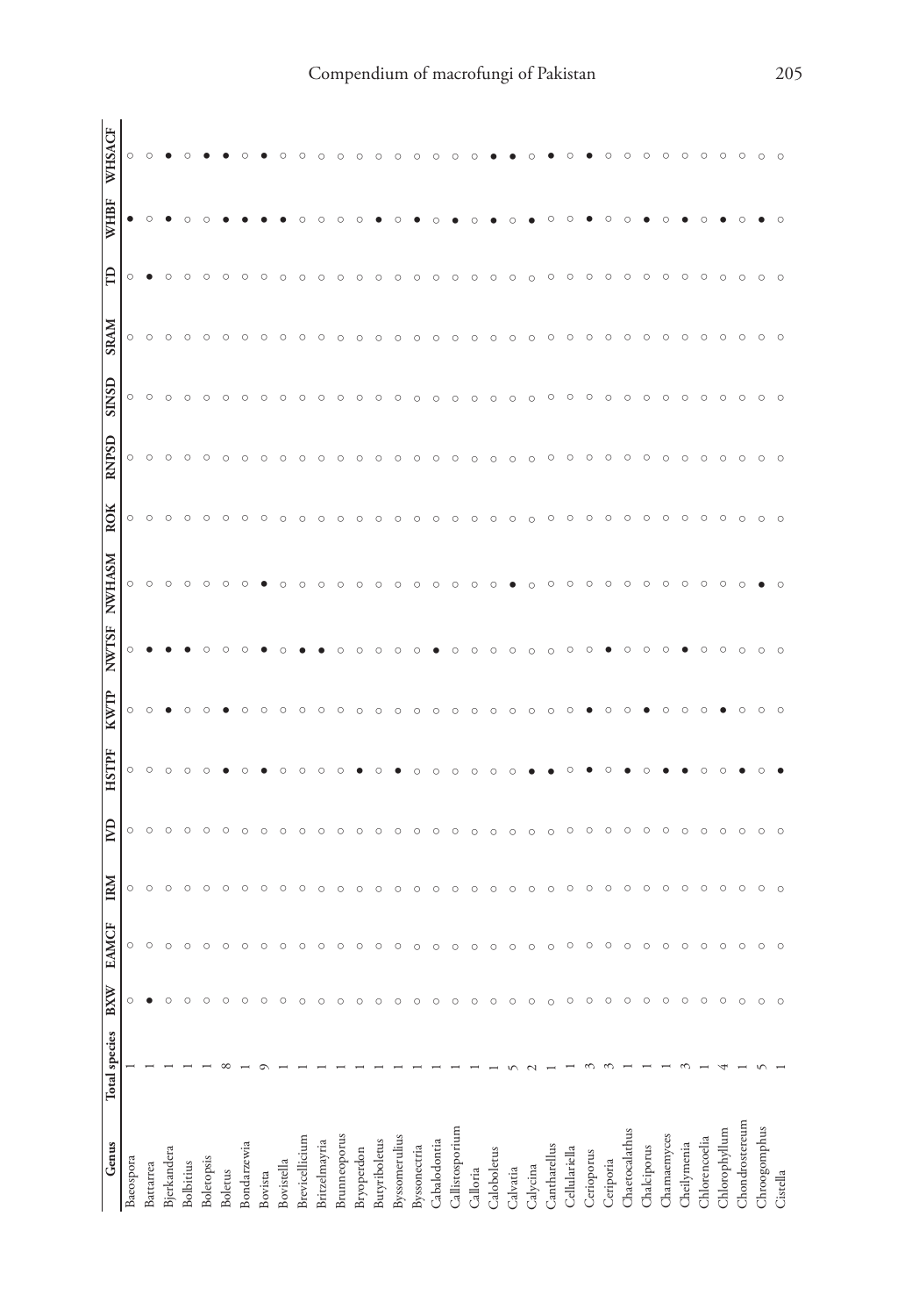| Genus            | <b>Total</b> species | BXW     | <b>EAMCF</b> | IRM     | $\mathbb{R}^n$ | <b>HSTPF</b> | <b>KWTP</b> | <b>NWTSF</b> | <b>NWHASM</b> | <b>ROK</b> | <b>RNPSD</b> | SINSD   | <b>SRAM</b> | Ê | WHBF | WHSACF  |
|------------------|----------------------|---------|--------------|---------|----------------|--------------|-------------|--------------|---------------|------------|--------------|---------|-------------|---|------|---------|
| Baeospora        |                      | $\circ$ | $\circ$      | $\circ$ | $\circ$        | $\circ$      | $\circ$     |              |               | $\circ$    | $\circ$      | $\circ$ | $\circ$     |   |      | $\circ$ |
| Battarrea        |                      |         | $\circ$      | $\circ$ | $\circ$        | $\circ$      | $\circ$     |              | C             | $\circ$    | $\circ$      | $\circ$ | $\circ$     |   |      | Ο       |
| Bjerkandera      |                      | $\circ$ |              | C       |                |              |             |              |               | Ó          |              | C       | $\circ$     |   |      |         |
| <b>Bolbitius</b> |                      | $\circ$ |              |         |                |              |             |              |               | C          |              |         | C           |   |      |         |
| Boletopsis       |                      | $\circ$ |              |         |                |              |             |              |               | $\circ$    |              |         | $\circ$     |   |      |         |
| Boletus          |                      | O       |              |         |                |              |             |              |               | $\circ$    |              |         |             |   |      |         |
| Bondarzewia      |                      | $\circ$ |              |         |                |              |             |              |               | O          |              |         |             |   |      |         |
| Bovista          |                      |         |              |         |                |              |             |              |               | O          |              |         | O           |   |      |         |
| Bovistella       |                      |         |              | C       |                |              |             |              |               | C          |              |         | C           |   |      |         |
| Brevicellicium   |                      |         |              |         |                |              |             |              |               | C          |              |         | C           |   |      |         |
| Britzelmayria    |                      | $\circ$ |              |         |                |              |             |              |               | C          |              |         | C           |   |      |         |
| Brunneoporus     |                      | $\circ$ |              |         |                |              |             |              |               | С          |              |         | C           |   |      |         |
| Bryoperdon       |                      | О       |              |         |                |              |             |              |               |            |              |         | C           |   |      |         |
| Butyriboletus    |                      | Ċ       |              |         |                |              |             |              |               | C          |              |         | C           |   |      |         |
| Byssomerulius    |                      | O       |              |         |                |              | C           |              |               | Ω          |              |         | O           |   |      |         |
| Byssonectria     |                      | O       |              | C       |                |              | C           |              |               | C          |              |         | C           |   |      |         |
| Cabalodontia     |                      | О       |              | Ċ       |                |              |             |              |               | Ċ          |              |         | $\circ$     |   |      |         |
| Callistosporium  |                      | О       |              | O       |                |              |             |              | C             | O          |              |         | О           |   |      |         |
| Calloria         |                      | $\circ$ |              | C       |                |              |             |              | C             | C          |              |         | $\circ$     |   |      |         |
| Caloboletus      |                      | $\circ$ |              | C       |                |              |             |              |               | C          |              |         | $\circ$     |   |      |         |
| Calvatia         |                      | $\circ$ |              | O       |                |              |             |              |               | Ω          |              |         | $\circ$     |   |      |         |
| Calycina         |                      | $\circ$ |              | C       |                |              |             |              |               | Ω          |              |         | $\circ$     |   |      |         |
| Cantharellus     |                      | Ö       |              | C       |                |              |             |              |               | О          |              |         | О           |   |      |         |
| Cellulariella    |                      | $\circ$ |              |         |                |              |             |              |               | С          |              |         |             |   |      |         |
| Cerioporus       |                      | $\circ$ |              |         |                |              |             |              |               |            |              |         |             |   |      |         |
| Ceriporia        |                      | $\circ$ |              |         |                |              |             |              |               | C          |              |         |             |   |      |         |
| Chaetocalathus   |                      | $\circ$ |              |         |                |              |             |              |               | С          |              |         |             |   |      |         |
| Chalciporus      |                      | $\circ$ |              |         |                |              |             |              |               | C          |              |         |             |   |      |         |
| Chamaemyces      |                      | $\circ$ |              |         |                |              |             |              |               | C          |              |         |             |   |      |         |
| Cheilymenia      |                      | $\circ$ |              |         |                |              |             |              |               | C          |              |         |             |   |      |         |
| Chlorencoelia    |                      | $\circ$ |              |         |                |              |             |              |               | С          |              |         |             |   |      |         |
| Chlorophyllum    |                      | $\circ$ |              |         |                |              |             |              |               | Ċ          |              |         |             |   |      |         |
| Chondrostereum   |                      | $\circ$ |              |         |                |              |             |              |               | C          |              |         |             |   |      |         |
| Chroogomphus     |                      | $\circ$ |              |         |                |              |             |              |               |            |              |         |             |   |      |         |
| Cistella         |                      | $\circ$ |              |         |                |              |             |              |               |            |              |         |             |   |      |         |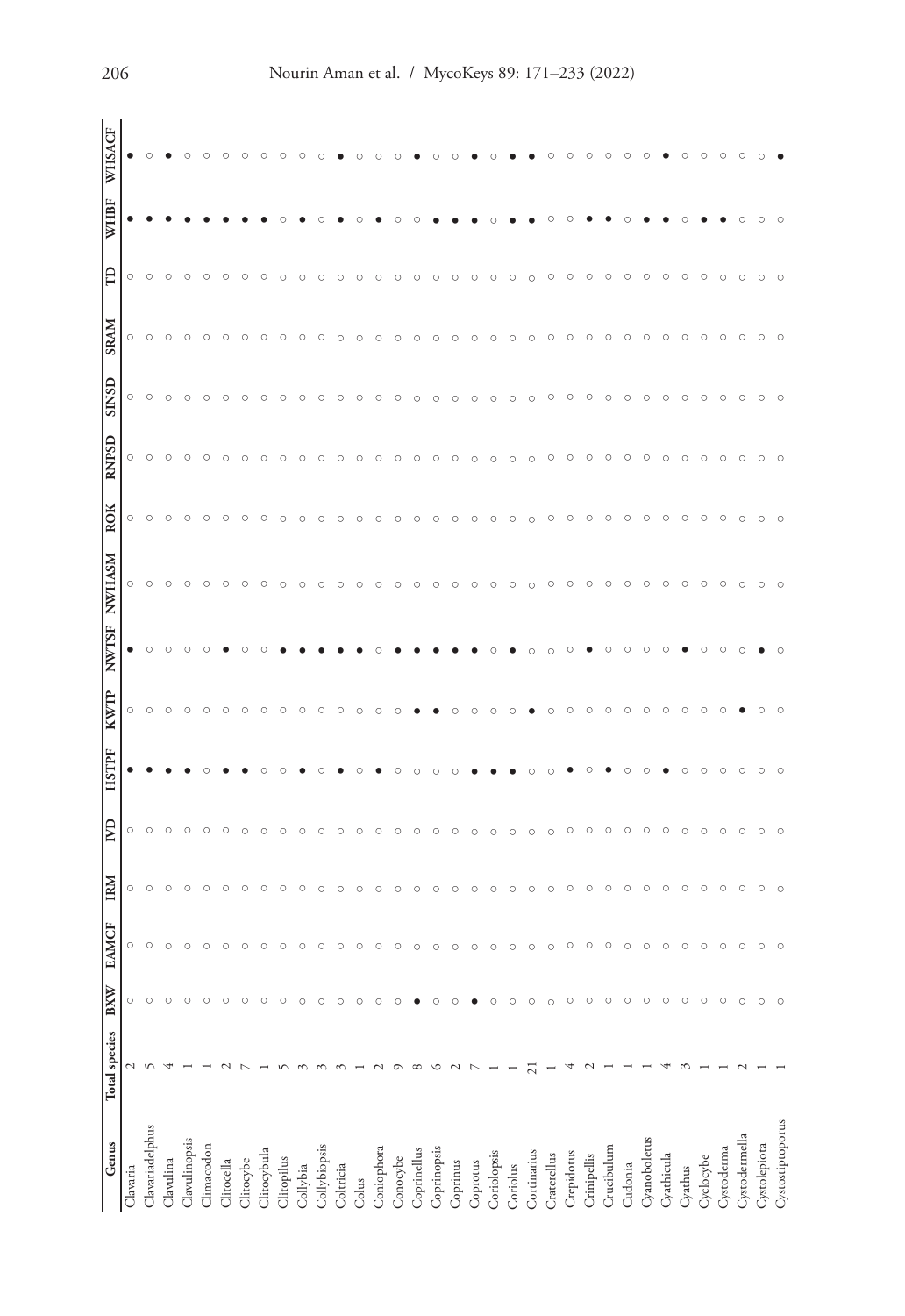| Genus            | <b>Total</b> species | BXW     | <b>EAMCF</b> | <b>IRM</b> | $\mathbb{R}$ | <b>HSTPF</b> | <b>KWTP</b> | <b>NWTSF</b> | <b>NWHASM</b> | <b>ROK</b> | <b>RNPSD</b> | SINSD   | <b>SRAM</b> | Ê       | WHBF | WHSACF |
|------------------|----------------------|---------|--------------|------------|--------------|--------------|-------------|--------------|---------------|------------|--------------|---------|-------------|---------|------|--------|
| Clavaria         | 2                    | $\circ$ |              | O          | $\circ$      |              | $\circ$     |              | $\circ$       | $\circ$    | $\circ$      | O       | $\circ$     | $\circ$ |      |        |
|                  |                      |         |              |            |              |              |             |              |               |            |              |         |             |         |      |        |
| Clavariadelphus  | $\sqrt{ }$           | $\circ$ |              | $\circ$    | $\circ$      |              | $\circ$     |              | $\circ$       | $\circ$    | $\circ$      | $\circ$ | $\circ$     |         |      |        |
| Clavulina        |                      | $\circ$ |              | C          |              |              | $\circ$     |              |               | $\circ$    |              |         | $\circ$     |         |      |        |
| Clavulinopsis    |                      | $\circ$ |              | С          |              |              | C           |              |               | C          |              |         | $\circ$     |         |      |        |
| Climacodon       |                      | $\circ$ |              | О          |              |              |             |              |               |            |              |         | O           |         |      |        |
| Clitocella       |                      | $\circ$ |              | C          |              |              |             |              |               |            |              |         | C           |         |      |        |
| Clitocybe        |                      | $\circ$ |              | С          |              |              |             |              |               |            |              |         | $\circ$     |         |      |        |
| Clitocybula      |                      | О       |              |            |              |              |             |              |               |            |              |         | C           |         |      |        |
| Clitopilus       |                      | $\circ$ |              |            |              |              |             |              |               |            |              |         | C           |         |      |        |
| Collybia         |                      | Ö       |              |            |              |              |             |              |               |            |              |         |             |         |      |        |
| Collybiopsis     |                      | $\circ$ |              |            |              |              |             |              |               |            |              |         |             |         |      |        |
| Coltricia        |                      | $\circ$ |              |            |              |              |             |              |               |            |              |         |             |         |      |        |
| Colus            |                      | $\circ$ |              |            |              |              |             |              |               |            |              |         |             |         |      |        |
| Coniophora       |                      | $\circ$ |              |            |              |              |             |              |               |            |              |         |             |         |      |        |
| Conocybe         | $\circ$              | О       |              |            |              |              |             |              |               |            |              |         | C           |         |      |        |
| Coprinellus      |                      |         |              |            |              |              |             |              |               |            |              | C       | C           |         |      |        |
| Coprinopsis      |                      | $\circ$ |              |            |              |              |             |              |               |            |              | C       | C           |         |      |        |
| Coprinus         |                      | $\circ$ |              |            |              |              |             |              |               |            |              |         |             |         |      |        |
| Coprotus         |                      |         |              |            |              |              |             |              |               |            |              | C       |             |         |      |        |
| Coriolopsis      |                      | $\circ$ |              |            |              |              |             |              |               |            |              | C       |             |         |      |        |
| Coriolus         |                      | О       |              |            |              |              |             |              |               |            |              |         |             |         |      |        |
| Cortinarius      |                      | О       |              | Ċ          |              |              |             |              | C             |            |              | C       |             |         |      |        |
| Craterellus      |                      | O       |              | C          |              |              |             |              | О             | C          |              |         | О           |         |      |        |
| Crepidotus       |                      | $\circ$ |              | С          |              |              |             |              | С             | C          |              |         | С           |         |      |        |
| Crinipellis      |                      | $\circ$ |              | C          |              |              |             |              | C             |            |              |         | C           |         |      |        |
| Crucibulum       |                      | $\circ$ |              |            |              |              |             |              | С             |            |              |         | C           |         |      |        |
| Cudonia          |                      | $\circ$ |              |            |              |              |             |              | С             |            |              |         | C           |         |      |        |
| Cyanoboletus     |                      | $\circ$ |              |            |              |              |             |              |               |            |              |         | O           |         |      |        |
| Cyathicula       |                      | $\circ$ |              | C          |              |              |             |              |               |            |              |         | C           |         |      |        |
| Cyathus          |                      | $\circ$ |              | C          |              |              |             |              |               |            |              |         | O           |         |      |        |
| Cyclocybe        |                      | $\circ$ |              |            |              |              |             |              |               |            |              |         |             |         |      |        |
| Cystoderma       |                      | $\circ$ |              |            |              |              |             |              |               |            |              |         |             |         |      |        |
| Cystodermella    |                      | $\circ$ |              |            |              |              |             |              |               |            |              |         |             |         |      |        |
| Cystolepiota     |                      | $\circ$ |              |            |              |              |             |              |               |            |              |         |             |         |      |        |
| Cystostiptoporus |                      | $\circ$ |              |            |              |              |             |              |               |            |              |         |             |         |      |        |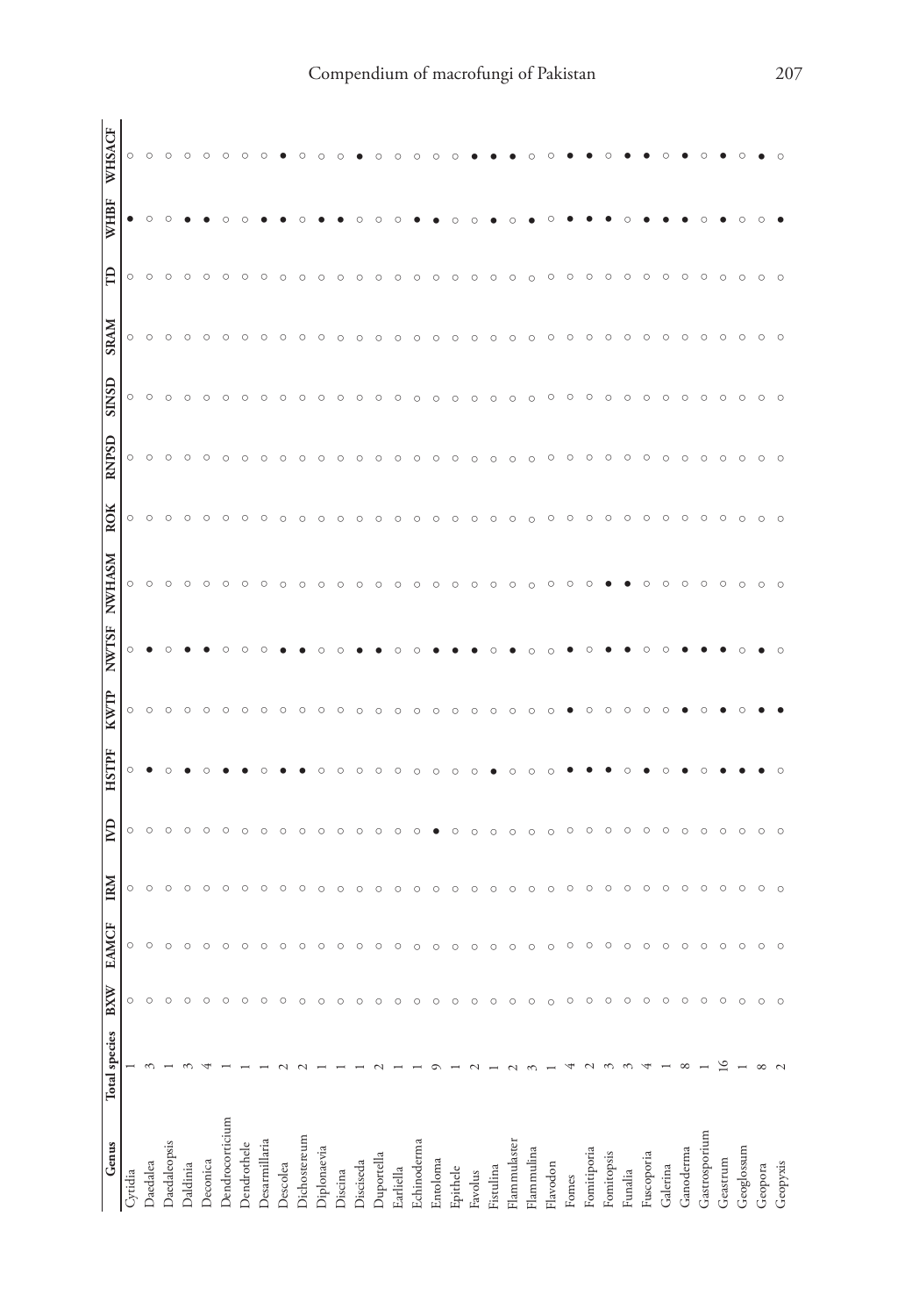|                 |                      |            |              |         | $\mathbb{R}$ | <b>HSTPF</b> |             | <b>NWTSF</b> |               |            |         |         |             | $\mathbf{r}$ |         |         |
|-----------------|----------------------|------------|--------------|---------|--------------|--------------|-------------|--------------|---------------|------------|---------|---------|-------------|--------------|---------|---------|
| Genus           | <b>Total</b> species | <b>BXW</b> | <b>EAMCF</b> | IRM     |              |              | <b>KWTP</b> |              | <b>NWHASM</b> | <b>ROK</b> | RNPSD   | SINSD   | <b>SRAM</b> |              | WHBF    | WHSACF  |
| Cytidia         |                      | $\circ$    |              | $\circ$ | $\circ$      |              | $\circ$     | $\circ$      |               | $\circ$    | $\circ$ | $\circ$ | $\circ$     | Ċ            |         | $\circ$ |
| Daedalea        | $\sim$               | $\circ$    | $\circ$      | $\circ$ | $\circ$      |              | $\circ$     |              | $\circ$       | $\circ$    | $\circ$ | $\circ$ | $\circ$     |              | $\circ$ | $\circ$ |
| Daedaleopsis    |                      | $\circ$    |              | О       |              |              | $\circ$     |              |               | $\circ$    | C       | O       | О           |              |         | O       |
| Daldinia        |                      | $\circ$    |              | $\circ$ |              |              | $\circ$     |              |               | $\circ$    |         |         | $\circ$     |              |         |         |
| Deconica        |                      | $\circ$    |              |         |              |              | O           |              |               | Ö          |         |         | О           |              |         |         |
| Dendrocorticium |                      | $\circ$    |              |         |              |              | C           |              |               | $\circ$    |         |         | $\circ$     |              |         |         |
| Dendrothele     |                      | $\circ$    |              |         |              |              |             |              |               | $\circ$    |         |         | $\circ$     |              |         |         |
| Desarmillaria   |                      | $\circ$    |              |         |              |              |             |              |               | C          |         |         | Ċ           |              |         |         |
| Descolea        |                      | $\circ$    |              |         |              |              |             |              |               | C          |         |         | Ċ           |              |         |         |
| Dichostereum    |                      | $\circ$    |              |         |              |              |             |              |               | C          |         |         | O           |              |         |         |
| Diplonaevia     |                      | $\circ$    |              |         |              |              |             |              |               | C          |         |         | C           |              |         |         |
| Discina         |                      | $\circ$    |              |         |              |              |             |              |               | С          |         |         | O           |              |         |         |
| Disciseda       |                      | $\circ$    |              |         |              |              |             |              |               | Ω          |         |         | O           |              |         |         |
| Duportella      |                      | $\circ$    |              |         |              |              |             |              |               | $\bigcirc$ |         |         | $\circ$     |              |         |         |
| Earliella       |                      | $\circ$    |              | Ċ       |              |              | C           |              |               | Ó          |         |         | О           |              |         |         |
| Echinoderma     |                      | $\circ$    |              | Ċ       |              | C            | C           |              | C             | Ċ          |         |         | O           |              |         |         |
| Entoloma        |                      | $\circ$    |              | Ó       |              |              |             |              | C             | Ó          |         |         | $\circ$     |              |         |         |
| Epithele        |                      | $\circ$    |              | O       |              |              |             |              |               | $\circ$    |         |         | $\circ$     |              |         |         |
| ${\tt Favolus}$ |                      | $\circ$    |              | C       |              |              |             |              |               | C          |         |         | $\circ$     |              |         |         |
| Fistulina       |                      | $\circ$    |              | C       |              |              |             |              | C             | C          |         |         | Ó           |              |         |         |
| Flammulaster    |                      | $\circ$    |              | O       |              |              |             |              | C             | O          |         |         | $\circ$     |              |         |         |
| Flammulina      |                      | $\circ$    |              | C       |              |              |             |              |               | $\subset$  |         |         | $\circ$     |              |         |         |
| Flavodon        |                      | $\circ$    |              | C       |              |              |             |              |               | C          |         |         | C           |              |         |         |
| Fomes           |                      | $\circ$    |              |         |              |              |             |              |               | C          |         |         | C           |              |         |         |
| Fomitiporia     |                      | $\circ$    |              |         |              |              |             |              |               |            |         |         |             |              |         |         |
| Fomitopsis      |                      | $\circ$    |              |         |              |              |             |              |               | C          |         |         |             |              |         |         |
| Funalia         |                      | $\circ$    |              |         |              |              |             |              |               | O          |         |         |             |              |         |         |
| Fuscoporia      | 4                    | $\circ$    |              |         |              |              |             |              |               | O          |         |         | O           |              |         |         |
| Galerina        |                      | $\circ$    |              |         |              |              |             |              |               | C          |         |         | Ċ           |              |         |         |
| Ganoderma       | $\infty$             | $\circ$    |              |         |              |              |             |              |               | C          |         |         |             |              |         |         |
| Gastrosporium   |                      | $\circ$    |              |         |              |              |             |              |               | C          |         |         | C           |              |         |         |
| Geastrum        | $\geq$               | $\circ$    |              |         |              |              |             |              |               | C          |         |         |             |              |         |         |
| Geoglossum      |                      | $\circ$    |              |         |              |              |             |              |               | О          |         |         |             |              |         |         |
| Geopora         | $\infty$             | $\circ$    |              |         |              |              |             |              |               |            |         |         |             |              |         |         |
| Geopyxis        |                      | $\circ$    |              | $\circ$ |              |              |             |              |               | $\circ$    |         |         |             |              |         |         |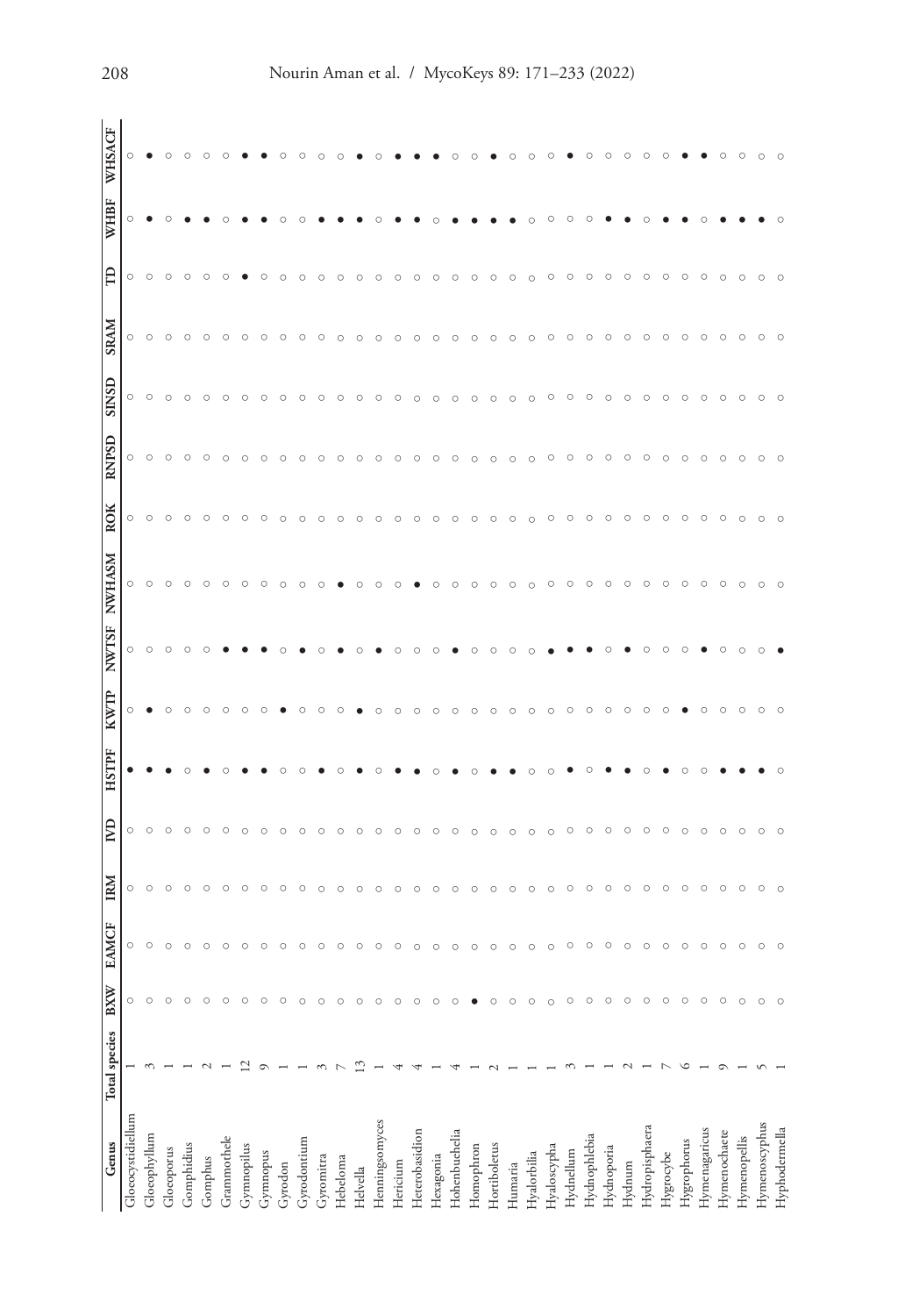| Genus             | <b>Total</b> species | BXW     | <b>EAMCF</b> | IRM | <b>S</b>  | <b>HSTPF</b> | <b>KWTP</b> | <b>NWTSF</b> | <b>NWHASM</b> | <b>ROK</b> | <b>RNPSD</b> | SINSD   | <b>SRAM</b> | Ê       | WHBF | WHSACF |
|-------------------|----------------------|---------|--------------|-----|-----------|--------------|-------------|--------------|---------------|------------|--------------|---------|-------------|---------|------|--------|
| Gloeocystidiellum |                      | $\circ$ | $\circ$      | O   | $\circ$   |              |             | $\circ$      | O             | $\circ$    | $\circ$      | $\circ$ | $\circ$     | O       | Ċ    |        |
| Glocophyllum      |                      | $\circ$ | $\circ$      | О   | $\circ$   |              |             | $\circ$      | $\circ$       | $\circ$    | $\circ$      | $\circ$ | $\circ$     | $\circ$ |      |        |
| Gloeoporus        |                      | $\circ$ | O            |     | $\circ$   |              |             | О            |               |            | $\circ$      | $\circ$ | O           | $\circ$ |      |        |
| Gomphidius        |                      | $\circ$ | O            |     | $\circ$   |              |             |              |               |            | $\circ$      | $\circ$ | C           | Ο       |      |        |
| Gomphus           |                      | $\circ$ | C            |     | O         |              |             |              |               |            | C            | O       |             | C       |      |        |
| Grammothele       |                      | $\circ$ | С            |     | C         |              |             |              |               |            |              | Ċ       |             | C       |      |        |
| Gymnopilus        |                      |         |              |     | O         |              |             |              |               |            |              |         |             |         |      |        |
| Gymnopus          |                      |         |              |     | C         |              |             |              |               |            |              |         |             | C       |      |        |
| Gyrodon           |                      |         |              |     | C         |              |             |              |               |            |              |         |             | C       |      |        |
| Gyrodontium       |                      |         |              |     | O         |              |             |              |               |            |              |         |             |         |      |        |
| Gyromitra         |                      |         |              |     | С         |              |             |              |               |            |              |         |             |         |      |        |
| Hebeloma          |                      | О       |              |     | O         |              |             |              |               |            |              |         | С           | C       |      |        |
| Helvella          | S                    | $\circ$ |              |     | Ω         |              |             |              |               |            |              |         | O           |         |      |        |
| Henningsomyces    |                      | $\circ$ |              |     | C         |              |             |              |               |            |              |         | C           |         |      |        |
| Hericium          |                      | $\circ$ |              |     | C         |              |             |              |               |            | Ċ            |         | Ċ           |         |      |        |
| Heterobasidion    |                      | $\circ$ |              |     | C         |              |             |              |               |            |              |         | C           |         |      |        |
| Hexagonia         |                      | $\circ$ |              |     | C         |              |             |              |               |            | C            | C       | С           | Ċ       |      |        |
| Hohenbuehelia     |                      |         |              |     | C         |              |             |              |               |            |              | O       | C           |         |      |        |
| Homophron         |                      |         |              |     | C         |              |             | C            |               |            |              | C       |             |         |      |        |
| Hortiboletus      |                      | $\circ$ |              |     |           |              |             |              |               |            |              | C       | C           |         |      |        |
| Humaria           |                      | $\circ$ |              |     | Ω         |              |             |              |               |            |              | Ω       | Ω           |         |      |        |
| Hyalorbilia       |                      | О       |              |     | Ω         |              |             |              |               |            |              | C       | C           |         |      |        |
| Hyaloscypha       |                      | $\circ$ |              |     | $\bigcap$ |              |             |              |               |            | O            | О       | O           | О       |      |        |
| Hydnellum         |                      | $\circ$ |              |     | $\circ$   |              | $\circ$     |              |               |            | O            | O       | $\circ$     | С       |      |        |
| Hydnophlebia      |                      | $\circ$ |              |     | O         |              | O           |              |               |            | O            | O       | C           | О       |      |        |
| Hydnoporia        |                      | $\circ$ |              |     | $\circ$   |              | C           |              |               |            | C            | C       | C           | C       |      |        |
| Hydnum            |                      | $\circ$ |              |     | O         |              | $\circ$     |              |               |            | O            |         |             | Ο       |      |        |
| Hydropisphaera    |                      | $\circ$ |              |     | O         |              | O           |              |               |            | Ó            |         |             | О       |      |        |
| Hygrocybe         |                      | $\circ$ |              |     | Ċ         |              |             |              |               |            | C            |         |             | С       |      |        |
| Hygrophorus       |                      | $\circ$ |              |     | $\circ$   |              |             |              |               |            | O            |         |             | O       |      |        |
| Hymenagaricus     |                      | $\circ$ |              |     | $\circ$   |              |             |              |               |            | C            |         |             | C       |      |        |
| Hymenochaete      |                      | $\circ$ |              |     | O         |              |             |              |               |            | C            |         |             | С       |      |        |
| Hymenopellis      |                      | $\circ$ |              |     | O         |              |             |              |               |            |              |         |             |         |      |        |
| Hymenoscyphus     |                      | $\circ$ |              |     | $\circ$   |              |             |              |               |            | C            |         |             | C       |      |        |
| Hyphodermella     |                      | $\circ$ | $\circ$      |     | $\circ$   |              |             |              |               |            | $\circ$      |         |             | $\circ$ |      |        |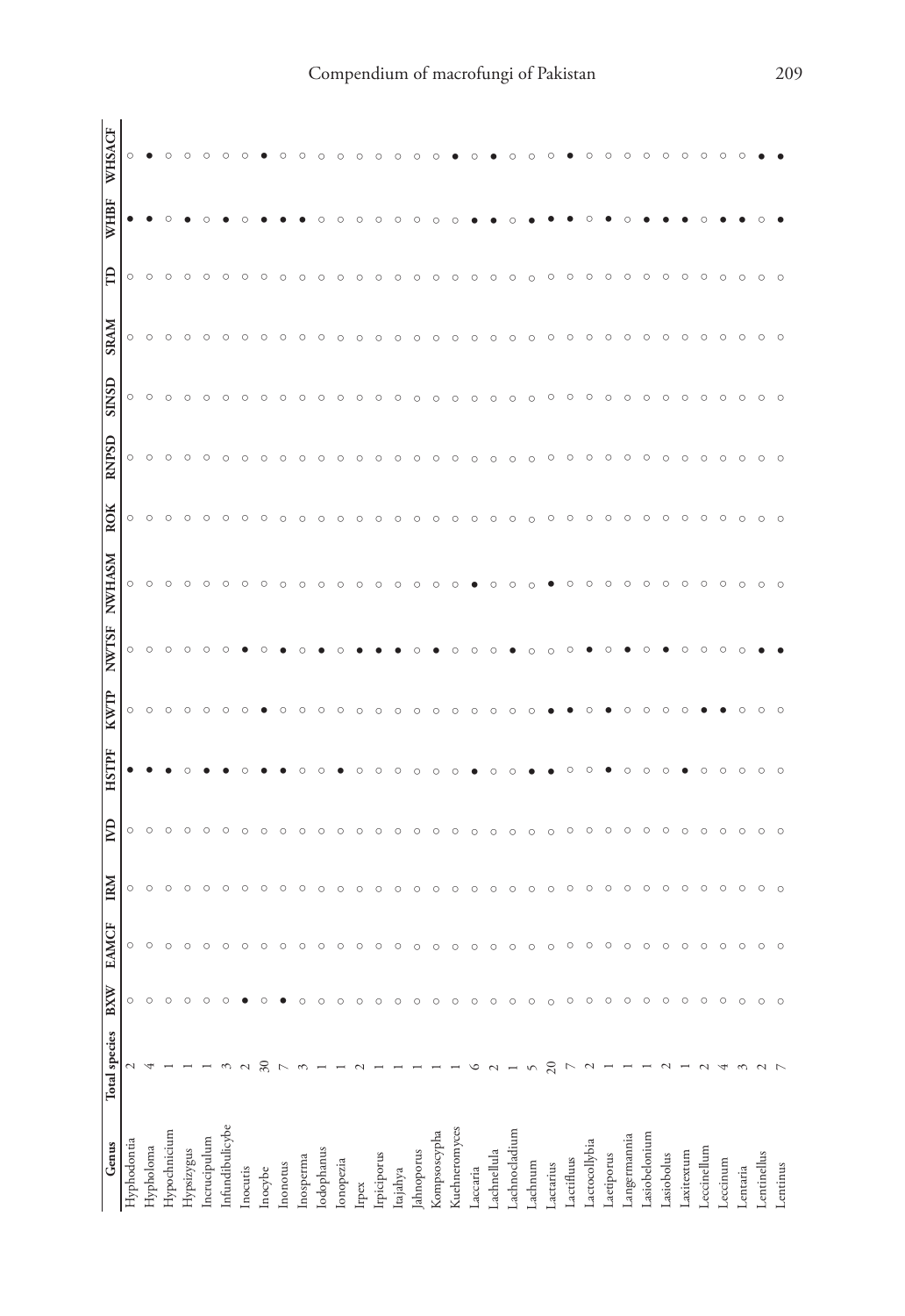| Genus             | Total species            | <b>BXW</b> | <b>EAMCF</b> | <b>IRM</b> | $\mathbb{R}$ | <b>HSTPF</b> | <b>KWTP</b> | <b>NWTSF</b> | <b>NWHASM</b> | <b>ROK</b> | <b>RNPSD</b> | SINSD   | <b>SRAM</b> | Ê | WHBF | WHSACF |
|-------------------|--------------------------|------------|--------------|------------|--------------|--------------|-------------|--------------|---------------|------------|--------------|---------|-------------|---|------|--------|
| Hyphodontia       | 2                        | $\circ$    |              | $\circ$    | $\circ$      |              | $\circ$     | $\circ$      | $\circ$       | $\circ$    | $\circ$      | $\circ$ | $\circ$     | Ċ |      |        |
| Hypholoma         |                          | $\circ$    |              | $\circ$    | $\circ$      |              | $\circ$     |              | $\circ$       | $\circ$    | $\circ$      | $\circ$ | $\circ$     |   |      |        |
| Hypochnicium      |                          | $\circ$    |              | C          |              |              | О           |              |               | O          |              |         | O           |   |      |        |
| Hypsizygus        |                          | $\circ$    |              | С          |              |              | C           |              |               | C          |              |         | C           |   |      |        |
| Incrucipulum      |                          | $\circ$    |              | C          |              |              |             |              |               | C          |              |         | $\circ$     |   |      |        |
| Infundibulicybe   |                          | $\circ$    |              | С          |              |              |             |              |               |            |              |         | $\circ$     |   |      |        |
| Inocutis          | $\overline{\mathcal{C}}$ |            |              | С          |              |              |             |              |               |            |              |         | $\circ$     |   |      |        |
| Inocybe           | $\delta$                 | O          |              |            |              |              |             |              |               |            |              |         | Ω           |   |      |        |
| Inonotus          |                          |            |              |            |              |              |             |              |               |            |              |         | C           |   |      |        |
| $In a general \\$ |                          | O          |              |            |              |              |             |              |               |            |              |         | C           |   |      |        |
| Iodophanus        |                          | $\circ$    |              |            |              |              |             |              |               |            |              | C       | C           |   |      |        |
| Ionopezia         |                          | $\circ$    |              |            |              |              |             |              |               |            |              | С       | C           |   |      |        |
| Irpex             | $\mathbf{\sim}$          | $\circ$    |              |            |              |              |             |              |               |            |              |         | C           |   |      |        |
| Irpiciporus       |                          | $\circ$    |              | C          |              |              |             |              |               |            |              |         | C           |   |      |        |
| Itajahya          |                          | $\circ$    |              | Ω          |              |              |             |              |               |            |              |         | Ω           |   |      |        |
| Jahnoporus        |                          | $\circ$    |              | C          |              |              |             |              |               | C          |              |         | C           |   |      |        |
| Kompsoscypha      |                          | $\circ$    |              | C          |              |              | C           |              |               | C          |              | C       | O           |   |      |        |
| Kuehneromyces     |                          | $\circ$    |              |            |              |              | C           |              |               | C          |              |         | O           |   |      |        |
| Laccaria          | ╰                        | $\circ$    |              |            |              |              |             |              |               |            |              |         | C           |   |      |        |
| Lachnellula       |                          | $\circ$    |              |            |              |              |             |              |               |            |              |         | Ċ           |   |      |        |
| Lachnocladium     |                          | $\circ$    |              |            |              |              |             |              |               |            |              |         | O           |   |      |        |
| Lachnum           |                          | $\circ$    |              |            |              |              |             |              |               |            |              |         | Ċ           |   |      |        |
| Lactarius         | $\Omega$                 | $\circ$    |              |            |              |              |             |              |               |            |              |         | C           |   |      |        |
| Lactifluus        |                          | $\circ$    |              | C          |              |              |             |              | C             |            |              |         | C           |   |      |        |
| Lactocollybia     |                          | $\circ$    |              |            |              |              |             |              |               |            |              |         | C           |   |      |        |
| Laetiporus        |                          | $\circ$    |              |            |              |              |             |              |               |            |              |         | C           |   |      |        |
| Langermannia      |                          | $\circ$    |              | C          |              |              |             |              |               |            |              |         | С           |   |      |        |
| Lasiobelonium     |                          | $\circ$    |              | C          |              |              |             |              |               |            |              |         | О           |   |      |        |
| Lasiobolus        |                          | $\circ$    |              |            |              |              |             |              |               |            |              |         | C           |   |      |        |
| Laxitextum        |                          | $\circ$    |              |            |              |              |             |              |               |            |              |         | C           |   |      |        |
| Leccinellum       |                          | $\circ$    |              |            |              |              |             |              |               |            |              |         |             |   |      |        |
| Leccinum          |                          | $\circ$    |              |            |              |              |             |              |               |            |              |         |             |   |      |        |
| Lentaria          |                          | $\circ$    |              |            |              |              |             |              |               |            |              |         |             |   |      |        |
| Lentinellus       |                          | $\circ$    |              |            |              |              |             |              |               |            |              |         |             |   |      |        |
| Lentinus          |                          | $\circ$    |              |            |              |              |             |              |               |            |              |         |             |   |      |        |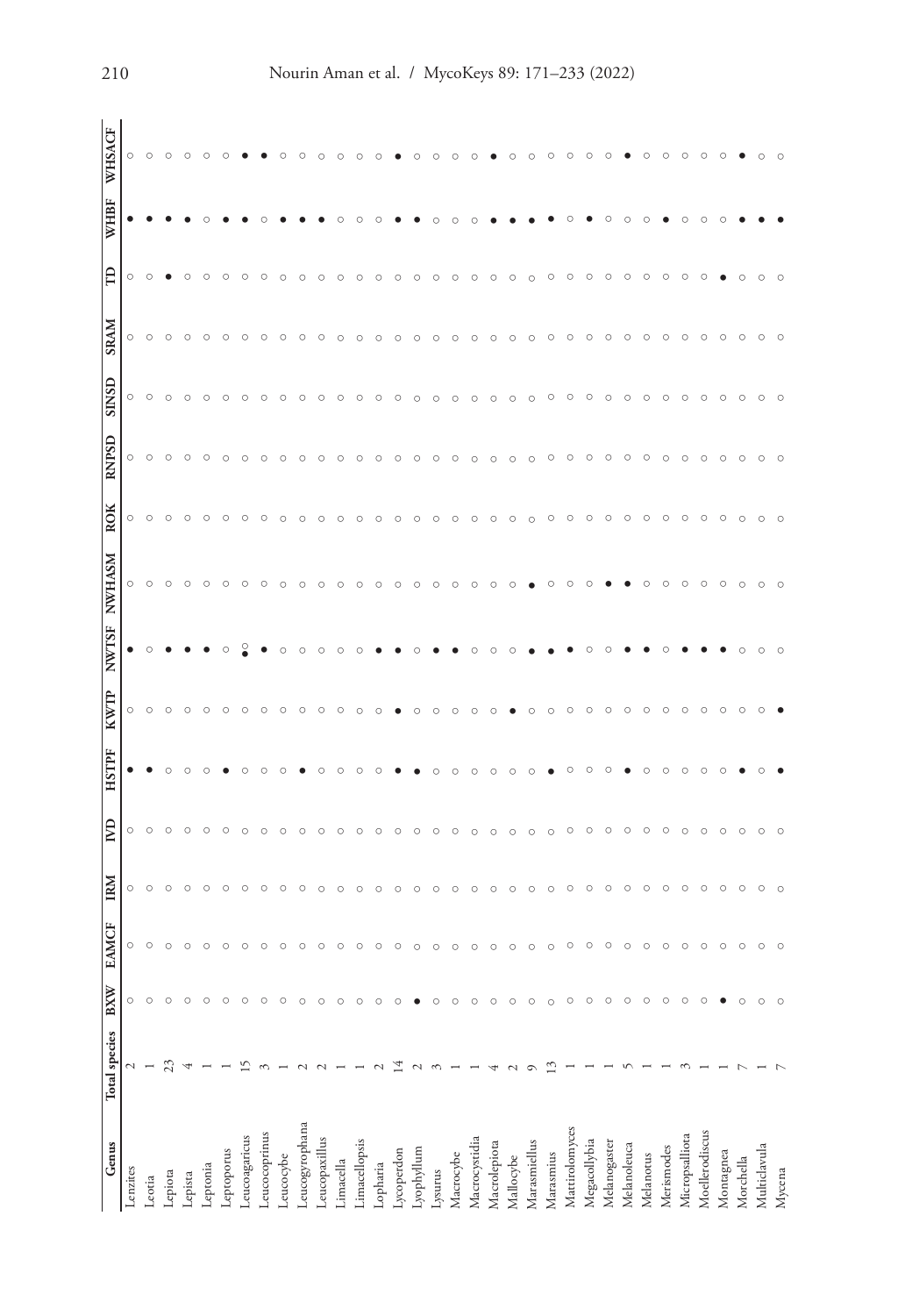| Genus                | Total species | BXW     | <b>EAMCF</b> | IRM     | $\mathbb{R}$ | <b>HSTPF</b> | <b>KWTP</b> |         | NWTSF NWHASM | <b>ROK</b> | RNPSD   | SINSD   | <b>SRAM</b> | Ê       | WHBF | WHSACF  |
|----------------------|---------------|---------|--------------|---------|--------------|--------------|-------------|---------|--------------|------------|---------|---------|-------------|---------|------|---------|
| Lenzites             | 2             | $\circ$ | $\circ$      | $\circ$ | $\circ$      |              | $\circ$     |         | $\circ$      | $\circ$    | $\circ$ | $\circ$ | $\circ$     | $\circ$ |      | $\circ$ |
| Leotia               |               | $\circ$ | $\circ$      | $\circ$ | $\circ$      |              | $\circ$     | $\circ$ | $\circ$      | $\circ$    | $\circ$ | $\circ$ | $\circ$     | О       |      | $\circ$ |
| Lepiota              |               | $\circ$ | O            |         | О            |              | О           |         |              |            | О       | O       | O           |         |      |         |
| Lepista              |               | $\circ$ | C            |         | $\circ$      |              | С           |         |              |            | $\circ$ |         | C           |         |      |         |
| Leptonia             |               | $\circ$ | O            |         | O            |              |             |         |              |            | $\circ$ |         | O           |         |      |         |
| Leptoporus           |               | $\circ$ | C            |         | C            |              |             |         |              |            | C       |         |             |         |      |         |
| cucoagaricus         | r             | $\circ$ |              |         | C            |              |             |         |              |            | $\circ$ |         |             |         |      |         |
| <b>Leucocoprinus</b> |               | Ö       |              |         | O            |              |             |         |              |            | O       |         |             |         |      |         |
| Leucocybe            |               | C       |              |         |              |              |             |         |              |            | C       |         |             |         |      |         |
| Leucogyrophana       |               | O       |              |         |              |              | C           |         |              |            | O       |         |             |         |      |         |
| <i>cucopaxillus</i>  |               | $\circ$ |              |         |              |              |             |         |              |            | C       |         |             | C       |      |         |
| Limacella            |               | $\circ$ |              |         |              |              | С           |         |              |            | C       |         |             | Ċ       |      |         |
| imacellopsis         |               | $\circ$ |              |         |              |              |             |         |              |            | C       |         |             | C       |      |         |
| Lopharia             |               | $\circ$ |              |         |              |              |             |         |              |            | C       |         |             | C       |      |         |
| Lycoperdon           | 4             | Ċ       |              |         |              |              |             |         |              |            | C       |         |             | C       |      |         |
| Lyophyllum           |               |         |              |         |              |              |             |         |              |            | C       |         |             |         |      |         |
| Lysurus              |               |         |              |         |              |              |             |         |              |            | C       |         |             |         |      |         |
| Macrocybe            |               | О       |              |         |              |              |             |         |              |            | O       |         |             | O       |      |         |
| Macrocystidia        |               | O       |              |         |              |              |             |         |              |            | C       |         |             | C       |      |         |
| Macrolepiota         |               | O       |              |         |              |              |             |         |              |            | O       |         |             | O       |      |         |
| Mallocybe            |               | $\circ$ |              |         |              |              |             |         |              |            | O       |         |             | O       |      |         |
| Marasmiellus         |               | O       |              |         | O            |              | C           |         |              |            | Ó       |         |             | Ċ       |      |         |
| Marasmius            | Ŝ             | О       |              |         | Ċ            |              |             |         |              |            | O       | C       | C           |         |      |         |
| Mattirolomyces       |               | $\circ$ |              |         | $\circ$      |              |             |         |              |            | C       | C       |             |         |      |         |
| Megacollybia         |               | О       |              |         | O            |              |             |         |              |            | C       | C       |             |         |      |         |
| Melanogaster         |               | $\circ$ |              |         |              |              |             |         |              |            | C       | C       |             |         |      |         |
| Melanoleuca          |               | $\circ$ |              |         |              |              |             |         |              |            | C       | C       |             |         |      |         |
| Melanotus            |               | $\circ$ |              |         | O            |              |             |         |              |            | O       | C       |             |         |      |         |
| Merismodes           |               | $\circ$ |              |         | C            |              |             |         |              |            | C       |         |             |         |      |         |
| Micropsalliota       |               | $\circ$ |              |         |              |              |             |         |              |            | C       |         |             |         |      |         |
| Moellerodiscus       |               | $\circ$ |              |         |              |              |             |         |              |            | C       |         |             |         |      |         |
| Montagnea            |               |         |              |         |              |              |             |         |              |            | С       |         |             |         |      |         |
| Morchella            |               | $\circ$ |              |         |              |              |             |         |              |            | C       |         |             |         |      |         |
| Multiclavula         |               | $\circ$ |              |         |              |              |             |         |              |            | С       |         |             |         |      |         |
| Mycena               |               | $\circ$ |              |         |              |              |             |         |              |            | О       |         |             | О       |      |         |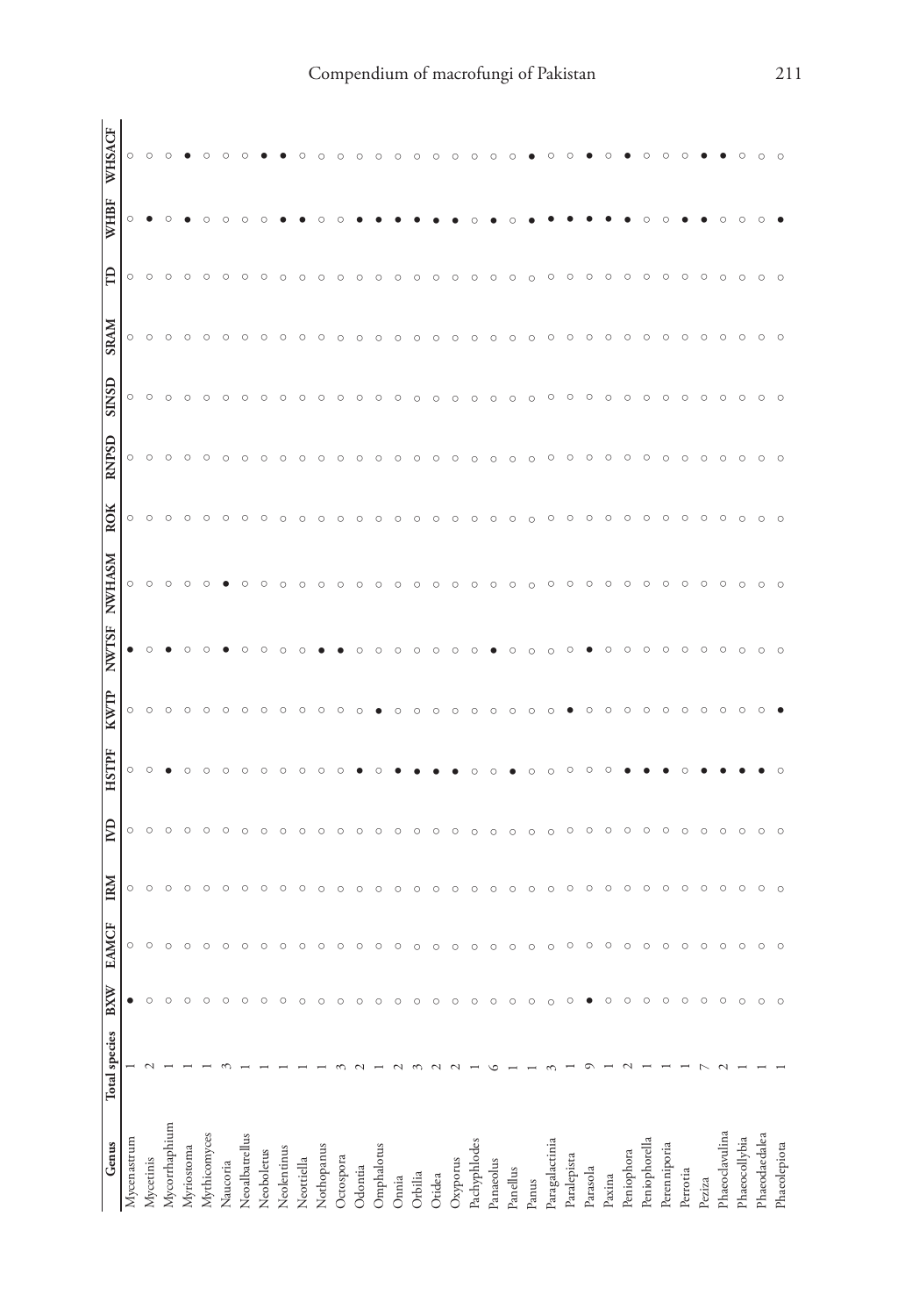| Genus          | Total species | <b>BXW</b> | <b>EAMCF</b> | IRM     | $\mathbb{R}$ | <b>HSTPF</b> | <b>KWTP</b> | <b>NWTSF</b> | <b>NWHASM</b> | ROK      | RNPSD   | SINSD   | <b>SRAM</b> | Ê | WHBF | WHSACF  |
|----------------|---------------|------------|--------------|---------|--------------|--------------|-------------|--------------|---------------|----------|---------|---------|-------------|---|------|---------|
| Mycenastrum    |               |            |              | $\circ$ | $\circ$      |              | $\circ$     |              |               | $\circ$  | $\circ$ | $\circ$ | $\circ$     | Ċ |      | $\circ$ |
| Mycetinis      |               | $\circ$    | $\circ$      | $\circ$ | $\circ$      | $\circ$      | $\circ$     |              | $\circ$       | $\circ$  | $\circ$ | $\circ$ | $\circ$     |   |      | $\circ$ |
| Mycorrhaphium  |               | $\circ$    |              | О       |              |              | $\circ$     |              |               | $\circ$  | C       | O       | $\circ$     |   |      |         |
| Myriostoma     |               | $\circ$    |              | C       |              | C            | $\circ$     |              |               | $\circ$  |         |         | $\circ$     |   |      |         |
| Mythicomyces   |               | $\circ$    |              |         |              |              | $\circ$     |              |               | $\circ$  |         |         | О           |   |      |         |
| Naucoria       |               | $\circ$    |              |         |              |              | $\bigcirc$  |              |               | $\circ$  |         |         | $\circ$     |   |      |         |
| Neoalbatrellus |               | $\circ$    |              |         |              |              | C           |              |               | Ó        |         |         | О           |   |      |         |
| Neoboletus     |               | $\circ$    |              |         |              |              |             |              |               | Ö        |         |         | Ó           |   |      |         |
| Neolentinus    |               | $\circ$    |              |         |              |              |             |              |               | C        |         |         | Ċ           |   |      |         |
| Neottiella     |               | О          |              |         |              |              |             |              |               | C        |         |         | C           |   |      |         |
| Nothopanus     |               | C          |              |         |              |              |             |              |               | С        |         |         | C           |   |      |         |
| Octospora      |               | $\circ$    |              |         |              |              |             |              |               | Ο        |         |         | O           |   |      |         |
| Odontia        |               | $\circ$    |              |         |              |              |             |              |               | Ω        |         |         | O           |   |      |         |
| Omphalotus     |               | O          |              |         |              |              |             |              |               | C        |         |         | C           |   |      |         |
| Onnia          |               | О          |              | O       |              |              | O           |              |               | O        |         |         | О           |   |      |         |
| Orbilia        |               | $\circ$    |              | C       |              |              | C           |              |               | Ċ        |         |         | $\circ$     |   |      |         |
| Otidea         |               | О          |              | C       |              |              |             |              | С             | Ó        |         |         | О           |   |      |         |
| Oxyporus       |               | О          |              | O       |              |              |             |              |               | Ö        |         |         | О           |   |      |         |
| Pachyphlodes   |               | $\circ$    |              | C       |              |              |             |              |               | $\circ$  |         |         | $\circ$     |   |      |         |
| Panaeolus      |               | $\circ$    |              | C       |              |              |             |              |               | O        |         |         | Ó           |   |      |         |
| Panellus       |               | О          |              | C       |              |              |             |              | C             | O        |         |         | Ö           |   |      |         |
| Panus          |               | $\circ$    |              | O       |              |              |             |              | С             | $\Omega$ |         |         | $\circ$     |   |      |         |
| Paragalactinia |               | О          |              | C       |              |              |             |              |               | C        |         |         | C           |   |      |         |
| Paralepista    |               | $\circ$    |              |         |              |              |             |              |               | C        |         |         | C           |   |      |         |
| Parasola       |               |            |              |         |              |              | C           |              |               |          |         |         |             |   |      |         |
| Paxina         |               | $\circ$    |              |         |              |              |             |              |               | C        |         |         |             |   |      |         |
| Peniophora     |               | $\circ$    |              |         |              |              |             |              |               | С        |         |         |             |   |      |         |
| Peniophorella  |               | $\circ$    |              |         |              |              |             |              |               | О        |         |         |             |   |      |         |
| Perenniporia   |               | $\circ$    |              |         |              |              |             |              |               | С        |         |         |             |   |      |         |
| Perrotia       |               | $\circ$    |              |         |              |              |             |              |               | O        |         |         |             |   |      |         |
| Peziza         |               | $\circ$    |              |         |              |              |             |              |               | C        |         |         |             |   |      |         |
| Phaeoclavulina |               | $\circ$    |              |         |              |              |             |              |               | O        |         |         | C           |   |      |         |
| Phaeocollybia  |               | О          |              |         |              |              |             |              |               | O        |         |         |             |   |      |         |
| Phaeodaedalea  |               | $\circ$    |              |         |              |              |             |              |               |          |         |         |             |   |      |         |
| Phaeolepiota   |               | $\circ$    |              | $\circ$ |              |              |             |              |               | $\circ$  |         |         |             |   |      |         |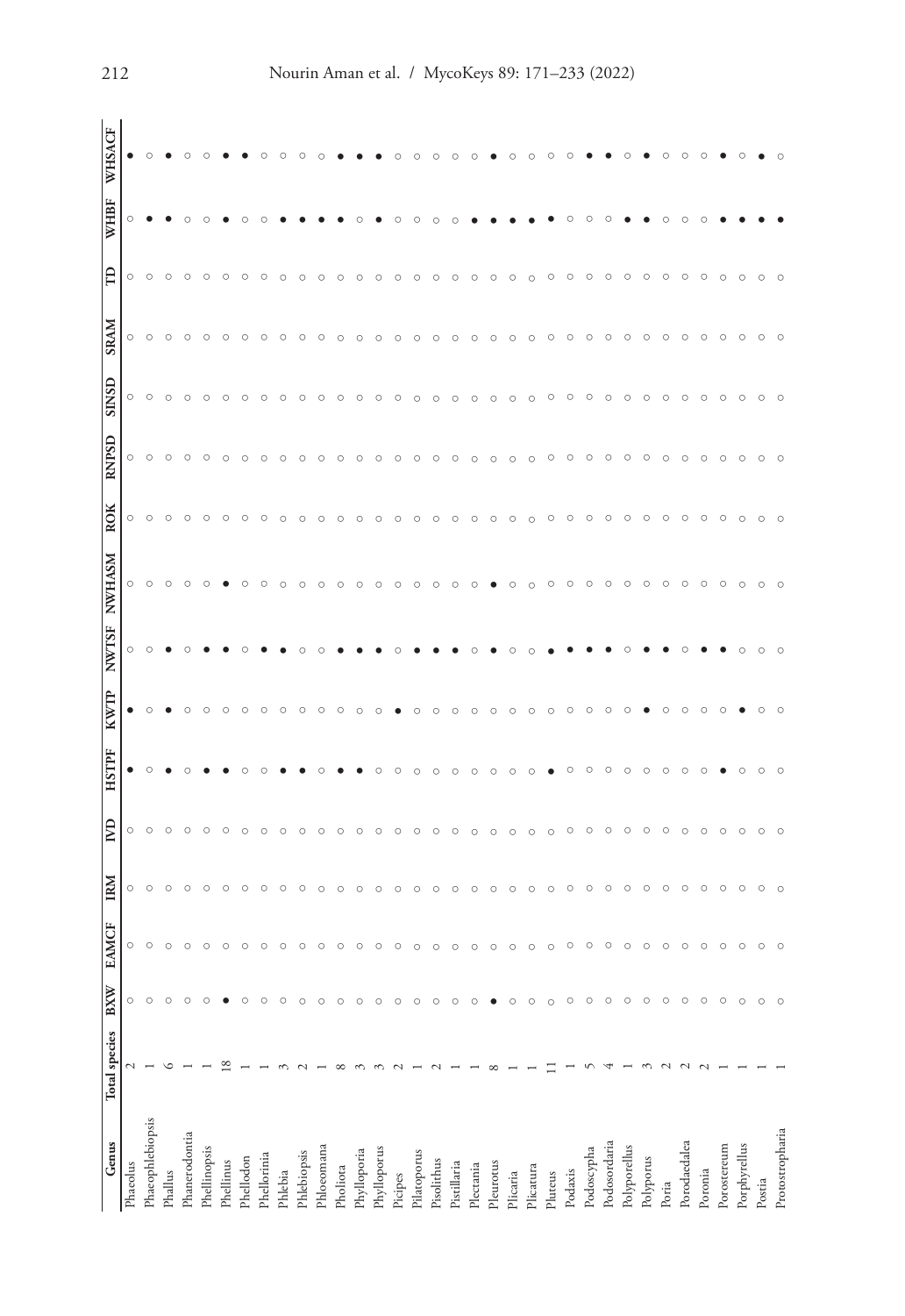| Genus            | Total species | <b>BXW</b> | <b>EAMCF</b> | IRM     | $\mathbb{R}$ | <b>HSTPF</b> | <b>KWTP</b> | <b>NWTSF</b> | <b>NWHASM</b> | <b>ROK</b> | RNPSD   | SINSD   | <b>SRAM</b> | Ê       | WHBF | WHSACF |
|------------------|---------------|------------|--------------|---------|--------------|--------------|-------------|--------------|---------------|------------|---------|---------|-------------|---------|------|--------|
| Phaeolus         | N             | $\circ$    | $\circ$      | $\circ$ | $\circ$      |              |             | $\circ$      | $\circ$       | $\circ$    | $\circ$ | $\circ$ | $\circ$     | $\circ$ |      |        |
| Phaeophlebiopsis |               | $\circ$    | $\circ$      | $\circ$ | $\circ$      |              | $\circ$     | $\circ$      | $\circ$       | $\circ$    | $\circ$ | $\circ$ | $\circ$     | $\circ$ |      |        |
| Phallus          |               | $\circ$    |              |         | O            |              |             |              |               |            | $\circ$ |         | O           | $\circ$ |      |        |
| Phanerodontia    |               | $\circ$    |              |         | $\circ$      |              |             |              |               |            | $\circ$ |         | С           | $\circ$ |      |        |
| Phellinopsis     |               | O          |              |         | O            |              |             |              |               |            | О       |         | О           | $\circ$ |      |        |
| Phellinus        | $^{\circ}$    |            |              |         | C            |              |             |              |               |            | $\circ$ |         |             | $\circ$ |      |        |
| Phellodon        |               |            |              |         | O            |              |             |              |               |            | О       |         |             | $\circ$ |      |        |
| Phellorinia      |               |            |              |         | O            |              |             |              |               |            | O       |         |             | O       |      |        |
| Phlebia          |               |            |              |         | C            |              |             |              |               |            | Ċ       |         |             | C       |      |        |
| Phlebiopsis      |               | O          |              |         | C            |              |             |              |               |            | O       |         | C           | Ω       |      |        |
| Phloeomana       |               | C          |              |         | C            |              |             |              |               |            | C       |         |             | C       |      |        |
| Pholiota         |               | О          |              |         |              |              |             |              |               |            | С       |         | С           | C       |      |        |
| Phylloporia      |               | О          |              |         |              |              |             |              |               |            |         |         |             | C       |      |        |
| Phylloporus      |               | $\circ$    |              |         |              |              |             |              |               |            |         |         | C           | C       |      |        |
| Picipes          |               | C          |              |         |              |              |             |              |               |            |         |         | C           | O       |      |        |
| Pilatoporus      |               |            |              |         |              |              |             |              |               |            |         |         | С           | C       |      |        |
| Pisolithus       |               | С          |              |         |              |              |             |              |               |            |         |         | С           | O       |      |        |
| Pistillaria      |               | О          |              |         | Ω            |              |             |              |               |            |         |         | О           | O       |      |        |
| Plectania        |               | C          |              |         | C            |              |             |              |               |            | C       |         | C           | O       |      |        |
| Pleurotus        |               |            |              |         | Ω            |              | O           |              |               |            | O       |         | Ω           | O       |      |        |
| Plicaria         |               | Ö          |              |         | C            |              | C           |              |               |            | Ö       |         | Ω           | Ö       |      |        |
| Plicatura        |               | $\circ$    |              |         | Ċ            |              | Ċ           |              |               |            | Ċ       |         | O           | Ó       |      |        |
| Pluteus          |               | $\circ$    |              |         |              |              | Ċ           |              |               |            | O       |         | C           | $\circ$ |      |        |
| Podaxis          |               | $\circ$    |              |         |              |              | C           |              |               |            | $\circ$ |         |             | $\circ$ |      |        |
| Podoscypha       |               | $\circ$    |              |         | C            |              | C           |              |               |            | O       |         |             | O       |      |        |
| Podosordaria     |               | $\circ$    |              |         | С            |              |             |              |               |            | O       |         |             | O       |      |        |
| Polyporellus     |               | $\circ$    |              |         | C            |              |             |              |               |            | O       |         |             | O       |      |        |
| Polyporus        |               | $\circ$    |              |         | O            |              |             |              |               |            | O       |         |             | O       |      |        |
| Poria            |               | $\circ$    |              |         | C            |              |             |              |               |            | C       |         |             | C       |      |        |
| Porodaedalea     |               | $\circ$    |              |         | O            |              |             |              |               |            |         |         |             | O       |      |        |
| Poronia          |               | $\circ$    |              |         | C            |              |             |              |               |            |         |         |             | C       |      |        |
| Porostereum      |               | $\circ$    |              |         | С            |              |             |              |               |            |         |         |             | $\circ$ |      |        |
| Porphyrellus     |               | $\circ$    |              |         | C            |              |             |              |               |            |         |         |             | Ω       |      |        |
| Postia           |               | $\circ$    |              |         | C            |              |             |              |               |            |         |         |             | C       |      |        |
| Protostropharia  |               | $\circ$    |              |         | C            |              |             |              |               |            |         |         |             | $\circ$ |      |        |
|                  |               |            |              |         |              |              |             |              |               |            |         |         |             |         |      |        |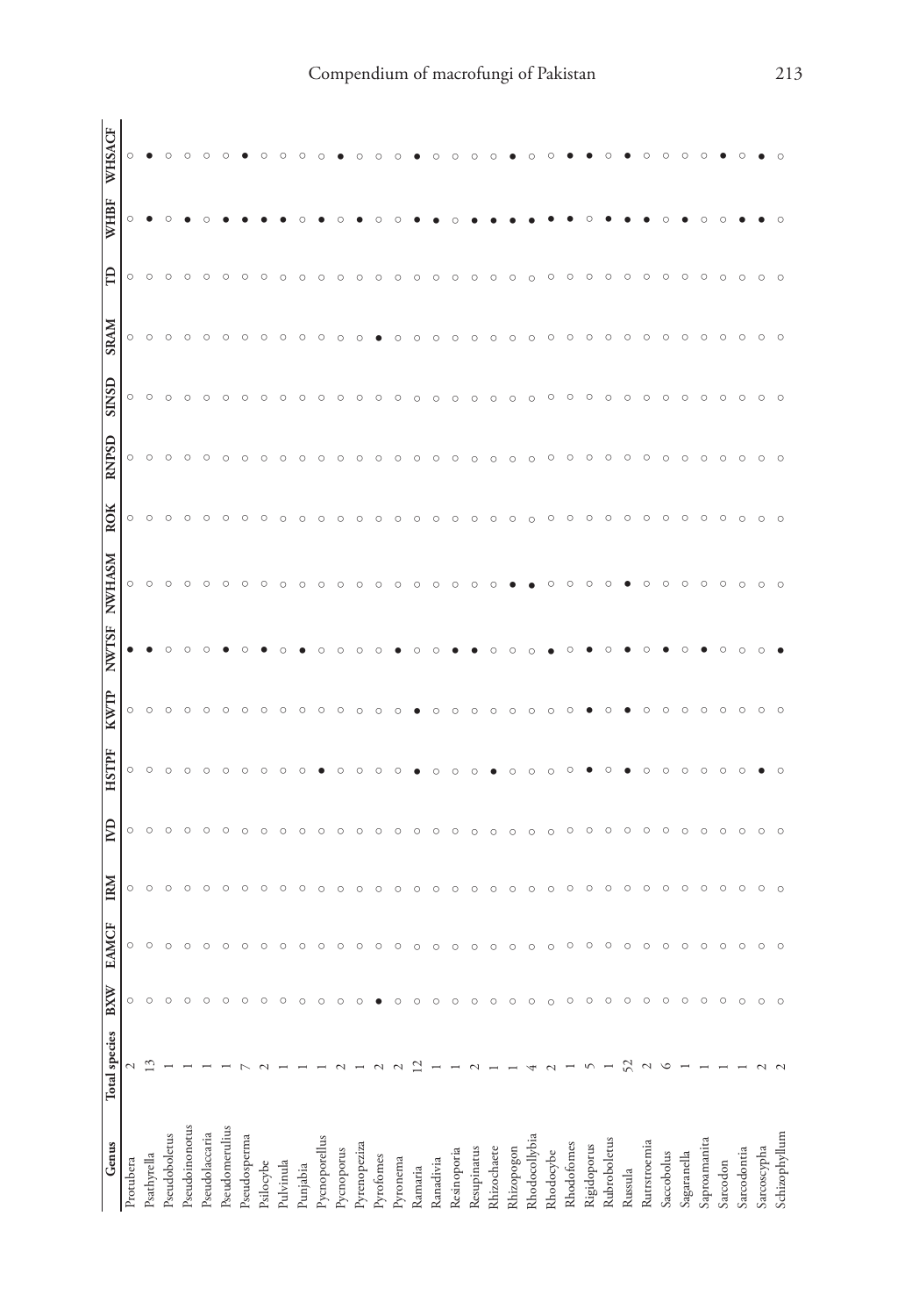| Genus          | Total species | <b>BXW</b> | <b>EAMCF</b> | IRM     | <b>S</b> | <b>HSTPF</b> | <b>KWTP</b> | <b>NWTSF</b> | <b>NWHASM</b> | <b>ROK</b> | <b>RNPSD</b> | SINSD   | <b>SRAM</b> | Ê       | WHBF | WHSACF |
|----------------|---------------|------------|--------------|---------|----------|--------------|-------------|--------------|---------------|------------|--------------|---------|-------------|---------|------|--------|
| Protubera      | 2             | $\circ$    | $\circ$      | O       | $\circ$  | $\circ$      | $\circ$     |              |               | $\circ$    | $\circ$      | $\circ$ | $\circ$     | $\circ$ | C    |        |
| Psathyrella    | $\tilde{1}$   | $\circ$    | $\circ$      | $\circ$ | $\circ$  | $\circ$      | $\circ$     |              | $\circ$       | $\circ$    | $\circ$      | $\circ$ | $\circ$     | $\circ$ |      |        |
| Pseudoboletus  |               | $\circ$    |              |         | $\circ$  |              | O           |              |               |            | O            | О       | О           | O       |      |        |
| Pseudoinonotus |               | $\circ$    | C            |         | $\circ$  |              | C           |              |               |            | $\circ$      |         | C           | C       |      |        |
| Pseudolaccaria |               | $\circ$    | O            |         | $\circ$  |              | O           |              |               |            | O            |         |             | $\circ$ |      |        |
| Pseudomerulius |               | $\circ$    |              |         | $\circ$  |              |             |              |               |            | C            |         |             | C       |      |        |
| Pseudosperma   |               | $\circ$    |              |         | Ó        |              |             |              |               |            | C            |         |             | O       |      |        |
| Psilocybe      |               | О          |              |         | Ö        |              |             |              |               |            | О            |         |             | O       |      |        |
| Pulvinula      |               | $\circ$    |              |         | C        |              |             |              |               |            | C            |         |             | C       |      |        |
| Punjabia       |               | О          |              |         | C        |              |             |              |               |            |              |         |             | C       |      |        |
| Pycnoporellus  |               | $\circ$    |              |         | C        |              |             |              |               |            |              |         | C           | C       |      |        |
| Pycnoporus     |               | $\circ$    |              |         | C        |              |             |              |               |            |              |         | С           | C       |      |        |
| Pyrenopeziza   |               |            |              |         | Ω        |              |             |              |               |            |              |         |             |         |      |        |
| Pyrofomes      |               |            |              |         | $\circ$  |              |             |              |               |            |              |         |             | C       |      |        |
| Pyronema       |               | $\circ$    | С            |         | O        |              |             |              |               |            |              |         |             | С       |      |        |
| Ramaria        |               | C          |              |         | C        |              |             |              |               |            | Ċ            |         |             | С       |      |        |
| Ranadivia      |               | $\circ$    | C            |         | Ó        |              |             |              |               |            | Ċ            |         |             | C       |      |        |
| Resinoporia    |               | C          | C            |         | O        |              |             |              |               |            | C            | C       |             | O       |      |        |
| Resupinatus    |               | C          |              |         | C        |              |             |              |               |            | C            | C       |             | C       |      |        |
| Rhizochaete    |               | $\circ$    |              |         | $\circ$  |              |             |              |               |            | C            | C       |             | O       |      |        |
| Rhizopogon     |               | Ö          |              |         | O        |              |             |              |               |            | C            | C       |             |         |      |        |
| Rhodocollybia  |               | О          | C            |         | O        |              |             |              |               |            | C            | C       |             | C       |      |        |
| Rhodocybe      |               | О          |              |         | Ċ        |              |             |              |               |            | C            |         |             | C       |      |        |
| Rhodofomes     |               | $\circ$    |              |         | C        |              |             |              |               |            | C            |         |             | С       |      |        |
| Rigidoporus    |               | $\circ$    |              |         | C        |              |             |              |               |            |              |         |             | C       |      |        |
| Rubroboletus   |               | $\circ$    |              |         | C        |              |             |              |               |            |              |         |             |         |      |        |
| Russula        | 52            | $\circ$    |              |         | C        |              |             |              |               |            |              |         |             | С       |      |        |
| Rutrstroemia   |               | $\circ$    |              |         | О        |              |             |              |               |            |              |         |             | О       |      |        |
| Saccobolus     |               | $\circ$    |              |         | C        |              |             |              |               |            |              |         |             | C       |      |        |
| Sagaranella    |               | $\circ$    |              |         | O        |              |             |              |               |            |              |         |             | О       |      |        |
| Saproamanita   |               | $\circ$    |              |         | C        |              |             |              |               |            |              |         |             | С       |      |        |
| Sarcodon       |               | $\circ$    |              |         | O        |              |             |              |               |            |              |         |             | С       |      |        |
| Sarcodontia    |               | $\circ$    |              |         | O        |              |             |              |               |            |              |         |             |         |      |        |
| Sarcoscypha    |               | $\circ$    |              |         |          |              |             |              |               |            |              |         |             |         |      |        |
| Schizophyllum  |               | $\circ$    |              |         | $\circ$  |              |             |              |               |            |              |         |             |         |      |        |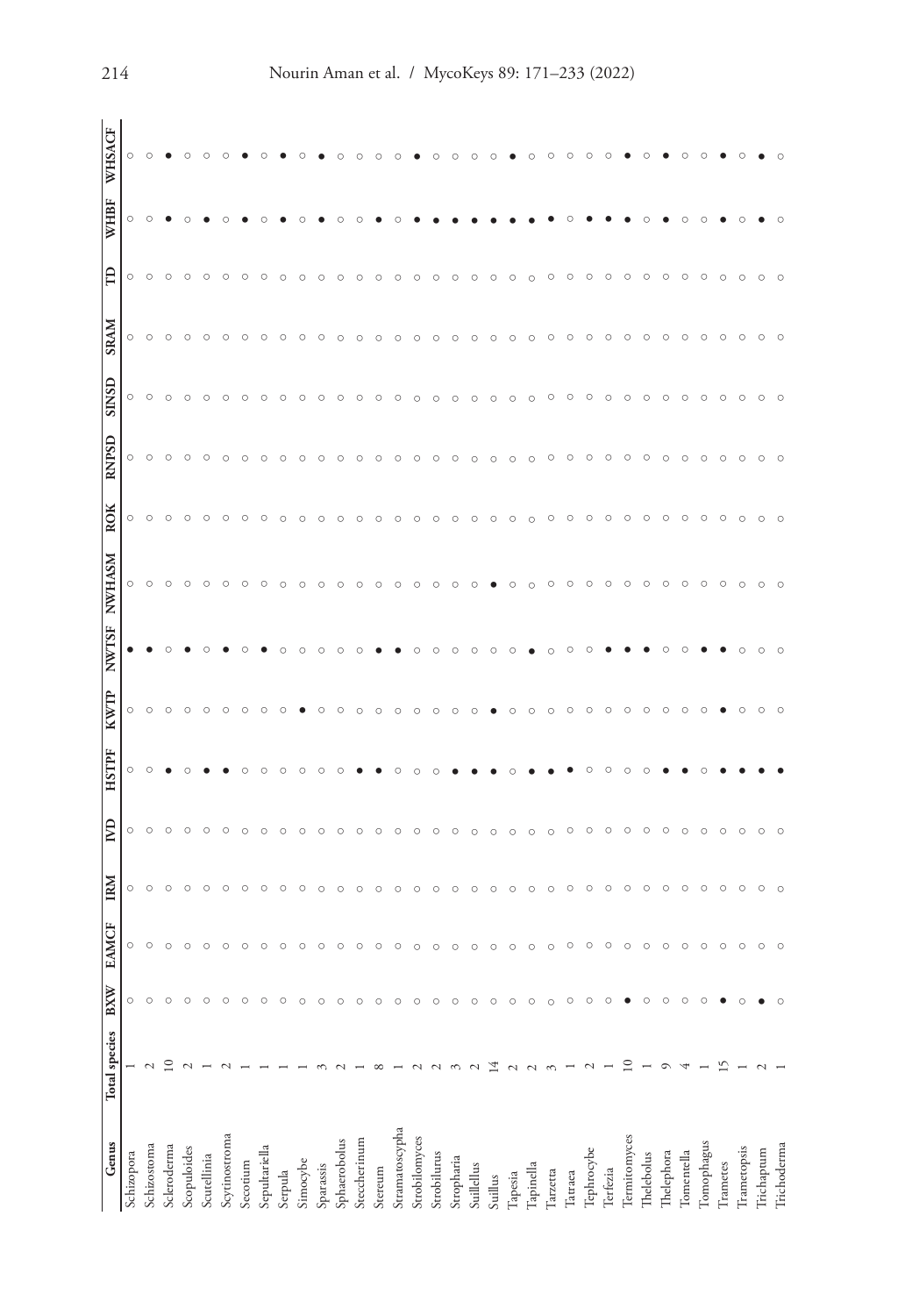| Genus                   | Total species | <b>BXW</b> | <b>EAMCF</b> | IRM     | $\mathbb{R}$ | <b>HSTPF</b> | <b>KWTP</b> | NWTSF NWHASM | <b>ROK</b> | RNPSD   | SINSD   | <b>SRAM</b> | $\mathbf{r}$ | WHBF | WHSACF  |
|-------------------------|---------------|------------|--------------|---------|--------------|--------------|-------------|--------------|------------|---------|---------|-------------|--------------|------|---------|
| Schizopora              |               | $\circ$    | $\circ$      | $\circ$ | $\circ$      | $\circ$      | $\circ$     | $\circ$      | $\circ$    | $\circ$ | $\circ$ | $\circ$     | O            |      | $\circ$ |
| Schizostoma             |               | $\circ$    | $\circ$      | С       | $\circ$      |              | $\circ$     |              | $\circ$    | $\circ$ | $\circ$ | $\circ$     | $\circ$      |      |         |
| Scleroderma             | $\circ$       | $\circ$    |              |         | О            |              | О           |              |            | $\circ$ | C       | O           |              |      |         |
| Scopuloides             |               | $\circ$    |              |         | C            |              | C           |              |            | C       |         | C           |              |      |         |
| Scutellinia             |               | О          |              |         | О            |              | О           |              |            | O       |         | O           |              |      |         |
| Scytinostroma           |               | $\circ$    |              |         | $\circ$      |              | C           |              |            | C       |         |             |              |      |         |
| Secotium                |               | $\circ$    |              |         |              |              | С           |              |            | C       |         |             |              |      |         |
| Sepultariella           |               | О          |              |         |              |              |             |              |            | C       |         |             |              |      |         |
| Serpula                 |               | C          |              |         |              |              | C           |              |            | C       |         |             |              |      |         |
| Simocybe                |               | O          |              |         |              |              |             |              |            | O       |         |             |              |      |         |
| Sparassis               |               | Ċ          |              |         |              |              | C           |              |            | С       |         |             |              |      |         |
| Sphaerobolus            |               | О          |              |         | С            |              | С           |              |            | O       |         |             |              |      |         |
| Steccherinum            |               | О          |              |         | Ó            |              | о           |              |            | O       |         |             |              |      |         |
| Stereum                 | $\infty$      | $\circ$    |              |         | Ċ            |              | С           |              |            | C       |         |             |              |      |         |
| Stramatoscypha          |               | $\circ$    |              |         | О            |              | O           |              | С          | O       |         |             |              |      |         |
| Strobilomyces           |               | $\circ$    |              |         | C            |              | $\circ$     |              | С          | C       |         |             |              |      |         |
| Strobilurus             |               | O          |              |         | C            |              | C           |              |            | C       |         |             |              |      |         |
| Stropharia              |               | O          |              |         | C            |              | C           |              | C          | C       |         |             |              |      |         |
| Suillellus              |               | Ċ          |              |         |              |              |             |              | C          | C       |         |             |              |      |         |
| Suillus                 | 4             | О          |              |         |              |              |             |              | С          | C       |         |             |              |      |         |
| Tapesia                 |               | O          |              |         | C            |              | C           |              | C          | O       |         |             |              |      |         |
| Tapinella               |               | O          |              |         | C            |              |             |              |            | Ω       |         |             |              |      |         |
| Tarzetta                |               | O          |              |         | C            |              |             |              |            |         |         |             |              |      |         |
| $\operatorname{Tart}$ a |               | С          |              |         | C            |              | С           |              |            |         |         |             |              |      |         |
| Tephrocybe              |               | O          |              |         | O            |              | О           |              |            |         |         |             |              |      |         |
| Terfezia                |               | С          |              |         | C            |              |             |              |            |         |         |             |              |      |         |
| Termitomyces            | $\supseteq$   |            |              |         | Ċ            |              |             |              |            | Ċ       |         | С           |              |      |         |
| Thelebolus              |               | C          |              |         |              |              |             |              |            | C       |         |             |              |      |         |
| Thelephora              |               | C          |              |         |              |              | С           |              |            | C       |         |             |              |      |         |
| Tomentella              |               | O          |              |         |              |              | C           |              |            | C       |         |             |              |      |         |
| Tomophagus              |               |            |              |         |              |              |             |              |            |         |         |             |              |      |         |
| $\rm Transers$          | Ľ             |            |              |         |              |              |             |              |            |         |         |             |              |      |         |
| Trametopsis             |               |            |              |         |              |              |             |              |            |         |         |             |              |      |         |
| Trichaptum              |               |            |              |         |              |              |             |              |            |         |         |             |              |      |         |
| Trichoderma             |               |            |              |         |              |              | C           |              |            | C       |         |             |              |      |         |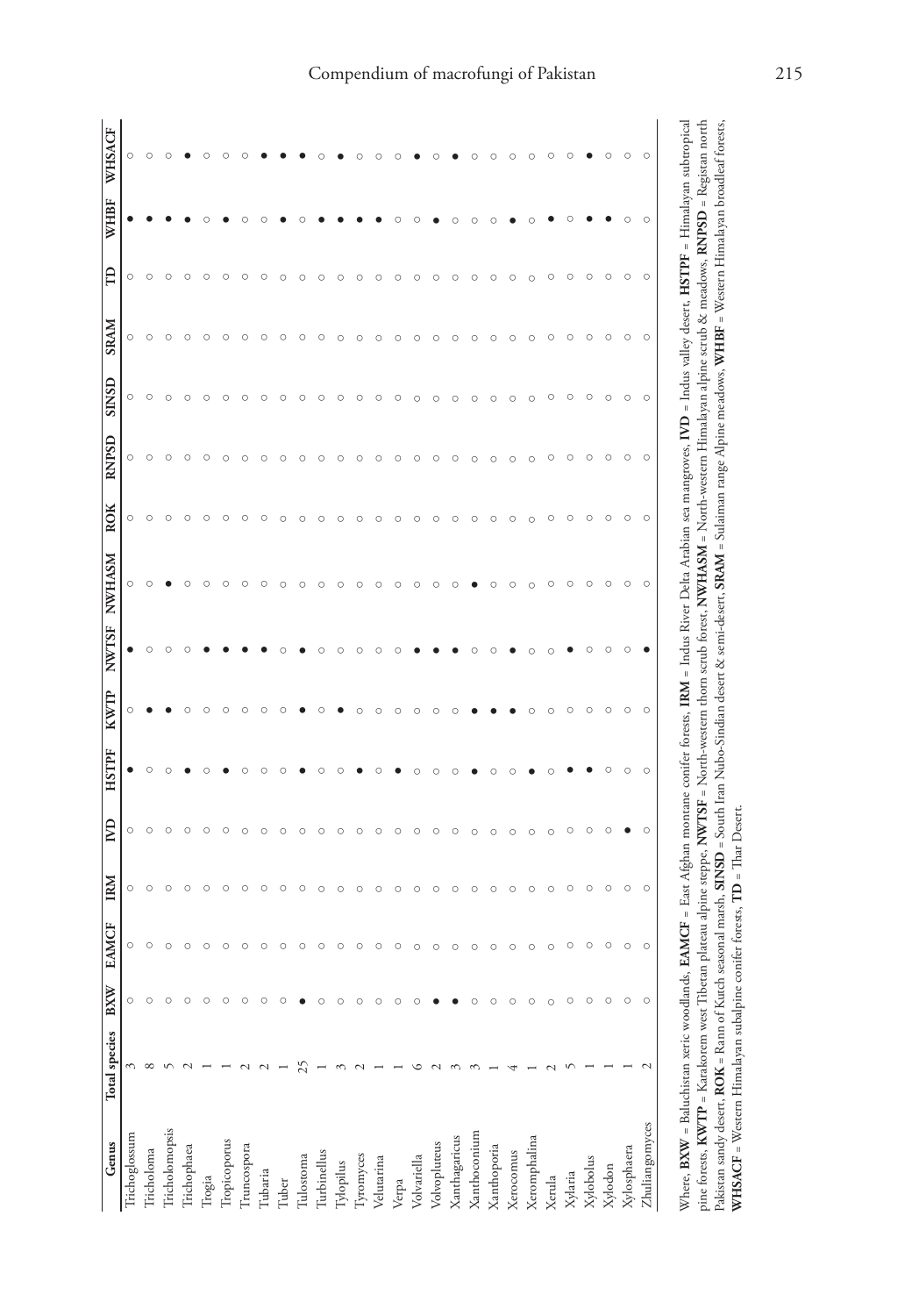| Genus               | <b>Total</b> species | <b>BXW</b> | <b>EAMCF</b> | IRM     | <b>S</b> | <b>HSTPF</b> | <b>KWTP</b> | <b>NWTSF</b> | <b>NWHASM</b> | <b>ROK</b> | <b>RNPSD</b> | SINSD   | <b>SRAM</b> | Ê              | WHBF | WHSACF  |
|---------------------|----------------------|------------|--------------|---------|----------|--------------|-------------|--------------|---------------|------------|--------------|---------|-------------|----------------|------|---------|
| Trichoglossum       | 3                    | $\circ$    | $\circ$      | $\circ$ | $\circ$  |              |             |              | $\circ$       | $\circ$    | $\circ$      | $\circ$ | $\circ$     | $\circ$        |      | $\circ$ |
| Tricholoma          | $\infty$             | $\circ$    | C            |         | Ó        |              |             |              |               |            | Ó            | C       |             | $\circ$        |      | Ó       |
| Tricholomopsis      |                      | $\circ$    |              |         |          |              |             |              |               |            | O            |         |             | O              |      |         |
| Trichophaea         |                      | $\circ$    |              |         |          |              |             |              |               |            | $\circ$      |         |             |                |      |         |
| Trogia              |                      | О          |              |         | O        |              |             |              |               |            | $\circ$      |         |             | O              |      |         |
| Tropicoporus        |                      |            |              |         |          |              |             |              |               |            | $\circ$      |         |             |                |      |         |
| Truncospora         |                      | O          |              |         | Ó        |              |             |              |               |            | Ó            |         |             | $\circ$        |      |         |
| Tubaria             |                      |            |              |         | C        |              |             |              |               |            | C            |         |             | C              |      |         |
| Tuber               |                      |            |              |         | C        |              |             |              |               |            | C            |         |             | C              |      |         |
| Tulostoma           |                      |            |              |         | O        |              |             |              |               |            | O            |         |             | O              |      |         |
| Turbinellus         |                      |            |              |         | O        |              |             |              |               |            | O            |         |             | O              |      |         |
| $\mbox{Ty}$ lopilus |                      |            |              |         | C        |              |             |              |               |            | C            |         |             | O              |      |         |
| Tyromyces           |                      |            |              |         | O        |              |             |              |               |            | O            |         |             | O              |      |         |
| Velutarina          |                      |            |              |         | $\circ$  |              |             |              |               |            | $\circ$      |         |             | $\circ$        |      |         |
| Verpa               |                      |            |              |         | $\circ$  |              |             |              |               |            | О            |         |             | $\circ$        |      |         |
| Volvariella         |                      |            |              |         | $\circ$  |              |             |              |               |            | $\circ$      |         |             | $\circ$        |      |         |
| Volvopluteus        |                      |            |              |         | $\circ$  |              |             |              |               |            | Ċ            |         |             | C              |      |         |
| Xanthagaricus       |                      |            |              |         | O        |              |             |              |               |            | $\circ$      |         |             | O              |      |         |
| Xanthoconium        |                      |            |              |         | $\circ$  |              |             |              |               |            | $\circ$      |         |             | C              |      |         |
| Xanthoporia         |                      |            |              | С       | O        |              |             |              |               |            | Ó            |         | С           | O              |      |         |
| Xerocomus           |                      |            |              |         | O        |              |             |              |               |            | Ö            |         |             | $\bigcap$      |      |         |
| Xeromphalina        |                      |            |              |         | O        |              |             |              |               |            | Ó            |         |             | $\Omega$       |      |         |
| Xerula              |                      |            |              |         | C        |              |             |              |               |            | O            |         |             | О              |      |         |
| Xylaria             |                      | C          |              |         |          |              |             |              |               |            | C            |         |             | C              |      |         |
| Xylobolus           |                      | О          |              |         |          |              |             |              |               |            | O            |         |             |                |      |         |
| Xylodon             |                      | $\circ$    | C            |         |          |              | C           |              |               |            | Ċ            |         |             | C              |      |         |
| Xylosphaera         |                      | О          |              |         |          |              | C           |              |               |            | Ċ            |         |             | C              |      | С       |
| Zhuliangomyces      | $\mathbf{\sim}$      | $\circ$    | $\circ$      | $\circ$ | $\circ$  | $\circ$      | $\circ$     |              | О             | O          | $\circ$      | О       | $\circ$     | $\circ$        |      | $\circ$ |
| WIL DWW D.L.L.      | $\frac{1}{2}$        |            | 1.741        | p       |          |              | Ě           |              |               |            |              |         |             | <b>LTCTTDE</b> |      |         |

Where, **BXW** = Baluchistan xeric woodlands, **EAMCF** = East Afghan montane conifer forests, IRM = Indus River Delta Arabian sea mangroves, IVD = Indus valley desert, HSTPF = Himalayan subtropical<br>pine forests, **KWTP** = Kara Where, BXW = Baluchistan xeric woodlands, EAMCF = East Afghan montane conifer forests, IRM = Indus River Delta Arabian sea mangroves, IVD = Indus valley desert, HSTPF = Himalayan subtropical pine forests, **KWTP** = Karakorem west Tibetan plateau alpine steppe, **NWTSF** = North-western thorn scrub forest, **NWHASM** = North-western Himalayan alpine scrub & meadows, **RNPSD** = Registan north Pakistan sandy desert, **ROK** = Rann of Kutch seasonal marsh, **SINSD** = South Iran Nubo-Sindian desert & semi-desert, **SRAM** = Sulaiman range Alpine meadows, **WHBF** = Western Himalayan broadleaf forests, **WHSACF** = Western Himalayan subalpine conifer forests, **TD** = Thar Desert.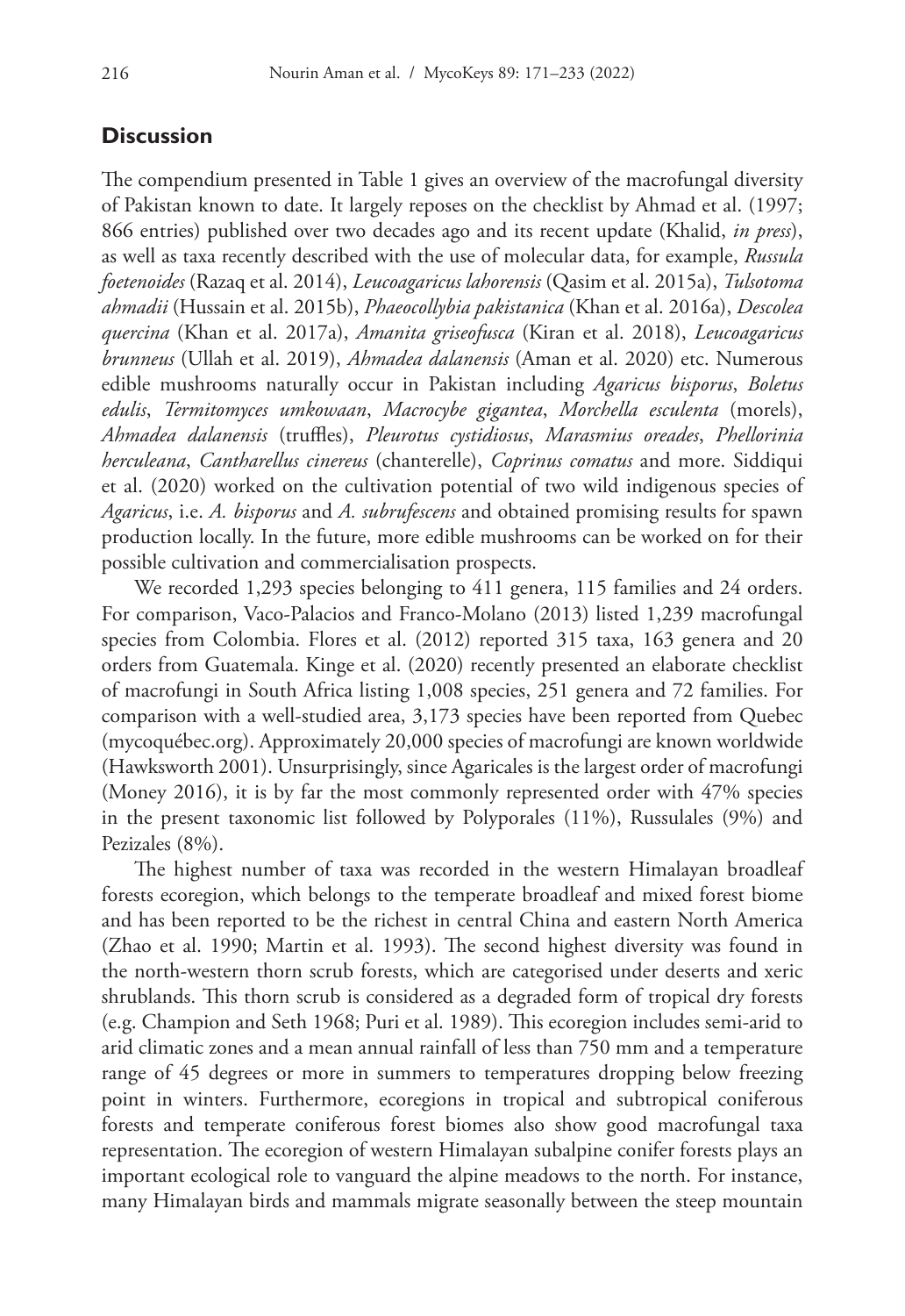## **Discussion**

The compendium presented in Table 1 gives an overview of the macrofungal diversity of Pakistan known to date. It largely reposes on the checklist by Ahmad et al. (1997; 866 entries) published over two decades ago and its recent update (Khalid, *in press*), as well as taxa recently described with the use of molecular data, for example, *Russula foetenoides* (Razaq et al. 2014), *Leucoagaricus lahorensis* (Qasim et al. 2015a), *Tulsotoma ahmadii* (Hussain et al. 2015b), *Phaeocollybia pakistanica* (Khan et al. 2016a), *Descolea quercina* (Khan et al. 2017a), *Amanita griseofusca* (Kiran et al. 2018), *Leucoagaricus brunneus* (Ullah et al. 2019), *Ahmadea dalanensis* (Aman et al. 2020) etc. Numerous edible mushrooms naturally occur in Pakistan including *Agaricus bisporus*, *Boletus edulis*, *Termitomyces umkowaan*, *Macrocybe gigantea*, *Morchella esculenta* (morels), *Ahmadea dalanensis* (truffles), *Pleurotus cystidiosus*, *Marasmius oreades*, *Phellorinia herculeana*, *Cantharellus cinereus* (chanterelle), *Coprinus comatus* and more. Siddiqui et al. (2020) worked on the cultivation potential of two wild indigenous species of *Agaricus*, i.e. *A. bisporus* and *A. subrufescens* and obtained promising results for spawn production locally. In the future, more edible mushrooms can be worked on for their possible cultivation and commercialisation prospects.

We recorded 1,293 species belonging to 411 genera, 115 families and 24 orders. For comparison, Vaco-Palacios and Franco-Molano (2013) listed 1,239 macrofungal species from Colombia. Flores et al. (2012) reported 315 taxa, 163 genera and 20 orders from Guatemala. Kinge et al. (2020) recently presented an elaborate checklist of macrofungi in South Africa listing 1,008 species, 251 genera and 72 families. For comparison with a well-studied area, 3,173 species have been reported from Quebec (mycoquébec.org). Approximately 20,000 species of macrofungi are known worldwide (Hawksworth 2001). Unsurprisingly, since Agaricales is the largest order of macrofungi (Money 2016), it is by far the most commonly represented order with 47% species in the present taxonomic list followed by Polyporales (11%), Russulales (9%) and Pezizales (8%).

The highest number of taxa was recorded in the western Himalayan broadleaf forests ecoregion, which belongs to the temperate broadleaf and mixed forest biome and has been reported to be the richest in central China and eastern North America (Zhao et al. 1990; Martin et al. 1993). The second highest diversity was found in the north-western thorn scrub forests, which are categorised under deserts and xeric shrublands. This thorn scrub is considered as a degraded form of tropical dry forests (e.g. Champion and Seth 1968; Puri et al. 1989). This ecoregion includes semi-arid to arid climatic zones and a mean annual rainfall of less than 750 mm and a temperature range of 45 degrees or more in summers to temperatures dropping below freezing point in winters. Furthermore, ecoregions in tropical and subtropical coniferous forests and temperate coniferous forest biomes also show good macrofungal taxa representation. The ecoregion of western Himalayan subalpine conifer forests plays an important ecological role to vanguard the alpine meadows to the north. For instance, many Himalayan birds and mammals migrate seasonally between the steep mountain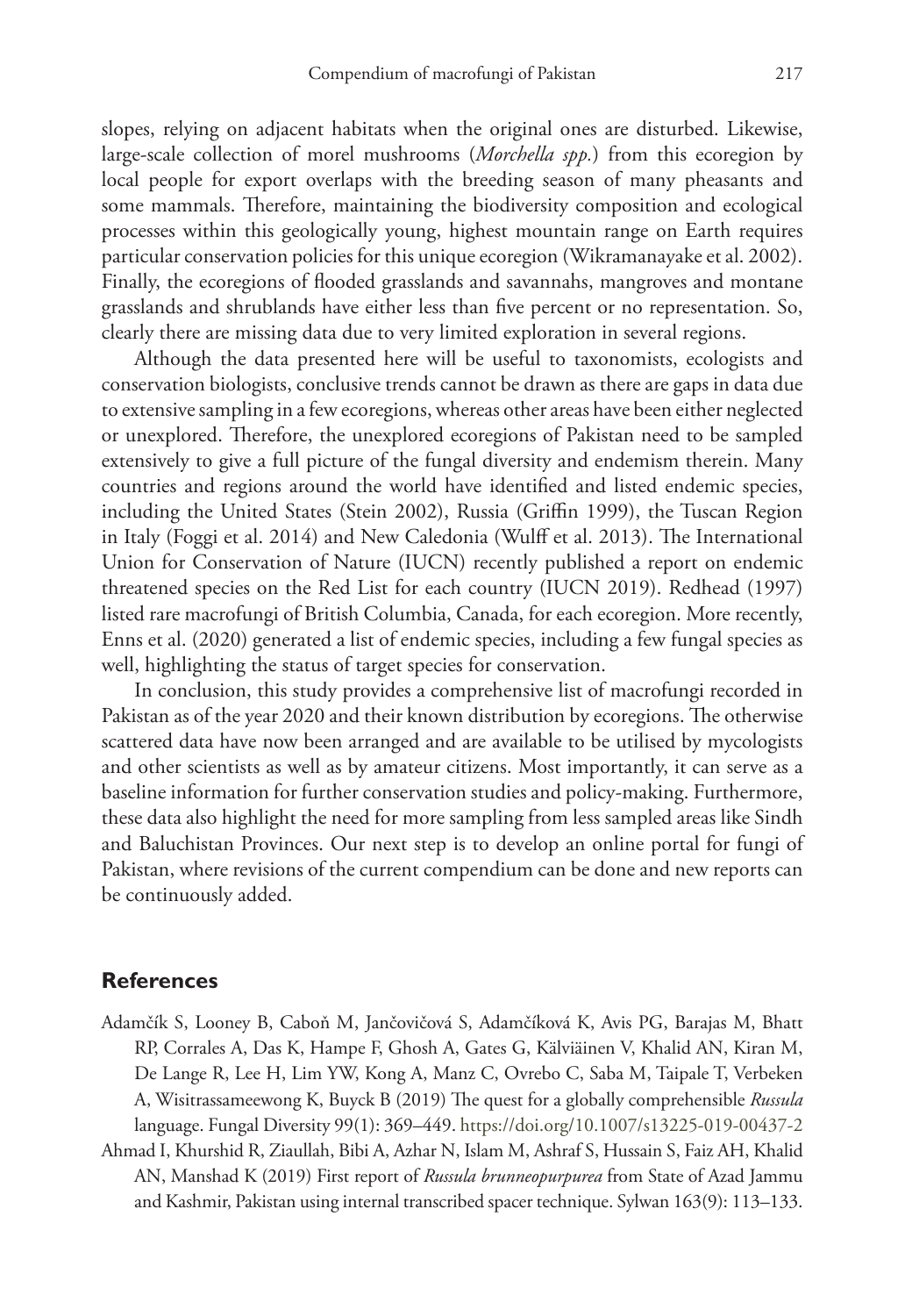slopes, relying on adjacent habitats when the original ones are disturbed. Likewise, large-scale collection of morel mushrooms (*Morchella spp.*) from this ecoregion by local people for export overlaps with the breeding season of many pheasants and some mammals. Therefore, maintaining the biodiversity composition and ecological processes within this geologically young, highest mountain range on Earth requires particular conservation policies for this unique ecoregion (Wikramanayake et al. 2002). Finally, the ecoregions of flooded grasslands and savannahs, mangroves and montane grasslands and shrublands have either less than five percent or no representation. So, clearly there are missing data due to very limited exploration in several regions.

Although the data presented here will be useful to taxonomists, ecologists and conservation biologists, conclusive trends cannot be drawn as there are gaps in data due to extensive sampling in a few ecoregions, whereas other areas have been either neglected or unexplored. Therefore, the unexplored ecoregions of Pakistan need to be sampled extensively to give a full picture of the fungal diversity and endemism therein. Many countries and regions around the world have identified and listed endemic species, including the United States (Stein 2002), Russia (Griffin 1999), the Tuscan Region in Italy (Foggi et al. 2014) and New Caledonia (Wulff et al. 2013). The International Union for Conservation of Nature (IUCN) recently published a report on endemic threatened species on the Red List for each country (IUCN 2019). Redhead (1997) listed rare macrofungi of British Columbia, Canada, for each ecoregion. More recently, Enns et al. (2020) generated a list of endemic species, including a few fungal species as well, highlighting the status of target species for conservation.

In conclusion, this study provides a comprehensive list of macrofungi recorded in Pakistan as of the year 2020 and their known distribution by ecoregions. The otherwise scattered data have now been arranged and are available to be utilised by mycologists and other scientists as well as by amateur citizens. Most importantly, it can serve as a baseline information for further conservation studies and policy-making. Furthermore, these data also highlight the need for more sampling from less sampled areas like Sindh and Baluchistan Provinces. Our next step is to develop an online portal for fungi of Pakistan, where revisions of the current compendium can be done and new reports can be continuously added.

#### **References**

- Adamčík S, Looney B, Caboň M, Jančovičová S, Adamčíková K, Avis PG, Barajas M, Bhatt RP, Corrales A, Das K, Hampe F, Ghosh A, Gates G, Kälviäinen V, Khalid AN, Kiran M, De Lange R, Lee H, Lim YW, Kong A, Manz C, Ovrebo C, Saba M, Taipale T, Verbeken A, Wisitrassameewong K, Buyck B (2019) The quest for a globally comprehensible *Russula* language. Fungal Diversity 99(1): 369–449.<https://doi.org/10.1007/s13225-019-00437-2>
- Ahmad I, Khurshid R, Ziaullah, Bibi A, Azhar N, Islam M, Ashraf S, Hussain S, Faiz AH, Khalid AN, Manshad K (2019) First report of *Russula brunneopurpurea* from State of Azad Jammu and Kashmir, Pakistan using internal transcribed spacer technique. Sylwan 163(9): 113–133.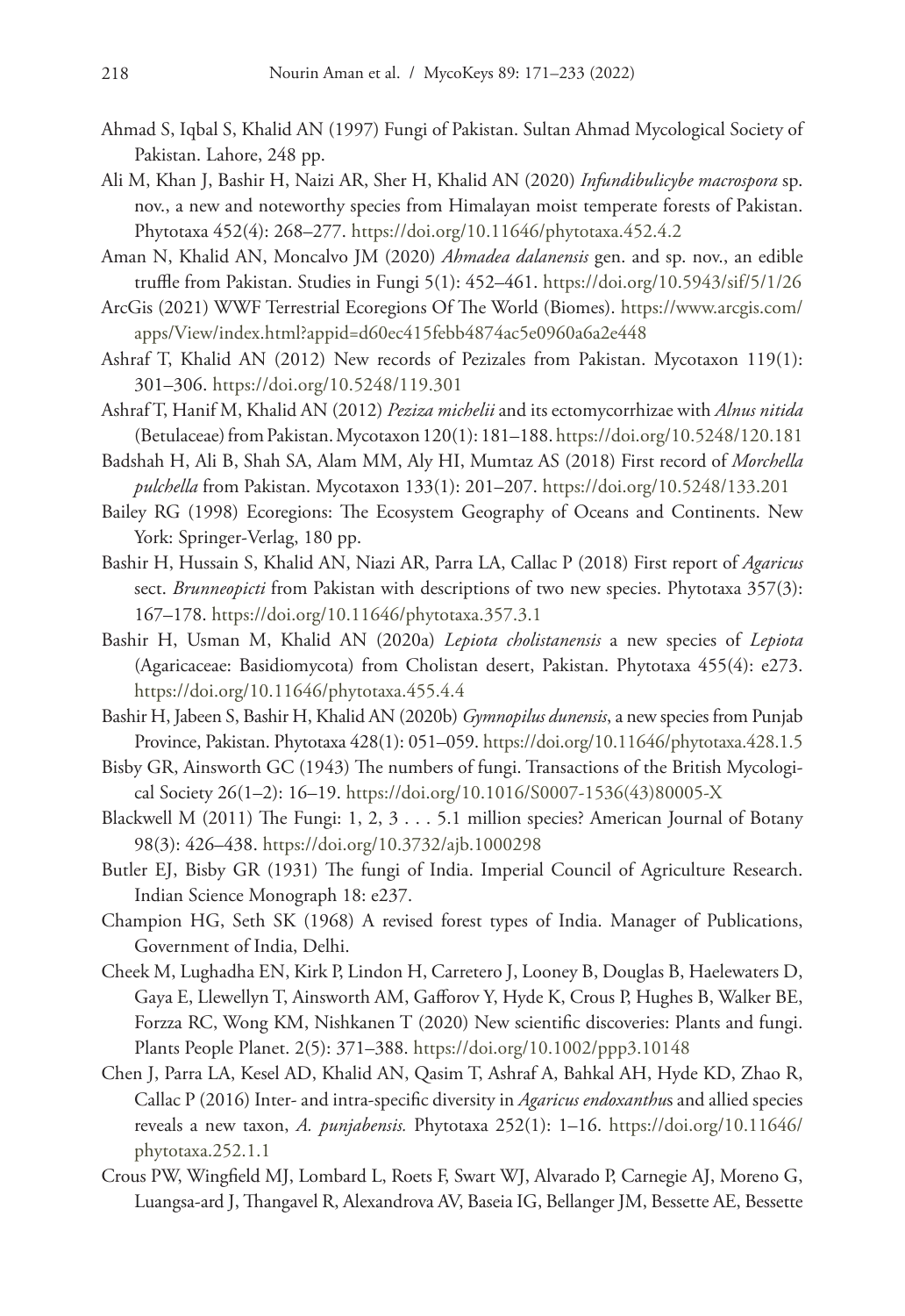- Ahmad S, Iqbal S, Khalid AN (1997) Fungi of Pakistan. Sultan Ahmad Mycological Society of Pakistan. Lahore, 248 pp.
- Ali M, Khan J, Bashir H, Naizi AR, Sher H, Khalid AN (2020) *Infundibulicybe macrospora* sp. nov., a new and noteworthy species from Himalayan moist temperate forests of Pakistan. Phytotaxa 452(4): 268–277. <https://doi.org/10.11646/phytotaxa.452.4.2>
- Aman N, Khalid AN, Moncalvo JM (2020) *Ahmadea dalanensis* gen. and sp. nov., an edible truffle from Pakistan. Studies in Fungi 5(1): 452–461. <https://doi.org/10.5943/sif/5/1/26>
- ArcGis (2021) WWF Terrestrial Ecoregions Of The World (Biomes). [https://www.arcgis.com/](https://www.arcgis.com/apps/View/index.html?appid=d60ec415febb4874ac5e0960a6a2e448) [apps/View/index.html?appid=d60ec415febb4874ac5e0960a6a2e448](https://www.arcgis.com/apps/View/index.html?appid=d60ec415febb4874ac5e0960a6a2e448)
- Ashraf T, Khalid AN (2012) New records of Pezizales from Pakistan. Mycotaxon 119(1): 301–306. <https://doi.org/10.5248/119.301>
- Ashraf T, Hanif M, Khalid AN (2012) *Peziza michelii* and its ectomycorrhizae with *Alnus nitida* (Betulaceae) from Pakistan. Mycotaxon 120(1): 181–188.<https://doi.org/10.5248/120.181>
- Badshah H, Ali B, Shah SA, Alam MM, Aly HI, Mumtaz AS (2018) First record of *Morchella pulchella* from Pakistan. Mycotaxon 133(1): 201–207. <https://doi.org/10.5248/133.201>
- Bailey RG (1998) Ecoregions: The Ecosystem Geography of Oceans and Continents. New York: Springer-Verlag, 180 pp.
- Bashir H, Hussain S, Khalid AN, Niazi AR, Parra LA, Callac P (2018) First report of *Agaricus* sect. *Brunneopicti* from Pakistan with descriptions of two new species. Phytotaxa 357(3): 167–178.<https://doi.org/10.11646/phytotaxa.357.3.1>
- Bashir H, Usman M, Khalid AN (2020a) *Lepiota cholistanensis* a new species of *Lepiota* (Agaricaceae: Basidiomycota) from Cholistan desert, Pakistan. Phytotaxa 455(4): e273. <https://doi.org/10.11646/phytotaxa.455.4.4>
- Bashir H, Jabeen S, Bashir H, Khalid AN (2020b) *Gymnopilus dunensis*, a new species from Punjab Province, Pakistan. Phytotaxa 428(1): 051–059.<https://doi.org/10.11646/phytotaxa.428.1.5>
- Bisby GR, Ainsworth GC (1943) The numbers of fungi. Transactions of the British Mycological Society 26(1–2): 16–19. [https://doi.org/10.1016/S0007-1536\(43\)80005-X](https://doi.org/10.1016/S0007-1536(43)80005-X)
- Blackwell M (2011) The Fungi: 1, 2, 3 . . . 5.1 million species? American Journal of Botany 98(3): 426–438. <https://doi.org/10.3732/ajb.1000298>
- Butler EJ, Bisby GR (1931) The fungi of India. Imperial Council of Agriculture Research. Indian Science Monograph 18: e237.
- Champion HG, Seth SK (1968) A revised forest types of India. Manager of Publications, Government of India, Delhi.
- Cheek M, Lughadha EN, Kirk P, Lindon H, Carretero J, Looney B, Douglas B, Haelewaters D, Gaya E, Llewellyn T, Ainsworth AM, Gafforov Y, Hyde K, Crous P, Hughes B, Walker BE, Forzza RC, Wong KM, Nishkanen T (2020) New scientific discoveries: Plants and fungi. Plants People Planet. 2(5): 371–388. <https://doi.org/10.1002/ppp3.10148>
- Chen J, Parra LA, Kesel AD, Khalid AN, Qasim T, Ashraf A, Bahkal AH, Hyde KD, Zhao R, Callac P (2016) Inter- and intra-specific diversity in *Agaricus endoxanthu*s and allied species reveals a new taxon, *A. punjabensis.* Phytotaxa 252(1): 1–16. [https://doi.org/10.11646/](https://doi.org/10.11646/phytotaxa.252.1.1) [phytotaxa.252.1.1](https://doi.org/10.11646/phytotaxa.252.1.1)
- Crous PW, Wingfield MJ, Lombard L, Roets F, Swart WJ, Alvarado P, Carnegie AJ, Moreno G, Luangsa-ard J, Thangavel R, Alexandrova AV, Baseia IG, Bellanger JM, Bessette AE, Bessette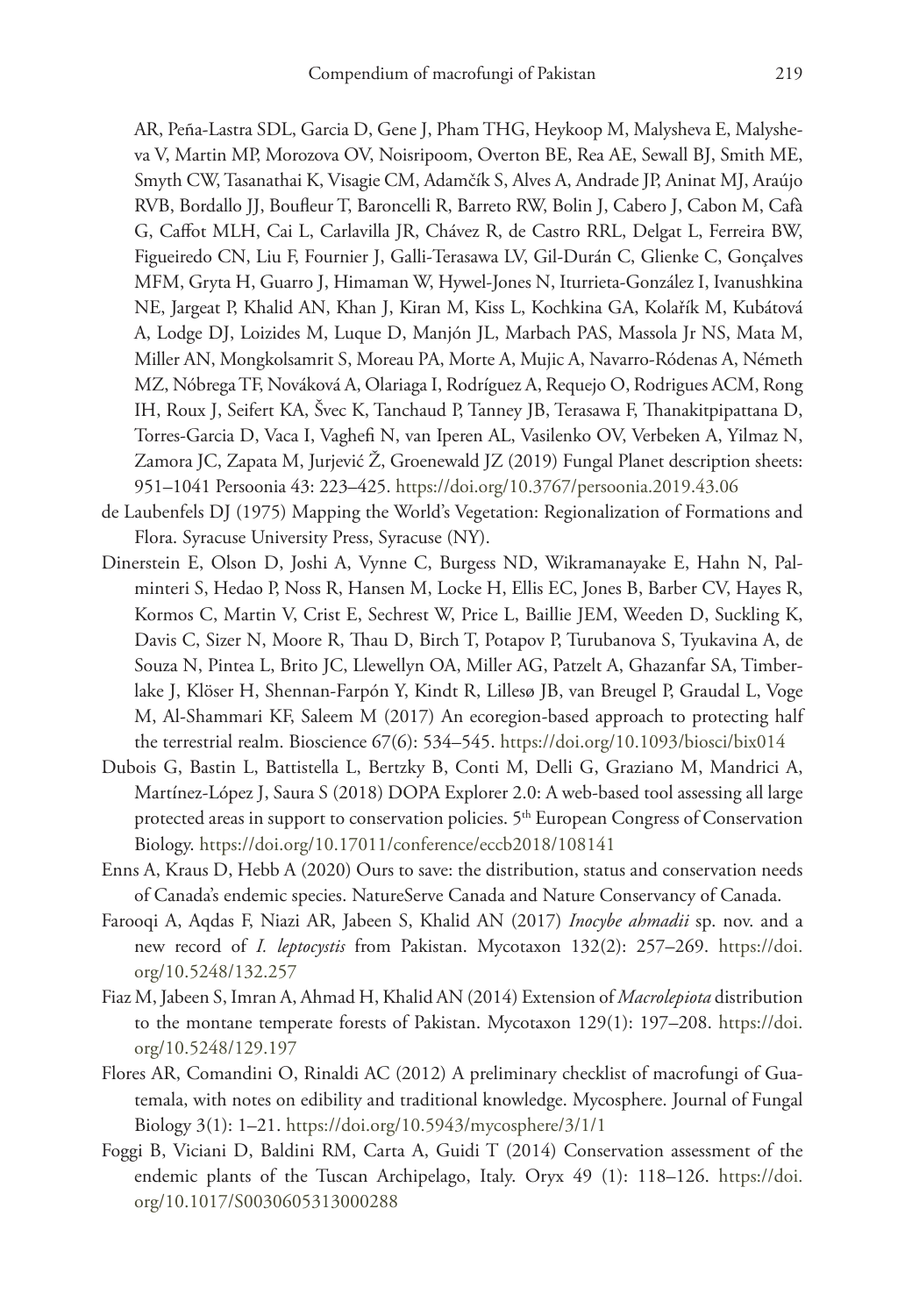AR, Peña-Lastra SDL, Garcia D, Gene J, Pham THG, Heykoop M, Malysheva E, Malysheva V, Martin MP, Morozova OV, Noisripoom, Overton BE, Rea AE, Sewall BJ, Smith ME, Smyth CW, Tasanathai K, Visagie CM, Adamčík S, Alves A, Andrade JP, Aninat MJ, Araújo RVB, Bordallo JJ, Boufleur T, Baroncelli R, Barreto RW, Bolin J, Cabero J, Cabon M, Cafà G, Caffot MLH, Cai L, Carlavilla JR, Chávez R, de Castro RRL, Delgat L, Ferreira BW, Figueiredo CN, Liu F, Fournier J, Galli-Terasawa LV, Gil-Durán C, Glienke C, Gonçalves MFM, Gryta H, Guarro J, Himaman W, Hywel-Jones N, Iturrieta-González I, Ivanushkina NE, Jargeat P, Khalid AN, Khan J, Kiran M, Kiss L, Kochkina GA, Kolařík M, Kubátová A, Lodge DJ, Loizides M, Luque D, Manjón JL, Marbach PAS, Massola Jr NS, Mata M, Miller AN, Mongkolsamrit S, Moreau PA, Morte A, Mujic A, Navarro-Ródenas A, Németh MZ, Nóbrega TF, Nováková A, Olariaga I, Rodríguez A, Requejo O, Rodrigues ACM, Rong IH, Roux J, Seifert KA, Švec K, Tanchaud P, Tanney JB, Terasawa F, Thanakitpipattana D, Torres-Garcia D, Vaca I, Vaghefi N, van Iperen AL, Vasilenko OV, Verbeken A, Yilmaz N, Zamora JC, Zapata M, Jurjević Ž, Groenewald JZ (2019) Fungal Planet description sheets: 951–1041 Persoonia 43: 223–425. <https://doi.org/10.3767/persoonia.2019.43.06>

- de Laubenfels DJ (1975) Mapping the World's Vegetation: Regionalization of Formations and Flora. Syracuse University Press, Syracuse (NY).
- Dinerstein E, Olson D, Joshi A, Vynne C, Burgess ND, Wikramanayake E, Hahn N, Palminteri S, Hedao P, Noss R, Hansen M, Locke H, Ellis EC, Jones B, Barber CV, Hayes R, Kormos C, Martin V, Crist E, Sechrest W, Price L, Baillie JEM, Weeden D, Suckling K, Davis C, Sizer N, Moore R, Thau D, Birch T, Potapov P, Turubanova S, Tyukavina A, de Souza N, Pintea L, Brito JC, Llewellyn OA, Miller AG, Patzelt A, Ghazanfar SA, Timberlake J, Klöser H, Shennan-Farpón Y, Kindt R, Lillesø JB, van Breugel P, Graudal L, Voge M, Al-Shammari KF, Saleem M (2017) An ecoregion-based approach to protecting half the terrestrial realm. Bioscience 67(6): 534–545. <https://doi.org/10.1093/biosci/bix014>
- Dubois G, Bastin L, Battistella L, Bertzky B, Conti M, Delli G, Graziano M, Mandrici A, Martínez-López J, Saura S (2018) DOPA Explorer 2.0: A web-based tool assessing all large protected areas in support to conservation policies. 5<sup>th</sup> European Congress of Conservation Biology.<https://doi.org/10.17011/conference/eccb2018/108141>
- Enns A, Kraus D, Hebb A (2020) Ours to save: the distribution, status and conservation needs of Canada's endemic species. NatureServe Canada and Nature Conservancy of Canada.
- Farooqi A, Aqdas F, Niazi AR, Jabeen S, Khalid AN (2017) *Inocybe ahmadii* sp. nov. and a new record of *I. leptocystis* from Pakistan. Mycotaxon 132(2): 257–269. [https://doi.](https://doi.org/10.5248/132.257) [org/10.5248/132.257](https://doi.org/10.5248/132.257)
- Fiaz M, Jabeen S, Imran A, Ahmad H, Khalid AN (2014) Extension of *Macrolepiota* distribution to the montane temperate forests of Pakistan. Mycotaxon 129(1): 197–208. [https://doi.](https://doi.org/10.5248/129.197) [org/10.5248/129.197](https://doi.org/10.5248/129.197)
- Flores AR, Comandini O, Rinaldi AC (2012) A preliminary checklist of macrofungi of Guatemala, with notes on edibility and traditional knowledge. Mycosphere. Journal of Fungal Biology 3(1): 1–21. <https://doi.org/10.5943/mycosphere/3/1/1>
- Foggi B, Viciani D, Baldini RM, Carta A, Guidi T (2014) Conservation assessment of the endemic plants of the Tuscan Archipelago, Italy. Oryx 49 (1): 118–126. [https://doi.](https://doi.org/10.1017/S0030605313000288) [org/10.1017/S0030605313000288](https://doi.org/10.1017/S0030605313000288)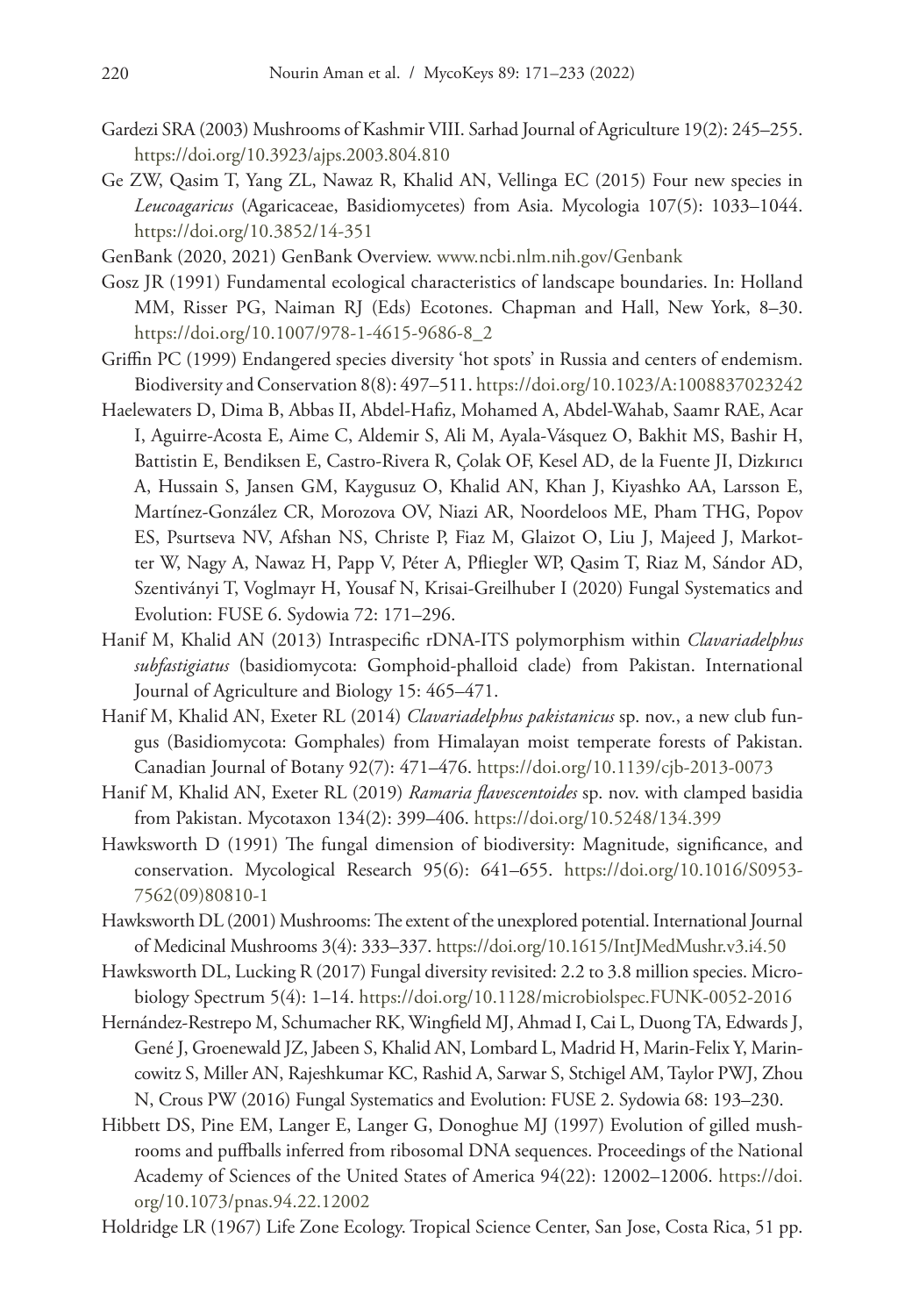- Gardezi SRA (2003) Mushrooms of Kashmir VIII. Sarhad Journal of Agriculture 19(2): 245–255. <https://doi.org/10.3923/ajps.2003.804.810>
- Ge ZW, Qasim T, Yang ZL, Nawaz R, Khalid AN, Vellinga EC (2015) Four new species in *Leucoagaricus* (Agaricaceae, Basidiomycetes) from Asia. Mycologia 107(5): 1033–1044. <https://doi.org/10.3852/14-351>
- GenBank (2020, 2021) GenBank Overview. www.ncbi.nlm.nih.gov/Genbank
- Gosz JR (1991) Fundamental ecological characteristics of landscape boundaries. In: Holland MM, Risser PG, Naiman RJ (Eds) Ecotones. Chapman and Hall, New York, 8–30. [https://doi.org/10.1007/978-1-4615-9686-8\\_2](https://doi.org/10.1007/978-1-4615-9686-8_2)
- Griffin PC (1999) Endangered species diversity 'hot spots' in Russia and centers of endemism. Biodiversity and Conservation 8(8): 497–511.<https://doi.org/10.1023/A:1008837023242>
- Haelewaters D, Dima B, Abbas II, Abdel-Hafiz, Mohamed A, Abdel-Wahab, Saamr RAE, Acar I, Aguirre-Acosta E, Aime C, Aldemir S, Ali M, Ayala-Vásquez O, Bakhit MS, Bashir H, Battistin E, Bendiksen E, Castro-Rivera R, Çolak OF, Kesel AD, de la Fuente JI, Dizkırıcı A, Hussain S, Jansen GM, Kaygusuz O, Khalid AN, Khan J, Kiyashko AA, Larsson E, Martínez-González CR, Morozova OV, Niazi AR, Noordeloos ME, Pham THG, Popov ES, Psurtseva NV, Afshan NS, Christe P, Fiaz M, Glaizot O, Liu J, Majeed J, Markotter W, Nagy A, Nawaz H, Papp V, Péter A, Pfliegler WP, Qasim T, Riaz M, Sándor AD, Szentiványi T, Voglmayr H, Yousaf N, Krisai-Greilhuber I (2020) Fungal Systematics and Evolution: FUSE 6. Sydowia 72: 171–296.
- Hanif M, Khalid AN (2013) Intraspecific rDNA-ITS polymorphism within *Clavariadelphus subfastigiatus* (basidiomycota: Gomphoid-phalloid clade) from Pakistan. International Journal of Agriculture and Biology 15: 465–471.
- Hanif M, Khalid AN, Exeter RL (2014) *Clavariadelphus pakistanicus* sp. nov., a new club fungus (Basidiomycota: Gomphales) from Himalayan moist temperate forests of Pakistan. Canadian Journal of Botany 92(7): 471–476. <https://doi.org/10.1139/cjb-2013-0073>
- Hanif M, Khalid AN, Exeter RL (2019) *Ramaria flavescentoides* sp. nov. with clamped basidia from Pakistan. Mycotaxon 134(2): 399–406.<https://doi.org/10.5248/134.399>
- Hawksworth D (1991) The fungal dimension of biodiversity: Magnitude, significance, and conservation. Mycological Research 95(6): 641–655. [https://doi.org/10.1016/S0953-](https://doi.org/10.1016/S0953-7562(09)80810-1) [7562\(09\)80810-1](https://doi.org/10.1016/S0953-7562(09)80810-1)
- Hawksworth DL (2001) Mushrooms: The extent of the unexplored potential. International Journal of Medicinal Mushrooms 3(4): 333–337. <https://doi.org/10.1615/IntJMedMushr.v3.i4.50>
- Hawksworth DL, Lucking R (2017) Fungal diversity revisited: 2.2 to 3.8 million species. Microbiology Spectrum 5(4): 1–14. <https://doi.org/10.1128/microbiolspec.FUNK-0052-2016>
- Hernández-Restrepo M, Schumacher RK, Wingfield MJ, Ahmad I, Cai L, Duong TA, Edwards J, Gené J, Groenewald JZ, Jabeen S, Khalid AN, Lombard L, Madrid H, Marin-Felix Y, Marincowitz S, Miller AN, Rajeshkumar KC, Rashid A, Sarwar S, Stchigel AM, Taylor PWJ, Zhou N, Crous PW (2016) Fungal Systematics and Evolution: FUSE 2. Sydowia 68: 193–230.
- Hibbett DS, Pine EM, Langer E, Langer G, Donoghue MJ (1997) Evolution of gilled mushrooms and puffballs inferred from ribosomal DNA sequences. Proceedings of the National Academy of Sciences of the United States of America 94(22): 12002–12006. [https://doi.](https://doi.org/10.1073/pnas.94.22.12002) [org/10.1073/pnas.94.22.12002](https://doi.org/10.1073/pnas.94.22.12002)
- Holdridge LR (1967) Life Zone Ecology. Tropical Science Center, San Jose, Costa Rica, 51 pp.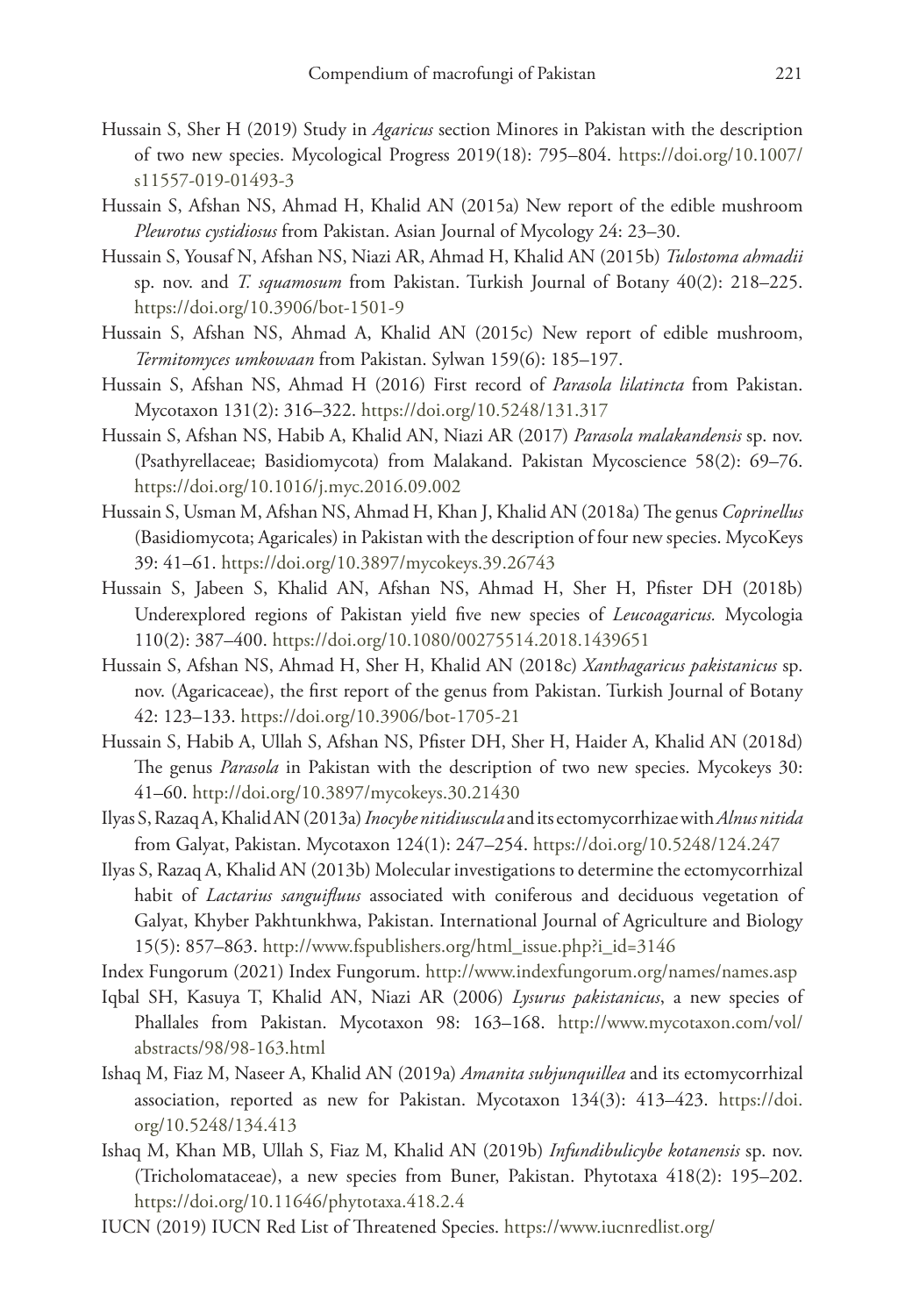- Hussain S, Sher H (2019) Study in *Agaricus* section Minores in Pakistan with the description of two new species. Mycological Progress 2019(18): 795–804. [https://doi.org/10.1007/](https://doi.org/10.1007/s11557-019-01493-3) [s11557-019-01493-3](https://doi.org/10.1007/s11557-019-01493-3)
- Hussain S, Afshan NS, Ahmad H, Khalid AN (2015a) New report of the edible mushroom *Pleurotus cystidiosus* from Pakistan. Asian Journal of Mycology 24: 23–30.
- Hussain S, Yousaf N, Afshan NS, Niazi AR, Ahmad H, Khalid AN (2015b) *Tulostoma ahmadii* sp. nov. and *T. squamosum* from Pakistan. Turkish Journal of Botany 40(2): 218–225. <https://doi.org/10.3906/bot-1501-9>
- Hussain S, Afshan NS, Ahmad A, Khalid AN (2015c) New report of edible mushroom, *Termitomyces umkowaan* from Pakistan. Sylwan 159(6): 185–197.
- Hussain S, Afshan NS, Ahmad H (2016) First record of *Parasola lilatincta* from Pakistan. Mycotaxon 131(2): 316–322. <https://doi.org/10.5248/131.317>
- Hussain S, Afshan NS, Habib A, Khalid AN, Niazi AR (2017) *Parasola malakandensis* sp. nov. (Psathyrellaceae; Basidiomycota) from Malakand. Pakistan Mycoscience 58(2): 69–76. <https://doi.org/10.1016/j.myc.2016.09.002>
- Hussain S, Usman M, Afshan NS, Ahmad H, Khan J, Khalid AN (2018a) The genus *Coprinellus* (Basidiomycota; Agaricales) in Pakistan with the description of four new species. MycoKeys 39: 41–61.<https://doi.org/10.3897/mycokeys.39.26743>
- Hussain S, Jabeen S, Khalid AN, Afshan NS, Ahmad H, Sher H, Pfister DH (2018b) Underexplored regions of Pakistan yield five new species of *Leucoagaricus.* Mycologia 110(2): 387–400. <https://doi.org/10.1080/00275514.2018.1439651>
- Hussain S, Afshan NS, Ahmad H, Sher H, Khalid AN (2018c) *Xanthagaricus pakistanicus* sp. nov. (Agaricaceae), the first report of the genus from Pakistan. Turkish Journal of Botany 42: 123–133.<https://doi.org/10.3906/bot-1705-21>
- Hussain S, Habib A, Ullah S, Afshan NS, Pfister DH, Sher H, Haider A, Khalid AN (2018d) The genus *Parasola* in Pakistan with the description of two new species. Mycokeys 30: 41–60.<http://doi.org/10.3897/mycokeys.30.21430>
- Ilyas S, Razaq A, Khalid AN (2013a) *Inocybe nitidiuscula* and its ectomycorrhizae with *Alnus nitida* from Galyat, Pakistan. Mycotaxon 124(1): 247–254. <https://doi.org/10.5248/124.247>
- Ilyas S, Razaq A, Khalid AN (2013b) Molecular investigations to determine the ectomycorrhizal habit of *Lactarius sanguifluus* associated with coniferous and deciduous vegetation of Galyat, Khyber Pakhtunkhwa, Pakistan. International Journal of Agriculture and Biology 15(5): 857–863. [http://www.fspublishers.org/html\\_issue.php?i\\_id=3146](http://www.fspublishers.org/html_issue.php?i_id=3146)
- Index Fungorum (2021) Index Fungorum.<http://www.indexfungorum.org/names/names.asp>
- Iqbal SH, Kasuya T, Khalid AN, Niazi AR (2006) *Lysurus pakistanicus*, a new species of Phallales from Pakistan. Mycotaxon 98: 163–168. [http://www.mycotaxon.com/vol/](http://www.mycotaxon.com/vol/abstracts/98/98-163.html) [abstracts/98/98-163.html](http://www.mycotaxon.com/vol/abstracts/98/98-163.html)
- Ishaq M, Fiaz M, Naseer A, Khalid AN (2019a) *Amanita subjunquillea* and its ectomycorrhizal association, reported as new for Pakistan. Mycotaxon 134(3): 413–423. [https://doi.](https://doi.org/10.5248/134.413) [org/10.5248/134.413](https://doi.org/10.5248/134.413)
- Ishaq M, Khan MB, Ullah S, Fiaz M, Khalid AN (2019b) *Infundibulicybe kotanensis* sp. nov. (Tricholomataceae), a new species from Buner, Pakistan. Phytotaxa 418(2): 195–202. <https://doi.org/10.11646/phytotaxa.418.2.4>
- IUCN (2019) IUCN Red List of Threatened Species. <https://www.iucnredlist.org/>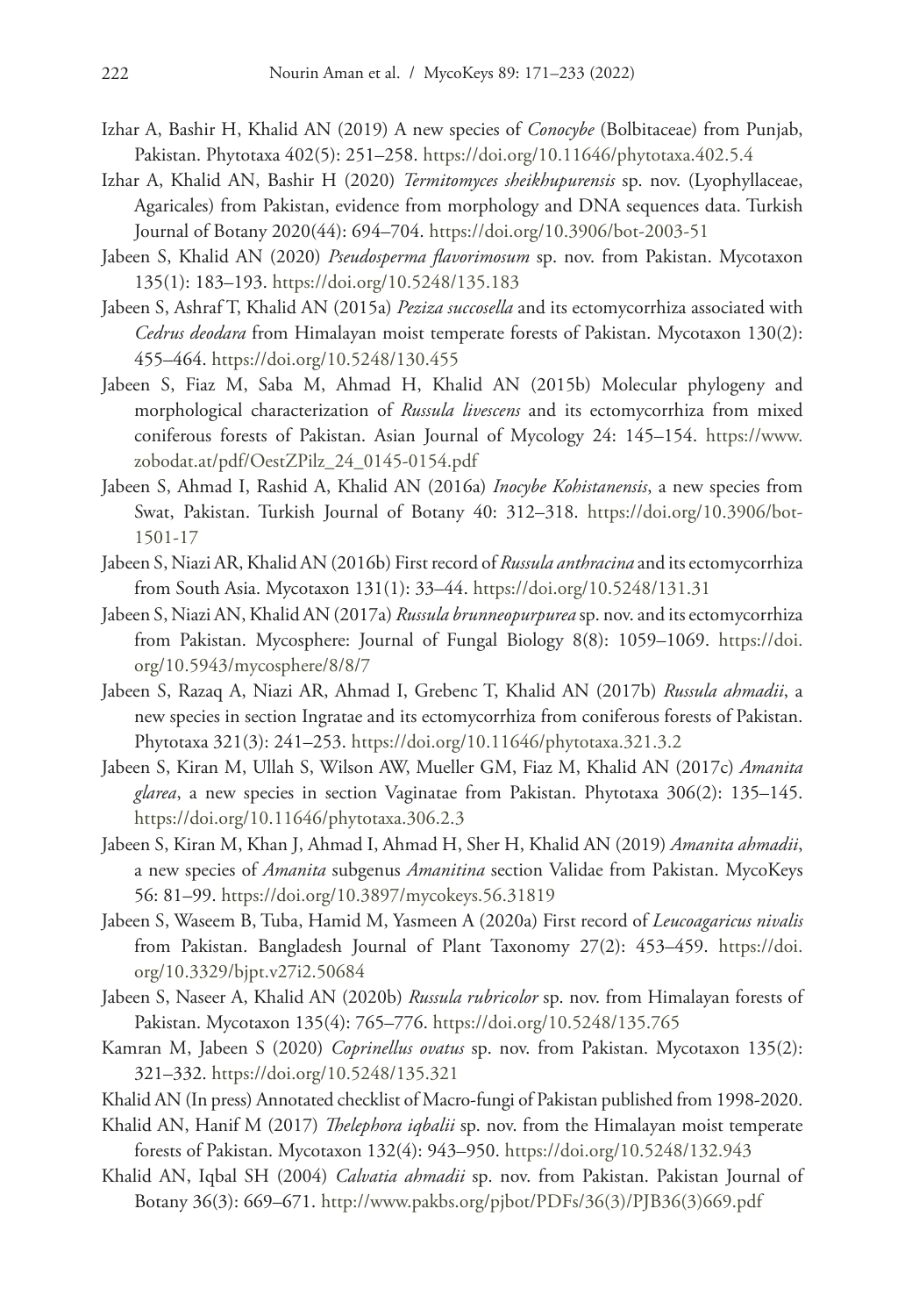- Izhar A, Bashir H, Khalid AN (2019) A new species of *Conocybe* (Bolbitaceae) from Punjab, Pakistan. Phytotaxa 402(5): 251–258. <https://doi.org/10.11646/phytotaxa.402.5.4>
- Izhar A, Khalid AN, Bashir H (2020) *Termitomyces sheikhupurensis* sp. nov. (Lyophyllaceae, Agaricales) from Pakistan, evidence from morphology and DNA sequences data. Turkish Journal of Botany 2020(44): 694–704. <https://doi.org/10.3906/bot-2003-51>
- Jabeen S, Khalid AN (2020) *Pseudosperma flavorimosum* sp. nov. from Pakistan. Mycotaxon 135(1): 183–193. <https://doi.org/10.5248/135.183>
- Jabeen S, Ashraf T, Khalid AN (2015a) *Peziza succosella* and its ectomycorrhiza associated with *Cedrus deodara* from Himalayan moist temperate forests of Pakistan. Mycotaxon 130(2): 455–464.<https://doi.org/10.5248/130.455>
- Jabeen S, Fiaz M, Saba M, Ahmad H, Khalid AN (2015b) Molecular phylogeny and morphological characterization of *Russula livescens* and its ectomycorrhiza from mixed coniferous forests of Pakistan. Asian Journal of Mycology 24: 145–154. [https://www.](https://www.zobodat.at/pdf/OestZPilz_24_0145-0154.pdf) [zobodat.at/pdf/OestZPilz\\_24\\_0145-0154.pdf](https://www.zobodat.at/pdf/OestZPilz_24_0145-0154.pdf)
- Jabeen S, Ahmad I, Rashid A, Khalid AN (2016a) *Inocybe Kohistanensis*, a new species from Swat, Pakistan. Turkish Journal of Botany 40: 312–318. [https://doi.org/10.3906/bot-](https://doi.org/10.3906/bot-1501-17)[1501-17](https://doi.org/10.3906/bot-1501-17)
- Jabeen S, Niazi AR, Khalid AN (2016b) First record of *Russula anthracina* and its ectomycorrhiza from South Asia. Mycotaxon 131(1): 33–44. <https://doi.org/10.5248/131.31>
- Jabeen S, Niazi AN, Khalid AN (2017a) *Russula brunneopurpurea* sp. nov. and its ectomycorrhiza from Pakistan. Mycosphere: Journal of Fungal Biology 8(8): 1059–1069. [https://doi.](https://doi.org/10.5943/mycosphere/8/8/7) [org/10.5943/mycosphere/8/8/7](https://doi.org/10.5943/mycosphere/8/8/7)
- Jabeen S, Razaq A, Niazi AR, Ahmad I, Grebenc T, Khalid AN (2017b) *Russula ahmadii*, a new species in section Ingratae and its ectomycorrhiza from coniferous forests of Pakistan. Phytotaxa 321(3): 241–253. <https://doi.org/10.11646/phytotaxa.321.3.2>
- Jabeen S, Kiran M, Ullah S, Wilson AW, Mueller GM, Fiaz M, Khalid AN (2017c) *Amanita glarea*, a new species in section Vaginatae from Pakistan. Phytotaxa 306(2): 135–145. <https://doi.org/10.11646/phytotaxa.306.2.3>
- Jabeen S, Kiran M, Khan J, Ahmad I, Ahmad H, Sher H, Khalid AN (2019) *Amanita ahmadii*, a new species of *Amanita* subgenus *Amanitina* section Validae from Pakistan. MycoKeys 56: 81–99.<https://doi.org/10.3897/mycokeys.56.31819>
- Jabeen S, Waseem B, Tuba, Hamid M, Yasmeen A (2020a) First record of *Leucoagaricus nivalis* from Pakistan. Bangladesh Journal of Plant Taxonomy 27(2): 453–459. [https://doi.](https://doi.org/10.3329/bjpt.v27i2.50684) [org/10.3329/bjpt.v27i2.50684](https://doi.org/10.3329/bjpt.v27i2.50684)
- Jabeen S, Naseer A, Khalid AN (2020b) *Russula rubricolor* sp. nov. from Himalayan forests of Pakistan. Mycotaxon 135(4): 765–776. <https://doi.org/10.5248/135.765>
- Kamran M, Jabeen S (2020) *Coprinellus ovatus* sp. nov. from Pakistan. Mycotaxon 135(2): 321–332.<https://doi.org/10.5248/135.321>
- Khalid AN (In press) Annotated checklist of Macro-fungi of Pakistan published from 1998-2020.
- Khalid AN, Hanif M (2017) *Thelephora iqbalii* sp. nov. from the Himalayan moist temperate forests of Pakistan. Mycotaxon 132(4): 943–950.<https://doi.org/10.5248/132.943>
- Khalid AN, Iqbal SH (2004) *Calvatia ahmadii* sp. nov. from Pakistan. Pakistan Journal of Botany 36(3): 669–671. [http://www.pakbs.org/pjbot/PDFs/36\(3\)/PJB36\(3\)669.pdf](http://www.pakbs.org/pjbot/PDFs/36(3)/PJB36(3)669.pdf)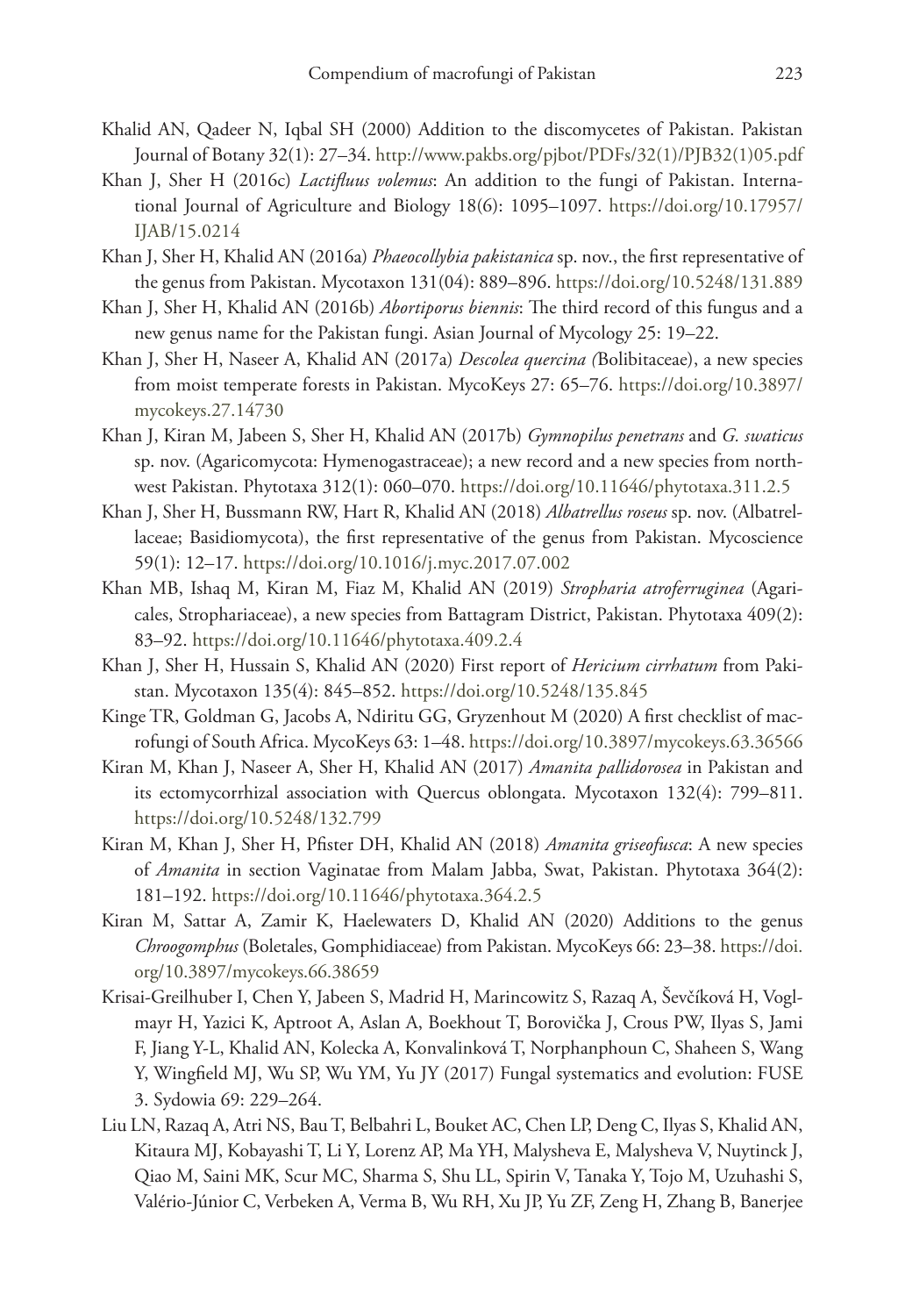- Khalid AN, Qadeer N, Iqbal SH (2000) Addition to the discomycetes of Pakistan. Pakistan Journal of Botany 32(1): 27–34. [http://www.pakbs.org/pjbot/PDFs/32\(1\)/PJB32\(1\)05.pdf](http://www.pakbs.org/pjbot/PDFs/32(1)/PJB32(1)05.pdf)
- Khan J, Sher H (2016c) *Lactifluus volemus*: An addition to the fungi of Pakistan. International Journal of Agriculture and Biology 18(6): 1095–1097. [https://doi.org/10.17957/](https://doi.org/10.17957/IJAB/15.0214) [IJAB/15.0214](https://doi.org/10.17957/IJAB/15.0214)
- Khan J, Sher H, Khalid AN (2016a) *Phaeocollybia pakistanica* sp. nov., the first representative of the genus from Pakistan. Mycotaxon 131(04): 889–896.<https://doi.org/10.5248/131.889>
- Khan J, Sher H, Khalid AN (2016b) *Abortiporus biennis*: The third record of this fungus and a new genus name for the Pakistan fungi. Asian Journal of Mycology 25: 19–22.
- Khan J, Sher H, Naseer A, Khalid AN (2017a) *Descolea quercina (*Bolibitaceae), a new species from moist temperate forests in Pakistan. MycoKeys 27: 65–76. [https://doi.org/10.3897/](https://doi.org/10.3897/mycokeys.27.14730) [mycokeys.27.14730](https://doi.org/10.3897/mycokeys.27.14730)
- Khan J, Kiran M, Jabeen S, Sher H, Khalid AN (2017b) *Gymnopilus penetrans* and *G. swaticus* sp. nov. (Agaricomycota: Hymenogastraceae); a new record and a new species from northwest Pakistan. Phytotaxa 312(1): 060–070.<https://doi.org/10.11646/phytotaxa.311.2.5>
- Khan J, Sher H, Bussmann RW, Hart R, Khalid AN (2018) *Albatrellus roseus* sp. nov. (Albatrellaceae; Basidiomycota), the first representative of the genus from Pakistan. Mycoscience 59(1): 12–17. <https://doi.org/10.1016/j.myc.2017.07.002>
- Khan MB, Ishaq M, Kiran M, Fiaz M, Khalid AN (2019) *Stropharia atroferruginea* (Agaricales, Strophariaceae), a new species from Battagram District, Pakistan. Phytotaxa 409(2): 83–92.<https://doi.org/10.11646/phytotaxa.409.2.4>
- Khan J, Sher H, Hussain S, Khalid AN (2020) First report of *Hericium cirrhatum* from Pakistan. Mycotaxon 135(4): 845–852.<https://doi.org/10.5248/135.845>
- Kinge TR, Goldman G, Jacobs A, Ndiritu GG, Gryzenhout M (2020) A first checklist of macrofungi of South Africa. MycoKeys 63: 1–48.<https://doi.org/10.3897/mycokeys.63.36566>
- Kiran M, Khan J, Naseer A, Sher H, Khalid AN (2017) *Amanita pallidorosea* in Pakistan and its ectomycorrhizal association with Quercus oblongata. Mycotaxon 132(4): 799–811. <https://doi.org/10.5248/132.799>
- Kiran M, Khan J, Sher H, Pfister DH, Khalid AN (2018) *Amanita griseofusca*: A new species of *Amanita* in section Vaginatae from Malam Jabba, Swat, Pakistan. Phytotaxa 364(2): 181–192.<https://doi.org/10.11646/phytotaxa.364.2.5>
- Kiran M, Sattar A, Zamir K, Haelewaters D, Khalid AN (2020) Additions to the genus *Chroogomphus* (Boletales, Gomphidiaceae) from Pakistan. MycoKeys 66: 23–38. [https://doi.](https://doi.org/10.3897/mycokeys.66.38659) [org/10.3897/mycokeys.66.38659](https://doi.org/10.3897/mycokeys.66.38659)
- Krisai-Greilhuber I, Chen Y, Jabeen S, Madrid H, Marincowitz S, Razaq A, Ševčíková H, Voglmayr H, Yazici K, Aptroot A, Aslan A, Boekhout T, Borovička J, Crous PW, Ilyas S, Jami F, Jiang Y-L, Khalid AN, Kolecka A, Konvalinková T, Norphanphoun C, Shaheen S, Wang Y, Wingfield MJ, Wu SP, Wu YM, Yu JY (2017) Fungal systematics and evolution: FUSE 3. Sydowia 69: 229–264.
- Liu LN, Razaq A, Atri NS, Bau T, Belbahri L, Bouket AC, Chen LP, Deng C, Ilyas S, Khalid AN, Kitaura MJ, Kobayashi T, Li Y, Lorenz AP, Ma YH, Malysheva E, Malysheva V, Nuytinck J, Qiao M, Saini MK, Scur MC, Sharma S, Shu LL, Spirin V, Tanaka Y, Tojo M, Uzuhashi S, Valério-Júnior C, Verbeken A, Verma B, Wu RH, Xu JP, Yu ZF, Zeng H, Zhang B, Banerjee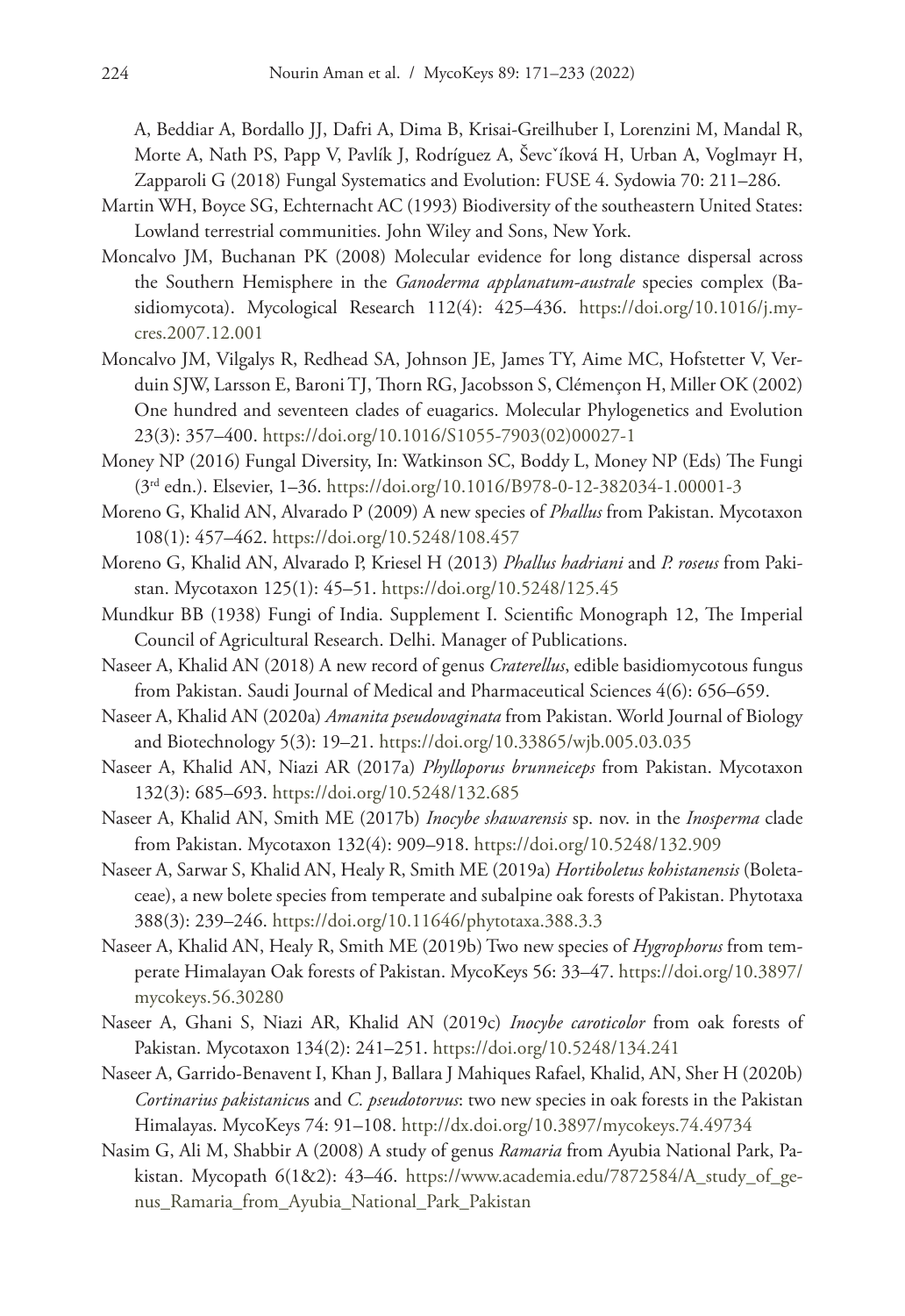A, Beddiar A, Bordallo JJ, Dafri A, Dima B, Krisai-Greilhuber I, Lorenzini M, Mandal R, Morte A, Nath PS, Papp V, Pavlík J, Rodríguez A, Ševcˇíková H, Urban A, Voglmayr H, Zapparoli G (2018) Fungal Systematics and Evolution: FUSE 4. Sydowia 70: 211–286.

- Martin WH, Boyce SG, Echternacht AC (1993) Biodiversity of the southeastern United States: Lowland terrestrial communities. John Wiley and Sons, New York.
- Moncalvo JM, Buchanan PK (2008) Molecular evidence for long distance dispersal across the Southern Hemisphere in the *Ganoderma applanatum-australe* species complex (Basidiomycota). Mycological Research 112(4): 425–436. [https://doi.org/10.1016/j.my](https://doi.org/10.1016/j.mycres.2007.12.001)[cres.2007.12.001](https://doi.org/10.1016/j.mycres.2007.12.001)
- Moncalvo JM, Vilgalys R, Redhead SA, Johnson JE, James TY, Aime MC, Hofstetter V, Verduin SJW, Larsson E, Baroni TJ, Thorn RG, Jacobsson S, Clémençon H, Miller OK (2002) One hundred and seventeen clades of euagarics. Molecular Phylogenetics and Evolution 23(3): 357–400. [https://doi.org/10.1016/S1055-7903\(02\)00027-1](https://doi.org/10.1016/S1055-7903(02)00027-1)
- Money NP (2016) Fungal Diversity, In: Watkinson SC, Boddy L, Money NP (Eds) The Fungi (3rd edn.). Elsevier, 1–36. <https://doi.org/10.1016/B978-0-12-382034-1.00001-3>
- Moreno G, Khalid AN, Alvarado P (2009) A new species of *Phallus* from Pakistan. Mycotaxon 108(1): 457–462. <https://doi.org/10.5248/108.457>
- Moreno G, Khalid AN, Alvarado P, Kriesel H (2013) *Phallus hadriani* and *P. roseus* from Pakistan. Mycotaxon 125(1): 45–51.<https://doi.org/10.5248/125.45>
- Mundkur BB (1938) Fungi of India. Supplement I. Scientific Monograph 12, The Imperial Council of Agricultural Research. Delhi. Manager of Publications.
- Naseer A, Khalid AN (2018) A new record of genus *Craterellus*, edible basidiomycotous fungus from Pakistan. Saudi Journal of Medical and Pharmaceutical Sciences 4(6): 656–659.
- Naseer A, Khalid AN (2020a) *Amanita pseudovaginata* from Pakistan. World Journal of Biology and Biotechnology 5(3): 19–21.<https://doi.org/10.33865/wjb.005.03.035>
- Naseer A, Khalid AN, Niazi AR (2017a) *Phylloporus brunneiceps* from Pakistan. Mycotaxon 132(3): 685–693. <https://doi.org/10.5248/132.685>
- Naseer A, Khalid AN, Smith ME (2017b) *Inocybe shawarensis* sp. nov. in the *Inosperma* clade from Pakistan. Mycotaxon 132(4): 909–918.<https://doi.org/10.5248/132.909>
- Naseer A, Sarwar S, Khalid AN, Healy R, Smith ME (2019a) *Hortiboletus kohistanensis* (Boletaceae), a new bolete species from temperate and subalpine oak forests of Pakistan. Phytotaxa 388(3): 239–246. <https://doi.org/10.11646/phytotaxa.388.3.3>
- Naseer A, Khalid AN, Healy R, Smith ME (2019b) Two new species of *Hygrophorus* from temperate Himalayan Oak forests of Pakistan. MycoKeys 56: 33–47. [https://doi.org/10.3897/](https://doi.org/10.3897/mycokeys.56.30280) [mycokeys.56.30280](https://doi.org/10.3897/mycokeys.56.30280)
- Naseer A, Ghani S, Niazi AR, Khalid AN (2019c) *Inocybe caroticolor* from oak forests of Pakistan. Mycotaxon 134(2): 241–251. <https://doi.org/10.5248/134.241>
- Naseer A, Garrido-Benavent I, Khan J, Ballara J Mahiques Rafael, Khalid, AN, Sher H (2020b) *Cortinarius pakistanicu*s and *C. pseudotorvus*: two new species in oak forests in the Pakistan Himalayas. MycoKeys 74: 91–108. <http://dx.doi.org/10.3897/mycokeys.74.49734>
- Nasim G, Ali M, Shabbir A (2008) A study of genus *Ramaria* from Ayubia National Park, Pakistan. Mycopath 6(1&2): 43–46. [https://www.academia.edu/7872584/A\\_study\\_of\\_ge](https://www.academia.edu/7872584/A_study_of_genus_Ramaria_from_Ayubia_National_Park_Pakistan)[nus\\_Ramaria\\_from\\_Ayubia\\_National\\_Park\\_Pakistan](https://www.academia.edu/7872584/A_study_of_genus_Ramaria_from_Ayubia_National_Park_Pakistan)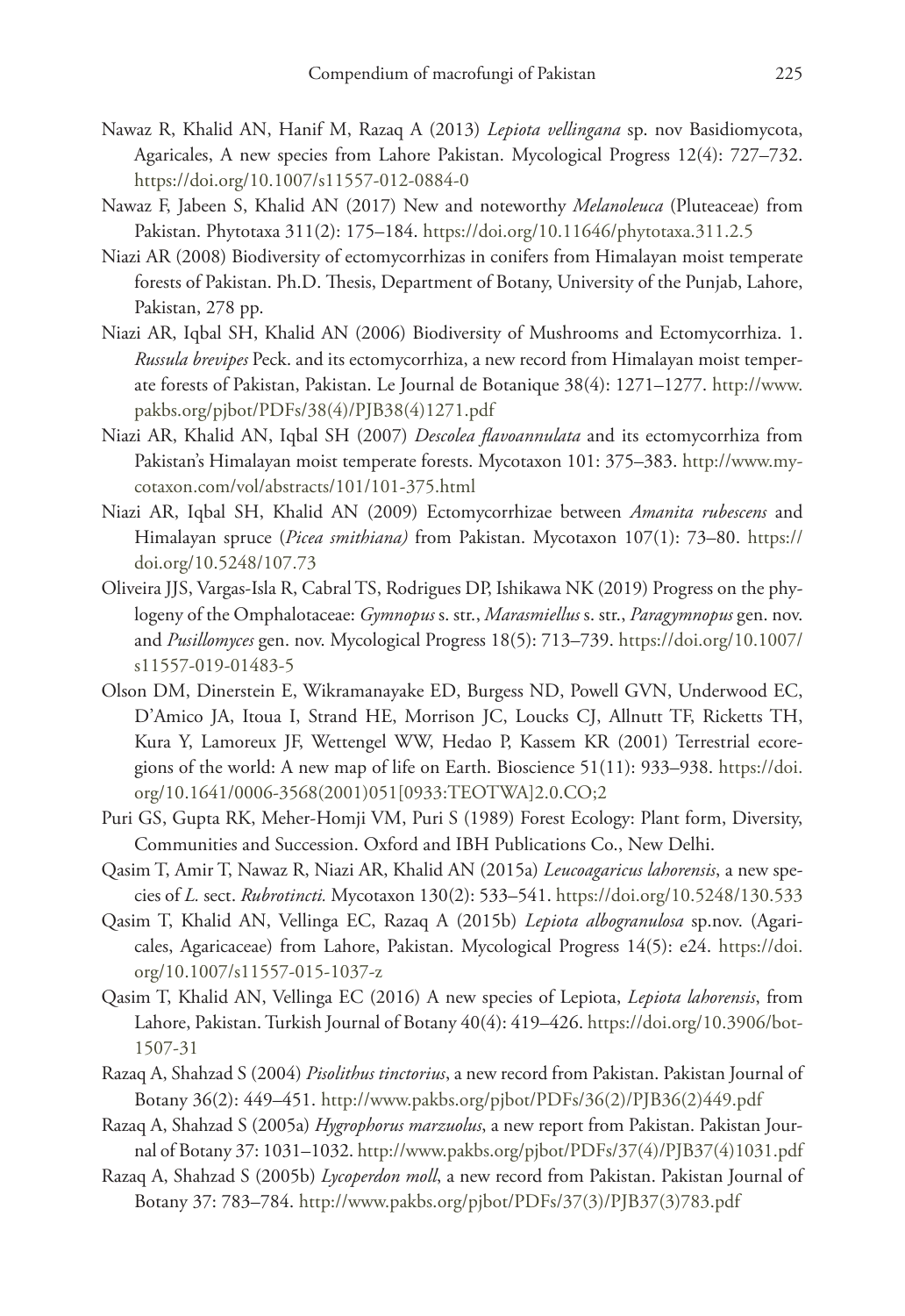- Nawaz R, Khalid AN, Hanif M, Razaq A (2013) *Lepiota vellingana* sp. nov Basidiomycota, Agaricales, A new species from Lahore Pakistan. Mycological Progress 12(4): 727–732. <https://doi.org/10.1007/s11557-012-0884-0>
- Nawaz F, Jabeen S, Khalid AN (2017) New and noteworthy *Melanoleuca* (Pluteaceae) from Pakistan. Phytotaxa 311(2): 175–184. <https://doi.org/10.11646/phytotaxa.311.2.5>
- Niazi AR (2008) Biodiversity of ectomycorrhizas in conifers from Himalayan moist temperate forests of Pakistan. Ph.D. Thesis, Department of Botany, University of the Punjab, Lahore, Pakistan, 278 pp.
- Niazi AR, Iqbal SH, Khalid AN (2006) Biodiversity of Mushrooms and Ectomycorrhiza. 1. *Russula brevipes* Peck. and its ectomycorrhiza, a new record from Himalayan moist temperate forests of Pakistan, Pakistan. Le Journal de Botanique 38(4): 1271–1277. [http://www.](http://www.pakbs.org/pjbot/PDFs/38(4)/PJB38(4)1271.pdf) [pakbs.org/pjbot/PDFs/38\(4\)/PJB38\(4\)1271.pdf](http://www.pakbs.org/pjbot/PDFs/38(4)/PJB38(4)1271.pdf)
- Niazi AR, Khalid AN, Iqbal SH (2007) *Descolea flavoannulata* and its ectomycorrhiza from Pakistan's Himalayan moist temperate forests. Mycotaxon 101: 375–383. [http://www.my](http://www.mycotaxon.com/vol/abstracts/101/101-375.html)[cotaxon.com/vol/abstracts/101/101-375.html](http://www.mycotaxon.com/vol/abstracts/101/101-375.html)
- Niazi AR, Iqbal SH, Khalid AN (2009) Ectomycorrhizae between *Amanita rubescens* and Himalayan spruce (*Picea smithiana)* from Pakistan. Mycotaxon 107(1): 73–80. [https://](https://doi.org/10.5248/107.73) [doi.org/10.5248/107.73](https://doi.org/10.5248/107.73)
- Oliveira JJS, Vargas-Isla R, Cabral TS, Rodrigues DP, Ishikawa NK (2019) Progress on the phylogeny of the Omphalotaceae: *Gymnopus* s. str., *Marasmiellus* s. str., *Paragymnopus* gen. nov. and *Pusillomyces* gen. nov. Mycological Progress 18(5): 713–739. [https://doi.org/10.1007/](https://doi.org/10.1007/s11557-019-01483-5) [s11557-019-01483-5](https://doi.org/10.1007/s11557-019-01483-5)
- Olson DM, Dinerstein E, Wikramanayake ED, Burgess ND, Powell GVN, Underwood EC, D'Amico JA, Itoua I, Strand HE, Morrison JC, Loucks CJ, Allnutt TF, Ricketts TH, Kura Y, Lamoreux JF, Wettengel WW, Hedao P, Kassem KR (2001) Terrestrial ecoregions of the world: A new map of life on Earth. Bioscience 51(11): 933–938. [https://doi.](https://doi.org/10.1641/0006-3568(2001)051%5B0933:TEOTWA%5D2.0.CO;2) [org/10.1641/0006-3568\(2001\)051\[0933:TEOTWA\]2.0.CO;2](https://doi.org/10.1641/0006-3568(2001)051%5B0933:TEOTWA%5D2.0.CO;2)
- Puri GS, Gupta RK, Meher-Homji VM, Puri S (1989) Forest Ecology: Plant form, Diversity, Communities and Succession. Oxford and IBH Publications Co., New Delhi.
- Qasim T, Amir T, Nawaz R, Niazi AR, Khalid AN (2015a) *Leucoagaricus lahorensis*, a new species of *L.* sect. *Rubrotincti.* Mycotaxon 130(2): 533–541.<https://doi.org/10.5248/130.533>
- Qasim T, Khalid AN, Vellinga EC, Razaq A (2015b) *Lepiota albogranulosa* sp.nov. (Agaricales, Agaricaceae) from Lahore, Pakistan. Mycological Progress 14(5): e24. [https://doi.](https://doi.org/10.1007/s11557-015-1037-z) [org/10.1007/s11557-015-1037-z](https://doi.org/10.1007/s11557-015-1037-z)
- Qasim T, Khalid AN, Vellinga EC (2016) A new species of Lepiota, *Lepiota lahorensis*, from Lahore, Pakistan. Turkish Journal of Botany 40(4): 419–426. [https://doi.org/10.3906/bot-](https://doi.org/10.3906/bot-1507-31)[1507-31](https://doi.org/10.3906/bot-1507-31)
- Razaq A, Shahzad S (2004) *Pisolithus tinctorius*, a new record from Pakistan. Pakistan Journal of Botany 36(2): 449–451. [http://www.pakbs.org/pjbot/PDFs/36\(2\)/PJB36\(2\)449.pdf](http://www.pakbs.org/pjbot/PDFs/36(2)/PJB36(2)449.pdf)
- Razaq A, Shahzad S (2005a) *Hygrophorus marzuolus*, a new report from Pakistan. Pakistan Journal of Botany 37: 1031–1032. [http://www.pakbs.org/pjbot/PDFs/37\(4\)/PJB37\(4\)1031.pdf](http://www.pakbs.org/pjbot/PDFs/37(4)/PJB37(4)1031.pdf)
- Razaq A, Shahzad S (2005b) *Lycoperdon moll*, a new record from Pakistan. Pakistan Journal of Botany 37: 783–784. [http://www.pakbs.org/pjbot/PDFs/37\(3\)/PJB37\(3\)783.pdf](http://www.pakbs.org/pjbot/PDFs/37(3)/PJB37(3)783.pdf)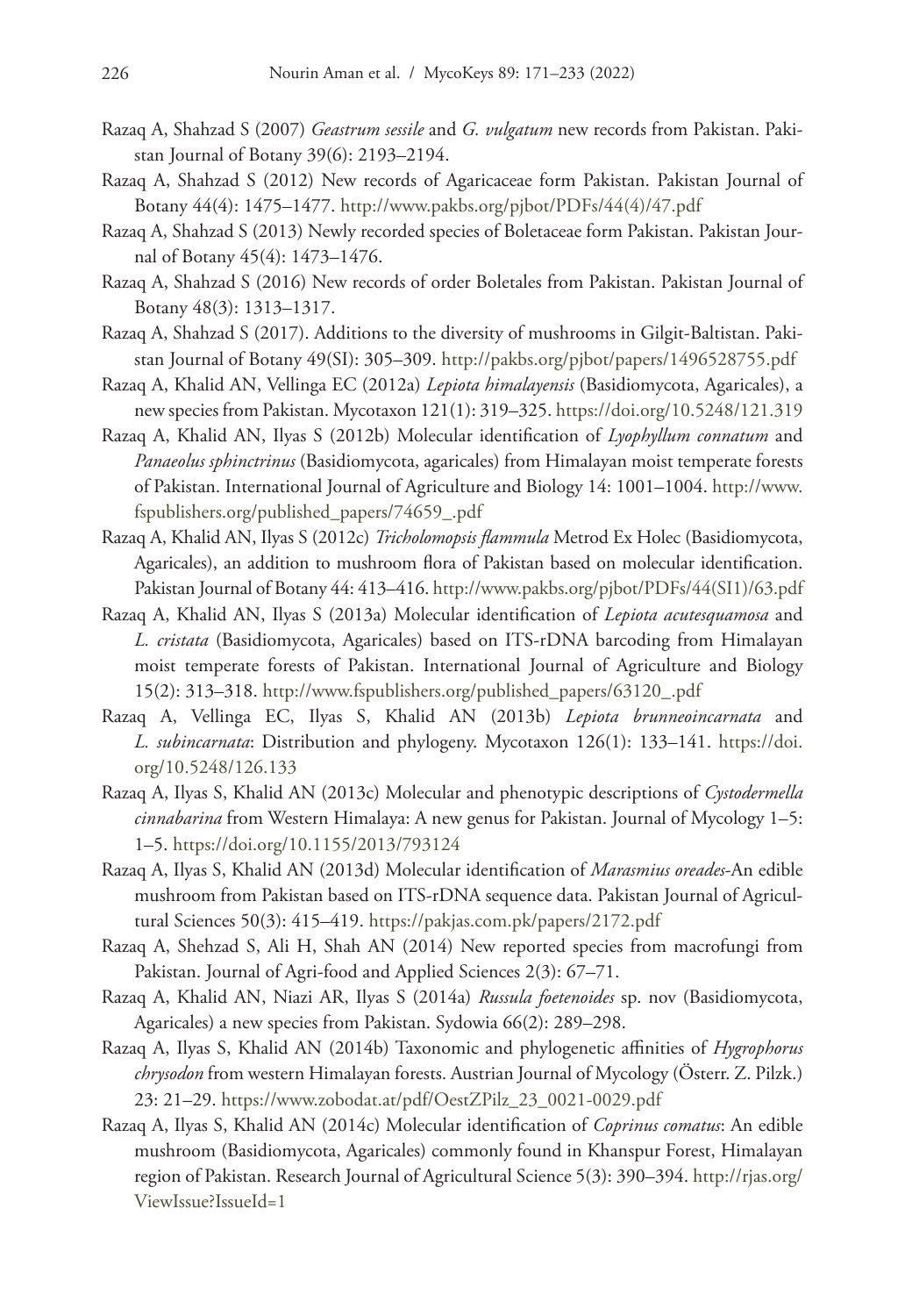- Razaq A, Shahzad S (2007) *Geastrum sessile* and *G. vulgatum* new records from Pakistan. Pakistan Journal of Botany 39(6): 2193–2194.
- Razaq A, Shahzad S (2012) New records of Agaricaceae form Pakistan. Pakistan Journal of Botany 44(4): 1475–1477. [http://www.pakbs.org/pjbot/PDFs/44\(4\)/47.pdf](http://www.pakbs.org/pjbot/PDFs/44(4)/47.pdf)
- Razaq A, Shahzad S (2013) Newly recorded species of Boletaceae form Pakistan. Pakistan Journal of Botany 45(4): 1473–1476.
- Razaq A, Shahzad S (2016) New records of order Boletales from Pakistan. Pakistan Journal of Botany 48(3): 1313–1317.
- Razaq A, Shahzad S (2017). Additions to the diversity of mushrooms in Gilgit-Baltistan. Pakistan Journal of Botany 49(SI): 305–309.<http://pakbs.org/pjbot/papers/1496528755.pdf>
- Razaq A, Khalid AN, Vellinga EC (2012a) *Lepiota himalayensis* (Basidiomycota, Agaricales), a new species from Pakistan. Mycotaxon 121(1): 319–325.<https://doi.org/10.5248/121.319>
- Razaq A, Khalid AN, Ilyas S (2012b) Molecular identification of *Lyophyllum connatum* and *Panaeolus sphinctrinus* (Basidiomycota, agaricales) from Himalayan moist temperate forests of Pakistan. International Journal of Agriculture and Biology 14: 1001–1004. [http://www.](http://www.fspublishers.org/published_papers/74659_.pdf) [fspublishers.org/published\\_papers/74659\\_.pdf](http://www.fspublishers.org/published_papers/74659_.pdf)
- Razaq A, Khalid AN, Ilyas S (2012c) *Tricholomopsis flammula* Metrod Ex Holec (Basidiomycota, Agaricales), an addition to mushroom flora of Pakistan based on molecular identification. Pakistan Journal of Botany 44: 413–416. [http://www.pakbs.org/pjbot/PDFs/44\(SI1\)/63.pdf](http://www.pakbs.org/pjbot/PDFs/44(SI1)/63.pdf)
- Razaq A, Khalid AN, Ilyas S (2013a) Molecular identification of *Lepiota acutesquamosa* and *L. cristata* (Basidiomycota, Agaricales) based on ITS-rDNA barcoding from Himalayan moist temperate forests of Pakistan. International Journal of Agriculture and Biology 15(2): 313–318. [http://www.fspublishers.org/published\\_papers/63120\\_.pdf](http://www.fspublishers.org/published_papers/63120_.pdf)
- Razaq A, Vellinga EC, Ilyas S, Khalid AN (2013b) *Lepiota brunneoincarnata* and *L. subincarnata*: Distribution and phylogeny. Mycotaxon 126(1): 133–141. [https://doi.](https://doi.org/10.5248/126.133) [org/10.5248/126.133](https://doi.org/10.5248/126.133)
- Razaq A, Ilyas S, Khalid AN (2013c) Molecular and phenotypic descriptions of *Cystodermella cinnabarina* from Western Himalaya: A new genus for Pakistan. Journal of Mycology 1–5: 1–5.<https://doi.org/10.1155/2013/793124>
- Razaq A, Ilyas S, Khalid AN (2013d) Molecular identification of *Marasmius oreades*-An edible mushroom from Pakistan based on ITS-rDNA sequence data. Pakistan Journal of Agricultural Sciences 50(3): 415–419. <https://pakjas.com.pk/papers/2172.pdf>
- Razaq A, Shehzad S, Ali H, Shah AN (2014) New reported species from macrofungi from Pakistan. Journal of Agri-food and Applied Sciences 2(3): 67–71.
- Razaq A, Khalid AN, Niazi AR, Ilyas S (2014a) *Russula foetenoides* sp. nov (Basidiomycota, Agaricales) a new species from Pakistan. Sydowia 66(2): 289–298.
- Razaq A, Ilyas S, Khalid AN (2014b) Taxonomic and phylogenetic affinities of *Hygrophorus chrysodon* from western Himalayan forests. Austrian Journal of Mycology (Österr. Z. Pilzk.) 23: 21–29. [https://www.zobodat.at/pdf/OestZPilz\\_23\\_0021-0029.pdf](https://www.zobodat.at/pdf/OestZPilz_23_0021-0029.pdf)
- Razaq A, Ilyas S, Khalid AN (2014c) Molecular identification of *Coprinus comatus*: An edible mushroom (Basidiomycota, Agaricales) commonly found in Khanspur Forest, Himalayan region of Pakistan. Research Journal of Agricultural Science 5(3): 390–394. [http://rjas.org/](http://rjas.org/ViewIssue?IssueId=1) [ViewIssue?IssueId=1](http://rjas.org/ViewIssue?IssueId=1)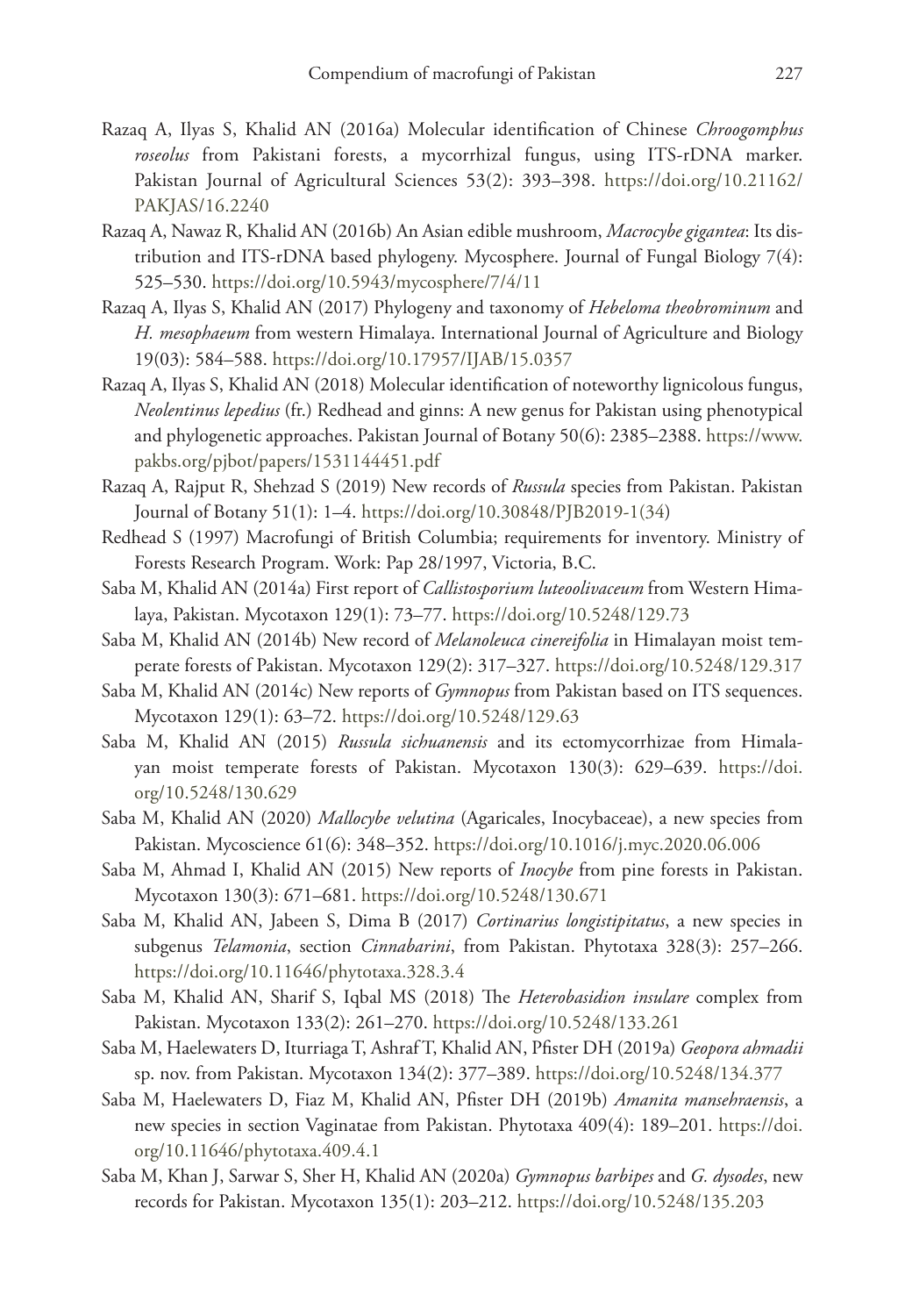- Razaq A, Ilyas S, Khalid AN (2016a) Molecular identification of Chinese *Chroogomphus roseolus* from Pakistani forests, a mycorrhizal fungus, using ITS-rDNA marker. Pakistan Journal of Agricultural Sciences 53(2): 393–398. [https://doi.org/10.21162/](https://doi.org/10.21162/PAKJAS/16.2240) [PAKJAS/16.2240](https://doi.org/10.21162/PAKJAS/16.2240)
- Razaq A, Nawaz R, Khalid AN (2016b) An Asian edible mushroom, *Macrocybe gigantea*: Its distribution and ITS-rDNA based phylogeny. Mycosphere. Journal of Fungal Biology 7(4): 525–530.<https://doi.org/10.5943/mycosphere/7/4/11>
- Razaq A, Ilyas S, Khalid AN (2017) Phylogeny and taxonomy of *Hebeloma theobrominum* and *H. mesophaeum* from western Himalaya. International Journal of Agriculture and Biology 19(03): 584–588. <https://doi.org/10.17957/IJAB/15.0357>
- Razaq A, Ilyas S, Khalid AN (2018) Molecular identification of noteworthy lignicolous fungus, *Neolentinus lepedius* (fr.) Redhead and ginns: A new genus for Pakistan using phenotypical and phylogenetic approaches. Pakistan Journal of Botany 50(6): 2385–2388. [https://www.](https://www.pakbs.org/pjbot/papers/1531144451.pdf) [pakbs.org/pjbot/papers/1531144451.pdf](https://www.pakbs.org/pjbot/papers/1531144451.pdf)
- Razaq A, Rajput R, Shehzad S (2019) New records of *Russula* species from Pakistan. Pakistan Journal of Botany 51(1): 1–4. [https://doi.org/10.30848/PJB2019-1\(34\)](https://doi.org/10.30848/PJB2019-1(34)
- Redhead S (1997) Macrofungi of British Columbia; requirements for inventory. Ministry of Forests Research Program. Work: Pap 28/1997, Victoria, B.C.
- Saba M, Khalid AN (2014a) First report of *Callistosporium luteoolivaceum* from Western Himalaya, Pakistan. Mycotaxon 129(1): 73–77. <https://doi.org/10.5248/129.73>
- Saba M, Khalid AN (2014b) New record of *Melanoleuca cinereifolia* in Himalayan moist temperate forests of Pakistan. Mycotaxon 129(2): 317–327.<https://doi.org/10.5248/129.317>
- Saba M, Khalid AN (2014c) New reports of *Gymnopus* from Pakistan based on ITS sequences. Mycotaxon 129(1): 63–72. <https://doi.org/10.5248/129.63>
- Saba M, Khalid AN (2015) *Russula sichuanensis* and its ectomycorrhizae from Himalayan moist temperate forests of Pakistan. Mycotaxon 130(3): 629–639. [https://doi.](https://doi.org/10.5248/130.629) [org/10.5248/130.629](https://doi.org/10.5248/130.629)
- Saba M, Khalid AN (2020) *Mallocybe velutina* (Agaricales, Inocybaceae), a new species from Pakistan. Mycoscience 61(6): 348–352.<https://doi.org/10.1016/j.myc.2020.06.006>
- Saba M, Ahmad I, Khalid AN (2015) New reports of *Inocybe* from pine forests in Pakistan. Mycotaxon 130(3): 671–681. <https://doi.org/10.5248/130.671>
- Saba M, Khalid AN, Jabeen S, Dima B (2017) *Cortinarius longistipitatus*, a new species in subgenus *Telamonia*, section *Cinnabarini*, from Pakistan. Phytotaxa 328(3): 257–266. <https://doi.org/10.11646/phytotaxa.328.3.4>
- Saba M, Khalid AN, Sharif S, Iqbal MS (2018) The *Heterobasidion insulare* complex from Pakistan. Mycotaxon 133(2): 261–270. <https://doi.org/10.5248/133.261>
- Saba M, Haelewaters D, Iturriaga T, Ashraf T, Khalid AN, Pfister DH (2019a) *Geopora ahmadii* sp. nov. from Pakistan. Mycotaxon 134(2): 377–389. <https://doi.org/10.5248/134.377>
- Saba M, Haelewaters D, Fiaz M, Khalid AN, Pfister DH (2019b) *Amanita mansehraensis*, a new species in section Vaginatae from Pakistan. Phytotaxa 409(4): 189–201. [https://doi.](https://doi.org/10.11646/phytotaxa.409.4.1) [org/10.11646/phytotaxa.409.4.1](https://doi.org/10.11646/phytotaxa.409.4.1)
- Saba M, Khan J, Sarwar S, Sher H, Khalid AN (2020a) *Gymnopus barbipes* and *G. dysodes*, new records for Pakistan. Mycotaxon 135(1): 203–212.<https://doi.org/10.5248/135.203>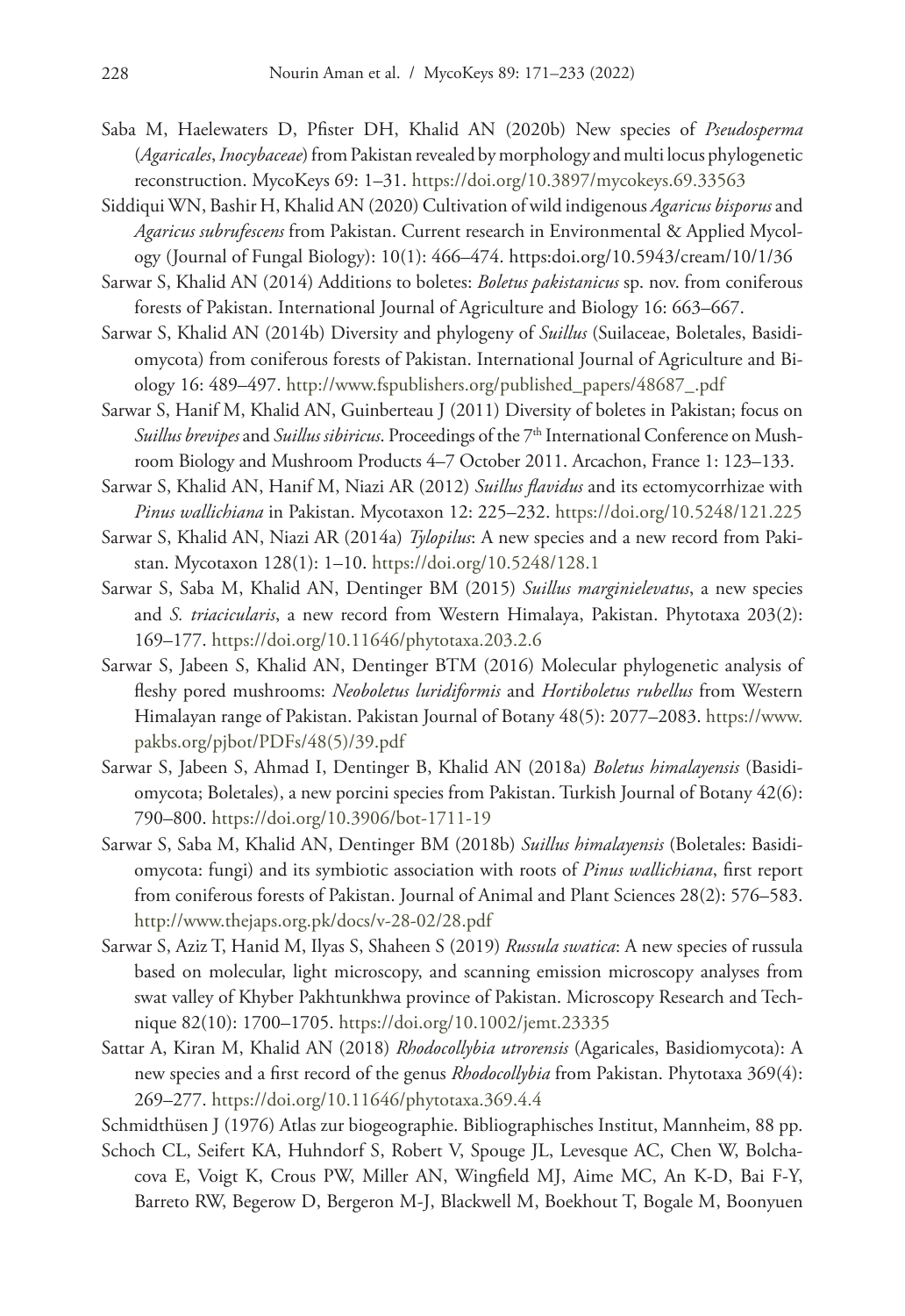- Saba M, Haelewaters D, Pfister DH, Khalid AN (2020b) New species of *Pseudosperma* (*Agaricales*, *Inocybaceae*) from Pakistan revealed by morphology and multi locus phylogenetic reconstruction. MycoKeys 69: 1–31.<https://doi.org/10.3897/mycokeys.69.33563>
- Siddiqui WN, Bashir H, Khalid AN (2020) Cultivation of wild indigenous *Agaricus bisporus* and *Agaricus subrufescens* from Pakistan. Current research in Environmental & Applied Mycology (Journal of Fungal Biology): 10(1): 466–474. https:doi.org/10.5943/cream/10/1/36
- Sarwar S, Khalid AN (2014) Additions to boletes: *Boletus pakistanicus* sp. nov. from coniferous forests of Pakistan. International Journal of Agriculture and Biology 16: 663–667.
- Sarwar S, Khalid AN (2014b) Diversity and phylogeny of *Suillus* (Suilaceae, Boletales, Basidiomycota) from coniferous forests of Pakistan. International Journal of Agriculture and Biology 16: 489–497. [http://www.fspublishers.org/published\\_papers/48687\\_.pdf](http://www.fspublishers.org/published_papers/48687_.pdf)
- Sarwar S, Hanif M, Khalid AN, Guinberteau J (2011) Diversity of boletes in Pakistan; focus on *Suillus brevipes* and *Suillus sibiricus*. Proceedings of the 7th International Conference on Mushroom Biology and Mushroom Products 4–7 October 2011. Arcachon, France 1: 123–133.

Sarwar S, Khalid AN, Hanif M, Niazi AR (2012) *Suillus flavidus* and its ectomycorrhizae with *Pinus wallichiana* in Pakistan. Mycotaxon 12: 225–232.<https://doi.org/10.5248/121.225>

- Sarwar S, Khalid AN, Niazi AR (2014a) *Tylopilus*: A new species and a new record from Pakistan. Mycotaxon 128(1): 1–10.<https://doi.org/10.5248/128.1>
- Sarwar S, Saba M, Khalid AN, Dentinger BM (2015) *Suillus marginielevatus*, a new species and *S. triacicularis*, a new record from Western Himalaya, Pakistan. Phytotaxa 203(2): 169–177.<https://doi.org/10.11646/phytotaxa.203.2.6>
- Sarwar S, Jabeen S, Khalid AN, Dentinger BTM (2016) Molecular phylogenetic analysis of fleshy pored mushrooms: *Neoboletus luridiformis* and *Hortiboletus rubellus* from Western Himalayan range of Pakistan. Pakistan Journal of Botany 48(5): 2077–2083. [https://www.](https://www.pakbs.org/pjbot/PDFs/48(5)/39.pdf) [pakbs.org/pjbot/PDFs/48\(5\)/39.pdf](https://www.pakbs.org/pjbot/PDFs/48(5)/39.pdf)
- Sarwar S, Jabeen S, Ahmad I, Dentinger B, Khalid AN (2018a) *Boletus himalayensis* (Basidiomycota; Boletales), a new porcini species from Pakistan. Turkish Journal of Botany 42(6): 790–800.<https://doi.org/10.3906/bot-1711-19>
- Sarwar S, Saba M, Khalid AN, Dentinger BM (2018b) *Suillus himalayensis* (Boletales: Basidiomycota: fungi) and its symbiotic association with roots of *Pinus wallichiana*, first report from coniferous forests of Pakistan. Journal of Animal and Plant Sciences 28(2): 576–583. <http://www.thejaps.org.pk/docs/v-28-02/28.pdf>
- Sarwar S, Aziz T, Hanid M, Ilyas S, Shaheen S (2019) *Russula swatica*: A new species of russula based on molecular, light microscopy, and scanning emission microscopy analyses from swat valley of Khyber Pakhtunkhwa province of Pakistan. Microscopy Research and Technique 82(10): 1700–1705.<https://doi.org/10.1002/jemt.23335>
- Sattar A, Kiran M, Khalid AN (2018) *Rhodocollybia utrorensis* (Agaricales, Basidiomycota): A new species and a first record of the genus *Rhodocollybia* from Pakistan. Phytotaxa 369(4): 269–277.<https://doi.org/10.11646/phytotaxa.369.4.4>

Schmidthüsen J (1976) Atlas zur biogeographie. Bibliographisches Institut, Mannheim, 88 pp.

Schoch CL, Seifert KA, Huhndorf S, Robert V, Spouge JL, Levesque AC, Chen W, Bolchacova E, Voigt K, Crous PW, Miller AN, Wingfield MJ, Aime MC, An K-D, Bai F-Y, Barreto RW, Begerow D, Bergeron M-J, Blackwell M, Boekhout T, Bogale M, Boonyuen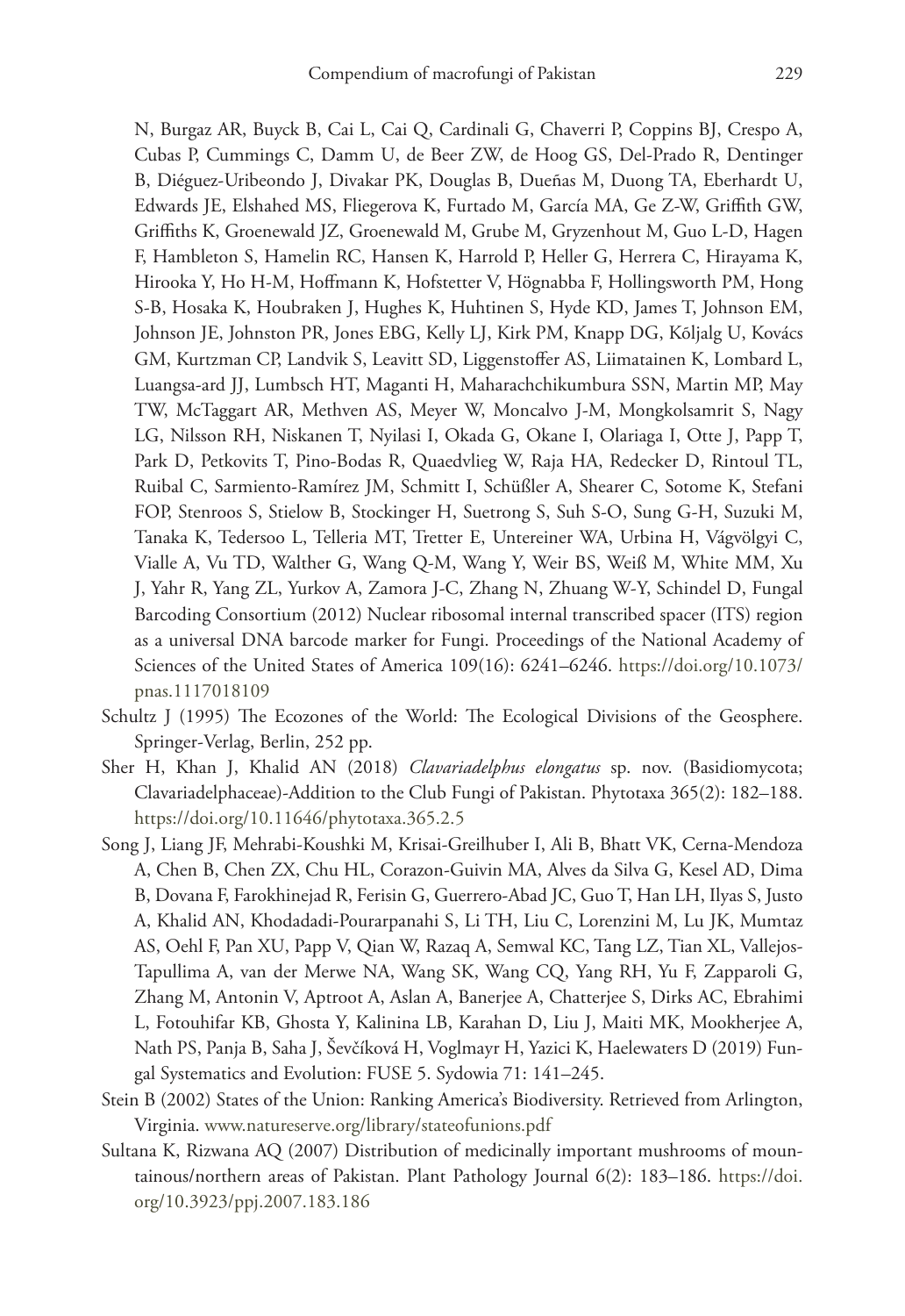N, Burgaz AR, Buyck B, Cai L, Cai Q, Cardinali G, Chaverri P, Coppins BJ, Crespo A, Cubas P, Cummings C, Damm U, de Beer ZW, de Hoog GS, Del-Prado R, Dentinger B, Diéguez-Uribeondo J, Divakar PK, Douglas B, Dueñas M, Duong TA, Eberhardt U, Edwards JE, Elshahed MS, Fliegerova K, Furtado M, García MA, Ge Z-W, Griffith GW, Griffiths K, Groenewald JZ, Groenewald M, Grube M, Gryzenhout M, Guo L-D, Hagen F, Hambleton S, Hamelin RC, Hansen K, Harrold P, Heller G, Herrera C, Hirayama K, Hirooka Y, Ho H-M, Hoffmann K, Hofstetter V, Högnabba F, Hollingsworth PM, Hong S-B, Hosaka K, Houbraken J, Hughes K, Huhtinen S, Hyde KD, James T, Johnson EM, Johnson JE, Johnston PR, Jones EBG, Kelly LJ, Kirk PM, Knapp DG, Kõljalg U, Kovács GM, Kurtzman CP, Landvik S, Leavitt SD, Liggenstoffer AS, Liimatainen K, Lombard L, Luangsa-ard JJ, Lumbsch HT, Maganti H, Maharachchikumbura SSN, Martin MP, May TW, McTaggart AR, Methven AS, Meyer W, Moncalvo J-M, Mongkolsamrit S, Nagy LG, Nilsson RH, Niskanen T, Nyilasi I, Okada G, Okane I, Olariaga I, Otte J, Papp T, Park D, Petkovits T, Pino-Bodas R, Quaedvlieg W, Raja HA, Redecker D, Rintoul TL, Ruibal C, Sarmiento-Ramírez JM, Schmitt I, Schüßler A, Shearer C, Sotome K, Stefani FOP, Stenroos S, Stielow B, Stockinger H, Suetrong S, Suh S-O, Sung G-H, Suzuki M, Tanaka K, Tedersoo L, Telleria MT, Tretter E, Untereiner WA, Urbina H, Vágvölgyi C, Vialle A, Vu TD, Walther G, Wang Q-M, Wang Y, Weir BS, Weiß M, White MM, Xu J, Yahr R, Yang ZL, Yurkov A, Zamora J-C, Zhang N, Zhuang W-Y, Schindel D, Fungal Barcoding Consortium (2012) Nuclear ribosomal internal transcribed spacer (ITS) region as a universal DNA barcode marker for Fungi. Proceedings of the National Academy of Sciences of the United States of America 109(16): 6241–6246. [https://doi.org/10.1073/](https://doi.org/10.1073/pnas.1117018109) [pnas.1117018109](https://doi.org/10.1073/pnas.1117018109)

- Schultz J (1995) The Ecozones of the World: The Ecological Divisions of the Geosphere. Springer-Verlag, Berlin, 252 pp.
- Sher H, Khan J, Khalid AN (2018) *Clavariadelphus elongatus* sp. nov. (Basidiomycota; Clavariadelphaceae)-Addition to the Club Fungi of Pakistan. Phytotaxa 365(2): 182–188. <https://doi.org/10.11646/phytotaxa.365.2.5>
- Song J, Liang JF, Mehrabi-Koushki M, Krisai-Greilhuber I, Ali B, Bhatt VK, Cerna-Mendoza A, Chen B, Chen ZX, Chu HL, Corazon-Guivin MA, Alves da Silva G, Kesel AD, Dima B, Dovana F, Farokhinejad R, Ferisin G, Guerrero-Abad JC, Guo T, Han LH, Ilyas S, Justo A, Khalid AN, Khodadadi-Pourarpanahi S, Li TH, Liu C, Lorenzini M, Lu JK, Mumtaz AS, Oehl F, Pan XU, Papp V, Qian W, Razaq A, Semwal KC, Tang LZ, Tian XL, Vallejos-Tapullima A, van der Merwe NA, Wang SK, Wang CQ, Yang RH, Yu F, Zapparoli G, Zhang M, Antonin V, Aptroot A, Aslan A, Banerjee A, Chatterjee S, Dirks AC, Ebrahimi L, Fotouhifar KB, Ghosta Y, Kalinina LB, Karahan D, Liu J, Maiti MK, Mookherjee A, Nath PS, Panja B, Saha J, Ševčíková H, Voglmayr H, Yazici K, Haelewaters D (2019) Fungal Systematics and Evolution: FUSE 5. Sydowia 71: 141–245.
- Stein B (2002) States of the Union: Ranking America's Biodiversity. Retrieved from Arlington, Virginia. www.natureserve.org/library/stateofunions.pdf
- Sultana K, Rizwana AQ (2007) Distribution of medicinally important mushrooms of mountainous/northern areas of Pakistan. Plant Pathology Journal 6(2): 183–186. [https://doi.](https://doi.org/10.3923/ppj.2007.183.186) [org/10.3923/ppj.2007.183.186](https://doi.org/10.3923/ppj.2007.183.186)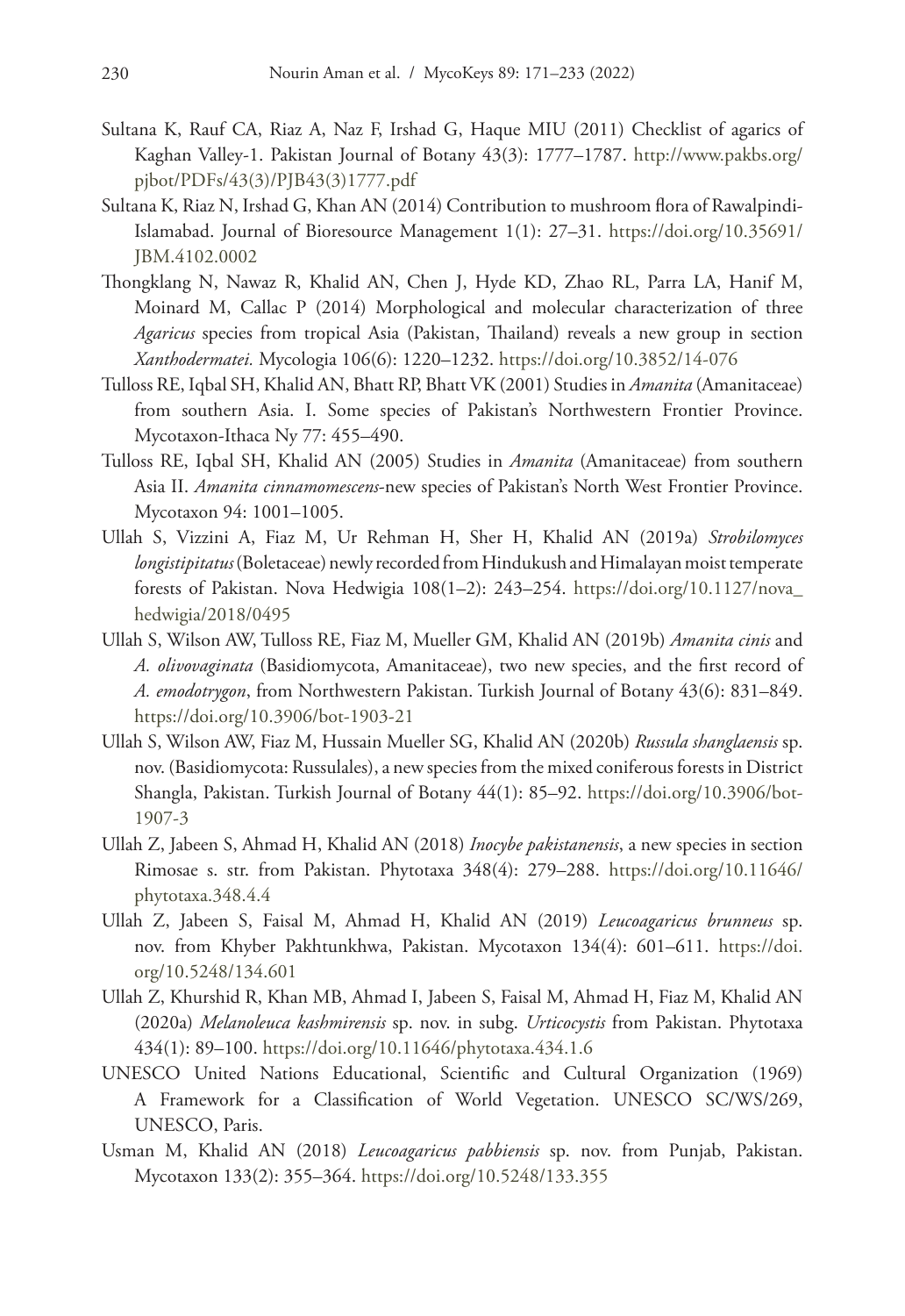- Sultana K, Rauf CA, Riaz A, Naz F, Irshad G, Haque MIU (2011) Checklist of agarics of Kaghan Valley-1. Pakistan Journal of Botany 43(3): 1777–1787. [http://www.pakbs.org/](http://www.pakbs.org/pjbot/PDFs/43(3)/PJB43(3)1777.pdf) [pjbot/PDFs/43\(3\)/PJB43\(3\)1777.pdf](http://www.pakbs.org/pjbot/PDFs/43(3)/PJB43(3)1777.pdf)
- Sultana K, Riaz N, Irshad G, Khan AN (2014) Contribution to mushroom flora of Rawalpindi-Islamabad. Journal of Bioresource Management 1(1): 27–31. [https://doi.org/10.35691/](https://doi.org/10.35691/JBM.4102.0002) [JBM.4102.0002](https://doi.org/10.35691/JBM.4102.0002)
- Thongklang N, Nawaz R, Khalid AN, Chen J, Hyde KD, Zhao RL, Parra LA, Hanif M, Moinard M, Callac P (2014) Morphological and molecular characterization of three *Agaricus* species from tropical Asia (Pakistan, Thailand) reveals a new group in section *Xanthodermatei.* Mycologia 106(6): 1220–1232.<https://doi.org/10.3852/14-076>
- Tulloss RE, Iqbal SH, Khalid AN, Bhatt RP, Bhatt VK (2001) Studies in *Amanita* (Amanitaceae) from southern Asia. I. Some species of Pakistan's Northwestern Frontier Province. Mycotaxon-Ithaca Ny 77: 455–490.
- Tulloss RE, Iqbal SH, Khalid AN (2005) Studies in *Amanita* (Amanitaceae) from southern Asia II. *Amanita cinnamomescens*-new species of Pakistan's North West Frontier Province. Mycotaxon 94: 1001–1005.
- Ullah S, Vizzini A, Fiaz M, Ur Rehman H, Sher H, Khalid AN (2019a) *Strobilomyces longistipitatus* (Boletaceae) newly recorded from Hindukush and Himalayan moist temperate forests of Pakistan. Nova Hedwigia 108(1–2): 243–254. [https://doi.org/10.1127/nova\\_](https://doi.org/10.1127/nova_hedwigia/2018/0495) [hedwigia/2018/0495](https://doi.org/10.1127/nova_hedwigia/2018/0495)
- Ullah S, Wilson AW, Tulloss RE, Fiaz M, Mueller GM, Khalid AN (2019b) *Amanita cinis* and *A. olivovaginata* (Basidiomycota, Amanitaceae), two new species, and the first record of *A. emodotrygon*, from Northwestern Pakistan. Turkish Journal of Botany 43(6): 831–849. <https://doi.org/10.3906/bot-1903-21>
- Ullah S, Wilson AW, Fiaz M, Hussain Mueller SG, Khalid AN (2020b) *Russula shanglaensis* sp. nov. (Basidiomycota: Russulales), a new species from the mixed coniferous forests in District Shangla, Pakistan. Turkish Journal of Botany 44(1): 85–92. [https://doi.org/10.3906/bot-](https://doi.org/10.3906/bot-1907-3)[1907-3](https://doi.org/10.3906/bot-1907-3)
- Ullah Z, Jabeen S, Ahmad H, Khalid AN (2018) *Inocybe pakistanensis*, a new species in section Rimosae s. str. from Pakistan. Phytotaxa 348(4): 279–288. [https://doi.org/10.11646/](https://doi.org/10.11646/phytotaxa.348.4.4) [phytotaxa.348.4.4](https://doi.org/10.11646/phytotaxa.348.4.4)
- Ullah Z, Jabeen S, Faisal M, Ahmad H, Khalid AN (2019) *Leucoagaricus brunneus* sp. nov. from Khyber Pakhtunkhwa, Pakistan. Mycotaxon 134(4): 601–611. [https://doi.](https://doi.org/10.5248/134.601) [org/10.5248/134.601](https://doi.org/10.5248/134.601)
- Ullah Z, Khurshid R, Khan MB, Ahmad I, Jabeen S, Faisal M, Ahmad H, Fiaz M, Khalid AN (2020a) *Melanoleuca kashmirensis* sp. nov. in subg. *Urticocystis* from Pakistan. Phytotaxa 434(1): 89–100. <https://doi.org/10.11646/phytotaxa.434.1.6>
- UNESCO United Nations Educational, Scientific and Cultural Organization (1969) A Framework for a Classification of World Vegetation. UNESCO SC/WS/269, UNESCO, Paris.
- Usman M, Khalid AN (2018) *Leucoagaricus pabbiensis* sp. nov. from Punjab, Pakistan. Mycotaxon 133(2): 355–364. <https://doi.org/10.5248/133.355>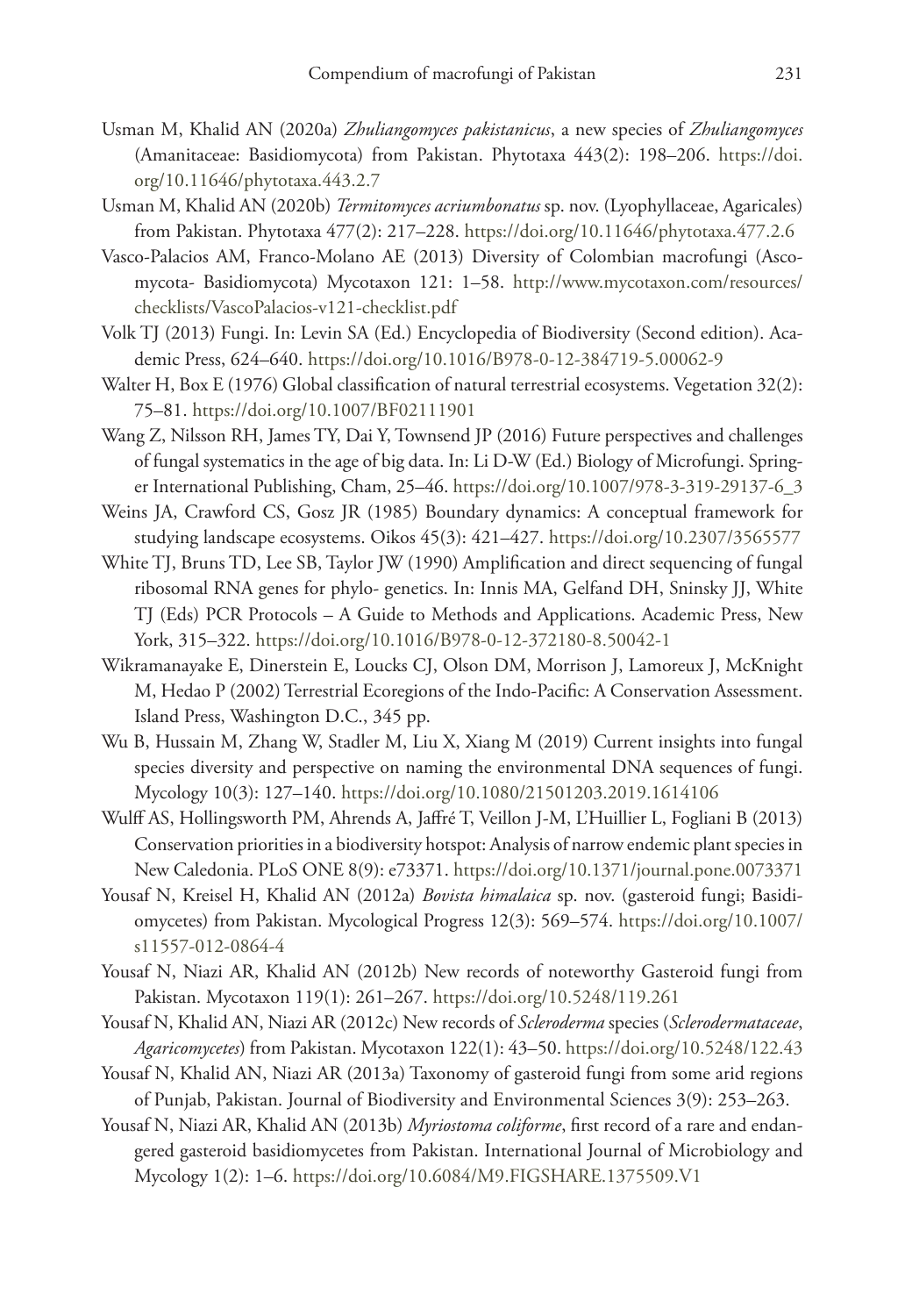- Usman M, Khalid AN (2020a) *Zhuliangomyces pakistanicus*, a new species of *Zhuliangomyces* (Amanitaceae: Basidiomycota) from Pakistan. Phytotaxa 443(2): 198–206. [https://doi.](https://doi.org/10.11646/phytotaxa.443.2.7) [org/10.11646/phytotaxa.443.2.7](https://doi.org/10.11646/phytotaxa.443.2.7)
- Usman M, Khalid AN (2020b) *Termitomyces acriumbonatus* sp. nov. (Lyophyllaceae, Agaricales) from Pakistan. Phytotaxa 477(2): 217–228.<https://doi.org/10.11646/phytotaxa.477.2.6>
- Vasco-Palacios AM, Franco-Molano AE (2013) Diversity of Colombian macrofungi (Ascomycota- Basidiomycota) Mycotaxon 121: 1–58. [http://www.mycotaxon.com/resources/](http://www.mycotaxon.com/resources/checklists/VascoPalacios-v121-checklist.pdf) [checklists/VascoPalacios-v121-checklist.pdf](http://www.mycotaxon.com/resources/checklists/VascoPalacios-v121-checklist.pdf)
- Volk TJ (2013) Fungi. In: Levin SA (Ed.) Encyclopedia of Biodiversity (Second edition). Academic Press, 624–640.<https://doi.org/10.1016/B978-0-12-384719-5.00062-9>
- Walter H, Box E (1976) Global classification of natural terrestrial ecosystems. Vegetation 32(2): 75–81.<https://doi.org/10.1007/BF02111901>
- Wang Z, Nilsson RH, James TY, Dai Y, Townsend JP (2016) Future perspectives and challenges of fungal systematics in the age of big data. In: Li D-W (Ed.) Biology of Microfungi. Springer International Publishing, Cham, 25–46. [https://doi.org/10.1007/978-3-319-29137-6\\_3](https://doi.org/10.1007/978-3-319-29137-6_3)
- Weins JA, Crawford CS, Gosz JR (1985) Boundary dynamics: A conceptual framework for studying landscape ecosystems. Oikos 45(3): 421–427. <https://doi.org/10.2307/3565577>
- White TJ, Bruns TD, Lee SB, Taylor JW (1990) Amplification and direct sequencing of fungal ribosomal RNA genes for phylo- genetics. In: Innis MA, Gelfand DH, Sninsky JJ, White TJ (Eds) PCR Protocols – A Guide to Methods and Applications. Academic Press, New York, 315–322.<https://doi.org/10.1016/B978-0-12-372180-8.50042-1>
- Wikramanayake E, Dinerstein E, Loucks CJ, Olson DM, Morrison J, Lamoreux J, McKnight M, Hedao P (2002) Terrestrial Ecoregions of the Indo-Pacific: A Conservation Assessment. Island Press, Washington D.C., 345 pp.
- Wu B, Hussain M, Zhang W, Stadler M, Liu X, Xiang M (2019) Current insights into fungal species diversity and perspective on naming the environmental DNA sequences of fungi. Mycology 10(3): 127–140.<https://doi.org/10.1080/21501203.2019.1614106>
- Wulff AS, Hollingsworth PM, Ahrends A, Jaffré T, Veillon J-M, L'Huillier L, Fogliani B (2013) Conservation priorities in a biodiversity hotspot: Analysis of narrow endemic plant species in New Caledonia. PLoS ONE 8(9): e73371. <https://doi.org/10.1371/journal.pone.0073371>
- Yousaf N, Kreisel H, Khalid AN (2012a) *Bovista himalaica* sp. nov. (gasteroid fungi; Basidiomycetes) from Pakistan. Mycological Progress 12(3): 569–574. [https://doi.org/10.1007/](https://doi.org/10.1007/s11557-012-0864-4) [s11557-012-0864-4](https://doi.org/10.1007/s11557-012-0864-4)
- Yousaf N, Niazi AR, Khalid AN (2012b) New records of noteworthy Gasteroid fungi from Pakistan. Mycotaxon 119(1): 261–267. <https://doi.org/10.5248/119.261>
- Yousaf N, Khalid AN, Niazi AR (2012c) New records of *Scleroderma* species (*Sclerodermataceae*, *Agaricomycetes*) from Pakistan. Mycotaxon 122(1): 43–50.<https://doi.org/10.5248/122.43>
- Yousaf N, Khalid AN, Niazi AR (2013a) Taxonomy of gasteroid fungi from some arid regions of Punjab, Pakistan. Journal of Biodiversity and Environmental Sciences 3(9): 253–263.
- Yousaf N, Niazi AR, Khalid AN (2013b) *Myriostoma coliforme*, first record of a rare and endangered gasteroid basidiomycetes from Pakistan. International Journal of Microbiology and Mycology 1(2): 1–6.<https://doi.org/10.6084/M9.FIGSHARE.1375509.V1>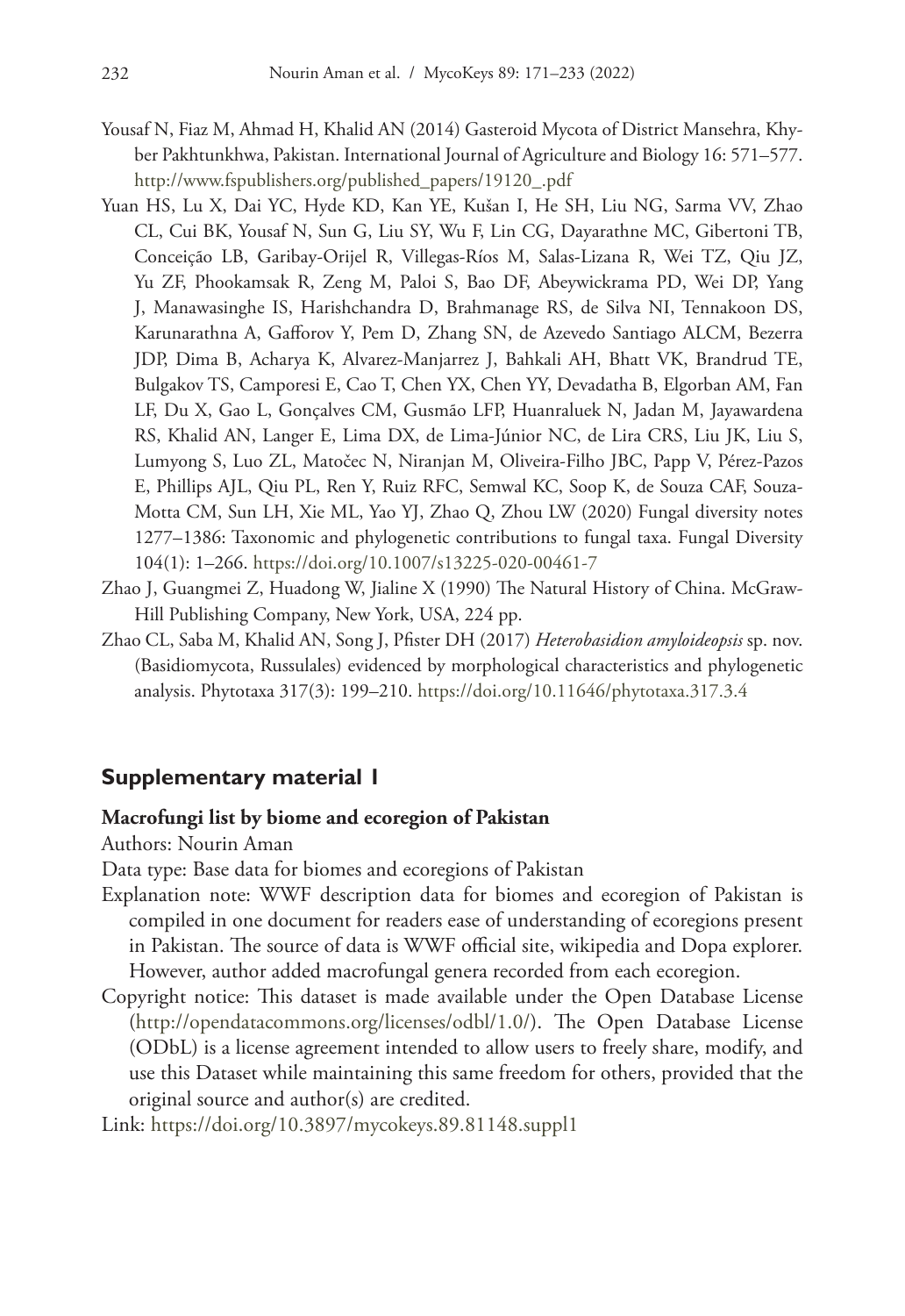- Yousaf N, Fiaz M, Ahmad H, Khalid AN (2014) Gasteroid Mycota of District Mansehra, Khyber Pakhtunkhwa, Pakistan. International Journal of Agriculture and Biology 16: 571–577. [http://www.fspublishers.org/published\\_papers/19120\\_.pdf](http://www.fspublishers.org/published_papers/19120_.pdf)
- Yuan HS, Lu X, Dai YC, Hyde KD, Kan YE, Kušan I, He SH, Liu NG, Sarma VV, Zhao CL, Cui BK, Yousaf N, Sun G, Liu SY, Wu F, Lin CG, Dayarathne MC, Gibertoni TB, Conceição LB, Garibay-Orijel R, Villegas-Ríos M, Salas-Lizana R, Wei TZ, Qiu JZ, Yu ZF, Phookamsak R, Zeng M, Paloi S, Bao DF, Abeywickrama PD, Wei DP, Yang J, Manawasinghe IS, Harishchandra D, Brahmanage RS, de Silva NI, Tennakoon DS, Karunarathna A, Gafforov Y, Pem D, Zhang SN, de Azevedo Santiago ALCM, Bezerra JDP, Dima B, Acharya K, Alvarez-Manjarrez J, Bahkali AH, Bhatt VK, Brandrud TE, Bulgakov TS, Camporesi E, Cao T, Chen YX, Chen YY, Devadatha B, Elgorban AM, Fan LF, Du X, Gao L, Gonçalves CM, Gusmão LFP, Huanraluek N, Jadan M, Jayawardena RS, Khalid AN, Langer E, Lima DX, de Lima-Júnior NC, de Lira CRS, Liu JK, Liu S, Lumyong S, Luo ZL, Matočec N, Niranjan M, Oliveira-Filho JBC, Papp V, Pérez-Pazos E, Phillips AJL, Qiu PL, Ren Y, Ruiz RFC, Semwal KC, Soop K, de Souza CAF, Souza-Motta CM, Sun LH, Xie ML, Yao YJ, Zhao Q, Zhou LW (2020) Fungal diversity notes 1277–1386: Taxonomic and phylogenetic contributions to fungal taxa. Fungal Diversity 104(1): 1–266. <https://doi.org/10.1007/s13225-020-00461-7>
- Zhao J, Guangmei Z, Huadong W, Jialine X (1990) The Natural History of China. McGraw-Hill Publishing Company, New York, USA, 224 pp.
- Zhao CL, Saba M, Khalid AN, Song J, Pfister DH (2017) *Heterobasidion amyloideopsis* sp. nov. (Basidiomycota, Russulales) evidenced by morphological characteristics and phylogenetic analysis. Phytotaxa 317(3): 199–210. <https://doi.org/10.11646/phytotaxa.317.3.4>

### **Supplementary material 1**

#### **Macrofungi list by biome and ecoregion of Pakistan**

Authors: Nourin Aman

Data type: Base data for biomes and ecoregions of Pakistan

- Explanation note: WWF description data for biomes and ecoregion of Pakistan is compiled in one document for readers ease of understanding of ecoregions present in Pakistan. The source of data is WWF official site, wikipedia and Dopa explorer. However, author added macrofungal genera recorded from each ecoregion.
- Copyright notice: This dataset is made available under the Open Database License [\(http://opendatacommons.org/licenses/odbl/1.0/](http://opendatacommons.org/licenses/odbl/1.0/)). The Open Database License (ODbL) is a license agreement intended to allow users to freely share, modify, and use this Dataset while maintaining this same freedom for others, provided that the original source and author(s) are credited.

Link: <https://doi.org/10.3897/mycokeys.89.81148.suppl1>